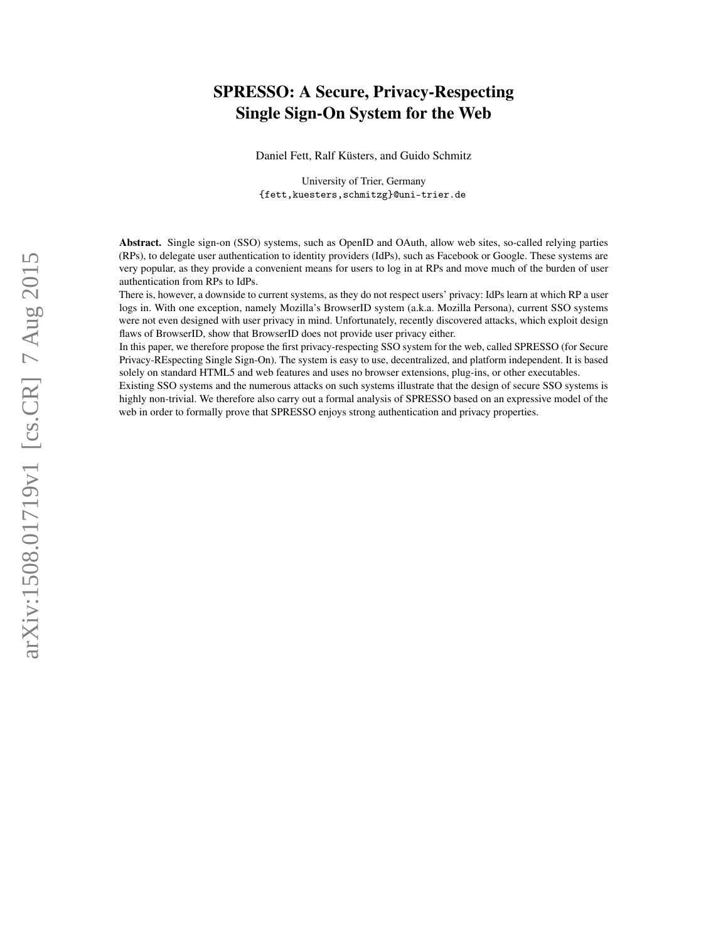# SPRESSO: A Secure, Privacy-Respecting Single Sign-On System for the Web

Daniel Fett, Ralf Küsters, and Guido Schmitz

University of Trier, Germany {fett,kuesters,schmitzg}@uni-trier.de

Abstract. Single sign-on (SSO) systems, such as OpenID and OAuth, allow web sites, so-called relying parties (RPs), to delegate user authentication to identity providers (IdPs), such as Facebook or Google. These systems are very popular, as they provide a convenient means for users to log in at RPs and move much of the burden of user authentication from RPs to IdPs.

There is, however, a downside to current systems, as they do not respect users' privacy: IdPs learn at which RP a user logs in. With one exception, namely Mozilla's BrowserID system (a.k.a. Mozilla Persona), current SSO systems were not even designed with user privacy in mind. Unfortunately, recently discovered attacks, which exploit design flaws of BrowserID, show that BrowserID does not provide user privacy either.

In this paper, we therefore propose the first privacy-respecting SSO system for the web, called SPRESSO (for Secure Privacy-REspecting Single Sign-On). The system is easy to use, decentralized, and platform independent. It is based solely on standard HTML5 and web features and uses no browser extensions, plug-ins, or other executables.

Existing SSO systems and the numerous attacks on such systems illustrate that the design of secure SSO systems is highly non-trivial. We therefore also carry out a formal analysis of SPRESSO based on an expressive model of the web in order to formally prove that SPRESSO enjoys strong authentication and privacy properties.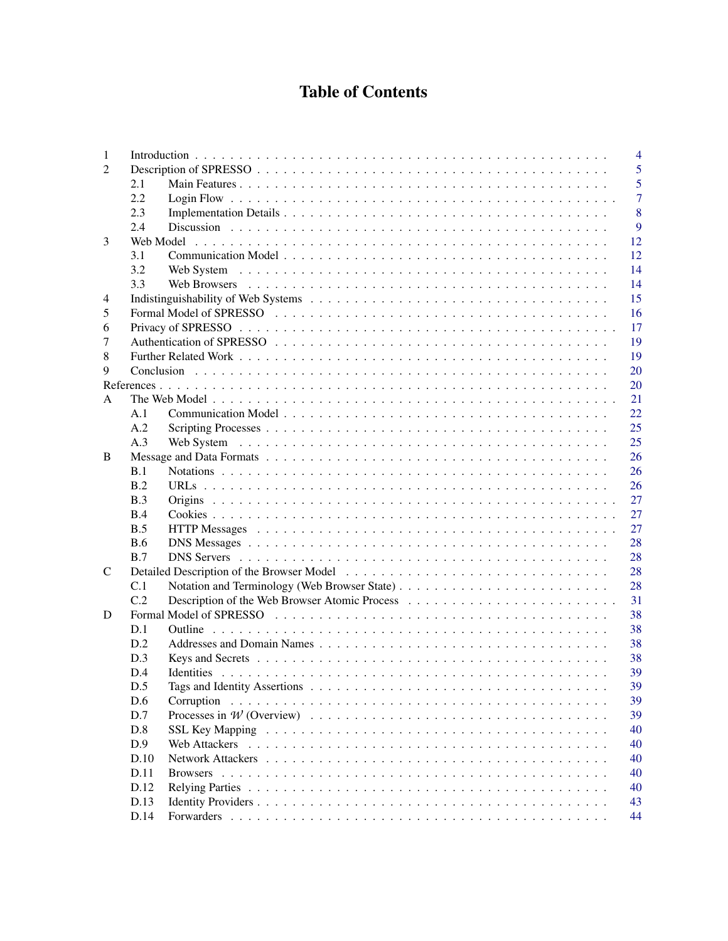# Table of Contents

| 1            |            | $\overline{4}$      |  |  |  |
|--------------|------------|---------------------|--|--|--|
| 2            |            | 5                   |  |  |  |
|              | 2.1        | 5                   |  |  |  |
|              | 2.2        | $\overline{7}$      |  |  |  |
|              | 2.3        | 8                   |  |  |  |
|              | 2.4        | $\overline{9}$      |  |  |  |
| 3            | Web Model  | 12                  |  |  |  |
|              | 3.1        | 12                  |  |  |  |
|              | 3.2        | 14                  |  |  |  |
|              | 3.3        | 14                  |  |  |  |
| 4            |            |                     |  |  |  |
| 5            |            | 16                  |  |  |  |
| 6            |            | 17                  |  |  |  |
| 7            |            | 19                  |  |  |  |
| 8            |            | 19                  |  |  |  |
| 9            |            | 20                  |  |  |  |
|              |            | 20                  |  |  |  |
| A            |            | 21                  |  |  |  |
|              | A.1        | 22                  |  |  |  |
|              | A.2        | 25                  |  |  |  |
|              | A.3        | 25                  |  |  |  |
| B            |            | 26                  |  |  |  |
|              | B.1        | 26                  |  |  |  |
|              | B.2        | 26                  |  |  |  |
|              | B.3        | 27                  |  |  |  |
|              | B.4        | 27                  |  |  |  |
|              | B.5        | 27                  |  |  |  |
|              | <b>B.6</b> | 28                  |  |  |  |
|              | B.7        | 28                  |  |  |  |
| $\mathsf{C}$ |            | 28                  |  |  |  |
|              | C.1        | 28                  |  |  |  |
|              | C.2        | 31                  |  |  |  |
| D            |            | 38                  |  |  |  |
|              | D.1        | 38                  |  |  |  |
|              | D.2        | 38                  |  |  |  |
|              | D.3        | 38                  |  |  |  |
|              | D.4        | 39                  |  |  |  |
|              | D.5        | 39                  |  |  |  |
|              | D.6        | 39<br>Corruption    |  |  |  |
|              | D.7        | 39                  |  |  |  |
|              | D.8        | 40                  |  |  |  |
|              | D.9        | Web Attackers<br>40 |  |  |  |
|              | D.10       | 40                  |  |  |  |
|              |            |                     |  |  |  |
|              | D.11       | 40                  |  |  |  |
|              | D.12       | 40                  |  |  |  |
|              | D.13       | 43                  |  |  |  |
|              | D.14       | 44                  |  |  |  |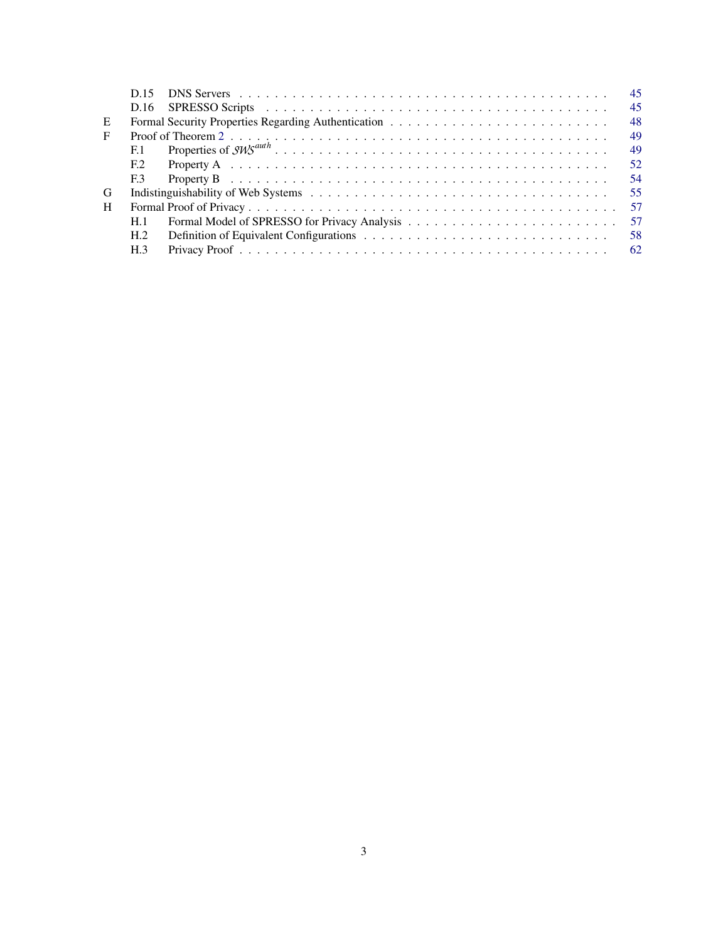| D.16<br>E<br>F<br>E.1 | 45  |
|-----------------------|-----|
|                       | 45  |
|                       | 48  |
|                       | 49  |
|                       | 49  |
| F <sub>12</sub>       | 52  |
| F.3                   | 54  |
| G                     | 55  |
| H                     | -57 |
| H.1                   | -57 |
| H.2                   | .58 |
| H.3                   | -62 |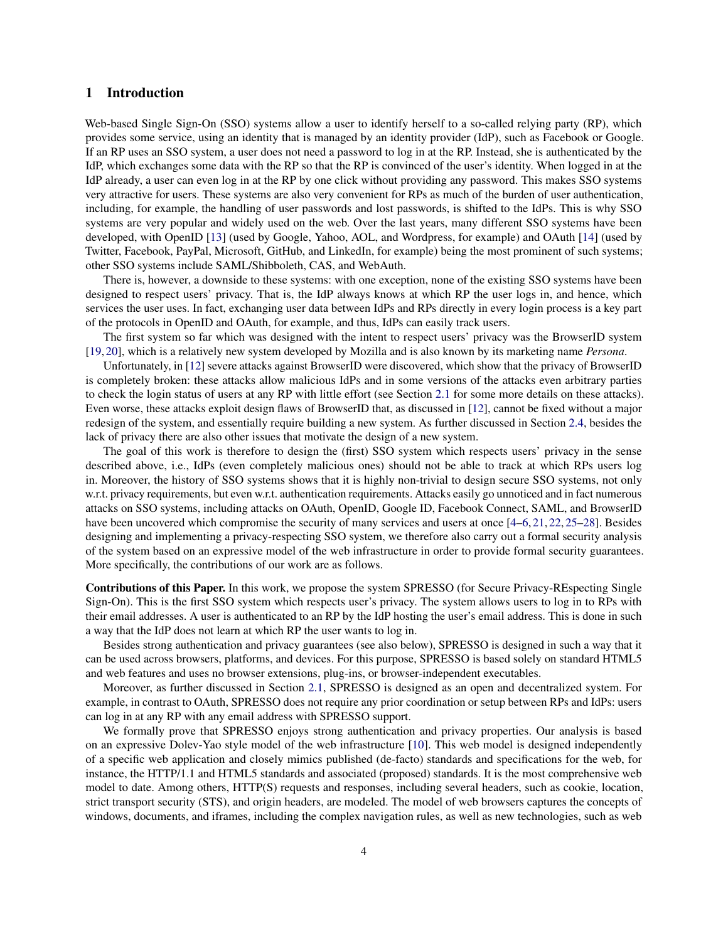# <span id="page-3-0"></span>1 Introduction

Web-based Single Sign-On (SSO) systems allow a user to identify herself to a so-called relying party (RP), which provides some service, using an identity that is managed by an identity provider (IdP), such as Facebook or Google. If an RP uses an SSO system, a user does not need a password to log in at the RP. Instead, she is authenticated by the IdP, which exchanges some data with the RP so that the RP is convinced of the user's identity. When logged in at the IdP already, a user can even log in at the RP by one click without providing any password. This makes SSO systems very attractive for users. These systems are also very convenient for RPs as much of the burden of user authentication, including, for example, the handling of user passwords and lost passwords, is shifted to the IdPs. This is why SSO systems are very popular and widely used on the web. Over the last years, many different SSO systems have been developed, with OpenID [\[13\]](#page-20-1) (used by Google, Yahoo, AOL, and Wordpress, for example) and OAuth [\[14\]](#page-20-2) (used by Twitter, Facebook, PayPal, Microsoft, GitHub, and LinkedIn, for example) being the most prominent of such systems; other SSO systems include SAML/Shibboleth, CAS, and WebAuth.

There is, however, a downside to these systems: with one exception, none of the existing SSO systems have been designed to respect users' privacy. That is, the IdP always knows at which RP the user logs in, and hence, which services the user uses. In fact, exchanging user data between IdPs and RPs directly in every login process is a key part of the protocols in OpenID and OAuth, for example, and thus, IdPs can easily track users.

The first system so far which was designed with the intent to respect users' privacy was the BrowserID system [\[19,](#page-20-3) [20\]](#page-20-4), which is a relatively new system developed by Mozilla and is also known by its marketing name *Persona*.

Unfortunately, in [\[12\]](#page-20-5) severe attacks against BrowserID were discovered, which show that the privacy of BrowserID is completely broken: these attacks allow malicious IdPs and in some versions of the attacks even arbitrary parties to check the login status of users at any RP with little effort (see Section [2.1](#page-4-1) for some more details on these attacks). Even worse, these attacks exploit design flaws of BrowserID that, as discussed in [\[12\]](#page-20-5), cannot be fixed without a major redesign of the system, and essentially require building a new system. As further discussed in Section [2.4,](#page-8-0) besides the lack of privacy there are also other issues that motivate the design of a new system.

The goal of this work is therefore to design the (first) SSO system which respects users' privacy in the sense described above, i.e., IdPs (even completely malicious ones) should not be able to track at which RPs users log in. Moreover, the history of SSO systems shows that it is highly non-trivial to design secure SSO systems, not only w.r.t. privacy requirements, but even w.r.t. authentication requirements. Attacks easily go unnoticed and in fact numerous attacks on SSO systems, including attacks on OAuth, OpenID, Google ID, Facebook Connect, SAML, and BrowserID have been uncovered which compromise the security of many services and users at once [\[4](#page-19-2)[–6,](#page-19-3) [21,](#page-20-6) [22,](#page-20-7) [25–](#page-20-8)[28\]](#page-20-9). Besides designing and implementing a privacy-respecting SSO system, we therefore also carry out a formal security analysis of the system based on an expressive model of the web infrastructure in order to provide formal security guarantees. More specifically, the contributions of our work are as follows.

Contributions of this Paper. In this work, we propose the system SPRESSO (for Secure Privacy-REspecting Single Sign-On). This is the first SSO system which respects user's privacy. The system allows users to log in to RPs with their email addresses. A user is authenticated to an RP by the IdP hosting the user's email address. This is done in such a way that the IdP does not learn at which RP the user wants to log in.

Besides strong authentication and privacy guarantees (see also below), SPRESSO is designed in such a way that it can be used across browsers, platforms, and devices. For this purpose, SPRESSO is based solely on standard HTML5 and web features and uses no browser extensions, plug-ins, or browser-independent executables.

Moreover, as further discussed in Section [2.1,](#page-4-1) SPRESSO is designed as an open and decentralized system. For example, in contrast to OAuth, SPRESSO does not require any prior coordination or setup between RPs and IdPs: users can log in at any RP with any email address with SPRESSO support.

We formally prove that SPRESSO enjoys strong authentication and privacy properties. Our analysis is based on an expressive Dolev-Yao style model of the web infrastructure [\[10\]](#page-19-4). This web model is designed independently of a specific web application and closely mimics published (de-facto) standards and specifications for the web, for instance, the HTTP/1.1 and HTML5 standards and associated (proposed) standards. It is the most comprehensive web model to date. Among others, HTTP(S) requests and responses, including several headers, such as cookie, location, strict transport security (STS), and origin headers, are modeled. The model of web browsers captures the concepts of windows, documents, and iframes, including the complex navigation rules, as well as new technologies, such as web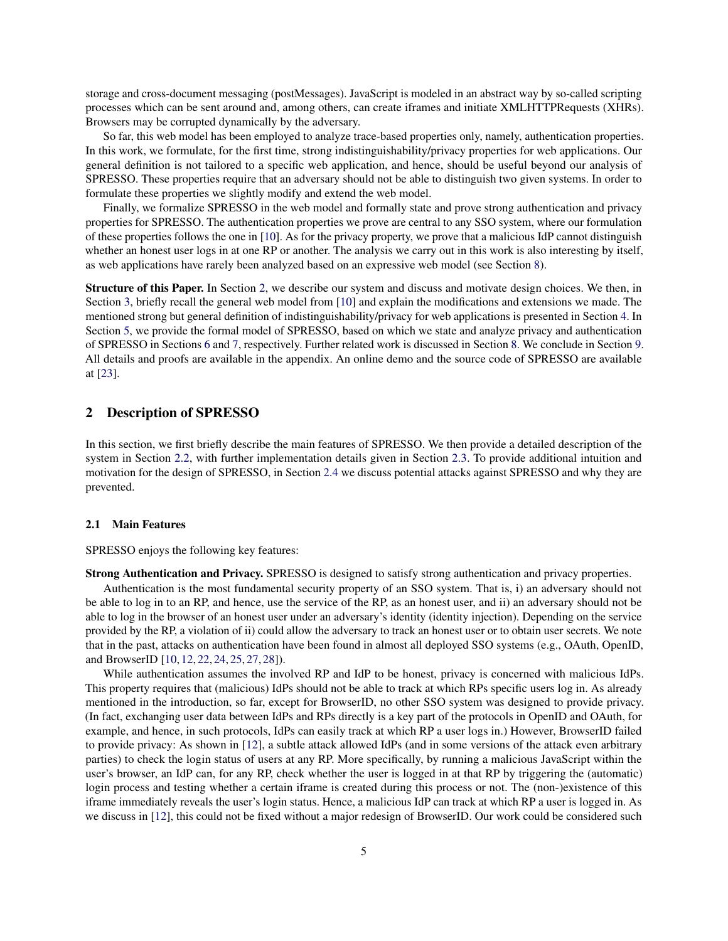storage and cross-document messaging (postMessages). JavaScript is modeled in an abstract way by so-called scripting processes which can be sent around and, among others, can create iframes and initiate XMLHTTPRequests (XHRs). Browsers may be corrupted dynamically by the adversary.

So far, this web model has been employed to analyze trace-based properties only, namely, authentication properties. In this work, we formulate, for the first time, strong indistinguishability/privacy properties for web applications. Our general definition is not tailored to a specific web application, and hence, should be useful beyond our analysis of SPRESSO. These properties require that an adversary should not be able to distinguish two given systems. In order to formulate these properties we slightly modify and extend the web model.

Finally, we formalize SPRESSO in the web model and formally state and prove strong authentication and privacy properties for SPRESSO. The authentication properties we prove are central to any SSO system, where our formulation of these properties follows the one in [\[10\]](#page-19-4). As for the privacy property, we prove that a malicious IdP cannot distinguish whether an honest user logs in at one RP or another. The analysis we carry out in this work is also interesting by itself, as web applications have rarely been analyzed based on an expressive web model (see Section [8\)](#page-18-1).

Structure of this Paper. In Section [2,](#page-4-0) we describe our system and discuss and motivate design choices. We then, in Section [3,](#page-11-0) briefly recall the general web model from [\[10\]](#page-19-4) and explain the modifications and extensions we made. The mentioned strong but general definition of indistinguishability/privacy for web applications is presented in Section [4.](#page-14-0) In Section [5,](#page-15-0) we provide the formal model of SPRESSO, based on which we state and analyze privacy and authentication of SPRESSO in Sections [6](#page-16-0) and [7,](#page-18-0) respectively. Further related work is discussed in Section [8.](#page-18-1) We conclude in Section [9.](#page-19-0) All details and proofs are available in the appendix. An online demo and the source code of SPRESSO are available at [\[23\]](#page-20-10).

# <span id="page-4-0"></span>2 Description of SPRESSO

In this section, we first briefly describe the main features of SPRESSO. We then provide a detailed description of the system in Section [2.2,](#page-6-0) with further implementation details given in Section [2.3.](#page-7-0) To provide additional intuition and motivation for the design of SPRESSO, in Section [2.4](#page-8-0) we discuss potential attacks against SPRESSO and why they are prevented.

#### <span id="page-4-1"></span>2.1 Main Features

### SPRESSO enjoys the following key features:

Strong Authentication and Privacy. SPRESSO is designed to satisfy strong authentication and privacy properties.

Authentication is the most fundamental security property of an SSO system. That is, i) an adversary should not be able to log in to an RP, and hence, use the service of the RP, as an honest user, and ii) an adversary should not be able to log in the browser of an honest user under an adversary's identity (identity injection). Depending on the service provided by the RP, a violation of ii) could allow the adversary to track an honest user or to obtain user secrets. We note that in the past, attacks on authentication have been found in almost all deployed SSO systems (e.g., OAuth, OpenID, and BrowserID [\[10,](#page-19-4) [12,](#page-20-5) [22,](#page-20-7) [24,](#page-20-11) [25,](#page-20-8) [27,](#page-20-12) [28\]](#page-20-9)).

While authentication assumes the involved RP and IdP to be honest, privacy is concerned with malicious IdPs. This property requires that (malicious) IdPs should not be able to track at which RPs specific users log in. As already mentioned in the introduction, so far, except for BrowserID, no other SSO system was designed to provide privacy. (In fact, exchanging user data between IdPs and RPs directly is a key part of the protocols in OpenID and OAuth, for example, and hence, in such protocols, IdPs can easily track at which RP a user logs in.) However, BrowserID failed to provide privacy: As shown in [\[12\]](#page-20-5), a subtle attack allowed IdPs (and in some versions of the attack even arbitrary parties) to check the login status of users at any RP. More specifically, by running a malicious JavaScript within the user's browser, an IdP can, for any RP, check whether the user is logged in at that RP by triggering the (automatic) login process and testing whether a certain iframe is created during this process or not. The (non-)existence of this iframe immediately reveals the user's login status. Hence, a malicious IdP can track at which RP a user is logged in. As we discuss in [\[12\]](#page-20-5), this could not be fixed without a major redesign of BrowserID. Our work could be considered such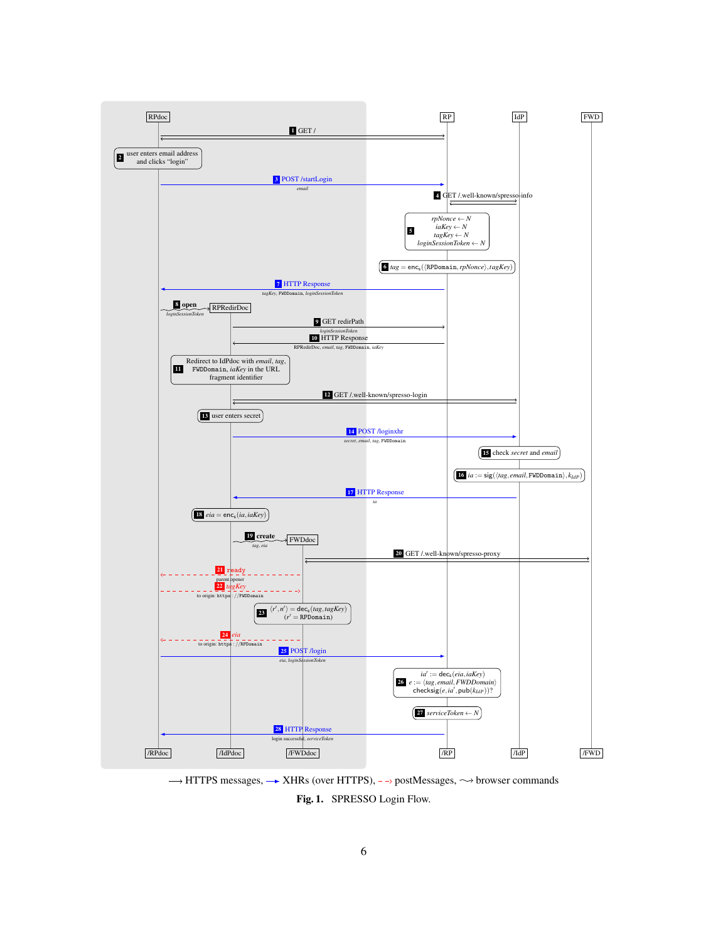<span id="page-5-13"></span><span id="page-5-12"></span><span id="page-5-11"></span><span id="page-5-10"></span><span id="page-5-9"></span><span id="page-5-8"></span><span id="page-5-7"></span><span id="page-5-6"></span><span id="page-5-5"></span><span id="page-5-4"></span><span id="page-5-3"></span><span id="page-5-2"></span><span id="page-5-1"></span><span id="page-5-0"></span>

<span id="page-5-27"></span><span id="page-5-26"></span><span id="page-5-25"></span><span id="page-5-24"></span><span id="page-5-23"></span><span id="page-5-22"></span><span id="page-5-21"></span><span id="page-5-20"></span><span id="page-5-19"></span><span id="page-5-18"></span><span id="page-5-17"></span><span id="page-5-16"></span><span id="page-5-15"></span><span id="page-5-14"></span> $\rightarrow$  HTTPS messages,  $\rightarrow$  XHRs (over HTTPS), - -> postMessages,  $\sim$ > browser commands Fig. 1. SPRESSO Login Flow.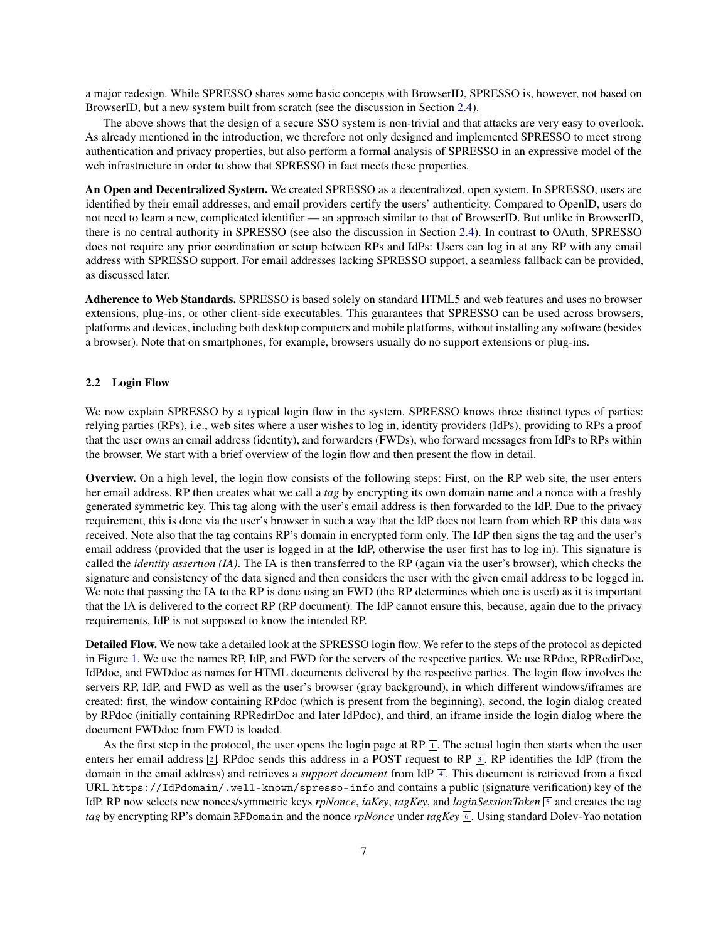a major redesign. While SPRESSO shares some basic concepts with BrowserID, SPRESSO is, however, not based on BrowserID, but a new system built from scratch (see the discussion in Section [2.4\)](#page-8-0).

The above shows that the design of a secure SSO system is non-trivial and that attacks are very easy to overlook. As already mentioned in the introduction, we therefore not only designed and implemented SPRESSO to meet strong authentication and privacy properties, but also perform a formal analysis of SPRESSO in an expressive model of the web infrastructure in order to show that SPRESSO in fact meets these properties.

An Open and Decentralized System. We created SPRESSO as a decentralized, open system. In SPRESSO, users are identified by their email addresses, and email providers certify the users' authenticity. Compared to OpenID, users do not need to learn a new, complicated identifier — an approach similar to that of BrowserID. But unlike in BrowserID, there is no central authority in SPRESSO (see also the discussion in Section [2.4\)](#page-8-0). In contrast to OAuth, SPRESSO does not require any prior coordination or setup between RPs and IdPs: Users can log in at any RP with any email address with SPRESSO support. For email addresses lacking SPRESSO support, a seamless fallback can be provided, as discussed later.

Adherence to Web Standards. SPRESSO is based solely on standard HTML5 and web features and uses no browser extensions, plug-ins, or other client-side executables. This guarantees that SPRESSO can be used across browsers, platforms and devices, including both desktop computers and mobile platforms, without installing any software (besides a browser). Note that on smartphones, for example, browsers usually do no support extensions or plug-ins.

# <span id="page-6-0"></span>2.2 Login Flow

We now explain SPRESSO by a typical login flow in the system. SPRESSO knows three distinct types of parties: relying parties (RPs), i.e., web sites where a user wishes to log in, identity providers (IdPs), providing to RPs a proof that the user owns an email address (identity), and forwarders (FWDs), who forward messages from IdPs to RPs within the browser. We start with a brief overview of the login flow and then present the flow in detail.

Overview. On a high level, the login flow consists of the following steps: First, on the RP web site, the user enters her email address. RP then creates what we call a *tag* by encrypting its own domain name and a nonce with a freshly generated symmetric key. This tag along with the user's email address is then forwarded to the IdP. Due to the privacy requirement, this is done via the user's browser in such a way that the IdP does not learn from which RP this data was received. Note also that the tag contains RP's domain in encrypted form only. The IdP then signs the tag and the user's email address (provided that the user is logged in at the IdP, otherwise the user first has to log in). This signature is called the *identity assertion (IA)*. The IA is then transferred to the RP (again via the user's browser), which checks the signature and consistency of the data signed and then considers the user with the given email address to be logged in. We note that passing the IA to the RP is done using an FWD (the RP determines which one is used) as it is important that the IA is delivered to the correct RP (RP document). The IdP cannot ensure this, because, again due to the privacy requirements, IdP is not supposed to know the intended RP.

Detailed Flow. We now take a detailed look at the SPRESSO login flow. We refer to the steps of the protocol as depicted in Figure [1.](#page-5-0) We use the names RP, IdP, and FWD for the servers of the respective parties. We use RPdoc, RPRedirDoc, IdPdoc, and FWDdoc as names for HTML documents delivered by the respective parties. The login flow involves the servers RP, IdP, and FWD as well as the user's browser (gray background), in which different windows/iframes are created: first, the window containing RPdoc (which is present from the beginning), second, the login dialog created by RPdoc (initially containing RPRedirDoc and later IdPdoc), and third, an iframe inside the login dialog where the document FWDdoc from FWD is loaded.

As the first step in the protocol, the user opens the login page at RP  $\Box$ . The actual login then starts when the user enters her email address  $\boxed{2}$  $\boxed{2}$  $\boxed{2}$ . RPdoc sends this address in a POST request to RP  $\boxed{3}$  $\boxed{3}$  $\boxed{3}$ . RP identifies the IdP (from the domain in the email address) and retrieves a *support document* from IdP [4](#page-5-4). This document is retrieved from a fixed URL https://IdPdomain/.well-known/spresso-info and contains a public (signature verification) key of the IdP. RP now selects new nonces/symmetric keys *rpNonce*, *iaKey*, *tagKey*, and *loginSessionToken* [5](#page-5-5) and creates the tag *tag* by encrypting RP's domain RPDomain and the nonce *rpNonce* under *tagKey* [6](#page-5-6) . Using standard Dolev-Yao notation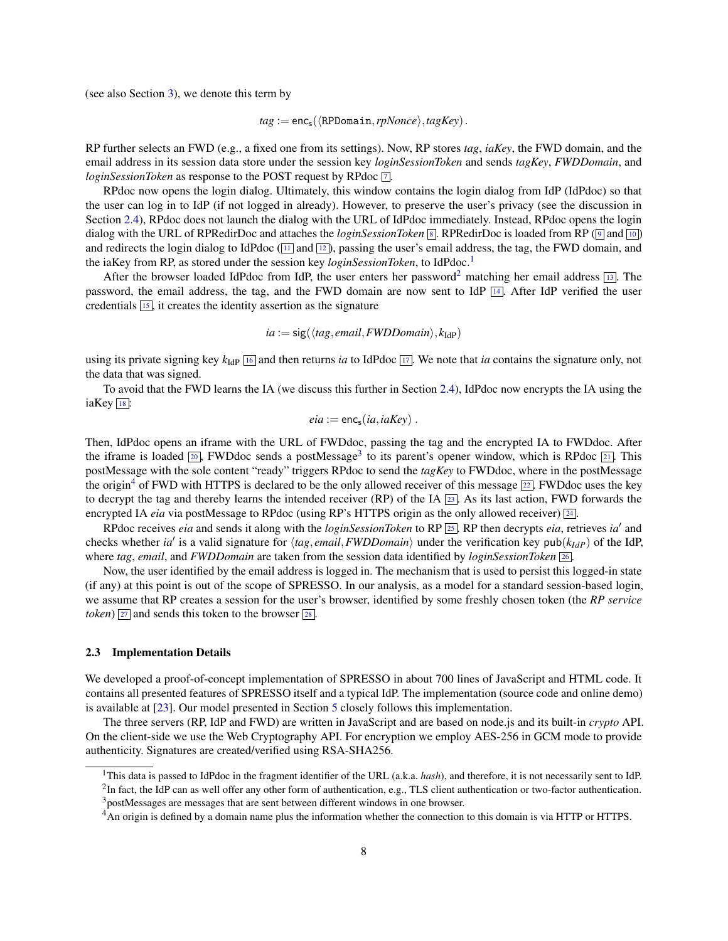(see also Section [3\)](#page-11-0), we denote this term by

$$
tag := enc_s(\langle \text{RPDomain}, r p None \rangle, tagKey).
$$

RP further selects an FWD (e.g., a fixed one from its settings). Now, RP stores *tag*, *iaKey*, the FWD domain, and the email address in its session data store under the session key *loginSessionToken* and sends *tagKey*, *FWDDomain*, and *loginSessionToken* as response to the POST request by RPdoc  $\boxed{7}$  $\boxed{7}$  $\boxed{7}$ .

RPdoc now opens the login dialog. Ultimately, this window contains the login dialog from IdP (IdPdoc) so that the user can log in to IdP (if not logged in already). However, to preserve the user's privacy (see the discussion in Section [2.4\)](#page-8-0), RPdoc does not launch the dialog with the URL of IdPdoc immediately. Instead, RPdoc opens the login dialog with the URL of RPRedirDoc and attaches the *loginSessionToken* <sup>[8](#page-5-8)</sup>. RPRedirDoc is loaded from RP (**[9](#page-5-9)** and  $\boxed{10}$  $\boxed{10}$  $\boxed{10}$ ) and redirects the login dialog to IdPdoc  $(11)$  $(11)$  $(11)$  and  $[12]$  $[12]$  $[12]$ , passing the user's email address, the tag, the FWD domain, and the iaKey from RP, as stored under the session key *loginSessionToken*, to IdPdoc.[1](#page-7-1)

After the browser loaded IdPdoc from IdP, the user enters her password<sup>[2](#page-7-2)</sup> matching her email address  $\boxed{13}$  $\boxed{13}$  $\boxed{13}$ . The password, the email address, the tag, and the FWD domain are now sent to IdP  $\overline{14}$  $\overline{14}$  $\overline{14}$ . After IdP verified the user credentials  $\overline{15}$  $\overline{15}$  $\overline{15}$ , it creates the identity assertion as the signature

$$
ia := \mathsf{sig}(\langle tag, email, FWDDomain \rangle, k_{IdP})
$$

using its private signing key  $k_{\text{IdP}}$  <sup>[16](#page-5-16)</sup> and then returns *ia* to IdPdoc <sup>[[17](#page-5-17)]</sup>. We note that *ia* contains the signature only, not the data that was signed.

To avoid that the FWD learns the IA (we discuss this further in Section [2.4\)](#page-8-0), IdPdoc now encrypts the IA using the iaKey [18](#page-5-18):

$$
eia := \mathsf{enc}_s(ia,iaKey) .
$$

Then, IdPdoc opens an iframe with the URL of FWDdoc, passing the tag and the encrypted IA to FWDdoc. After the iframe is loaded  $[20]$  $[20]$  $[20]$ , FWDdoc sends a postMessage<sup>[3](#page-7-3)</sup> to its parent's opener window, which is RPdoc  $[21]$  $[21]$  $[21]$ . This postMessage with the sole content "ready" triggers RPdoc to send the *tagKey* to FWDdoc, where in the postMessage the origin<sup>[4](#page-7-4)</sup> of FWD with HTTPS is declared to be the only allowed receiver of this message  $\boxed{22}$  $\boxed{22}$  $\boxed{22}$ . FWDdoc uses the key to decrypt the tag and thereby learns the intended receiver (RP) of the IA  $\boxed{23}$  $\boxed{23}$  $\boxed{23}$ . As its last action, FWD forwards the encrypted IA *eia* via postMessage to RPdoc (using RP's HTTPS origin as the only allowed receiver) [[24](#page-5-23)].

RPdoc receives *eia* and sends it along with the *loginSessionToken* to RP [[25](#page-5-24)]. RP then decrypts *eia*, retrieves *ia'* and checks whether *ia'* is a valid signature for  $\langle tag, email, FWDDomain \rangle$  under the verification key pub $(k_{IdP})$  of the IdP, where *tag*, *email*, and *FWDDomain* are taken from the session data identified by *loginSessionToken* [26](#page-5-25) .

Now, the user identified by the email address is logged in. The mechanism that is used to persist this logged-in state (if any) at this point is out of the scope of SPRESSO. In our analysis, as a model for a standard session-based login, we assume that RP creates a session for the user's browser, identified by some freshly chosen token (the *RP service token*)  $\boxed{27}$  $\boxed{27}$  $\boxed{27}$  and sends this token to the browser  $\boxed{28}$  $\boxed{28}$  $\boxed{28}$ .

### <span id="page-7-0"></span>2.3 Implementation Details

We developed a proof-of-concept implementation of SPRESSO in about 700 lines of JavaScript and HTML code. It contains all presented features of SPRESSO itself and a typical IdP. The implementation (source code and online demo) is available at [\[23\]](#page-20-10). Our model presented in Section [5](#page-15-0) closely follows this implementation.

The three servers (RP, IdP and FWD) are written in JavaScript and are based on node.js and its built-in *crypto* API. On the client-side we use the Web Cryptography API. For encryption we employ AES-256 in GCM mode to provide authenticity. Signatures are created/verified using RSA-SHA256.

<span id="page-7-2"></span><span id="page-7-1"></span><sup>1</sup>This data is passed to IdPdoc in the fragment identifier of the URL (a.k.a. *hash*), and therefore, it is not necessarily sent to IdP.  ${}^{2}$ In fact, the IdP can as well offer any other form of authentication, e.g., TLS client authentication or two-factor authentication. <sup>3</sup>postMessages are messages that are sent between different windows in one browser.

<span id="page-7-4"></span><span id="page-7-3"></span><sup>4</sup>An origin is defined by a domain name plus the information whether the connection to this domain is via HTTP or HTTPS.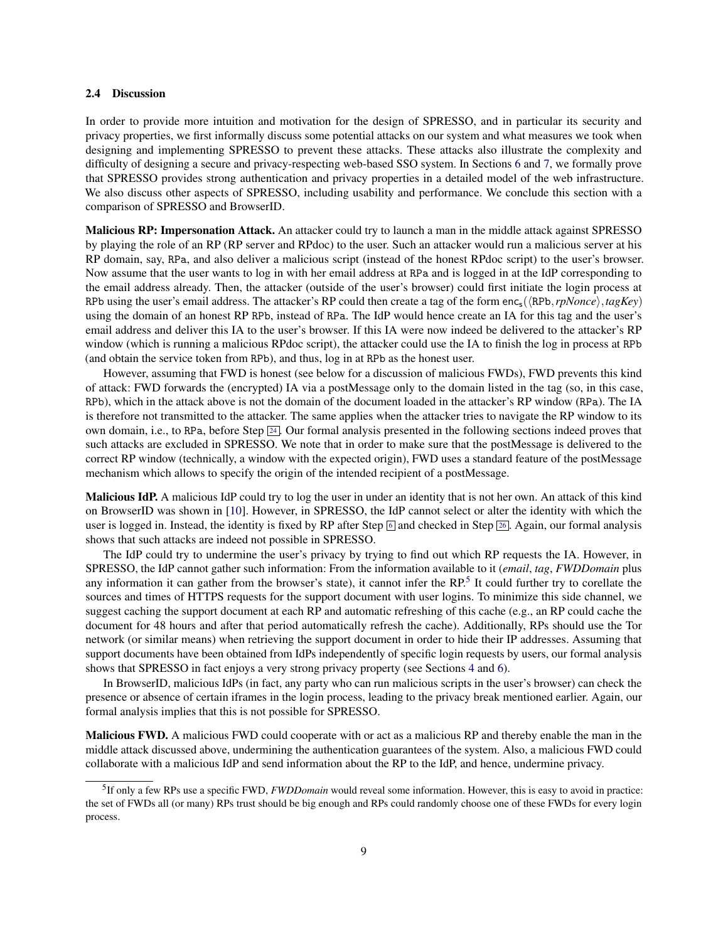### <span id="page-8-0"></span>2.4 Discussion

In order to provide more intuition and motivation for the design of SPRESSO, and in particular its security and privacy properties, we first informally discuss some potential attacks on our system and what measures we took when designing and implementing SPRESSO to prevent these attacks. These attacks also illustrate the complexity and difficulty of designing a secure and privacy-respecting web-based SSO system. In Sections [6](#page-16-0) and [7,](#page-18-0) we formally prove that SPRESSO provides strong authentication and privacy properties in a detailed model of the web infrastructure. We also discuss other aspects of SPRESSO, including usability and performance. We conclude this section with a comparison of SPRESSO and BrowserID.

Malicious RP: Impersonation Attack. An attacker could try to launch a man in the middle attack against SPRESSO by playing the role of an RP (RP server and RPdoc) to the user. Such an attacker would run a malicious server at his RP domain, say, RPa, and also deliver a malicious script (instead of the honest RPdoc script) to the user's browser. Now assume that the user wants to log in with her email address at RPa and is logged in at the IdP corresponding to the email address already. Then, the attacker (outside of the user's browser) could first initiate the login process at RPb using the user's email address. The attacker's RP could then create a tag of the form enc<sub>s</sub>( $\langle$ RPb,*rpNonce*),*tagKey*) using the domain of an honest RP RPb, instead of RPa. The IdP would hence create an IA for this tag and the user's email address and deliver this IA to the user's browser. If this IA were now indeed be delivered to the attacker's RP window (which is running a malicious RPdoc script), the attacker could use the IA to finish the log in process at RPb (and obtain the service token from RPb), and thus, log in at RPb as the honest user.

However, assuming that FWD is honest (see below for a discussion of malicious FWDs), FWD prevents this kind of attack: FWD forwards the (encrypted) IA via a postMessage only to the domain listed in the tag (so, in this case, RPb), which in the attack above is not the domain of the document loaded in the attacker's RP window (RPa). The IA is therefore not transmitted to the attacker. The same applies when the attacker tries to navigate the RP window to its own domain, i.e., to RPa, before Step [24](#page-5-23) . Our formal analysis presented in the following sections indeed proves that such attacks are excluded in SPRESSO. We note that in order to make sure that the postMessage is delivered to the correct RP window (technically, a window with the expected origin), FWD uses a standard feature of the postMessage mechanism which allows to specify the origin of the intended recipient of a postMessage.

Malicious IdP. A malicious IdP could try to log the user in under an identity that is not her own. An attack of this kind on BrowserID was shown in [\[10\]](#page-19-4). However, in SPRESSO, the IdP cannot select or alter the identity with which the user is logged in. Instead, the identity is fixed by RP after Step  $\boxed{\phantom{0}}$  and checked in Step  $\boxed{\phantom{0}}$ . Again, our formal analysis shows that such attacks are indeed not possible in SPRESSO.

The IdP could try to undermine the user's privacy by trying to find out which RP requests the IA. However, in SPRESSO, the IdP cannot gather such information: From the information available to it (*email*, *tag*, *FWDDomain* plus any information it can gather from the browser's state), it cannot infer the RP.<sup>[5](#page-8-1)</sup> It could further try to corellate the sources and times of HTTPS requests for the support document with user logins. To minimize this side channel, we suggest caching the support document at each RP and automatic refreshing of this cache (e.g., an RP could cache the document for 48 hours and after that period automatically refresh the cache). Additionally, RPs should use the Tor network (or similar means) when retrieving the support document in order to hide their IP addresses. Assuming that support documents have been obtained from IdPs independently of specific login requests by users, our formal analysis shows that SPRESSO in fact enjoys a very strong privacy property (see Sections [4](#page-14-0) and [6\)](#page-16-0).

In BrowserID, malicious IdPs (in fact, any party who can run malicious scripts in the user's browser) can check the presence or absence of certain iframes in the login process, leading to the privacy break mentioned earlier. Again, our formal analysis implies that this is not possible for SPRESSO.

Malicious FWD. A malicious FWD could cooperate with or act as a malicious RP and thereby enable the man in the middle attack discussed above, undermining the authentication guarantees of the system. Also, a malicious FWD could collaborate with a malicious IdP and send information about the RP to the IdP, and hence, undermine privacy.

<span id="page-8-1"></span><sup>5</sup> If only a few RPs use a specific FWD, *FWDDomain* would reveal some information. However, this is easy to avoid in practice: the set of FWDs all (or many) RPs trust should be big enough and RPs could randomly choose one of these FWDs for every login process.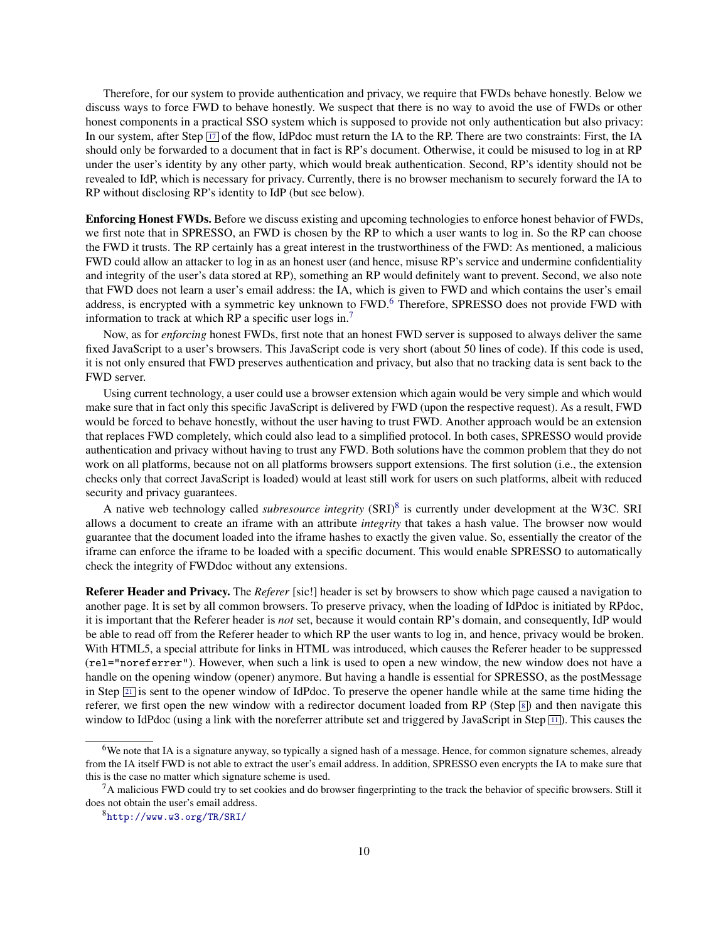Therefore, for our system to provide authentication and privacy, we require that FWDs behave honestly. Below we discuss ways to force FWD to behave honestly. We suspect that there is no way to avoid the use of FWDs or other honest components in a practical SSO system which is supposed to provide not only authentication but also privacy: In our system, after Step  $\boxed{17}$  $\boxed{17}$  $\boxed{17}$  of the flow, IdPdoc must return the IA to the RP. There are two constraints: First, the IA should only be forwarded to a document that in fact is RP's document. Otherwise, it could be misused to log in at RP under the user's identity by any other party, which would break authentication. Second, RP's identity should not be revealed to IdP, which is necessary for privacy. Currently, there is no browser mechanism to securely forward the IA to RP without disclosing RP's identity to IdP (but see below).

Enforcing Honest FWDs. Before we discuss existing and upcoming technologies to enforce honest behavior of FWDs, we first note that in SPRESSO, an FWD is chosen by the RP to which a user wants to log in. So the RP can choose the FWD it trusts. The RP certainly has a great interest in the trustworthiness of the FWD: As mentioned, a malicious FWD could allow an attacker to log in as an honest user (and hence, misuse RP's service and undermine confidentiality and integrity of the user's data stored at RP), something an RP would definitely want to prevent. Second, we also note that FWD does not learn a user's email address: the IA, which is given to FWD and which contains the user's email address, is encrypted with a symmetric key unknown to FWD.<sup>[6](#page-9-0)</sup> Therefore, SPRESSO does not provide FWD with information to track at which RP a specific user logs in.[7](#page-9-1)

Now, as for *enforcing* honest FWDs, first note that an honest FWD server is supposed to always deliver the same fixed JavaScript to a user's browsers. This JavaScript code is very short (about 50 lines of code). If this code is used, it is not only ensured that FWD preserves authentication and privacy, but also that no tracking data is sent back to the FWD server.

Using current technology, a user could use a browser extension which again would be very simple and which would make sure that in fact only this specific JavaScript is delivered by FWD (upon the respective request). As a result, FWD would be forced to behave honestly, without the user having to trust FWD. Another approach would be an extension that replaces FWD completely, which could also lead to a simplified protocol. In both cases, SPRESSO would provide authentication and privacy without having to trust any FWD. Both solutions have the common problem that they do not work on all platforms, because not on all platforms browsers support extensions. The first solution (i.e., the extension checks only that correct JavaScript is loaded) would at least still work for users on such platforms, albeit with reduced security and privacy guarantees.

A native web technology called *subresource integrity* (SRI)[8](#page-9-2) is currently under development at the W3C. SRI allows a document to create an iframe with an attribute *integrity* that takes a hash value. The browser now would guarantee that the document loaded into the iframe hashes to exactly the given value. So, essentially the creator of the iframe can enforce the iframe to be loaded with a specific document. This would enable SPRESSO to automatically check the integrity of FWDdoc without any extensions.

Referer Header and Privacy. The *Referer* [sic!] header is set by browsers to show which page caused a navigation to another page. It is set by all common browsers. To preserve privacy, when the loading of IdPdoc is initiated by RPdoc, it is important that the Referer header is *not* set, because it would contain RP's domain, and consequently, IdP would be able to read off from the Referer header to which RP the user wants to log in, and hence, privacy would be broken. With HTML5, a special attribute for links in HTML was introduced, which causes the Referer header to be suppressed (rel="noreferrer"). However, when such a link is used to open a new window, the new window does not have a handle on the opening window (opener) anymore. But having a handle is essential for SPRESSO, as the postMessage in Step  $\boxed{21}$  $\boxed{21}$  $\boxed{21}$  is sent to the opener window of IdPdoc. To preserve the opener handle while at the same time hiding the referer, we first open the new window with a redirector document loaded from RP (Step  $\boxed{8}$  $\boxed{8}$  $\boxed{8}$ ) and then navigate this window to IdPdoc (using a link with the noreferrer attribute set and triggered by JavaScript in Step  $\boxed{11}$  $\boxed{11}$  $\boxed{11}$ ). This causes the

<span id="page-9-0"></span><sup>&</sup>lt;sup>6</sup>We note that IA is a signature anyway, so typically a signed hash of a message. Hence, for common signature schemes, already from the IA itself FWD is not able to extract the user's email address. In addition, SPRESSO even encrypts the IA to make sure that this is the case no matter which signature scheme is used.

<span id="page-9-1"></span> ${}^{7}$ A malicious FWD could try to set cookies and do browser fingerprinting to the track the behavior of specific browsers. Still it does not obtain the user's email address.

<span id="page-9-2"></span><sup>8</sup><http://www.w3.org/TR/SRI/>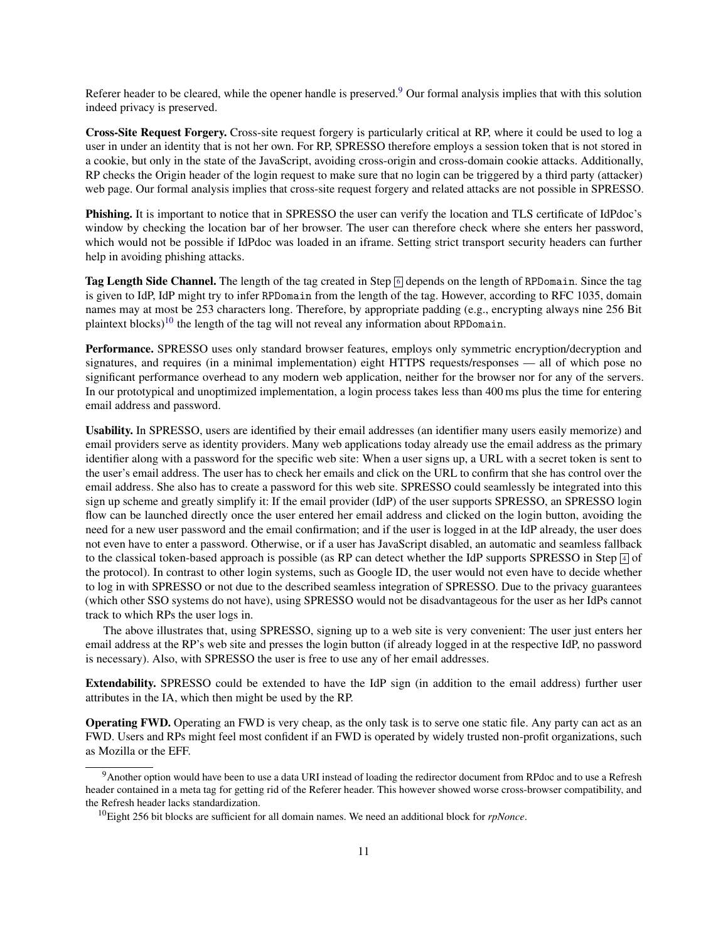Referer header to be cleared, while the opener handle is preserved.<sup>[9](#page-10-0)</sup> Our formal analysis implies that with this solution indeed privacy is preserved.

Cross-Site Request Forgery. Cross-site request forgery is particularly critical at RP, where it could be used to log a user in under an identity that is not her own. For RP, SPRESSO therefore employs a session token that is not stored in a cookie, but only in the state of the JavaScript, avoiding cross-origin and cross-domain cookie attacks. Additionally, RP checks the Origin header of the login request to make sure that no login can be triggered by a third party (attacker) web page. Our formal analysis implies that cross-site request forgery and related attacks are not possible in SPRESSO.

Phishing. It is important to notice that in SPRESSO the user can verify the location and TLS certificate of IdPdoc's window by checking the location bar of her browser. The user can therefore check where she enters her password, which would not be possible if IdPdoc was loaded in an iframe. Setting strict transport security headers can further help in avoiding phishing attacks.

Tag Length Side Channel. The length of the tag created in Step  $\boxed{6}$  $\boxed{6}$  $\boxed{6}$  depends on the length of RPDomain. Since the tag is given to IdP, IdP might try to infer RPDomain from the length of the tag. However, according to RFC 1035, domain names may at most be 253 characters long. Therefore, by appropriate padding (e.g., encrypting always nine 256 Bit plaintext blocks)<sup>[10](#page-10-1)</sup> the length of the tag will not reveal any information about RPDomain.

Performance. SPRESSO uses only standard browser features, employs only symmetric encryption/decryption and signatures, and requires (in a minimal implementation) eight HTTPS requests/responses — all of which pose no significant performance overhead to any modern web application, neither for the browser nor for any of the servers. In our prototypical and unoptimized implementation, a login process takes less than 400 ms plus the time for entering email address and password.

Usability. In SPRESSO, users are identified by their email addresses (an identifier many users easily memorize) and email providers serve as identity providers. Many web applications today already use the email address as the primary identifier along with a password for the specific web site: When a user signs up, a URL with a secret token is sent to the user's email address. The user has to check her emails and click on the URL to confirm that she has control over the email address. She also has to create a password for this web site. SPRESSO could seamlessly be integrated into this sign up scheme and greatly simplify it: If the email provider (IdP) of the user supports SPRESSO, an SPRESSO login flow can be launched directly once the user entered her email address and clicked on the login button, avoiding the need for a new user password and the email confirmation; and if the user is logged in at the IdP already, the user does not even have to enter a password. Otherwise, or if a user has JavaScript disabled, an automatic and seamless fallback to the classical token-based approach is possible (as RP can detect whether the IdP supports SPRESSO in Step  $\frac{4}{3}$  $\frac{4}{3}$  $\frac{4}{3}$  of the protocol). In contrast to other login systems, such as Google ID, the user would not even have to decide whether to log in with SPRESSO or not due to the described seamless integration of SPRESSO. Due to the privacy guarantees (which other SSO systems do not have), using SPRESSO would not be disadvantageous for the user as her IdPs cannot track to which RPs the user logs in.

The above illustrates that, using SPRESSO, signing up to a web site is very convenient: The user just enters her email address at the RP's web site and presses the login button (if already logged in at the respective IdP, no password is necessary). Also, with SPRESSO the user is free to use any of her email addresses.

Extendability. SPRESSO could be extended to have the IdP sign (in addition to the email address) further user attributes in the IA, which then might be used by the RP.

Operating FWD. Operating an FWD is very cheap, as the only task is to serve one static file. Any party can act as an FWD. Users and RPs might feel most confident if an FWD is operated by widely trusted non-profit organizations, such as Mozilla or the EFF.

<span id="page-10-0"></span><sup>&</sup>lt;sup>9</sup> Another option would have been to use a data URI instead of loading the redirector document from RPdoc and to use a Refresh header contained in a meta tag for getting rid of the Referer header. This however showed worse cross-browser compatibility, and the Refresh header lacks standardization.

<span id="page-10-1"></span><sup>10</sup>Eight 256 bit blocks are sufficient for all domain names. We need an additional block for *rpNonce*.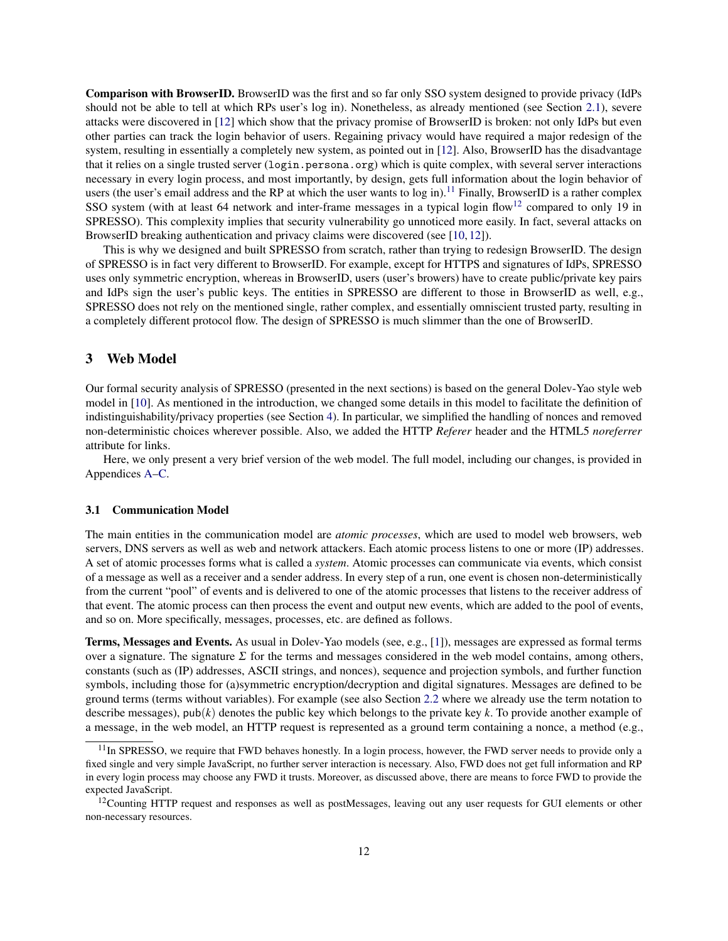Comparison with BrowserID. BrowserID was the first and so far only SSO system designed to provide privacy (IdPs should not be able to tell at which RPs user's log in). Nonetheless, as already mentioned (see Section [2.1\)](#page-4-1), severe attacks were discovered in [\[12\]](#page-20-5) which show that the privacy promise of BrowserID is broken: not only IdPs but even other parties can track the login behavior of users. Regaining privacy would have required a major redesign of the system, resulting in essentially a completely new system, as pointed out in [\[12\]](#page-20-5). Also, BrowserID has the disadvantage that it relies on a single trusted server (login.persona.org) which is quite complex, with several server interactions necessary in every login process, and most importantly, by design, gets full information about the login behavior of users (the user's email address and the RP at which the user wants to log in).<sup>[11](#page-11-2)</sup> Finally, BrowserID is a rather complex SSO system (with at least 64 network and inter-frame messages in a typical login flow<sup>[12](#page-11-3)</sup> compared to only 19 in SPRESSO). This complexity implies that security vulnerability go unnoticed more easily. In fact, several attacks on BrowserID breaking authentication and privacy claims were discovered (see [\[10,](#page-19-4) [12\]](#page-20-5)).

This is why we designed and built SPRESSO from scratch, rather than trying to redesign BrowserID. The design of SPRESSO is in fact very different to BrowserID. For example, except for HTTPS and signatures of IdPs, SPRESSO uses only symmetric encryption, whereas in BrowserID, users (user's browers) have to create public/private key pairs and IdPs sign the user's public keys. The entities in SPRESSO are different to those in BrowserID as well, e.g., SPRESSO does not rely on the mentioned single, rather complex, and essentially omniscient trusted party, resulting in a completely different protocol flow. The design of SPRESSO is much slimmer than the one of BrowserID.

# <span id="page-11-0"></span>3 Web Model

Our formal security analysis of SPRESSO (presented in the next sections) is based on the general Dolev-Yao style web model in [\[10\]](#page-19-4). As mentioned in the introduction, we changed some details in this model to facilitate the definition of indistinguishability/privacy properties (see Section [4\)](#page-14-0). In particular, we simplified the handling of nonces and removed non-deterministic choices wherever possible. Also, we added the HTTP *Referer* header and the HTML5 *noreferrer* attribute for links.

Here, we only present a very brief version of the web model. The full model, including our changes, is provided in Appendices [A](#page-20-0)[–C.](#page-27-2)

#### <span id="page-11-1"></span>3.1 Communication Model

The main entities in the communication model are *atomic processes*, which are used to model web browsers, web servers, DNS servers as well as web and network attackers. Each atomic process listens to one or more (IP) addresses. A set of atomic processes forms what is called a *system*. Atomic processes can communicate via events, which consist of a message as well as a receiver and a sender address. In every step of a run, one event is chosen non-deterministically from the current "pool" of events and is delivered to one of the atomic processes that listens to the receiver address of that event. The atomic process can then process the event and output new events, which are added to the pool of events, and so on. More specifically, messages, processes, etc. are defined as follows.

Terms, Messages and Events. As usual in Dolev-Yao models (see, e.g., [\[1\]](#page-19-5)), messages are expressed as formal terms over a signature. The signature  $\Sigma$  for the terms and messages considered in the web model contains, among others, constants (such as (IP) addresses, ASCII strings, and nonces), sequence and projection symbols, and further function symbols, including those for (a)symmetric encryption/decryption and digital signatures. Messages are defined to be ground terms (terms without variables). For example (see also Section [2.2](#page-6-0) where we already use the term notation to describe messages), pub(*k*) denotes the public key which belongs to the private key *k*. To provide another example of a message, in the web model, an HTTP request is represented as a ground term containing a nonce, a method (e.g.,

<span id="page-11-2"></span><sup>&</sup>lt;sup>11</sup>In SPRESSO, we require that FWD behaves honestly. In a login process, however, the FWD server needs to provide only a fixed single and very simple JavaScript, no further server interaction is necessary. Also, FWD does not get full information and RP in every login process may choose any FWD it trusts. Moreover, as discussed above, there are means to force FWD to provide the expected JavaScript.

<span id="page-11-3"></span><sup>&</sup>lt;sup>12</sup>Counting HTTP request and responses as well as postMessages, leaving out any user requests for GUI elements or other non-necessary resources.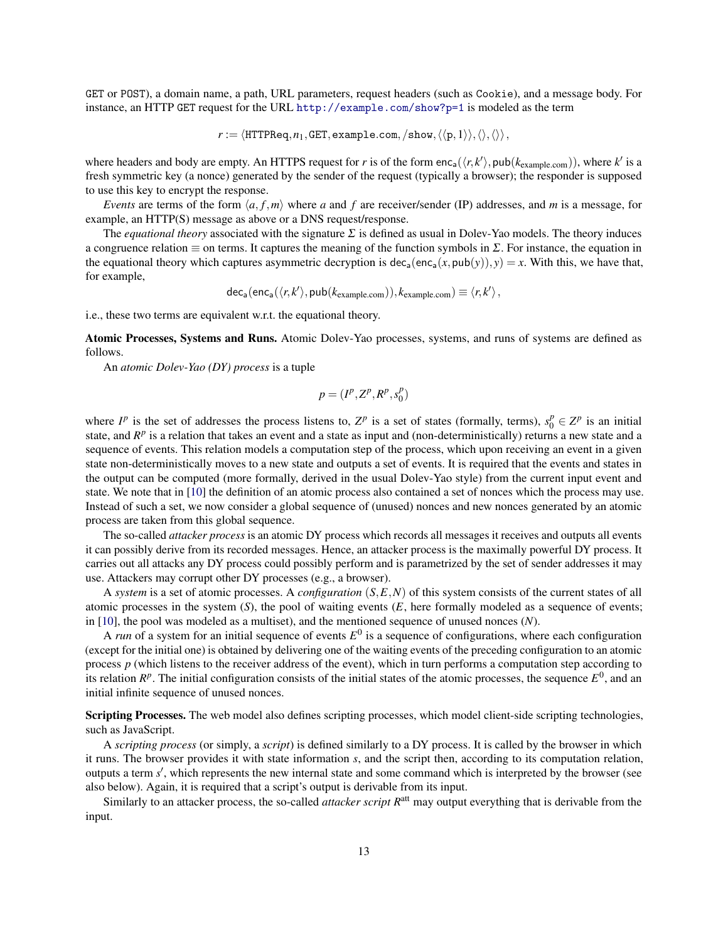GET or POST), a domain name, a path, URL parameters, request headers (such as Cookie), and a message body. For instance, an HTTP GET request for the URL <http://example.com/show?p=1> is modeled as the term

 $r := \langle \text{HTTPReq}, n_1, \text{GET}, \text{example.com}, / \text{show}, \langle \langle p, 1 \rangle \rangle, \langle \rangle \rangle,$ 

where headers and body are empty. An HTTPS request for *r* is of the form  $enc_a(\langle r, k' \rangle, \text{pub}(k_{example.com})$ , where  $k'$  is a fresh symmetric key (a nonce) generated by the sender of the request (typically a browser); the responder is supposed to use this key to encrypt the response.

*Events* are terms of the form  $\langle a, f, m \rangle$  where *a* and *f* are receiver/sender (IP) addresses, and *m* is a message, for example, an HTTP(S) message as above or a DNS request/response.

The *equational theory* associated with the signature  $\Sigma$  is defined as usual in Dolev-Yao models. The theory induces a congruence relation  $\equiv$  on terms. It captures the meaning of the function symbols in  $\Sigma$ . For instance, the equation in the equational theory which captures asymmetric decryption is  $\text{dec}_{a}(\text{enc}_{a}(x, \text{pub}(y)), y) = x$ . With this, we have that, for example,

$$
\mathsf{dec}_a(\mathsf{enc}_a(\langle r, k' \rangle, \mathsf{pub}(k_{\text{example.com}})), k_{\text{example.com}}) \equiv \langle r, k' \rangle,
$$

i.e., these two terms are equivalent w.r.t. the equational theory.

Atomic Processes, Systems and Runs. Atomic Dolev-Yao processes, systems, and runs of systems are defined as follows.

An *atomic Dolev-Yao (DY) process* is a tuple

$$
p = (I^p, Z^p, R^p, s_0^p)
$$

where  $I^p$  is the set of addresses the process listens to,  $Z^p$  is a set of states (formally, terms),  $s_0^p \in Z^p$  is an initial state, and  $R<sup>p</sup>$  is a relation that takes an event and a state as input and (non-deterministically) returns a new state and a sequence of events. This relation models a computation step of the process, which upon receiving an event in a given state non-deterministically moves to a new state and outputs a set of events. It is required that the events and states in the output can be computed (more formally, derived in the usual Dolev-Yao style) from the current input event and state. We note that in [\[10\]](#page-19-4) the definition of an atomic process also contained a set of nonces which the process may use. Instead of such a set, we now consider a global sequence of (unused) nonces and new nonces generated by an atomic process are taken from this global sequence.

The so-called *attacker process* is an atomic DY process which records all messages it receives and outputs all events it can possibly derive from its recorded messages. Hence, an attacker process is the maximally powerful DY process. It carries out all attacks any DY process could possibly perform and is parametrized by the set of sender addresses it may use. Attackers may corrupt other DY processes (e.g., a browser).

A *system* is a set of atomic processes. A *configuration* (*S*,*E*,*N*) of this system consists of the current states of all atomic processes in the system  $(S)$ , the pool of waiting events  $(E)$ , here formally modeled as a sequence of events; in [\[10\]](#page-19-4), the pool was modeled as a multiset), and the mentioned sequence of unused nonces (*N*).

A *run* of a system for an initial sequence of events  $E^0$  is a sequence of configurations, where each configuration (except for the initial one) is obtained by delivering one of the waiting events of the preceding configuration to an atomic process *p* (which listens to the receiver address of the event), which in turn performs a computation step according to its relation  $R^p$ . The initial configuration consists of the initial states of the atomic processes, the sequence  $E^0$ , and an initial infinite sequence of unused nonces.

Scripting Processes. The web model also defines scripting processes, which model client-side scripting technologies, such as JavaScript.

A *scripting process* (or simply, a *script*) is defined similarly to a DY process. It is called by the browser in which it runs. The browser provides it with state information *s*, and the script then, according to its computation relation, outputs a term s', which represents the new internal state and some command which is interpreted by the browser (see also below). Again, it is required that a script's output is derivable from its input.

Similarly to an attacker process, the so-called *attacker script* R<sup>att</sup> may output everything that is derivable from the input.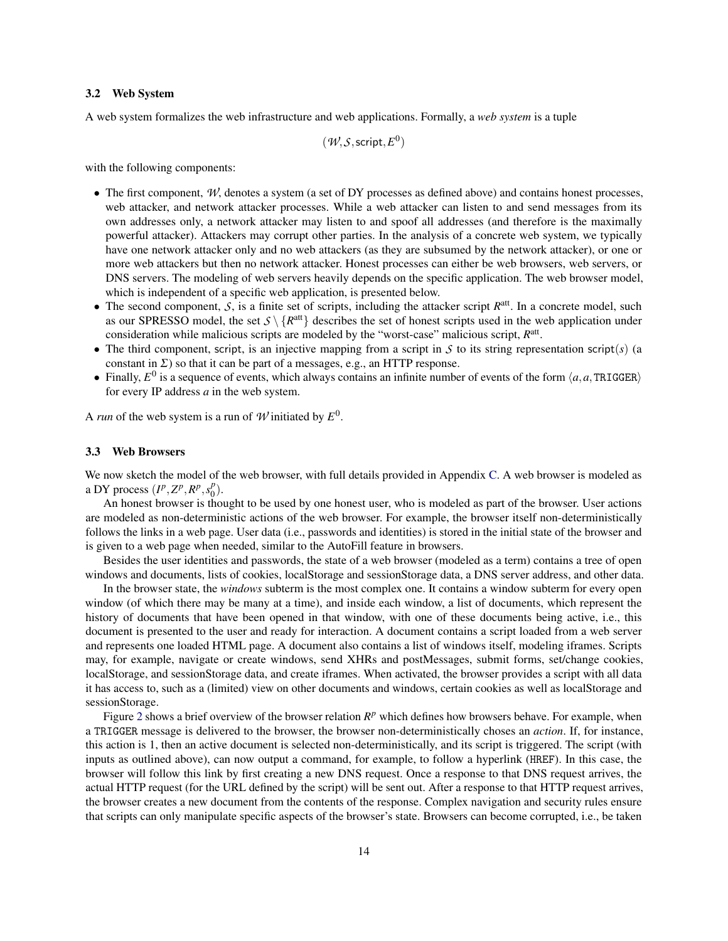### <span id="page-13-0"></span>3.2 Web System

A web system formalizes the web infrastructure and web applications. Formally, a *web system* is a tuple

 $(\mathcal{W}, \mathcal{S}, \mathsf{script}, E^0)$ 

with the following components:

- The first component,  $W$ , denotes a system (a set of DY processes as defined above) and contains honest processes, web attacker, and network attacker processes. While a web attacker can listen to and send messages from its own addresses only, a network attacker may listen to and spoof all addresses (and therefore is the maximally powerful attacker). Attackers may corrupt other parties. In the analysis of a concrete web system, we typically have one network attacker only and no web attackers (as they are subsumed by the network attacker), or one or more web attackers but then no network attacker. Honest processes can either be web browsers, web servers, or DNS servers. The modeling of web servers heavily depends on the specific application. The web browser model, which is independent of a specific web application, is presented below.
- The second component,  $S$ , is a finite set of scripts, including the attacker script  $R^{\text{att}}$ . In a concrete model, such as our SPRESSO model, the set  $S \setminus \{R^{\text{att}}\}$  describes the set of honest scripts used in the web application under consideration while malicious scripts are modeled by the "worst-case" malicious script, R<sup>att</sup>.
- The third component, script, is an injective mapping from a script in  $S$  to its string representation script $(s)$  (a constant in  $\Sigma$ ) so that it can be part of a messages, e.g., an HTTP response.
- Finally,  $E^0$  is a sequence of events, which always contains an infinite number of events of the form  $\langle a, a, \text{TRIGGER} \rangle$ for every IP address *a* in the web system.

A *run* of the web system is a run of *W* initiated by  $E^0$ .

### <span id="page-13-1"></span>3.3 Web Browsers

We now sketch the model of the web browser, with full details provided in Appendix [C.](#page-27-2) A web browser is modeled as a DY process  $(I^p, Z^p, R^p, s_0^p)$  $_0^p$ ).

An honest browser is thought to be used by one honest user, who is modeled as part of the browser. User actions are modeled as non-deterministic actions of the web browser. For example, the browser itself non-deterministically follows the links in a web page. User data (i.e., passwords and identities) is stored in the initial state of the browser and is given to a web page when needed, similar to the AutoFill feature in browsers.

Besides the user identities and passwords, the state of a web browser (modeled as a term) contains a tree of open windows and documents, lists of cookies, localStorage and sessionStorage data, a DNS server address, and other data.

In the browser state, the *windows* subterm is the most complex one. It contains a window subterm for every open window (of which there may be many at a time), and inside each window, a list of documents, which represent the history of documents that have been opened in that window, with one of these documents being active, i.e., this document is presented to the user and ready for interaction. A document contains a script loaded from a web server and represents one loaded HTML page. A document also contains a list of windows itself, modeling iframes. Scripts may, for example, navigate or create windows, send XHRs and postMessages, submit forms, set/change cookies, localStorage, and sessionStorage data, and create iframes. When activated, the browser provides a script with all data it has access to, such as a (limited) view on other documents and windows, certain cookies as well as localStorage and sessionStorage.

Figure [2](#page-14-1) shows a brief overview of the browser relation  $R^p$  which defines how browsers behave. For example, when a TRIGGER message is delivered to the browser, the browser non-deterministically choses an *action*. If, for instance, this action is 1, then an active document is selected non-deterministically, and its script is triggered. The script (with inputs as outlined above), can now output a command, for example, to follow a hyperlink (HREF). In this case, the browser will follow this link by first creating a new DNS request. Once a response to that DNS request arrives, the actual HTTP request (for the URL defined by the script) will be sent out. After a response to that HTTP request arrives, the browser creates a new document from the contents of the response. Complex navigation and security rules ensure that scripts can only manipulate specific aspects of the browser's state. Browsers can become corrupted, i.e., be taken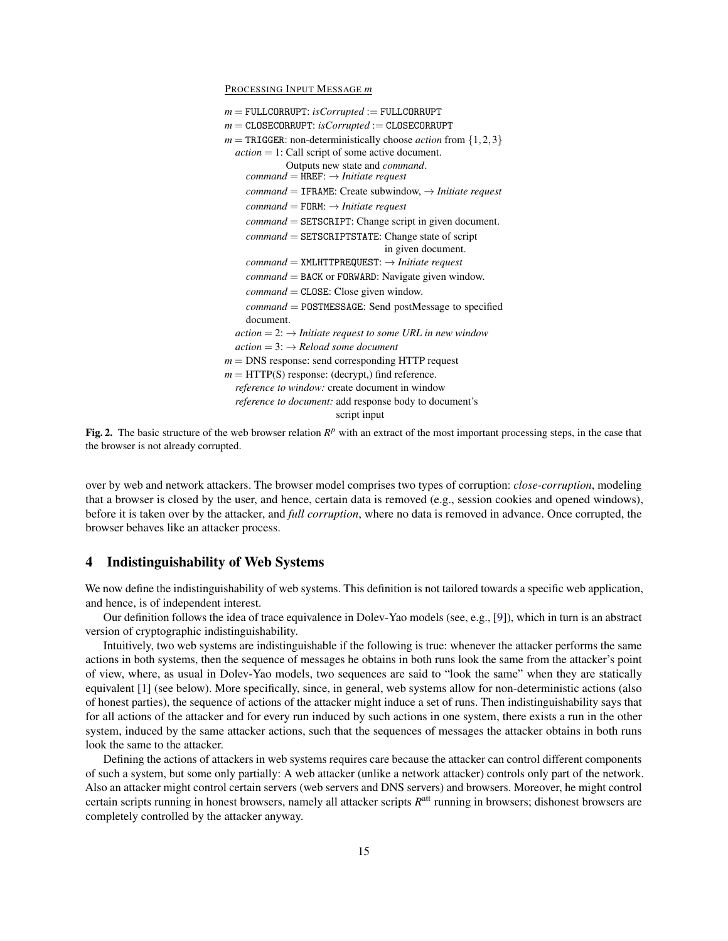<span id="page-14-1"></span>PROCESSING INPUT MESSAGE *m*

 $m =$  FULLCORRUPT: *is Corrupted* := FULLCORRUPT *m* = CLOSECORRUPT: *isCorrupted* := CLOSECORRUPT  $m = \text{TRIGGER: non-deterministically choose action from  $\{1, 2, 3\}$$ *action* = 1: Call script of some active document. Outputs new state and *command*.  $command = HREF: \rightarrow Initiative request$ *command* = IFRAME: Create subwindow, → *Initiate request*  $command = FORM: \rightarrow Initiative request$ *command* = SETSCRIPT: Change script in given document. *command* = SETSCRIPTSTATE: Change state of script in given document. *command* = XMLHTTPREQUEST: → *Initiate request command* = BACK or FORWARD: Navigate given window. *command* = CLOSE: Close given window. *command* = POSTMESSAGE: Send postMessage to specified document.  $action = 2: \rightarrow Initiative$  *request to some URL in new window action* = 3: → *Reload some document*  $m = DNS$  response: send corresponding HTTP request  $m = HTTP(S)$  response: (decrypt,) find reference. *reference to window:* create document in window *reference to document:* add response body to document's script input



over by web and network attackers. The browser model comprises two types of corruption: *close-corruption*, modeling that a browser is closed by the user, and hence, certain data is removed (e.g., session cookies and opened windows), before it is taken over by the attacker, and *full corruption*, where no data is removed in advance. Once corrupted, the browser behaves like an attacker process.

# <span id="page-14-0"></span>4 Indistinguishability of Web Systems

We now define the indistinguishability of web systems. This definition is not tailored towards a specific web application, and hence, is of independent interest.

Our definition follows the idea of trace equivalence in Dolev-Yao models (see, e.g., [\[9\]](#page-19-6)), which in turn is an abstract version of cryptographic indistinguishability.

Intuitively, two web systems are indistinguishable if the following is true: whenever the attacker performs the same actions in both systems, then the sequence of messages he obtains in both runs look the same from the attacker's point of view, where, as usual in Dolev-Yao models, two sequences are said to "look the same" when they are statically equivalent [\[1\]](#page-19-5) (see below). More specifically, since, in general, web systems allow for non-deterministic actions (also of honest parties), the sequence of actions of the attacker might induce a set of runs. Then indistinguishability says that for all actions of the attacker and for every run induced by such actions in one system, there exists a run in the other system, induced by the same attacker actions, such that the sequences of messages the attacker obtains in both runs look the same to the attacker.

Defining the actions of attackers in web systems requires care because the attacker can control different components of such a system, but some only partially: A web attacker (unlike a network attacker) controls only part of the network. Also an attacker might control certain servers (web servers and DNS servers) and browsers. Moreover, he might control certain scripts running in honest browsers, namely all attacker scripts  $R^{\text{att}}$  running in browsers; dishonest browsers are completely controlled by the attacker anyway.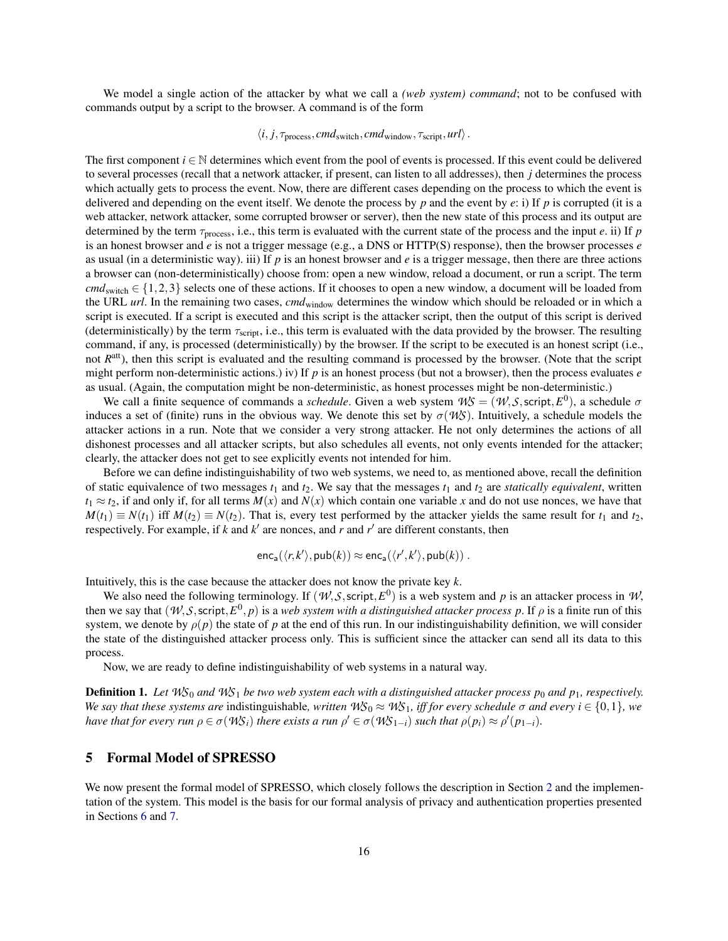We model a single action of the attacker by what we call a *(web system) command*; not to be confused with commands output by a script to the browser. A command is of the form

# $\langle i, j, \tau_{\text{process}}, cmd_{\text{switch}}, cmd_{\text{window}}, \tau_{\text{script}}, url\rangle$ .

The first component  $i \in \mathbb{N}$  determines which event from the pool of events is processed. If this event could be delivered to several processes (recall that a network attacker, if present, can listen to all addresses), then *j* determines the process which actually gets to process the event. Now, there are different cases depending on the process to which the event is delivered and depending on the event itself. We denote the process by *p* and the event by *e*: i) If *p* is corrupted (it is a web attacker, network attacker, some corrupted browser or server), then the new state of this process and its output are determined by the term  $\tau_{\text{process}}$ , i.e., this term is evaluated with the current state of the process and the input *e*. ii) If *p* is an honest browser and *e* is not a trigger message (e.g., a DNS or HTTP(S) response), then the browser processes *e* as usual (in a deterministic way). iii) If *p* is an honest browser and *e* is a trigger message, then there are three actions a browser can (non-deterministically) choose from: open a new window, reload a document, or run a script. The term  $cmd_{switch} \in \{1,2,3\}$  selects one of these actions. If it chooses to open a new window, a document will be loaded from the URL *url*. In the remaining two cases, *cmd*window determines the window which should be reloaded or in which a script is executed. If a script is executed and this script is the attacker script, then the output of this script is derived (deterministically) by the term  $\tau_{\text{script}}$ , i.e., this term is evaluated with the data provided by the browser. The resulting command, if any, is processed (deterministically) by the browser. If the script to be executed is an honest script (i.e., not *R*<sup>att</sup>), then this script is evaluated and the resulting command is processed by the browser. (Note that the script might perform non-deterministic actions.) iv) If *p* is an honest process (but not a browser), then the process evaluates *e* as usual. (Again, the computation might be non-deterministic, as honest processes might be non-deterministic.)

We call a finite sequence of commands a *schedule*. Given a web system  $\mathcal{W}S = (\mathcal{W}, \mathcal{S}, \text{script}, E^0)$ , a schedule  $\sigma$ induces a set of (finite) runs in the obvious way. We denote this set by  $\sigma(W\mathcal{S})$ . Intuitively, a schedule models the attacker actions in a run. Note that we consider a very strong attacker. He not only determines the actions of all dishonest processes and all attacker scripts, but also schedules all events, not only events intended for the attacker; clearly, the attacker does not get to see explicitly events not intended for him.

Before we can define indistinguishability of two web systems, we need to, as mentioned above, recall the definition of static equivalence of two messages  $t_1$  and  $t_2$ . We say that the messages  $t_1$  and  $t_2$  are *statically equivalent*, written  $t_1 \approx t_2$ , if and only if, for all terms  $M(x)$  and  $N(x)$  which contain one variable *x* and do not use nonces, we have that  $M(t_1) \equiv N(t_1)$  iff  $M(t_2) \equiv N(t_2)$ . That is, every test performed by the attacker yields the same result for  $t_1$  and  $t_2$ , respectively. For example, if  $k$  and  $k'$  are nonces, and  $r$  and  $r'$  are different constants, then

$$
\mathrm{enc}_{\mathsf{a}}(\langle r, k' \rangle, \mathsf{pub}(k)) \approx \mathrm{enc}_{\mathsf{a}}(\langle r', k' \rangle, \mathsf{pub}(k)) \ .
$$

Intuitively, this is the case because the attacker does not know the private key *k*.

We also need the following terminology. If  $(W, S,$ script, $E^0$ ) is a web system and p is an attacker process in W, then we say that  $(W, S, \text{scriptt}, E^0, p)$  is a *web system with a distinguished attacker process p.* If  $\rho$  is a finite run of this system, we denote by  $\rho(p)$  the state of p at the end of this run. In our indistinguishability definition, we will consider the state of the distinguished attacker process only. This is sufficient since the attacker can send all its data to this process.

Now, we are ready to define indistinguishability of web systems in a natural way.

**Definition 1.** Let  $W_0$  and  $W_1$  be two web system each with a distinguished attacker process  $p_0$  and  $p_1$ , respectively. *We say that these systems are indistinguishable, written*  $W_0 \approx W_1$ *, iff for every schedule*  $\sigma$  *and every*  $i \in \{0,1\}$ *, we have that for every run*  $\rho \in \sigma(WS_i)$  *there exists a run*  $\rho' \in \sigma(WS_{1-i})$  *such that*  $\rho(p_i) \approx \rho'(p_{1-i})$ *.* 

# <span id="page-15-0"></span>5 Formal Model of SPRESSO

We now present the formal model of SPRESSO, which closely follows the description in Section [2](#page-4-0) and the implementation of the system. This model is the basis for our formal analysis of privacy and authentication properties presented in Sections [6](#page-16-0) and [7.](#page-18-0)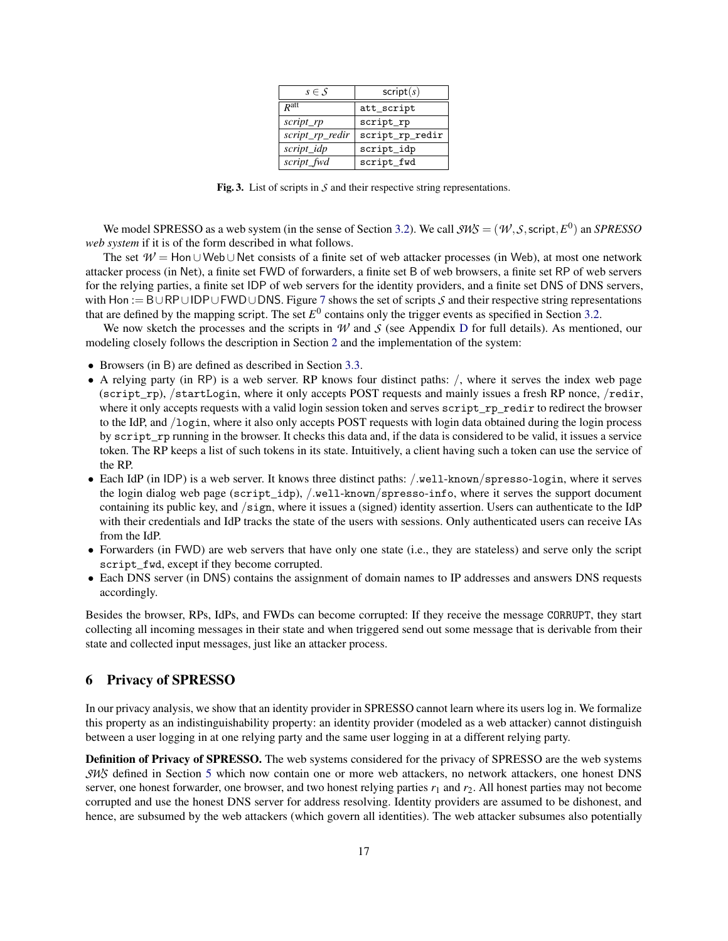| $s \in \mathcal{S}$ | script(s)       |
|---------------------|-----------------|
| $R^{\text{att}}$    | att_script      |
| script_rp           | script_rp       |
| script_rp_redir     | script_rp_redir |
| script_idp          | script_idp      |
| script_fwd          | script_fwd      |

Fig. 3. List of scripts in *S* and their respective string representations.

We model SPRESSO as a web system (in the sense of Section [3.2\)](#page-13-0). We call  $\mathcal{SWS} = (W, S, \text{script}, E^0)$  an *SPRESSO web system* if it is of the form described in what follows.

The set *W* = Hon∪Web∪Net consists of a finite set of web attacker processes (in Web), at most one network attacker process (in Net), a finite set FWD of forwarders, a finite set B of web browsers, a finite set RP of web servers for the relying parties, a finite set IDP of web servers for the identity providers, and a finite set DNS of DNS servers, with Hon := B∪RP∪IDP∪FWD∪DNS. Figure [7](#page-37-4) shows the set of scripts *S* and their respective string representations that are defined by the mapping script. The set  $E^0$  contains only the trigger events as specified in Section [3.2.](#page-13-0)

We now sketch the processes and the scripts in *W* and *S* (see Appendix [D](#page-37-0) for full details). As mentioned, our modeling closely follows the description in Section [2](#page-4-0) and the implementation of the system:

- Browsers (in B) are defined as described in Section [3.3.](#page-13-1)
- A relying party (in RP) is a web server. RP knows four distinct paths: /, where it serves the index web page (script\_rp), /startLogin, where it only accepts POST requests and mainly issues a fresh RP nonce, /redir, where it only accepts requests with a valid login session token and serves script\_rp\_redir to redirect the browser to the IdP, and /login, where it also only accepts POST requests with login data obtained during the login process by script\_rp running in the browser. It checks this data and, if the data is considered to be valid, it issues a service token. The RP keeps a list of such tokens in its state. Intuitively, a client having such a token can use the service of the RP.
- Each IdP (in IDP) is a web server. It knows three distinct paths: /well-known/spresso-login, where it serves the login dialog web page (script\_idp), /.well-known/spresso-info, where it serves the support document containing its public key, and /sign, where it issues a (signed) identity assertion. Users can authenticate to the IdP with their credentials and IdP tracks the state of the users with sessions. Only authenticated users can receive IAs from the IdP.
- Forwarders (in FWD) are web servers that have only one state (i.e., they are stateless) and serve only the script script fwd, except if they become corrupted.
- Each DNS server (in DNS) contains the assignment of domain names to IP addresses and answers DNS requests accordingly.

Besides the browser, RPs, IdPs, and FWDs can become corrupted: If they receive the message CORRUPT, they start collecting all incoming messages in their state and when triggered send out some message that is derivable from their state and collected input messages, just like an attacker process.

# <span id="page-16-0"></span>6 Privacy of SPRESSO

In our privacy analysis, we show that an identity provider in SPRESSO cannot learn where its users log in. We formalize this property as an indistinguishability property: an identity provider (modeled as a web attacker) cannot distinguish between a user logging in at one relying party and the same user logging in at a different relying party.

Definition of Privacy of SPRESSO. The web systems considered for the privacy of SPRESSO are the web systems *SWS* defined in Section [5](#page-15-0) which now contain one or more web attackers, no network attackers, one honest DNS server, one honest forwarder, one browser, and two honest relying parties  $r_1$  and  $r_2$ . All honest parties may not become corrupted and use the honest DNS server for address resolving. Identity providers are assumed to be dishonest, and hence, are subsumed by the web attackers (which govern all identities). The web attacker subsumes also potentially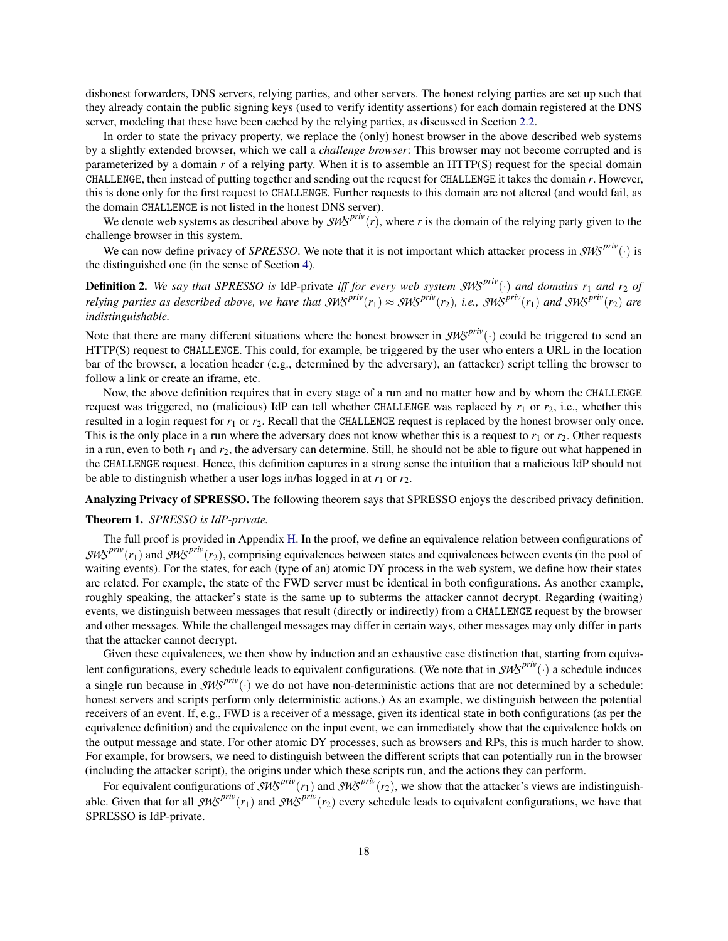dishonest forwarders, DNS servers, relying parties, and other servers. The honest relying parties are set up such that they already contain the public signing keys (used to verify identity assertions) for each domain registered at the DNS server, modeling that these have been cached by the relying parties, as discussed in Section [2.2.](#page-6-0)

In order to state the privacy property, we replace the (only) honest browser in the above described web systems by a slightly extended browser, which we call a *challenge browser*: This browser may not become corrupted and is parameterized by a domain *r* of a relying party. When it is to assemble an HTTP(S) request for the special domain CHALLENGE, then instead of putting together and sending out the request for CHALLENGE it takes the domain *r*. However, this is done only for the first request to CHALLENGE. Further requests to this domain are not altered (and would fail, as the domain CHALLENGE is not listed in the honest DNS server).

We denote web systems as described above by  $\mathcal{SWS}^{priv}(r)$ , where r is the domain of the relying party given to the challenge browser in this system.

We can now define privacy of *SPRESSO*. We note that it is not important which attacker process in  $SWS^{priv}(\cdot)$  is the distinguished one (in the sense of Section [4\)](#page-14-0).

**Definition 2.** We say that SPRESSO is IdP-private iff for every web system  $SWS^{priv}(\cdot)$  and domains  $r_1$  and  $r_2$  of relying parties as described above, we have that  $SWS^{priv}(r_1) \approx SWS^{priv}(r_2)$ , i.e.,  $SWS^{priv}(r_1)$  and  $SWS^{priv}(r_2)$  are *indistinguishable.*

Note that there are many different situations where the honest browser in  $SWS^{priv}(\cdot)$  could be triggered to send an HTTP(S) request to CHALLENGE. This could, for example, be triggered by the user who enters a URL in the location bar of the browser, a location header (e.g., determined by the adversary), an (attacker) script telling the browser to follow a link or create an iframe, etc.

Now, the above definition requires that in every stage of a run and no matter how and by whom the CHALLENGE request was triggered, no (malicious) IdP can tell whether CHALLENGE was replaced by  $r_1$  or  $r_2$ , i.e., whether this resulted in a login request for  $r_1$  or  $r_2$ . Recall that the CHALLENGE request is replaced by the honest browser only once. This is the only place in a run where the adversary does not know whether this is a request to  $r_1$  or  $r_2$ . Other requests in a run, even to both  $r_1$  and  $r_2$ , the adversary can determine. Still, he should not be able to figure out what happened in the CHALLENGE request. Hence, this definition captures in a strong sense the intuition that a malicious IdP should not be able to distinguish whether a user logs in/has logged in at  $r_1$  or  $r_2$ .

Analyzing Privacy of SPRESSO. The following theorem says that SPRESSO enjoys the described privacy definition.

# Theorem 1. *SPRESSO is IdP-private.*

The full proof is provided in Appendix [H.](#page-56-0) In the proof, we define an equivalence relation between configurations of  $SWS<sup>priv</sup>(r<sub>1</sub>)$  and  $SWS<sup>priv</sup>(r<sub>2</sub>)$ , comprising equivalences between states and equivalences between events (in the pool of waiting events). For the states, for each (type of an) atomic DY process in the web system, we define how their states are related. For example, the state of the FWD server must be identical in both configurations. As another example, roughly speaking, the attacker's state is the same up to subterms the attacker cannot decrypt. Regarding (waiting) events, we distinguish between messages that result (directly or indirectly) from a CHALLENGE request by the browser and other messages. While the challenged messages may differ in certain ways, other messages may only differ in parts that the attacker cannot decrypt.

Given these equivalences, we then show by induction and an exhaustive case distinction that, starting from equivalent configurations, every schedule leads to equivalent configurations. (We note that in *SWS priv*(·) a schedule induces a single run because in  $\mathcal{SWS}^{priv}(\cdot)$  we do not have non-deterministic actions that are not determined by a schedule: honest servers and scripts perform only deterministic actions.) As an example, we distinguish between the potential receivers of an event. If, e.g., FWD is a receiver of a message, given its identical state in both configurations (as per the equivalence definition) and the equivalence on the input event, we can immediately show that the equivalence holds on the output message and state. For other atomic DY processes, such as browsers and RPs, this is much harder to show. For example, for browsers, we need to distinguish between the different scripts that can potentially run in the browser (including the attacker script), the origins under which these scripts run, and the actions they can perform.

For equivalent configurations of  $SWS^{priv}(r_1)$  and  $SWS^{priv}(r_2)$ , we show that the attacker's views are indistinguishable. Given that for all  $\mathcal{SWS}^{priv}(r_1)$  and  $\mathcal{SWS}^{priv}(r_2)$  every schedule leads to equivalent configurations, we have that SPRESSO is IdP-private.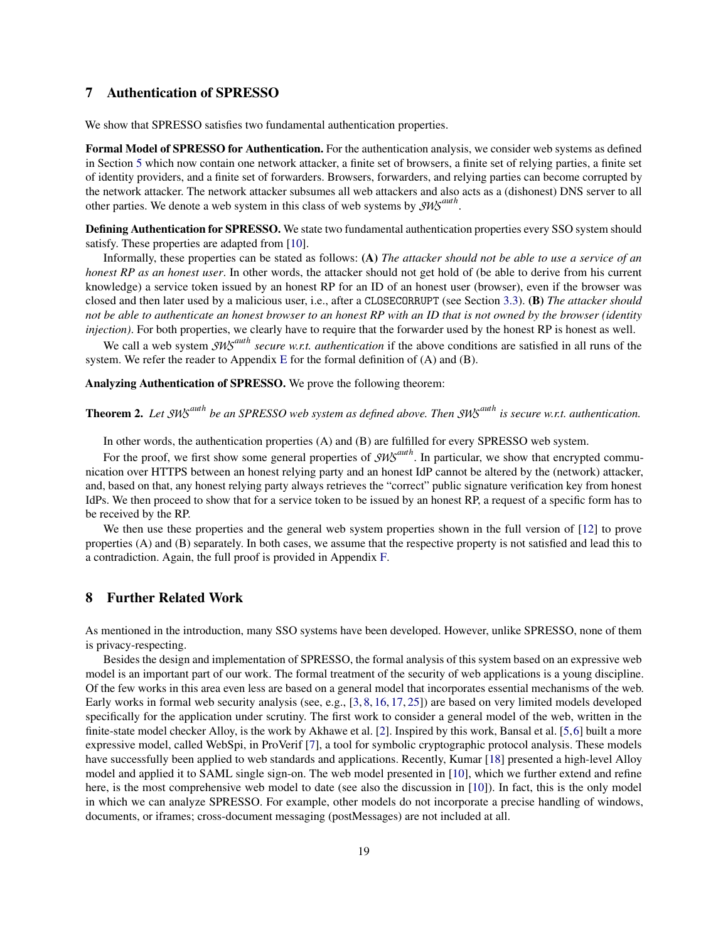# <span id="page-18-0"></span>7 Authentication of SPRESSO

We show that SPRESSO satisfies two fundamental authentication properties.

Formal Model of SPRESSO for Authentication. For the authentication analysis, we consider web systems as defined in Section [5](#page-15-0) which now contain one network attacker, a finite set of browsers, a finite set of relying parties, a finite set of identity providers, and a finite set of forwarders. Browsers, forwarders, and relying parties can become corrupted by the network attacker. The network attacker subsumes all web attackers and also acts as a (dishonest) DNS server to all other parties. We denote a web system in this class of web systems by *SWS auth* .

Defining Authentication for SPRESSO. We state two fundamental authentication properties every SSO system should satisfy. These properties are adapted from [\[10\]](#page-19-4).

Informally, these properties can be stated as follows: (A) *The attacker should not be able to use a service of an honest RP as an honest user*. In other words, the attacker should not get hold of (be able to derive from his current knowledge) a service token issued by an honest RP for an ID of an honest user (browser), even if the browser was closed and then later used by a malicious user, i.e., after a CLOSECORRUPT (see Section [3.3\)](#page-13-1). (B) *The attacker should not be able to authenticate an honest browser to an honest RP with an ID that is not owned by the browser (identity injection*). For both properties, we clearly have to require that the forwarder used by the honest RP is honest as well.

We call a web system *SWS*<sup>*auth*</sup> *secure w.r.t. authentication* if the above conditions are satisfied in all runs of the system. We refer the reader to Appendix [E](#page-47-0) for the formal definition of (A) and (B).

<span id="page-18-2"></span>Analyzing Authentication of SPRESSO. We prove the following theorem:

Theorem 2. *Let SWS auth be an SPRESSO web system as defined above. Then SWS auth is secure w.r.t. authentication.*

In other words, the authentication properties (A) and (B) are fulfilled for every SPRESSO web system.

For the proof, we first show some general properties of  $SWS<sup>auth</sup>$ . In particular, we show that encrypted communication over HTTPS between an honest relying party and an honest IdP cannot be altered by the (network) attacker, and, based on that, any honest relying party always retrieves the "correct" public signature verification key from honest IdPs. We then proceed to show that for a service token to be issued by an honest RP, a request of a specific form has to be received by the RP.

We then use these properties and the general web system properties shown in the full version of [\[12\]](#page-20-5) to prove properties (A) and (B) separately. In both cases, we assume that the respective property is not satisfied and lead this to a contradiction. Again, the full proof is provided in Appendix [F.](#page-48-0)

# <span id="page-18-1"></span>8 Further Related Work

As mentioned in the introduction, many SSO systems have been developed. However, unlike SPRESSO, none of them is privacy-respecting.

Besides the design and implementation of SPRESSO, the formal analysis of this system based on an expressive web model is an important part of our work. The formal treatment of the security of web applications is a young discipline. Of the few works in this area even less are based on a general model that incorporates essential mechanisms of the web. Early works in formal web security analysis (see, e.g., [\[3,](#page-19-7) [8,](#page-19-8) [16,](#page-20-13) [17,](#page-20-14) [25\]](#page-20-8)) are based on very limited models developed specifically for the application under scrutiny. The first work to consider a general model of the web, written in the finite-state model checker Alloy, is the work by Akhawe et al. [\[2\]](#page-19-9). Inspired by this work, Bansal et al. [\[5,](#page-19-10)[6\]](#page-19-3) built a more expressive model, called WebSpi, in ProVerif [\[7\]](#page-19-11), a tool for symbolic cryptographic protocol analysis. These models have successfully been applied to web standards and applications. Recently, Kumar [\[18\]](#page-20-15) presented a high-level Alloy model and applied it to SAML single sign-on. The web model presented in [\[10\]](#page-19-4), which we further extend and refine here, is the most comprehensive web model to date (see also the discussion in [\[10\]](#page-19-4)). In fact, this is the only model in which we can analyze SPRESSO. For example, other models do not incorporate a precise handling of windows, documents, or iframes; cross-document messaging (postMessages) are not included at all.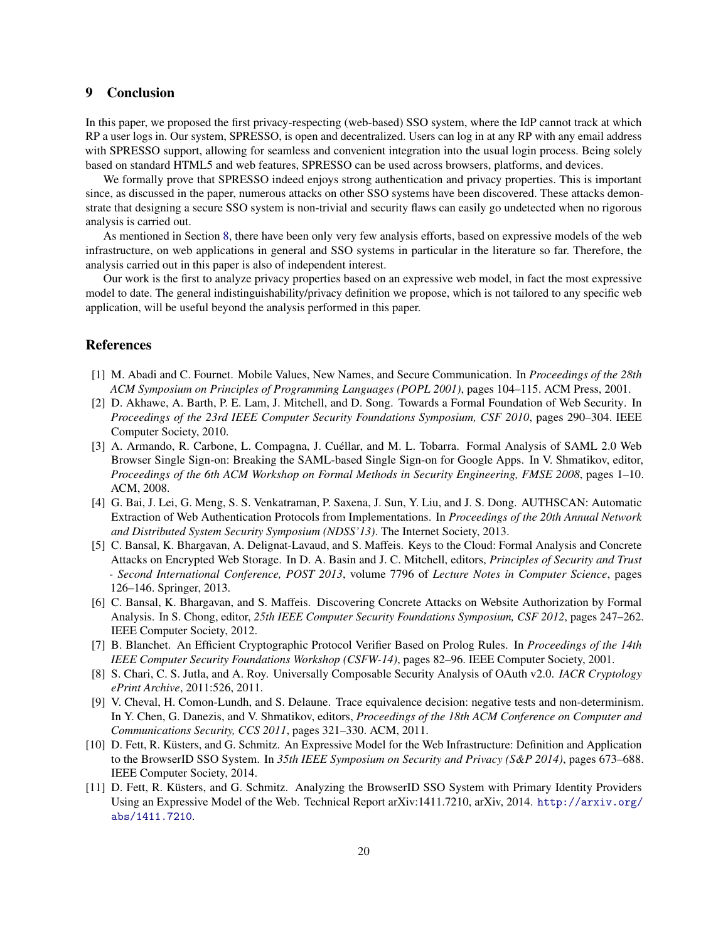# <span id="page-19-0"></span>9 Conclusion

In this paper, we proposed the first privacy-respecting (web-based) SSO system, where the IdP cannot track at which RP a user logs in. Our system, SPRESSO, is open and decentralized. Users can log in at any RP with any email address with SPRESSO support, allowing for seamless and convenient integration into the usual login process. Being solely based on standard HTML5 and web features, SPRESSO can be used across browsers, platforms, and devices.

We formally prove that SPRESSO indeed enjoys strong authentication and privacy properties. This is important since, as discussed in the paper, numerous attacks on other SSO systems have been discovered. These attacks demonstrate that designing a secure SSO system is non-trivial and security flaws can easily go undetected when no rigorous analysis is carried out.

As mentioned in Section [8,](#page-18-1) there have been only very few analysis efforts, based on expressive models of the web infrastructure, on web applications in general and SSO systems in particular in the literature so far. Therefore, the analysis carried out in this paper is also of independent interest.

Our work is the first to analyze privacy properties based on an expressive web model, in fact the most expressive model to date. The general indistinguishability/privacy definition we propose, which is not tailored to any specific web application, will be useful beyond the analysis performed in this paper.

# <span id="page-19-1"></span>References

- <span id="page-19-5"></span>[1] M. Abadi and C. Fournet. Mobile Values, New Names, and Secure Communication. In *Proceedings of the 28th ACM Symposium on Principles of Programming Languages (POPL 2001)*, pages 104–115. ACM Press, 2001.
- <span id="page-19-9"></span>[2] D. Akhawe, A. Barth, P. E. Lam, J. Mitchell, and D. Song. Towards a Formal Foundation of Web Security. In *Proceedings of the 23rd IEEE Computer Security Foundations Symposium, CSF 2010*, pages 290–304. IEEE Computer Society, 2010.
- <span id="page-19-7"></span>[3] A. Armando, R. Carbone, L. Compagna, J. Cuéllar, and M. L. Tobarra. Formal Analysis of SAML 2.0 Web Browser Single Sign-on: Breaking the SAML-based Single Sign-on for Google Apps. In V. Shmatikov, editor, *Proceedings of the 6th ACM Workshop on Formal Methods in Security Engineering, FMSE 2008*, pages 1–10. ACM, 2008.
- <span id="page-19-2"></span>[4] G. Bai, J. Lei, G. Meng, S. S. Venkatraman, P. Saxena, J. Sun, Y. Liu, and J. S. Dong. AUTHSCAN: Automatic Extraction of Web Authentication Protocols from Implementations. In *Proceedings of the 20th Annual Network and Distributed System Security Symposium (NDSS'13)*. The Internet Society, 2013.
- <span id="page-19-10"></span>[5] C. Bansal, K. Bhargavan, A. Delignat-Lavaud, and S. Maffeis. Keys to the Cloud: Formal Analysis and Concrete Attacks on Encrypted Web Storage. In D. A. Basin and J. C. Mitchell, editors, *Principles of Security and Trust - Second International Conference, POST 2013*, volume 7796 of *Lecture Notes in Computer Science*, pages 126–146. Springer, 2013.
- <span id="page-19-3"></span>[6] C. Bansal, K. Bhargavan, and S. Maffeis. Discovering Concrete Attacks on Website Authorization by Formal Analysis. In S. Chong, editor, *25th IEEE Computer Security Foundations Symposium, CSF 2012*, pages 247–262. IEEE Computer Society, 2012.
- <span id="page-19-11"></span>[7] B. Blanchet. An Efficient Cryptographic Protocol Verifier Based on Prolog Rules. In *Proceedings of the 14th IEEE Computer Security Foundations Workshop (CSFW-14)*, pages 82–96. IEEE Computer Society, 2001.
- <span id="page-19-8"></span>[8] S. Chari, C. S. Jutla, and A. Roy. Universally Composable Security Analysis of OAuth v2.0. *IACR Cryptology ePrint Archive*, 2011:526, 2011.
- <span id="page-19-6"></span>[9] V. Cheval, H. Comon-Lundh, and S. Delaune. Trace equivalence decision: negative tests and non-determinism. In Y. Chen, G. Danezis, and V. Shmatikov, editors, *Proceedings of the 18th ACM Conference on Computer and Communications Security, CCS 2011*, pages 321–330. ACM, 2011.
- <span id="page-19-4"></span>[10] D. Fett, R. Küsters, and G. Schmitz. An Expressive Model for the Web Infrastructure: Definition and Application to the BrowserID SSO System. In *35th IEEE Symposium on Security and Privacy (S&P 2014)*, pages 673–688. IEEE Computer Society, 2014.
- <span id="page-19-12"></span>[11] D. Fett, R. Küsters, and G. Schmitz. Analyzing the BrowserID SSO System with Primary Identity Providers Using an Expressive Model of the Web. Technical Report arXiv:1411.7210, arXiv, 2014. [http://arxiv.org/](http://arxiv.org/abs/1411.7210) [abs/1411.7210](http://arxiv.org/abs/1411.7210).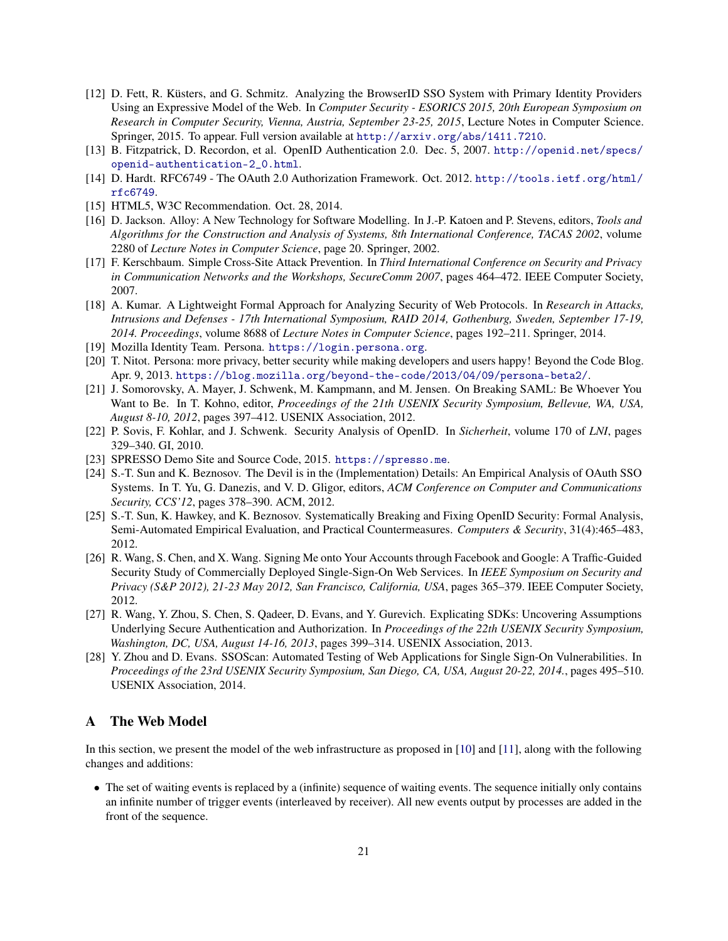- <span id="page-20-5"></span>[12] D. Fett, R. Küsters, and G. Schmitz. Analyzing the BrowserID SSO System with Primary Identity Providers Using an Expressive Model of the Web. In *Computer Security - ESORICS 2015, 20th European Symposium on Research in Computer Security, Vienna, Austria, September 23-25, 2015*, Lecture Notes in Computer Science. Springer, 2015. To appear. Full version available at <http://arxiv.org/abs/1411.7210>.
- <span id="page-20-1"></span>[13] B. Fitzpatrick, D. Recordon, et al. OpenID Authentication 2.0. Dec. 5, 2007. [http://openid.net/specs/](http://openid.net/specs/openid-authentication-2_0.html) [openid-authentication-2\\_0.html](http://openid.net/specs/openid-authentication-2_0.html).
- <span id="page-20-2"></span>[14] D. Hardt. RFC6749 - The OAuth 2.0 Authorization Framework. Oct. 2012. [http://tools.ietf.org/html/](http://tools.ietf.org/html/rfc6749) [rfc6749](http://tools.ietf.org/html/rfc6749).
- <span id="page-20-16"></span>[15] HTML5, W3C Recommendation. Oct. 28, 2014.
- <span id="page-20-13"></span>[16] D. Jackson. Alloy: A New Technology for Software Modelling. In J.-P. Katoen and P. Stevens, editors, *Tools and Algorithms for the Construction and Analysis of Systems, 8th International Conference, TACAS 2002*, volume 2280 of *Lecture Notes in Computer Science*, page 20. Springer, 2002.
- <span id="page-20-14"></span>[17] F. Kerschbaum. Simple Cross-Site Attack Prevention. In *Third International Conference on Security and Privacy in Communication Networks and the Workshops, SecureComm 2007*, pages 464–472. IEEE Computer Society, 2007.
- <span id="page-20-15"></span>[18] A. Kumar. A Lightweight Formal Approach for Analyzing Security of Web Protocols. In *Research in Attacks, Intrusions and Defenses - 17th International Symposium, RAID 2014, Gothenburg, Sweden, September 17-19, 2014. Proceedings*, volume 8688 of *Lecture Notes in Computer Science*, pages 192–211. Springer, 2014.
- <span id="page-20-3"></span>[19] Mozilla Identity Team. Persona. <https://login.persona.org>.
- <span id="page-20-4"></span>[20] T. Nitot. Persona: more privacy, better security while making developers and users happy! Beyond the Code Blog. Apr. 9, 2013. <https://blog.mozilla.org/beyond-the-code/2013/04/09/persona-beta2/>.
- <span id="page-20-6"></span>[21] J. Somorovsky, A. Mayer, J. Schwenk, M. Kampmann, and M. Jensen. On Breaking SAML: Be Whoever You Want to Be. In T. Kohno, editor, *Proceedings of the 21th USENIX Security Symposium, Bellevue, WA, USA, August 8-10, 2012*, pages 397–412. USENIX Association, 2012.
- <span id="page-20-7"></span>[22] P. Sovis, F. Kohlar, and J. Schwenk. Security Analysis of OpenID. In *Sicherheit*, volume 170 of *LNI*, pages 329–340. GI, 2010.
- <span id="page-20-10"></span>[23] SPRESSO Demo Site and Source Code, 2015. <https://spresso.me>.
- <span id="page-20-11"></span>[24] S.-T. Sun and K. Beznosov. The Devil is in the (Implementation) Details: An Empirical Analysis of OAuth SSO Systems. In T. Yu, G. Danezis, and V. D. Gligor, editors, *ACM Conference on Computer and Communications Security, CCS'12*, pages 378–390. ACM, 2012.
- <span id="page-20-8"></span>[25] S.-T. Sun, K. Hawkey, and K. Beznosov. Systematically Breaking and Fixing OpenID Security: Formal Analysis, Semi-Automated Empirical Evaluation, and Practical Countermeasures. *Computers & Security*, 31(4):465–483, 2012.
- [26] R. Wang, S. Chen, and X. Wang. Signing Me onto Your Accounts through Facebook and Google: A Traffic-Guided Security Study of Commercially Deployed Single-Sign-On Web Services. In *IEEE Symposium on Security and Privacy (S&P 2012), 21-23 May 2012, San Francisco, California, USA*, pages 365–379. IEEE Computer Society, 2012.
- <span id="page-20-12"></span>[27] R. Wang, Y. Zhou, S. Chen, S. Qadeer, D. Evans, and Y. Gurevich. Explicating SDKs: Uncovering Assumptions Underlying Secure Authentication and Authorization. In *Proceedings of the 22th USENIX Security Symposium, Washington, DC, USA, August 14-16, 2013*, pages 399–314. USENIX Association, 2013.
- <span id="page-20-9"></span>[28] Y. Zhou and D. Evans. SSOScan: Automated Testing of Web Applications for Single Sign-On Vulnerabilities. In *Proceedings of the 23rd USENIX Security Symposium, San Diego, CA, USA, August 20-22, 2014.*, pages 495–510. USENIX Association, 2014.

# <span id="page-20-0"></span>A The Web Model

In this section, we present the model of the web infrastructure as proposed in [\[10\]](#page-19-4) and [\[11\]](#page-19-12), along with the following changes and additions:

• The set of waiting events is replaced by a (infinite) sequence of waiting events. The sequence initially only contains an infinite number of trigger events (interleaved by receiver). All new events output by processes are added in the front of the sequence.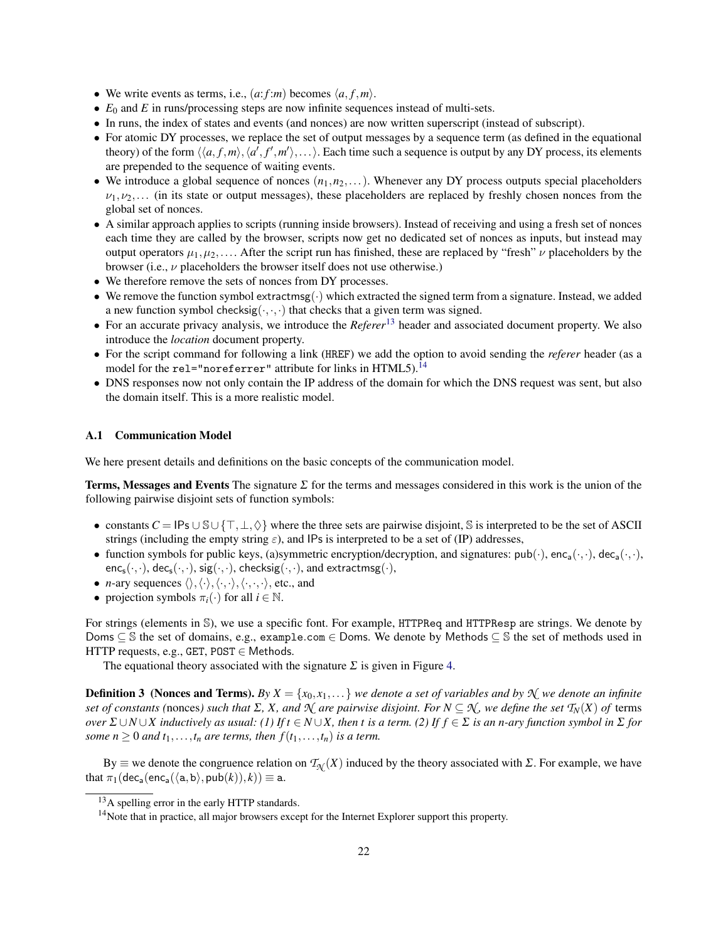- We write events as terms, i.e.,  $(a:f:m)$  becomes  $\langle a, f, m \rangle$ .
- $E_0$  and *E* in runs/processing steps are now infinite sequences instead of multi-sets.
- In runs, the index of states and events (and nonces) are now written superscript (instead of subscript).
- For atomic DY processes, we replace the set of output messages by a sequence term (as defined in the equational theory) of the form  $\langle\langle a, f, m\rangle, \langle a', f', m'\rangle, \ldots\rangle$ . Each time such a sequence is output by any DY process, its elements are prepended to the sequence of waiting events.
- We introduce a global sequence of nonces  $(n_1, n_2, \ldots)$ . Whenever any DY process outputs special placeholders  $\nu_1, \nu_2, \ldots$  (in its state or output messages), these placeholders are replaced by freshly chosen nonces from the global set of nonces.
- A similar approach applies to scripts (running inside browsers). Instead of receiving and using a fresh set of nonces each time they are called by the browser, scripts now get no dedicated set of nonces as inputs, but instead may output operators  $\mu_1, \mu_2, \ldots$ . After the script run has finished, these are replaced by "fresh"  $\nu$  placeholders by the browser (i.e.,  $\nu$  placeholders the browser itself does not use otherwise.)
- We therefore remove the sets of nonces from DY processes.
- We remove the function symbol extractmsg( $\cdot$ ) which extracted the signed term from a signature. Instead, we added a new function symbol checksig( $\cdot, \cdot, \cdot$ ) that checks that a given term was signed.
- For an accurate privacy analysis, we introduce the *Referer*[13](#page-21-1) header and associated document property. We also introduce the *location* document property.
- For the script command for following a link (HREF) we add the option to avoid sending the *referer* header (as a model for the rel="noreferrer" attribute for links in HTML5).<sup>[14](#page-21-2)</sup>
- DNS responses now not only contain the IP address of the domain for which the DNS request was sent, but also the domain itself. This is a more realistic model.

#### <span id="page-21-0"></span>A.1 Communication Model

We here present details and definitions on the basic concepts of the communication model.

**Terms, Messages and Events** The signature  $\Sigma$  for the terms and messages considered in this work is the union of the following pairwise disjoint sets of function symbols:

- constants  $C = \{Ps \cup \{S \cup \{T, \perp, \lozenge\}\}\}$  where the three sets are pairwise disjoint, S is interpreted to be the set of ASCII strings (including the empty string  $\varepsilon$ ), and IPs is interpreted to be a set of (IP) addresses,
- function symbols for public keys, (a)symmetric encryption/decryption, and signatures:  $pub(\cdot)$ ,  $enc_a(\cdot, \cdot)$ ,  $dec_a(\cdot, \cdot)$ ,  $enc_s(\cdot,\cdot)$ ,  $dec_s(\cdot,\cdot)$ ,  $sig(\cdot,\cdot)$ , checksig $(\cdot,\cdot)$ , and extractmsg $(\cdot)$ ,
- *n*-ary sequences  $\langle \rangle, \langle \cdot, \rangle, \langle \cdot, \cdot, \cdot \rangle, \langle \cdot, \cdot, \cdot \rangle$ , etc., and
- projection symbols  $\pi_i(\cdot)$  for all  $i \in \mathbb{N}$ .

For strings (elements in S), we use a specific font. For example, HTTPReq and HTTPResp are strings. We denote by Doms ⊆ S the set of domains, e.g., example.com ∈ Doms. We denote by Methods ⊆ S the set of methods used in HTTP requests, e.g., GET, POST  $\in$  Methods.

The equational theory associated with the signature  $\Sigma$  is given in Figure [4.](#page-22-0)

<span id="page-21-3"></span>**Definition 3** (Nonces and Terms). By  $X = \{x_0, x_1, \ldots\}$  we denote a set of variables and by  $\mathcal{N}$  we denote an infinite *set of constants (nonces) such that*  $\Sigma$ ,  $X$ *, and*  $\mathcal{N}$  *are pairwise disjoint. For*  $N \subseteq \mathcal{N}$ *, we define the set*  $\mathcal{T}_N(X)$  *of terms over*  $\Sigma$  ∪*N* ∪*X inductively as usual:* (1) If  $t \in N \cup X$ , then t is a term. (2) If  $f \in \Sigma$  is an *n*-ary function symbol in  $\Sigma$  for *some*  $n \geq 0$  *and*  $t_1, \ldots, t_n$  *are terms, then*  $f(t_1, \ldots, t_n)$  *is a term.* 

By  $\equiv$  we denote the congruence relation on  $\mathcal{T}_{N}(X)$  induced by the theory associated with  $\Sigma$ . For example, we have that  $\pi_1(\text{dec}_a(\langle a,b \rangle, \text{pub}(k)), k)) \equiv a$ .

<span id="page-21-1"></span><sup>&</sup>lt;sup>13</sup>A spelling error in the early HTTP standards.

<span id="page-21-2"></span><sup>&</sup>lt;sup>14</sup>Note that in practice, all major browsers except for the Internet Explorer support this property.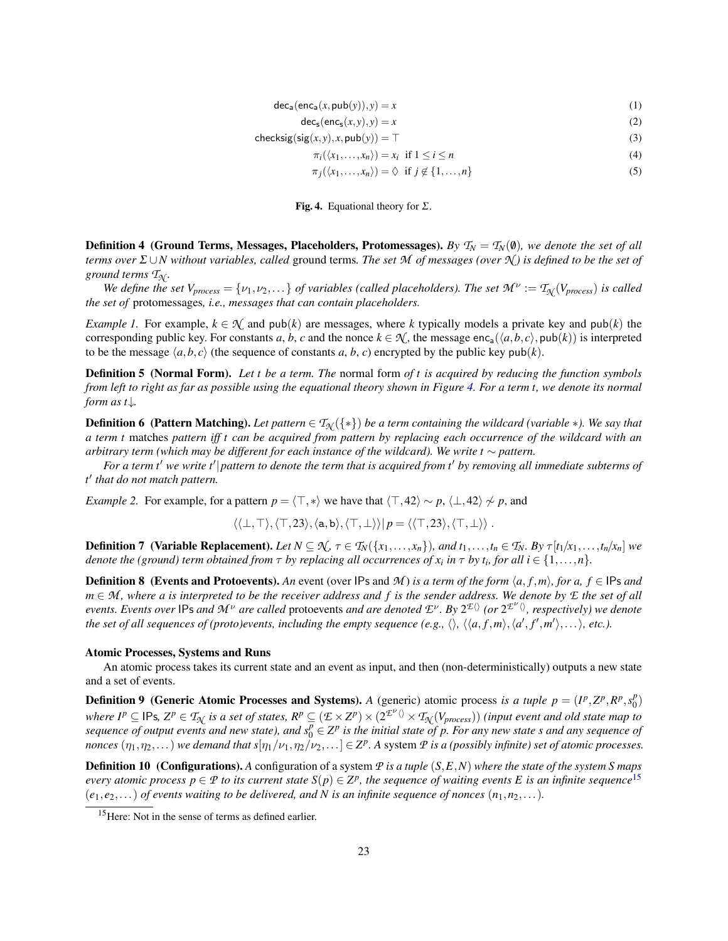$$
\text{dec}_{a}(\text{enc}_{a}(x, \text{pub}(y)), y) = x \tag{1}
$$

$$
\mathsf{dec}_\mathsf{s}(\mathsf{enc}_\mathsf{s}(x,y), y) = x \tag{2}
$$

$$
checks(g(s)g(x, y), x, pub(y)) = \top
$$
\n(3)

$$
\pi_i(\langle x_1,\ldots,x_n\rangle) = x_i \quad \text{if } 1 \le i \le n \tag{4}
$$

$$
\pi_j(\langle x_1,\ldots,x_n\rangle)=\Diamond \text{ if } j\not\in\{1,\ldots,n\}
$$
\n(5)

#### **Fig. 4.** Equational theory for  $\Sigma$ .

<span id="page-22-0"></span>**Definition 4** (Ground Terms, Messages, Placeholders, Protomessages). By  $T_N = T_N(\emptyset)$ *, we denote the set of all terms over* Σ ∪*N without variables, called* ground terms*. The set M of messages (over N ) is defined to be the set of ground terms*  $T_N$ *.* 

*We define the set*  $V_{process} = \{v_1, v_2, \ldots\}$  *of variables (called placeholders). The set*  $\mathcal{M}^{\nu} := \mathcal{T}_{\mathcal{N}}(V_{process})$  *is called the set of* protomessages*, i.e., messages that can contain placeholders.*

*Example 1.* For example,  $k \in \mathcal{K}$  and  $\text{pub}(k)$  are messages, where *k* typically models a private key and  $\text{pub}(k)$  the corresponding public key. For constants *a*, *b*, *c* and the nonce  $k \in \mathcal{K}$ , the message enc<sub>a</sub>( $\langle a, b, c \rangle$ , pub(*k*)) is interpreted to be the message  $\langle a,b,c \rangle$  (the sequence of constants *a*, *b*, *c*) encrypted by the public key pub(*k*).

Definition 5 (Normal Form). *Let t be a term. The* normal form *of t is acquired by reducing the function symbols from left to right as far as possible using the equational theory shown in Figure [4.](#page-22-0) For a term t, we denote its normal form as t*↓*.*

**Definition 6 (Pattern Matching).** Let pattern  $\in T_{\mathcal{N}}(\{*\})$  be a term containing the wildcard (variable  $*$ ). We say that *a term t* matches *pattern iff t can be acquired from pattern by replacing each occurrence of the wildcard with an arbitrary term (which may be different for each instance of the wildcard). We write t*  $\sim$  *pattern.* 

For a term *t*' we write t'|pattern to denote the term that is acquired from t' by removing all immediate subterms of *t* 0 *that do not match pattern.*

*Example 2.* For example, for a pattern  $p = \langle \top, *\rangle$  we have that  $\langle \top, 42 \rangle \sim p$ ,  $\langle \bot, 42 \rangle \not\sim p$ , and

$$
\langle\langle \bot,\top\rangle,\langle \top,23\rangle,\langle \mathtt{a},\mathtt{b}\rangle,\langle \top,\bot\rangle\rangle|p=\langle\langle \top,23\rangle,\langle \top,\bot\rangle\rangle.
$$

**Definition 7** (Variable Replacement). Let  $N \subseteq \mathcal{N}$ ,  $\tau \in \mathcal{T}_N(\{x_1,\ldots,x_n\})$ , and  $t_1,\ldots,t_n \in \mathcal{T}_N$ . By  $\tau[t_1/x_1,\ldots,t_n/x_n]$  we *denote the (ground) term obtained from*  $\tau$  *by replacing all occurrences of*  $x_i$  *in*  $\tau$  *by t<sub>i</sub>, for all i*  $\in$  {1,...,*n*}.

**Definition 8** (Events and Protoevents). An event (over IPs and M) *is a term of the form*  $\langle a, f, m \rangle$ , for  $a, f \in \text{IPs}$  and *m* ∈ *M , where a is interpreted to be the receiver address and f is the sender address. We denote by E the set of all events. Events over* IPs *and*  $M^{\nu}$  *are called* protoevents *and are denoted E*<sup> $\nu$ </sup>. *By* 2<sup>*E*( $\lor$ </sup> *(or* 2<sup>*E* $^{\nu}$ ( $\lor$ ), *respectively*) we *denote*</sup> *the set of all sequences of (proto)events, including the empty sequence (e.g.,*  $\langle \rangle$ *,*  $\langle \langle a, f, m \rangle$ *,*  $\langle a', f', m' \rangle$ *,...), etc.).* 

# Atomic Processes, Systems and Runs

An atomic process takes its current state and an event as input, and then (non-deterministically) outputs a new state and a set of events.

**Definition 9** (Generic Atomic Processes and Systems). *A* (generic) atomic process *is a tuple*  $p = (I^p, Z^p, R^p, s_0^p)$  $\binom{p}{0}$ where  $I^p \subseteq \text{IPs}, Z^p \in \mathcal{T}_{\mathcal{N}}$  is a set of states,  $R^p \subseteq (\mathcal{E} \times Z^p) \times (2^{\mathcal{E}^{\nu}} \setminus \times \mathcal{T}_{\mathcal{N}}(V_{process}))$  (input event and old state map to *sequence of output events and new state), and*  $s_0^p \in Z^p$  *is the initial state of p. For any new state s and any sequence of nonces*  $(\eta_1, \eta_2, \dots)$  *we demand that*  $s[\eta_1/\nu_1, \eta_2/\nu_2, \dots] \in Z^p$ . A system  $\mathcal P$  *is a (possibly infinite) set of atomic processes.* 

**Definition 10** (Configurations). A configuration of a system  $P$  *is a tuple*  $(S, E, N)$  *where the state of the system S maps*  $e$ very atomic process  $p \in \mathcal{P}$  to its current state  $S(p) \in Z^p$ , the sequence of waiting events  $E$  is an infinite sequence<sup>[15](#page-22-1)</sup>  $(e_1, e_2, \ldots)$  *of events waiting to be delivered, and N is an infinite sequence of nonces*  $(n_1, n_2, \ldots)$ *.* 

<span id="page-22-1"></span><sup>15</sup>Here: Not in the sense of terms as defined earlier.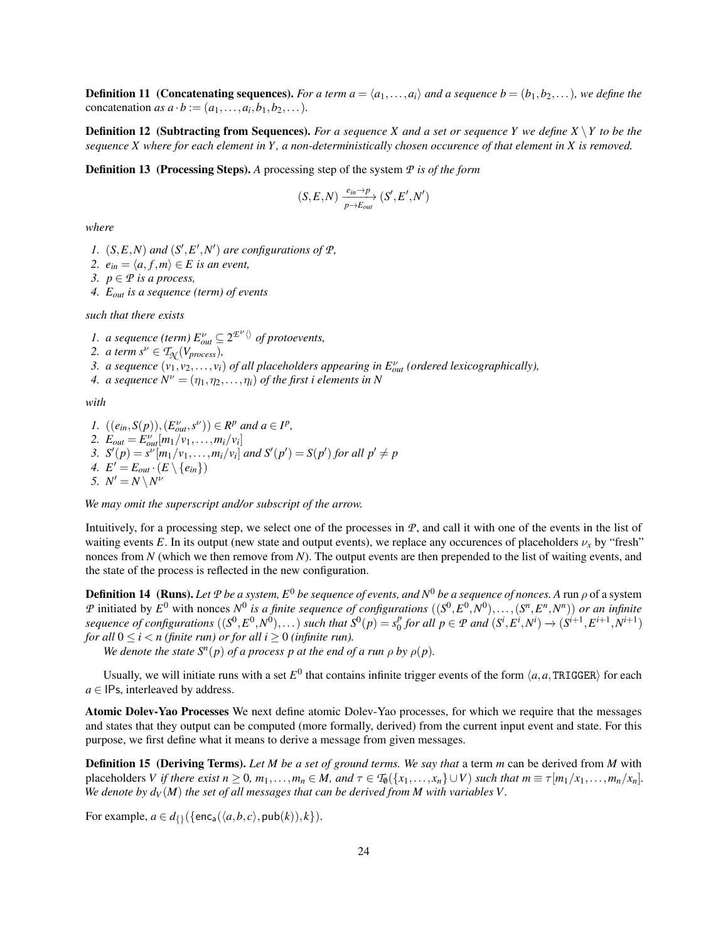**Definition 11** (Concatenating sequences). For a term  $a = \langle a_1, \ldots, a_i \rangle$  and a sequence  $b = (b_1, b_2, \ldots)$ *, we define the* concatenation *as*  $a \cdot b := (a_1, ..., a_i, b_1, b_2, ...)$ .

**Definition 12 (Subtracting from Sequences).** For a sequence *X* and a set or sequence *Y* we define  $X \setminus Y$  to be the *sequence X where for each element in Y , a non-deterministically chosen occurence of that element in X is removed.*

Definition 13 (Processing Steps). *A* processing step of the system *P is of the form*

$$
(S, E, N) \xrightarrow[p \to E_{out}]{} (S', E', N')
$$

*where*

*1.*  $(S, E, N)$  *and*  $(S', E', N')$  *are configurations of*  $P$ *,* 

*2.*  $e_{in} = \langle a, f, m \rangle \in E$  *is an event,* 

*3.*  $p \in \mathcal{P}$  *is a process,* 

*4. Eout is a sequence (term) of events*

*such that there exists*

*1. a sequence (term)*  $E_{out}^{\nu} \subseteq 2^{\mathcal{E}^{\nu}} \setminus \circ f$  *protoevents,* 

2. *a term*  $s^{\nu} \in T_{\mathcal{N}}(V_{process})$ ,

*3. a sequence*  $(v_1, v_2, \ldots, v_i)$  *of all placeholders appearing in*  $E_{out}^{\nu}$  *(ordered lexicographically),* 

*4. a sequence*  $N^{\nu} = (\eta_1, \eta_2, \dots, \eta_i)$  *of the first i elements in* N

*with*

1. 
$$
((e_{in}, S(p)), (E_{out}', s^{\nu})) \in R^p
$$
 and  $a \in I^p$ ,  
\n2.  $E_{out} = E_{out}^{\nu}[m_1/v_1, ..., m_i/v_i]$   
\n3.  $S'(p) = s^{\nu}[m_1/v_1, ..., m_i/v_i]$  and  $S'(p') = S(p')$  for all  $p' \neq p$   
\n4.  $E' = E_{out} \cdot (E \setminus \{e_{in}\})$   
\n5.  $N' = N \setminus N^{\nu}$ 

*We may omit the superscript and/or subscript of the arrow.*

Intuitively, for a processing step, we select one of the processes in *P*, and call it with one of the events in the list of waiting events *E*. In its output (new state and output events), we replace any occurences of placeholders  $\nu_x$  by "fresh" nonces from *N* (which we then remove from *N*). The output events are then prepended to the list of waiting events, and the state of the process is reflected in the new configuration.

 $\bf{Definition~14}$   $(\bf{Runs}).$   $\it Let$   $\mathcal P$   $\it be$   $a$  system,  $E^0$   $\it be$  sequence of events, and  $N^0$   $\it be$   $a$  sequence of nonces. A run  $\rho$  of  $\it a$  system  $P$  initiated by  $E^0$  with nonces  $N^0$  is a finite sequence of configurations  $((S^0, E^0, N^0), \ldots, (S^n, E^n, N^n))$  or an infinite *sequence of configurations*  $((S^0, E^0, N^0), ...)$  *such that*  $S^0(p) = s_0^p$ *for all*  $p \in \mathcal{P}$  *and*  $(S^i, E^i, N^i) \to (S^{i+1}, E^{i+1}, N^{i+1})$ *for all*  $0 \le i < n$  *(finite run) or for all*  $i \ge 0$  *(infinite run).* 

*We denote the state*  $S^{n}(p)$  *of a process p at the end of a run*  $\rho$  *by*  $\rho(p)$ *.* 

Usually, we will initiate runs with a set  $E^0$  that contains infinite trigger events of the form  $\langle a, a, \text{TRIGGER} \rangle$  for each  $a \in \mathsf{IPs}$ , interleaved by address.

Atomic Dolev-Yao Processes We next define atomic Dolev-Yao processes, for which we require that the messages and states that they output can be computed (more formally, derived) from the current input event and state. For this purpose, we first define what it means to derive a message from given messages.

Definition 15 (Deriving Terms). *Let M be a set of ground terms. We say that* a term *m* can be derived from *M* with placeholders V if there exist  $n \ge 0$ ,  $m_1, \ldots, m_n \in M$ , and  $\tau \in \mathcal{T}_0(\lbrace x_1, \ldots, x_n \rbrace \cup V)$  such that  $m \equiv \tau[m_1/x_1, \ldots, m_n/x_n]$ . We denote by  $d_V(M)$  the set of all messages that can be derived from M with variables V.

For example,  $a \in d_{\{\}}({\text{enc}_a(\langle a,b,c \rangle, \text{pub}(k)), k}).$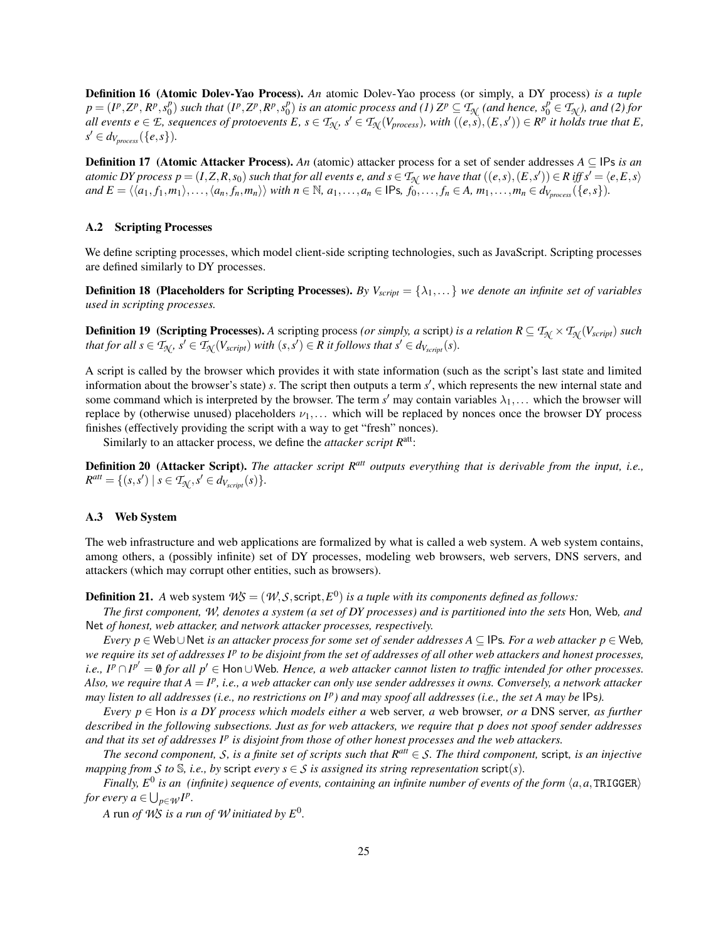Definition 16 (Atomic Dolev-Yao Process). *An* atomic Dolev-Yao process (or simply, a DY process) *is a tuple*  $p = (I^p, Z^p, R^p, s_0^p)$  $\binom{p}{0}$  such that  $(I^p, Z^p, R^p, s_0^p)$  $\binom{p}{0}$  is an atomic process and (1)  $Z^p \subseteq T_{\mathcal{N}}$  (and hence,  $s_0^p \in T_{\mathcal{N}}$ ), and (2) for all events  $e \in \mathcal{E}$ , sequences of protoevents  $E$ ,  $s \in \mathcal{T}_{\mathcal{N}}$ ,  $s' \in \mathcal{T}_{\mathcal{N}}(V_{process})$ , with  $((e, s), (E, s')) \in R^p$  it holds true that  $E$ ,  $s' \in d_{V_{process}}(\{e, s\}).$ 

Definition 17 (Atomic Attacker Process). *An* (atomic) attacker process for a set of sender addresses *A* ⊆ IPs *is an* atomic DY process  $p=(I,Z,R,s_0)$  such that for all events  $e$ , and  $s\in\mathcal{T}_\mathcal{N}$  we have that  $((e,s),(E,s'))\in R$  iff  $s'=\langle e,E,s\rangle$ and  $E = \langle \langle a_1, f_1, m_1 \rangle, \ldots, \langle a_n, f_n, m_n \rangle \rangle$  with  $n \in \mathbb{N}$ ,  $a_1, \ldots, a_n \in \mathsf{IPs}$ ,  $f_0, \ldots, f_n \in A$ ,  $m_1, \ldots, m_n \in d_{V_{process}}(\{e, s\})$ .

# <span id="page-24-0"></span>A.2 Scripting Processes

We define scripting processes, which model client-side scripting technologies, such as JavaScript. Scripting processes are defined similarly to DY processes.

**Definition 18 (Placeholders for Scripting Processes).** By  $V_{scrit} = {\lambda_1, \dots}$  *we denote an infinite set of variables used in scripting processes.*

**Definition 19** (Scripting Processes). A scripting process *(or simply, a* script*)* is a relation  $R \subseteq T_N \times T_N(V_{script})$  such *that for all*  $s \in \mathcal{T}_{\mathcal{N}}$ *,*  $s' \in \mathcal{T}_{\mathcal{N}}(V_{script})$  *with*  $(s, s') \in R$  *it follows that*  $s' \in d_{V_{script}}(s)$ *.* 

A script is called by the browser which provides it with state information (such as the script's last state and limited information about the browser's state) *s*. The script then outputs a term *s'*, which represents the new internal state and some command which is interpreted by the browser. The term  $s'$  may contain variables  $\lambda_1, \ldots$  which the browser will replace by (otherwise unused) placeholders  $\nu_1, \ldots$  which will be replaced by nonces once the browser DY process finishes (effectively providing the script with a way to get "fresh" nonces).

Similarly to an attacker process, we define the *attacker script R*att:

**Definition 20** (Attacker Script). The attacker script  $R^{att}$  outputs everything that is derivable from the input, i.e.,  $R^{att} = \{ (s, s') \mid s \in \mathcal{T}_{\mathcal{N}}, s' \in d_{V_{script}}(s) \}.$ 

### <span id="page-24-1"></span>A.3 Web System

The web infrastructure and web applications are formalized by what is called a web system. A web system contains, among others, a (possibly infinite) set of DY processes, modeling web browsers, web servers, DNS servers, and attackers (which may corrupt other entities, such as browsers).

**Definition 21.** A web system  $\mathcal{W}S = (\mathcal{W}, \mathcal{S}, \text{scriptp}, E^0)$  *is a tuple with its components defined as follows:* 

*The first component, W, denotes a system (a set of DY processes) and is partitioned into the sets* Hon*,* Web*, and* Net *of honest, web attacker, and network attacker processes, respectively.*

*Every p* ∈ Web∪Net *is an attacker process for some set of sender addresses A* ⊆ IPs*. For a web attacker p* ∈ Web*,* we require its set of addresses I<sup>p</sup> to be disjoint from the set of addresses of all other web attackers and honest processes, *i.e.,*  $I^p \cap I^{p'} = \emptyset$  *for all*  $p' \in$  Hon∪Web. Hence, a web attacker cannot listen to traffic intended for other processes. Also, we require that  $A = I^p$ , i.e., a web attacker can only use sender addresses it owns. Conversely, a network attacker may listen to all addresses (i.e., no restrictions on I<sup>p</sup>) and may spoof all addresses (i.e., the set A may be IPs).

*Every p* ∈ Hon *is a DY process which models either a* web server*, a* web browser*, or a* DNS server*, as further described in the following subsections. Just as for web attackers, we require that p does not spoof sender addresses* and that its set of addresses I<sup>p</sup> is disjoint from those of other honest processes and the web attackers.

*The second component, S, is a finite set of scripts such that*  $R^{att} \in S$ *. The third component,* script, *is an injective mapping from S to*  $\mathbb{S}$ *, i.e., by* script *every*  $s \in S$  *is assigned its string representation* script(*s*)*.* 

*Finally, E*<sup>0</sup> is an (infinite) sequence of events, containing an infinite number of events of the form  $\langle a,a,\text{TRIGGER}\rangle$ *for every*  $a \in \bigcup_{p \in \mathcal{W}} I^p$ .

*A* run *of WS is a run of W initiated by*  $E^0$ *.*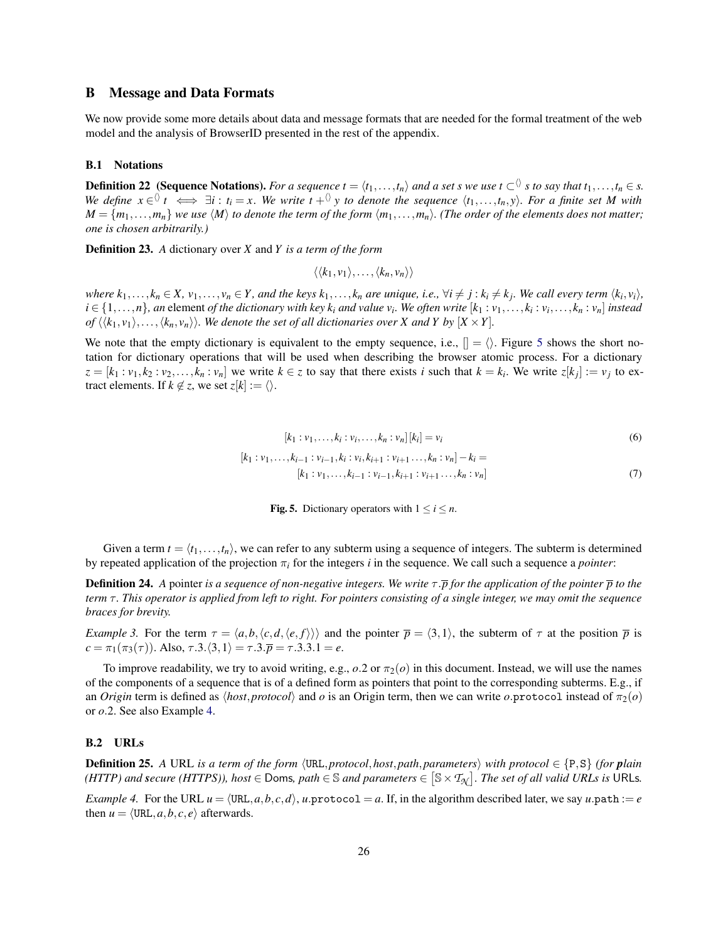# <span id="page-25-0"></span>B Message and Data Formats

We now provide some more details about data and message formats that are needed for the formal treatment of the web model and the analysis of BrowserID presented in the rest of the appendix.

#### <span id="page-25-1"></span>B.1 Notations

**Definition 22** (Sequence Notations). For a sequence  $t = \langle t_1, \ldots, t_n \rangle$  and a set s we use  $t \subset \{t_1, \ldots, t_n \in S\}$ . We define  $x \in \Diamond t \iff \exists i : t_i = x$ . We write  $t + \Diamond y$  to denote the sequence  $\langle t_1, \ldots, t_n, y \rangle$ . For a finite set M with  $M = \{m_1, \ldots, m_n\}$  we use  $\langle M \rangle$  to denote the term of the form  $\langle m_1, \ldots, m_n \rangle$ . (The order of the elements does not matter; *one is chosen arbitrarily.)*

<span id="page-25-5"></span>Definition 23. *A* dictionary over *X* and *Y is a term of the form*

$$
\langle \langle k_1, v_1 \rangle, \ldots, \langle k_n, v_n \rangle \rangle
$$

where  $k_1,...,k_n\in X$ ,  $v_1,...,v_n\in Y$ , and the keys  $k_1,...,k_n$  are unique, i.e.,  $\forall i\neq j: k_i\neq k_j$ . We call every term  $\langle k_i,v_i\rangle$ ,  $i \in \{1,\ldots,n\}$ , an element of the dictionary with key  $k_i$  and value  $v_i$ . We often write  $[k_1:v_1,\ldots,k_i:v_i,\ldots,k_n:v_n]$  instead *of*  $\langle \langle k_1, v_1 \rangle, \ldots, \langle k_n, v_n \rangle \rangle$ . We denote the set of all dictionaries over X and Y by  $[X \times Y]$ .

<span id="page-25-3"></span>We note that the empty dictionary is equivalent to the empty sequence, i.e.,  $\| = \langle \rangle$ . Figure [5](#page-25-3) shows the short notation for dictionary operations that will be used when describing the browser atomic process. For a dictionary  $z = [k_1 : v_1, k_2 : v_2, \dots, k_n : v_n]$  we write  $k \in z$  to say that there exists i such that  $k = k_i$ . We write  $z[k_j] := v_j$  to extract elements. If  $k \notin z$ , we set  $z[k] := \langle \rangle$ .

$$
[k_1 : v_1, \dots, k_i : v_i, \dots, k_n : v_n] [k_i] = v_i
$$
\n(6)

$$
[k_1 : v_1, \dots, k_{i-1} : v_{i-1}, k_i : v_i, k_{i+1} : v_{i+1} \dots, k_n : v_n] - k_i =
$$
  

$$
[k_1 : v_1, \dots, k_{i-1} : v_{i-1}, k_{i+1} : v_{i+1} \dots, k_n : v_n]
$$
 (7)

Fig. 5. Dictionary operators with  $1 \le i \le n$ .

Given a term  $t = \langle t_1, \ldots, t_n \rangle$ , we can refer to any subterm using a sequence of integers. The subterm is determined by repeated application of the projection π*<sup>i</sup>* for the integers *i* in the sequence. We call such a sequence a *pointer*:

<span id="page-25-6"></span>Definition 24. *A* pointer *is a sequence of non-negative integers. We write* τ.*p for the application of the pointer p to the term* τ. This operator is applied from left to right. For pointers consisting of a single integer, we may omit the sequence *braces for brevity.*

*Example 3.* For the term  $\tau = \langle a,b,\langle c,d,\langle e,f\rangle\rangle\rangle$  and the pointer  $\overline{p} = \langle 3,1\rangle$ , the subterm of  $\tau$  at the position  $\overline{p}$  is  $c = \pi_1(\pi_3(\tau))$ . Also,  $\tau.3.\langle 3,1 \rangle = \tau.3.\overline{p} = \tau.3.3.1 = e$ .

To improve readability, we try to avoid writing, e.g.,  $o.2$  or  $\pi_2(o)$  in this document. Instead, we will use the names of the components of a sequence that is of a defined form as pointers that point to the corresponding subterms. E.g., if an *Origin* term is defined as  $\langle host, protocol \rangle$  and *o* is an Origin term, then we can write *o*.protocol instead of  $\pi_2(o)$ or *o*.2. See also Example [4.](#page-25-4)

# <span id="page-25-2"></span>B.2 URLs

**Definition 25.** A URL *is a term of the form*  $\langle \text{URL}, \text{protocol}, \text{host}, \text{path}, \text{parameters} \rangle$  *with*  $\text{protocol} \in \{P, S\}$  *(for plain*) *(HTTP)* and *secure* (HTTPS)), host ∈ Doms, path ∈ S and parameters ∈  $[S \times T_\mathcal{N}]$ . The set of all valid URLs is URLs.

<span id="page-25-4"></span>*Example 4.* For the URL  $u = \langle \text{URL}, a, b, c, d \rangle$ , *u*.protocol = *a*. If, in the algorithm described later, we say *u*.path := *e* then  $u = \langle \text{URL}, a, b, c, e \rangle$  afterwards.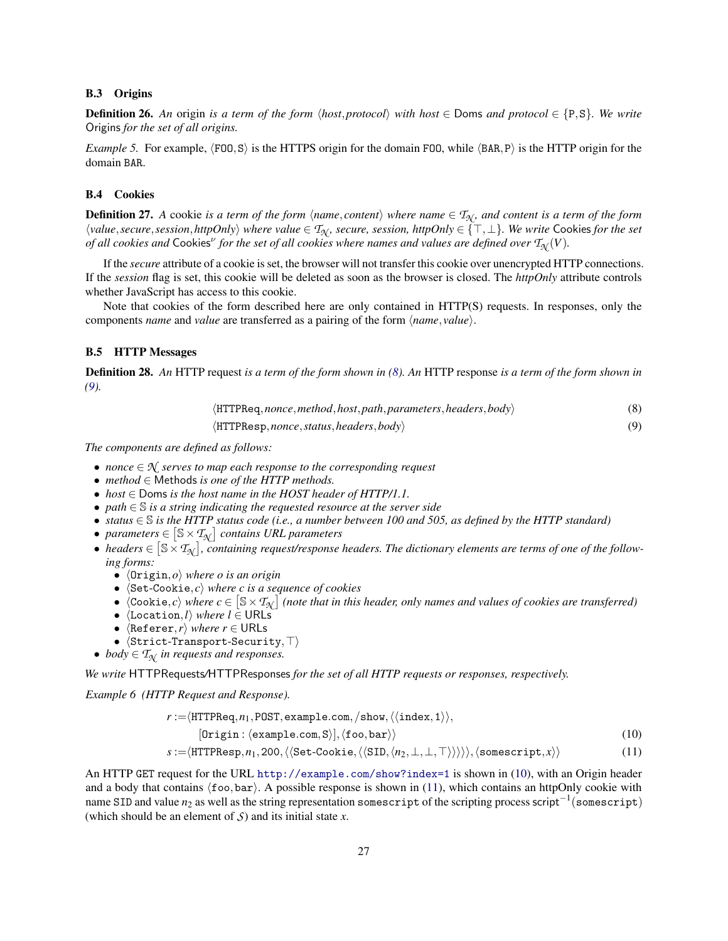#### <span id="page-26-0"></span>B.3 Origins

**Definition 26.** An origin *is a term of the form*  $\langle$ *host,protocol* $\rangle$  *with host* ∈ Doms *and protocol* ∈ {P,S}. We write Origins *for the set of all origins.*

*Example 5.* For example,  $\langle F00, S \rangle$  is the HTTPS origin for the domain FOO, while  $\langle BAR, P \rangle$  is the HTTP origin for the domain BAR.

### <span id="page-26-1"></span>B.4 Cookies

**Definition 27.** A cookie *is a term of the form*  $\langle$ *name*, *content* $\rangle$  *where name*  $\in T_N$ *, and content is a term of the form*  $\langle$ *value*,*secure*,*session*,*httpOnly* $\rangle$  *where value* ∈  $\mathcal{T}_{N}$ *, secure, session, httpOnly* ∈ {⊤,⊥}*. We write* Cookies *for the set of all cookies and <code>Cookies</code><sup>* $\nu$ *</sup> for the set of all cookies where names and values are defined over*  $\tau_{\mathcal{N}}(V)$ *.* 

If the *secure* attribute of a cookie is set, the browser will not transfer this cookie over unencrypted HTTP connections. If the *session* flag is set, this cookie will be deleted as soon as the browser is closed. The *httpOnly* attribute controls whether JavaScript has access to this cookie.

Note that cookies of the form described here are only contained in HTTP(S) requests. In responses, only the components *name* and *value* are transferred as a pairing of the form  $\langle name, value \rangle$ .

### <span id="page-26-2"></span>B.5 HTTP Messages

Definition 28. *An* HTTP request *is a term of the form shown in [\(8\)](#page-26-3). An* HTTP response *is a term of the form shown in [\(9\)](#page-26-4).*

<span id="page-26-3"></span>

<span id="page-26-4"></span> $\langle$ HTTPResp,*nonce*,*status*,*headers*,*body* $\rangle$  (9)

*The components are defined as follows:*

- *nonce* ∈ *N serves to map each response to the corresponding request*
- *method* ∈ Methods *is one of the HTTP methods.*
- *host* ∈ Doms *is the host name in the HOST header of HTTP/1.1.*
- *path* ∈ S *is a string indicating the requested resource at the server side*
- *status* ∈ S *is the HTTP status code (i.e., a number between 100 and 505, as defined by the HTTP standard)*
- *parameters* ∈ <sup>S</sup>×*T<sup>N</sup> contains URL parameters*
- headers  $\in [\mathbb{S} \times T_{\mathcal{N}}]$ , containing request/response headers. The dictionary elements are terms of one of the follow*ing forms:*
	- $\langle$ Origin,*o* $\rangle$  *where o is an origin*
	- $\langle$ Set-Cookie, *c* $\rangle$  *where c is a sequence of cookies*
	- $\langle$  Cookie, *c* $\rangle$  *where*  $c \in [S \times T_{N}]$  *(note that in this header, only names and values of cookies are transferred)*
	- $\langle$  Location, *l* $\rangle$  *where l* ∈ URLs
	- $\langle$ Referer, *r* $\rangle$  *where r*  $\in$  URLs
	- $\langle$ Strict-Transport-Security, $\top\rangle$
- *body*  $\in$   $T_N$  *in requests and responses.*

*We write* HTTPRequests*/*HTTPResponses *for the set of all HTTP requests or responses, respectively.*

*Example 6 (HTTP Request and Response).*

<span id="page-26-6"></span><span id="page-26-5"></span>
$$
r := \langle \text{HTTPReq}, n_1, \text{POST}, \text{example.com}, / \text{show}, \langle \langle \text{index}, 1 \rangle \rangle, \\ [\text{Origin}: \langle \text{example.com}, S \rangle], \langle \text{foo}, \text{bar} \rangle \rangle \tag{10}
$$
\n
$$
s := \langle \text{HTTPResp}, n_1, 200, \langle \langle \text{Set-Cookie}, \langle \langle \text{SID}, \langle n_2, \bot, \bot, \top \rangle \rangle \rangle \rangle, \langle \text{somescript}, x \rangle \rangle \tag{11}
$$

An HTTP GET request for the URL <http://example.com/show?index=1> is shown in [\(10\)](#page-26-5), with an Origin header and a body that contains  $\langle$  foo,bar $\rangle$ . A possible response is shown in [\(11\)](#page-26-6), which contains an httpOnly cookie with name SID and value *n*<sub>2</sub> as well as the string representation somescript of the scripting process script<sup>−1</sup> (somescript) (which should be an element of *S*) and its initial state *x*.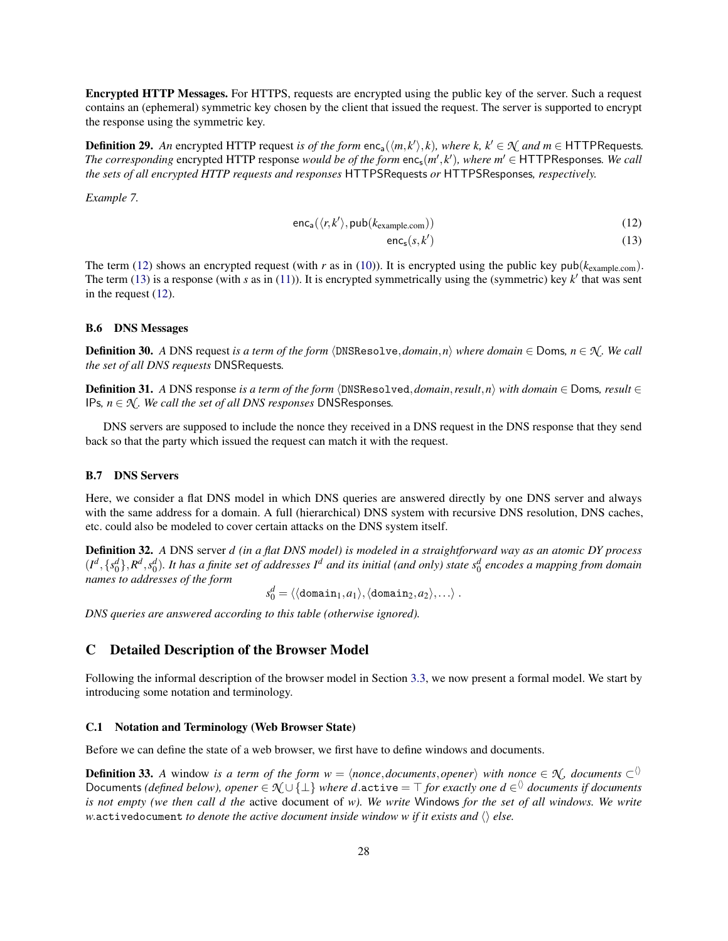Encrypted HTTP Messages. For HTTPS, requests are encrypted using the public key of the server. Such a request contains an (ephemeral) symmetric key chosen by the client that issued the request. The server is supported to encrypt the response using the symmetric key.

**Definition 29.** An encrypted HTTP request *is of the form*  $enc_a(\langle m, k' \rangle, k)$ , where  $k, k' \in \mathcal{K}$  and  $m \in$  HTTPRequests. *The corresponding* encrypted HTTP response *would be of the form*  $enc_s(m', k')$ , where  $m' \in$  HTTPResponses. We call *the sets of all encrypted HTTP requests and responses* HTTPSRequests *or* HTTPSResponses*, respectively.*

*Example 7.*

$$
enc_a(\langle r, k' \rangle, \text{pub}(k_{example.com})) \tag{12}
$$

<span id="page-27-5"></span><span id="page-27-4"></span>
$$
\mathsf{enc}_{\mathsf{s}}(s, k') \tag{13}
$$

The term [\(12\)](#page-27-4) shows an encrypted request (with *r* as in [\(10\)](#page-26-5)). It is encrypted using the public key pub( $k_{\text{example.com}}$ ). The term [\(13\)](#page-27-5) is a response (with  $s$  as in [\(11\)](#page-26-6)). It is encrypted symmetrically using the (symmetric) key  $k'$  that was sent in the request [\(12\)](#page-27-4).

#### <span id="page-27-0"></span>B.6 DNS Messages

**Definition 30.** *A* DNS request *is a term of the form*  $\langle$ DNSResolve, *domain*,*n* $\rangle$  *where domain* ∈ Doms, *n* ∈  $\mathcal{N}$ *. We call the set of all DNS requests* DNSRequests*.*

**Definition 31.** *A* DNS response *is a term of the form*  $\langle$ DNSResolved, *domain*, *result*,*n* $\rangle$  *with domain* ∈ Doms, *result* ∈ IPs,  $n \in \mathcal{N}$ *. We call the set of all DNS responses* DNSResponses.

DNS servers are supposed to include the nonce they received in a DNS request in the DNS response that they send back so that the party which issued the request can match it with the request.

### <span id="page-27-1"></span>B.7 DNS Servers

Here, we consider a flat DNS model in which DNS queries are answered directly by one DNS server and always with the same address for a domain. A full (hierarchical) DNS system with recursive DNS resolution, DNS caches, etc. could also be modeled to cover certain attacks on the DNS system itself.

Definition 32. *A* DNS server *d (in a flat DNS model) is modeled in a straightforward way as an atomic DY process*  $(I^d, \{s_0^d\}, R^d, s_0^d)$ . It has a finite set of addresses  $I^d$  and its initial (and only) state  $s_0^d$  encodes a mapping from domain *names to addresses of the form*

 $s_0^d = \langle \langle \texttt{domain}_1, a_1\rangle, \langle \texttt{domain}_2, a_2\rangle, \ldots \rangle$  .

*DNS queries are answered according to this table (otherwise ignored).*

# <span id="page-27-2"></span>C Detailed Description of the Browser Model

Following the informal description of the browser model in Section [3.3,](#page-13-1) we now present a formal model. We start by introducing some notation and terminology.

### <span id="page-27-3"></span>C.1 Notation and Terminology (Web Browser State)

Before we can define the state of a web browser, we first have to define windows and documents.

**Definition 33.** A window is a term of the form  $w = \langle$  nonce, documents, opener $\rangle$  with nonce  $\in \mathcal{N}$ , documents  $\subset^{\Diamond}$  $D$ ocuments *(defined below), opener*  $\in \mathcal{K} \cup \{\bot\}$  *where <code>d.active</code>*  $=$  $\top$  *<i>for exactly one <code>d</code>*  $\in$  $\lozenge$  *<i>documents if documents is not empty (we then call d the* active document of *w). We write* Windows *for the set of all windows. We write w*.activedocument *to denote the active document inside window w if it exists and*  $\langle \rangle$  *else.*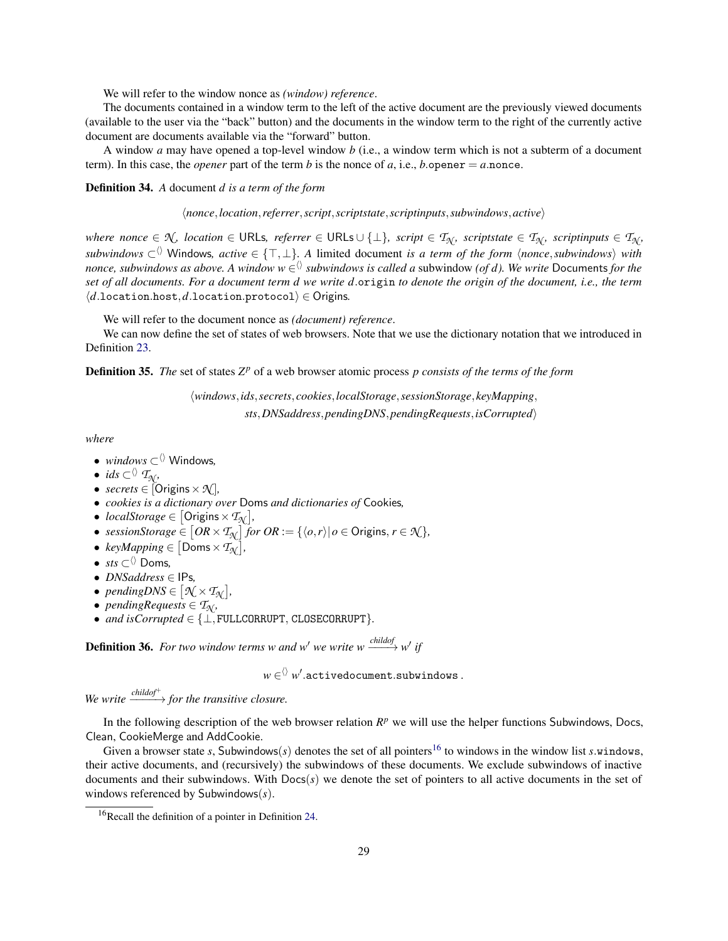We will refer to the window nonce as *(window) reference*.

The documents contained in a window term to the left of the active document are the previously viewed documents (available to the user via the "back" button) and the documents in the window term to the right of the currently active document are documents available via the "forward" button.

A window *a* may have opened a top-level window *b* (i.e., a window term which is not a subterm of a document term). In this case, the *opener* part of the term *b* is the nonce of *a*, i.e., *b*.opener = *a*.nonce.

Definition 34. *A* document *d is a term of the form*

h*nonce*,*location*,*referrer*,*script*,*scriptstate*,*scriptinputs*,*subwindows*,*active*i

where nonce  $\in \mathcal{N}$ , location  $\in \mathsf{URLs}$ , referrer  $\in \mathsf{URLs} \cup \{\perp\}$ , script  $\in \mathcal{T}_{\mathcal{N}}$ , scriptstate  $\in \mathcal{T}_{\mathcal{N}}$ , scriptinputs  $\in \mathcal{T}_{\mathcal{N}}$ , *subwindows* ⊂<sup> $\langle \rangle$ </sup> Windows, *active* ∈ {⊤,⊥}*.* A limited document *is a term of the form*  $\langle$ *nonce*,*subwindows* $\rangle$  *with nonce, subwindows as above. A window*  $w \in \Diamond$  *subwindows is called a subwindow (of d). We write Documents for the set of all documents. For a document term d we write d*.origin *to denote the origin of the document, i.e., the term*  $\langle d.\texttt{location.host}, d.\texttt{location.protocol}\rangle \in \textsf{Origins.}$ 

We will refer to the document nonce as *(document) reference*.

We can now define the set of states of web browsers. Note that we use the dictionary notation that we introduced in Definition [23.](#page-25-5)

**Definition 35.** *The* set of states  $Z^p$  of a web browser atomic process *p consists of the terms of the form* 

h*windows*,*ids*,*secrets*, *cookies*,*localStorage*,*sessionStorage*, *keyMapping*, *sts*,*DNSaddress*,*pendingDNS*,*pendingRequests*,*isCorrupted*i

*where*

- *windows* ⊂<sup> $\langle \rangle$ </sup> Windows,
- *ids*  $\subset$ <sup> $\langle \rangle$ </sup>  $\mathcal{T}_{\gamma}$ *,*
- *secrets*  $\in$  [Origins  $\times \mathcal{N}$ ],
- *cookies is a dictionary over* Doms *and dictionaries of* Cookies*,*
- $\textit{localStorage} \in [\textsf{Origins} \times \mathcal{T}_{\mathcal{N}}],$
- *sessionStorage*  $\in [OR \times T_{\mathcal{N}}]$  *for OR* := { $\langle o, r \rangle | o \in$  Origins,  $r \in \mathcal{N}$ },
- $keyMapping \in [Doms \times T_{\mathcal{N}}],$
- $sts \subset \langle \rangle$  Doms,
- *DNSaddress* ∈ IPs*,*
- *pendingDNS*  $\in$   $[\mathcal{N} \times \mathcal{T}_{\mathcal{N}}]$ ,
- *pendingRequests*  $\in T_{\mathcal{N}}$ *,*
- *and isCorrupted* ∈ {⊥,FULLCORRUPT, CLOSECORRUPT}*.*

Definition 36. *For two window terms w and w' we write w*  $\frac{childof}{}w'$  *if* 

 $w \in \nolimits^{\langle \rangle} w'.$ activedocument.subwindows .

*We write*  $\xrightarrow{childof^+}$  *for the transitive closure.* 

In the following description of the web browser relation  $R^p$  we will use the helper functions Subwindows, Docs, Clean, CookieMerge and AddCookie.

Given a browser state *s*, Subwindows(*s*) denotes the set of all pointers<sup>[16](#page-28-0)</sup> to windows in the window list *s*.windows, their active documents, and (recursively) the subwindows of these documents. We exclude subwindows of inactive documents and their subwindows. With  $\text{Docs}(s)$  we denote the set of pointers to all active documents in the set of windows referenced by Subwindows(*s*).

<span id="page-28-0"></span><sup>16</sup>Recall the definition of a pointer in Definition [24.](#page-25-6)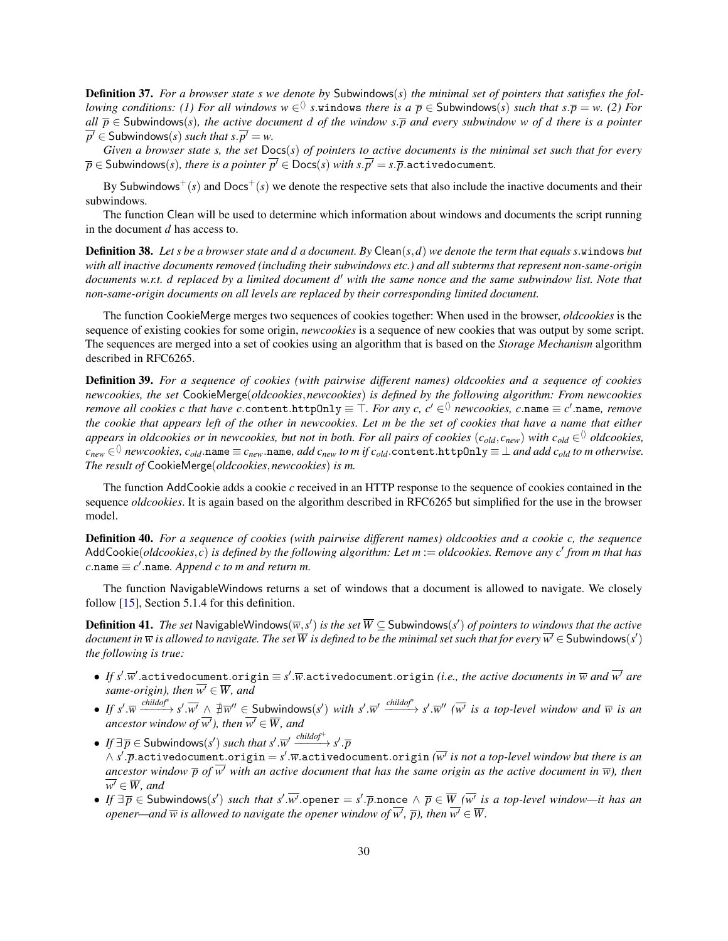**Definition 37.** For a browser state *s* we denote by Subwindows(*s*) the minimal set of pointers that satisfies the fol*lowing conditions: (1) For all windows*  $w \in \Omega$  *s.windows there is a*  $\overline{p} \in$  *Subwindows(s) such that s.* $\overline{p} = w$ *. (2) For all*  $\overline{p} \in$  Subwindows(*s*)*, the active document d of the window s.p and every subwindow w of d there is a pointer*  $\overline{p'} \in$  Subwindows(*s*) *such that s*.  $\overline{p'} = w$ .

*Given a browser state s, the set* Docs(*s*) *of pointers to active documents is the minimal set such that for every*  $\overline{p} \in$  Subwindows $(s)$ *, there is a pointer*  $\overline{p'} \in$  $\text{Docs}(s)$  *<i>with s.*  $\overline{p'} = s$  . $\overline{p}$  activedocument.

By Subwindows<sup>+</sup>(s) and  $Docs$ <sup>+</sup>(s) we denote the respective sets that also include the inactive documents and their subwindows.

The function Clean will be used to determine which information about windows and documents the script running in the document *d* has access to.

Definition 38. *Let s be a browser state and d a document. By* Clean(*s*,*d*) *we denote the term that equals s*.windows *but with all inactive documents removed (including their subwindows etc.) and all subterms that represent non-same-origin documents w.r.t. d replaced by a limited document d* <sup>0</sup> *with the same nonce and the same subwindow list. Note that non-same-origin documents on all levels are replaced by their corresponding limited document.*

The function CookieMerge merges two sequences of cookies together: When used in the browser, *oldcookies* is the sequence of existing cookies for some origin, *newcookies* is a sequence of new cookies that was output by some script. The sequences are merged into a set of cookies using an algorithm that is based on the *Storage Mechanism* algorithm described in RFC6265.

Definition 39. *For a sequence of cookies (with pairwise different names) oldcookies and a sequence of cookies newcookies, the set* CookieMerge(*oldcookies*,*newcookies*) *is defined by the following algorithm: From newcookies*  $r$ *emove all cookies*  $c$  *that have*  $c$ .content.http0nly  $\equiv$   $\top$ *. For any*  $c$ *,*  $c' \in$  $\Diamond$  *newcookies,*  $c$ *.*name  $\equiv$   $c'$ .name*, remove the cookie that appears left of the other in newcookies. Let m be the set of cookies that have a name that either appears in oldcookies or in newcookies, but not in both. For all pairs of cookies*  $(c_{old}, c_{new})$  *with*  $c_{old} \in$  $\Diamond$  *oldcookies,*  $c_{new} \in$   $\Diamond$  newcookies,  $c_{old}$  name  $\equiv$   $c_{new}$  name, add  $c_{new}$  to  $m$  if  $c_{old}$  content .http<code>Only</code>  $\equiv$   $\bot$  and add  $c_{old}$  to  $m$  otherwise. *The result of* CookieMerge(*oldcookies*,*newcookies*) *is m.*

The function AddCookie adds a cookie *c* received in an HTTP response to the sequence of cookies contained in the sequence *oldcookies*. It is again based on the algorithm described in RFC6265 but simplified for the use in the browser model.

Definition 40. *For a sequence of cookies (with pairwise different names) oldcookies and a cookie c, the sequence* AddCookie(*oldcookies*, *c*) *is defined by the following algorithm: Let m* := *oldcookies. Remove any c* 0 *from m that has*  $c.\mathtt{name} \equiv c'.\mathtt{name}$ . Append  $c$  to m and return m.

The function NavigableWindows returns a set of windows that a document is allowed to navigate. We closely follow [\[15\]](#page-20-16), Section 5.1.4 for this definition.

 $\bf{Definition 41.}$  The set  $\sf{NavigableWindows}(\overline{w},s')$  is the set  $\overline{W}\subseteq\sf{Subwindows}(s')$  of pointers to windows that the active document in  $\overline{w}$  is allowed to navigate. The set  $\overline{W}$  is defined to be the minimal set such that for every  $\overline{w'}$   $\in$  Subwindows(s') *the following is true:*

- $\bullet$  *If s'*. $\overline{w}'$ .activedocument.origin  $\equiv$  *s'*. $\overline{w}$ .activedocument.origin (i.e., the active documents in  $\overline{w}$  and  $\overline{w'}$  are *same-origin), then*  $\overline{w'} \in \overline{W}$ *, and*
- If  $s'.\overline{w} \xrightarrow{childof^*} s'.\overline{w'} \wedge \overline{\#}\overline{w''} \in Subwindows(s') with s'.\overline{w'} \xrightarrow{childof^*} s'.\overline{w''} (\overline{w'} is a top-level window and \overline{w} is an$ ancestor window of  $\overline{w'}$ ), then  $\overline{w'} \in \overline{W}$ , and
- *If*  $\exists \overline{p} \in$  Subwindows(*s'*) *such that s'*. $\overline{w}'$   $\xrightarrow{childof^+}$  *s'*. $\overline{p}$  $\wedge$  *s'*. $\overline{p}$ .activedocument.origin = *s'*. $\overline{w}$ .activedocument.origin ( $\overline{w'}$  *is not a top-level window but there is an ancestor window*  $\bar{p}$  *of*  $\overline{w'}$  *with an active document that has the same origin as the active document in*  $\overline{w}$ *), then*  $\overline{w'} \in \overline{W}$ *, and*
- If  $\exists \bar{p} \in$  Subwindows(s') such that s'.w'.opener = s'. $\bar{p}$ .nonce  $\land \bar{p} \in \overline{W}$  (w' is a top-level window—it has an *opener—and*  $\overline{w}$  is allowed to navigate the opener window of  $\overline{w'}, \overline{p}$ ), then  $\overline{w'} \in \overline{W}$ .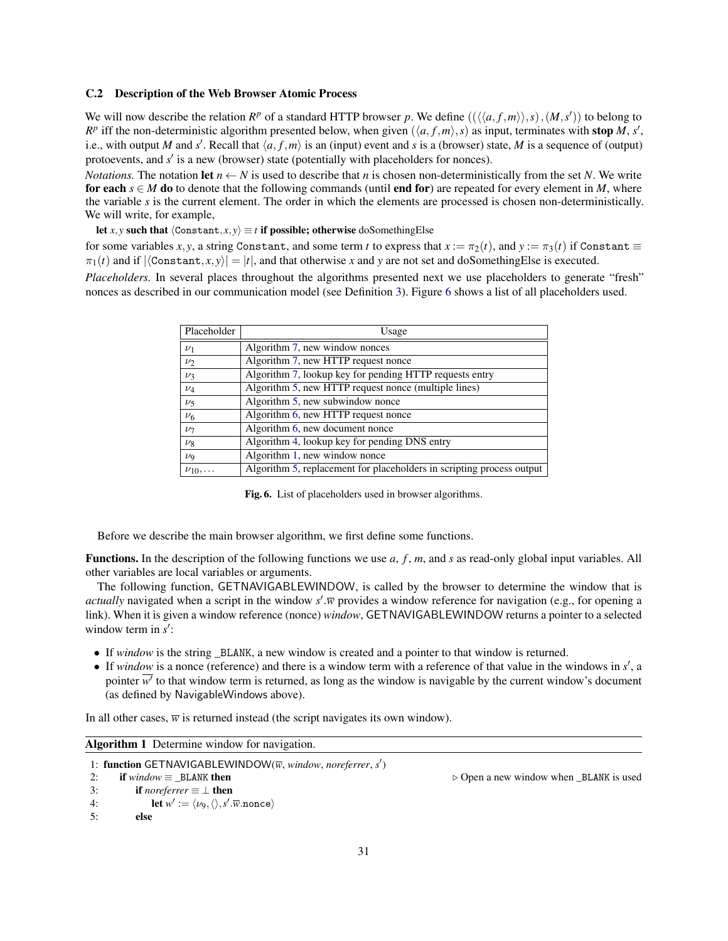#### <span id="page-30-0"></span>C.2 Description of the Web Browser Atomic Process

We will now describe the relation  $R^p$  of a standard HTTP browser p. We define  $((\langle a, f, m \rangle), s), (M, s')$  to belong to  $R^p$  iff the non-deterministic algorithm presented below, when given  $(\langle a, f, m \rangle, s)$  as input, terminates with stop *M*, *s*<sup>'</sup>, i.e., with output *M* and *s'*. Recall that  $\langle a, f, m \rangle$  is an (input) event and *s* is a (browser) state, *M* is a sequence of (output) protoevents, and *s'* is a new (browser) state (potentially with placeholders for nonces).

*Notations.* The notation let  $n \leftarrow N$  is used to describe that *n* is chosen non-deterministically from the set *N*. We write for each  $s \in M$  do to denote that the following commands (until end for) are repeated for every element in *M*, where the variable *s* is the current element. The order in which the elements are processed is chosen non-deterministically. We will write, for example,

let *x*, *y* such that  $\langle$  Constant, *x*, *y* $\rangle \equiv t$  if possible; otherwise doSomethingElse

for some variables *x*, *y*, a string Constant, and some term *t* to express that  $x := \pi_2(t)$ , and  $y := \pi_3(t)$  if Constant  $\equiv$  $\pi_1(t)$  and if  $|\langle \text{Constant}, x, y \rangle| = |t|$ , and that otherwise *x* and *y* are not set and doSomethingElse is executed.

<span id="page-30-1"></span>*Placeholders*. In several places throughout the algorithms presented next we use placeholders to generate "fresh" nonces as described in our communication model (see Definition [3\)](#page-21-3). Figure [6](#page-30-1) shows a list of all placeholders used.

| Placeholder        | Usage                                                                 |
|--------------------|-----------------------------------------------------------------------|
| $\nu_1$            | Algorithm 7, new window nonces                                        |
| $\nu_2$            | Algorithm 7, new HTTP request nonce                                   |
| $\nu_3$            | Algorithm 7, lookup key for pending HTTP requests entry               |
| $\nu_4$            | Algorithm 5, new HTTP request nonce (multiple lines)                  |
| $\nu_5$            | Algorithm 5, new subwindow nonce                                      |
| $\nu_6$            | Algorithm 6, new HTTP request nonce                                   |
| $\nu_7$            | Algorithm 6, new document nonce                                       |
| $\nu_8$            | Algorithm 4, lookup key for pending DNS entry                         |
| $\nu$ <sub>9</sub> | Algorithm 1, new window nonce                                         |
| $\nu_{10},\ldots$  | Algorithm 5, replacement for placeholders in scripting process output |

Fig. 6. List of placeholders used in browser algorithms.

Before we describe the main browser algorithm, we first define some functions.

Functions. In the description of the following functions we use *a*, *f* , *m*, and *s* as read-only global input variables. All other variables are local variables or arguments.

The following function, GETNAVIGABLEWINDOW, is called by the browser to determine the window that is *actually* navigated when a script in the window  $s'.\overline{w}$  provides a window reference for navigation (e.g., for opening a link). When it is given a window reference (nonce) *window*, GETNAVIGABLEWINDOW returns a pointer to a selected window term in s':

- If *window* is the string BLANK, a new window is created and a pointer to that window is returned.
- If *window* is a nonce (reference) and there is a window term with a reference of that value in the windows in  $s'$ , a pointer  $\overline{w'}$  to that window term is returned, as long as the window is navigable by the current window's document (as defined by NavigableWindows above).

In all other cases,  $\overline{w}$  is returned instead (the script navigates its own window).

Algorithm 1 Determine window for navigation.

```
1: function GETNAVIGABLEWINDOW(w, window, noreferrer, s
0
)
2: if window ≡ _BLANK then ... b 2 Dpen a new window when _BLANK is used
3: if noreferrer \equiv \perp then
4: let w' := \langle \nu_9, \langle \rangle, s'.\overline{w}.\texttt{none} \rangle5: else
```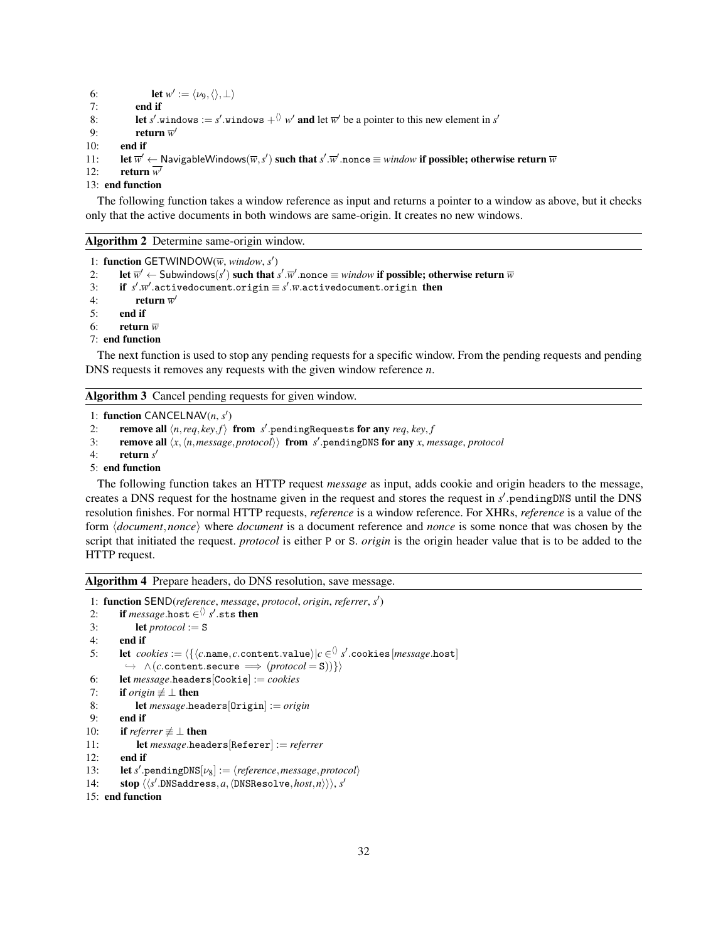- 6: **let**  $w' := \langle \nu_9, \langle \rangle, \bot \rangle$
- 7: end if

```
8: let s' windows := s' windows +\binom{0}{w} and let \overline{w}' be a pointer to this new element in s'
```
9: **return**  $\overline{w}'$ 

```
10: end if
```

```
11: let \overline{w}' \leftarrow NavigableWindows(\overline{w}, s') such that s' \cdot \overline{w}' nonce \equiv window if possible; otherwise return \overline{w}
```
12: return  $w'$ 

# 13: end function

The following function takes a window reference as input and returns a pointer to a window as above, but it checks only that the active documents in both windows are same-origin. It creates no new windows.

Algorithm 2 Determine same-origin window.

```
1: function GETWINDOW(\overline{w}, window, s')
```

```
2: Let \overline{w}' \leftarrow Subwindows(s') such that s' \cdot \overline{w}' nonce \equiv window if possible; otherwise return \overline{w}
```
 $3:$  **if**  $s'.\overline{w}'.$  activedocument.origin  $\equiv s'.\overline{w}.$  activedocument.origin then

```
4: return \overline{w}'
```

```
5: end if
```
6: **return**  $\overline{w}$ 

```
7: end function
```
The next function is used to stop any pending requests for a specific window. From the pending requests and pending DNS requests it removes any requests with the given window reference *n*.

Algorithm 3 Cancel pending requests for given window.

```
1: function CANCELNAV(n, s')
```
- 2: remove all  $\langle n, req, key, f \rangle$  from *s*' pendingRequests for any *req*, *key*, *f*
- 3: remove all  $\langle x, \langle n, \text{message}, \text{protocol} \rangle \rangle$  from *s*' pendingDNS for any *x*, *message*, *protocol*
- 4: return *s* 0
- 5: end function

The following function takes an HTTP request *message* as input, adds cookie and origin headers to the message, creates a DNS request for the hostname given in the request and stores the request in *s'* pendingDNS until the DNS resolution finishes. For normal HTTP requests, *reference* is a window reference. For XHRs, *reference* is a value of the form h*document*,*nonce*i where *document* is a document reference and *nonce* is some nonce that was chosen by the script that initiated the request. *protocol* is either P or S. *origin* is the origin header value that is to be added to the HTTP request.

Algorithm 4 Prepare headers, do DNS resolution, save message.

```
1: function SEND(reference, message, protocol, origin, referrer, s
0
)
 2: if \mathit{message} host \in \Diamond s' sts then
3: let protocol := S
4: end if
 5: let cookies := \langle \{\langle c.\mathtt{name}, c.\mathtt{content}.\mathtt{value}\rangle|c\in \rangle \text{ } s'.\mathtt{cookies}[message.\mathtt{host}]\rightarrow \wedge (c.\mathtt{content}.\mathtt{secure} \implies (protocol = S))6: let message.headers[Cookie] := cookies
7: if origin \neq \perp then
8: let message.headers[Origin] := origin
9: end if
10: if referrer \neq \perp then
11: let message.headers[Referer] := referrer
12: end if
13: let s'.pendingDNS[\nu_8] := \langle reference, message, protocol \rangle14: stop \langle \langle s'.DNSaddress, a, \langleDNSResolve, host, n \rangle \rangle, s'
```

```
15: end function
```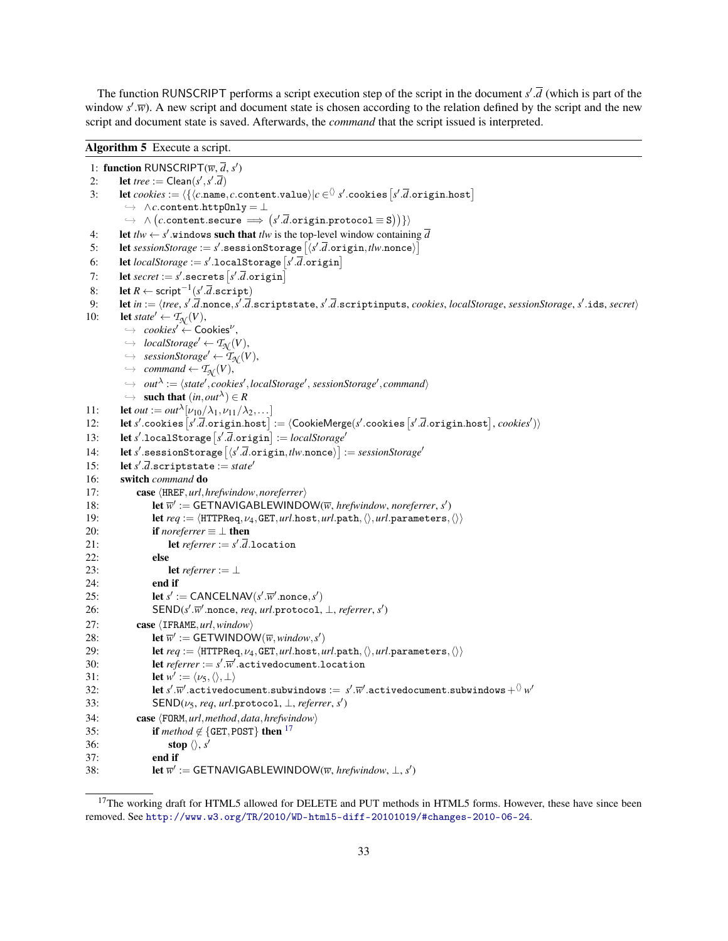The function RUNSCRIPT performs a script execution step of the script in the document  $s'$ . $\bar{d}$  (which is part of the window  $s'$ . $\overline{w}$ ). A new script and document state is chosen according to the relation defined by the script and the new script and document state is saved. Afterwards, the *command* that the script issued is interpreted.

Algorithm 5 Execute a script.

1: function RUNSCRIPT( $\overline{w}$ ,  $\overline{d}$ ,  $s'$ ) 2: **let** *tree* := Clean( $s', s'$ . $\overline{d}$ )  $3:$  let  $cookies := \langle \{ \langle c.\texttt{name}, c.\texttt{content.value} \rangle | c \in \langle \rangle \text{ } s'.\texttt{cookies}\left[ s'.\overline{d}.\texttt{origin}.\texttt{host} \right] \rangle$ ,→ ∧*c*.content.httpOnly = ⊥  $\rightarrow \ \land (c.\mathtt{content}.\mathtt{secure} \implies (s'.\overline{d}.\mathtt{origin}.\mathtt{protocol} \equiv \mathtt{S})))\}$ 4: **let**  $tlw \leftarrow s'$  windows such that  $tlw$  is the top-level window containing  $\overline{d}$  $5:$  **let**  $sessionStorage := s'.{\tt sessionStorage}\left[ \langle s'.\overline{d}.\text{origin},\textit{tlw}.\text{none}\rangle \right]$ 6: **let**  $\text{localStorage} := s'.\text{localStorage}[s'.\overline{d}.\text{origin}]$ 7: **let**  $secret := s'.secret \s[ s'.\overline{d}.\text{origin}]$ 8: **let**  $R$  ← script<sup>-1</sup>( $s'$ . $\overline{d}$ .script) 9: let *in* := h*tree*, *s* 0 .*d*.nonce,*s* 0 .*d*.scriptstate, *s* 0 .*d*.scriptinputs, *cookies*, *localStorage*, *sessionStorage*, *s* 0 .ids, *secret*i 10: **let** *state*<sup> $\prime$ </sup>  $\leftarrow$   $\mathcal{T}_{\mathcal{N}}(V)$ ,  $\rightarrow \ \ \textit{cookies}' \leftarrow \textsf{Cookies}^{\nu},$  $\hookrightarrow$  *localStorage'*  $\leftarrow$   $T_{\mathcal{N}}(V)$ ,  $\rightarrow$  *sessionStorage'*  $\leftarrow \widetilde{T}_{\mathcal{N}}(V)$ ,  $\hookrightarrow$  *command*  $\leftarrow T_{\mathcal{N}}(V),$  $\rightarrow$  *out*<sup> $\lambda$ </sup> :=  $\langle$ *state<sup>* $l$ *</sup>, cookies<sup>* $l$ *</sup>, localStorage<sup>* $l$ *</sup>, <i>sessionStorage<sup>* $l$ *</sup>, command* $\rangle$  $\rightarrow$  **such that**  $(in,out^{\lambda}) \in R$ 11: **let** *out* :=  $\omega u^{\lambda}[\nu_{10}/\lambda_1, \nu_{11}/\lambda_2,...]$ 12: **let** s' cookies  $[s', \overline{d}$  origin host  $] := \langle \text{CookieMerge}(s', \text{cookies}[s', \overline{d}, \text{origin} \text{.host}], \text{cookies}' \rangle \rangle$ 13: **let** *s*'.localStorage  $[s'$ . $\overline{d}$ .origin  $] := localStorage'$ 14: **let** *s*' sessionStorage  $\left[ \langle s', \overline{d} \text{.origin}, \textit{tlw} \text{.none} \rangle \right] := \textit{sessionStorage}'$ 15: **let**  $s'$ **.** $\overline{d}$ **.scriptstate** := *state*<sup> $\prime$ </sup> 16: switch *command* do 17: **case**  $\langle$ HREF, *url*, *hrefwindow*, *noreferrer*) 18: **let**  $\overline{w}' := \text{GETNAVIGABLEWINDOW}(\overline{w}, \text{hrefwindown}{\text{indown}}, \text{moreferrer}, \text{sf}, \text{def})$ 19: **let**  $req := \langle \text{HTTPReq}, \nu_4, \text{GET}, url.\text{host}, url.\text{path}, \langle \rangle, url.\text{parameters}, \langle \rangle \rangle$ <br>20: **if** noreferrer  $\equiv$  | **then** 20: if *noreferrer* ≡ ⊥ then 21: **let** *referrer* :=  $s'$ . $\overline{d}$ .location 22: else 23: let *referrer* := ⊥ 24: end if 25: **let**  $s' := \text{CANCELNAV}(s' \cdot \overline{w}' \text{.nonce}, s')$ 26: **SEND**( $s'$ . $\overline{w}'$ .nonce, *req*, *url*.protocol,  $\perp$ , *referrer*,  $s'$ ) 27: case  $\langle \text{IFRAME}, \text{url}, \text{window} \rangle$ 28: **let**  $\overline{w}' := \text{GETWINDOW}(\overline{w}, \text{window}, s')$ 29: **let**  $req := \langle \text{HTTPReg}, \nu_4, \text{GET}, url.\text{host}, url.\text{path}, \langle \rangle, url.\text{parameters}, \langle \rangle \rangle$ 30: **let** *referrer* :=  $s'.\overline{w}'$  activedocument.location 31: **let**  $w' := \langle \nu_5, \langle \rangle, \bot \rangle$  $32:$  let  $s'.\overline{w}'.$  activedocument.subwindows :=  $s'.\overline{w}'.$  activedocument.subwindows  $+\langle\!\rangle\,w'$ 33: **SEND**( $\nu$ <sub>5</sub>, *req*, *url*.protocol,  $\bot$ , *referrer*, *s'*) 34: case hFORM,*url*,*method*,*data*,*hrefwindow*i 35: **if**  $\text{method} \notin \{\text{GET}, \text{POST}\}\$  then <sup>[17](#page-32-1)</sup> 36: **stop**  $\langle \rangle, s'$ 37: end if 38: **let**  $\overline{w}' := \text{GETNAVIGABLEWINDOW}(\overline{w}, \text{hrefwindown}{hrefwindown}, \perp, s')$ 

<span id="page-32-1"></span><span id="page-32-0"></span><sup>&</sup>lt;sup>17</sup>The working draft for HTML5 allowed for DELETE and PUT methods in HTML5 forms. However, these have since been removed. See <http://www.w3.org/TR/2010/WD-html5-diff-20101019/#changes-2010-06-24>.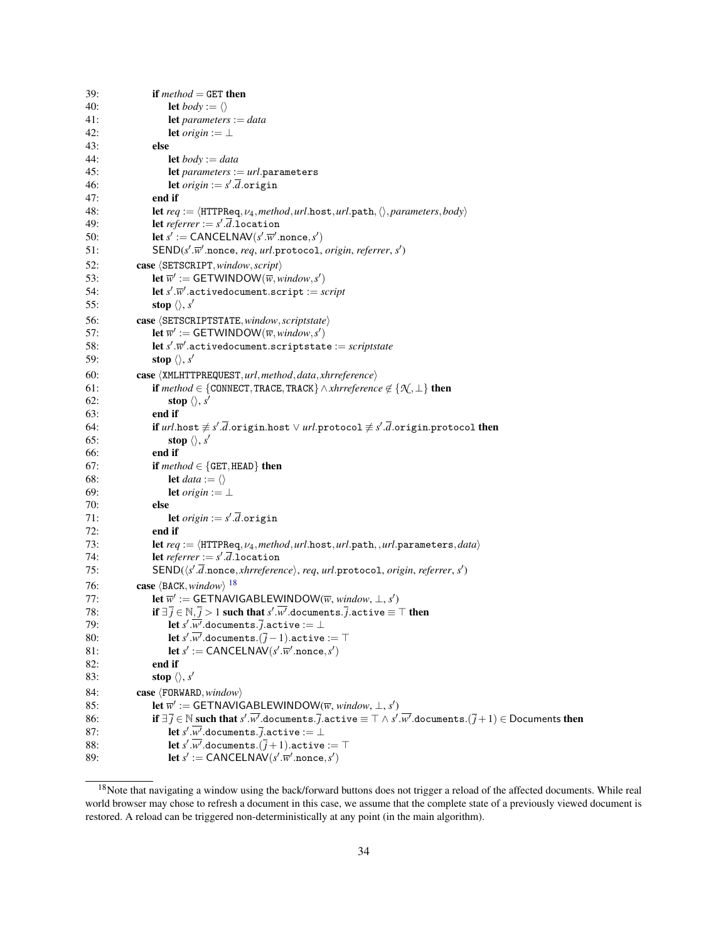| 39: | if $method = GET$ then                                                                                                                                                                        |
|-----|-----------------------------------------------------------------------------------------------------------------------------------------------------------------------------------------------|
| 40: | <b>let</b> <i>body</i> := $\langle \rangle$                                                                                                                                                   |
| 41: | <b>let</b> parameters := data                                                                                                                                                                 |
| 42: | let <i>origin</i> := $\perp$                                                                                                                                                                  |
| 43: | else                                                                                                                                                                                          |
| 44: | <b>let</b> <i>body</i> := <i>data</i>                                                                                                                                                         |
| 45: | let parameters := $url$ .parameters                                                                                                                                                           |
| 46: | let <i>origin</i> := $s'$ . <i>d</i> .origin                                                                                                                                                  |
| 47: | end if                                                                                                                                                                                        |
| 48: | <b>let</b> req := $\langle$ HTTPReq, $\nu_4$ , method, url.host, url.path, $\langle \rangle$ , parameters, body)                                                                              |
| 49: | let referrer := $s'$ . d. location                                                                                                                                                            |
| 50: | <b>let</b> $s' := \text{CANCELNAV}(s'.\overline{w}'.\text{none}, s')$                                                                                                                         |
| 51: | $\mathsf{SEND}(s'.\overline{w}'.\text{none}, \text{req}, \text{url}.\text{protocol}, \text{origin}, \text{refer} \text{ref}, s')$                                                             |
| 52: | case (SETSCRIPT, window, script)                                                                                                                                                              |
| 53: | <b>let</b> $\overline{w}'$ := GETWINDOW( $\overline{w}$ , window, s')                                                                                                                         |
| 54: | let $s'.\overline{w}'$ active document script := script                                                                                                                                       |
| 55: | stop $\langle \rangle$ , s'                                                                                                                                                                   |
| 56: | case $\langle$ SETSCRIPTSTATE, window, scriptstate $\rangle$                                                                                                                                  |
| 57: | <b>let</b> $\overline{w}' := \text{GETWINDOW}(\overline{w}, \text{window}, s')$                                                                                                               |
| 58: | let $s'.\overline{w}'$ actived ocument scriptstate := scriptstate                                                                                                                             |
| 59: | stop $\langle \rangle$ , s'                                                                                                                                                                   |
| 60: | case (XMLHTTPREQUEST, url, method, data, xhrreference)                                                                                                                                        |
| 61: | <b>if</b> method $\in$ {CONNECT, TRACE, TRACK} $\wedge$ xhrreference $\notin$ { $\mathcal{N}, \perp$ } <b>then</b>                                                                            |
| 62: | stop $\langle \rangle$ , s'                                                                                                                                                                   |
| 63: | end if                                                                                                                                                                                        |
| 64: | <b>if</b> $url.\text{host} \neq s'.\overline{d}.\text{origin}.\text{host} \vee url.\text{protocol} \neq s'.\overline{d}.\text{origin}.\text{protocol}$ then                                   |
| 65: | stop $\langle \rangle$ , s'                                                                                                                                                                   |
| 66: | end if                                                                                                                                                                                        |
| 67: | if $method \in \{\texttt{GET}, \texttt{HEAD}\}\)$ then                                                                                                                                        |
| 68: | <b>let</b> data := $\langle \rangle$                                                                                                                                                          |
| 69: | let <i>origin</i> := $\perp$                                                                                                                                                                  |
| 70: | else                                                                                                                                                                                          |
| 71: | let <i>origin</i> := $s' \cdot \overline{d}$ origin                                                                                                                                           |
| 72: | end if                                                                                                                                                                                        |
| 73: | let $req := \langle \text{HTTPReq}, \nu_4, \text{method}, \text{url}.\text{host}, \text{url}.\text{path}, \text{url}.\text{parameters}, \text{data} \rangle$                                  |
| 74: | let referrer := $s'$ . d. location                                                                                                                                                            |
| 75: | $\mathsf{SEND}(\langle s'.\overline{d}.\mathsf{nonce}, \mathit{xhrreference}\rangle, \mathit{req}, \mathit{url}.\mathsf{protocol}, \mathit{origin}, \mathit{referrer}, s')$                   |
| 76: | case $\langle BACK, window \rangle$ <sup>18</sup>                                                                                                                                             |
| 77: | <b>let</b> $\overline{w}' :=$ GETNAVIGABLEWINDOW( $\overline{w}$ , window, $\perp$ , s')                                                                                                      |
| 78: | if $\exists j \in \mathbb{N}, j > 1$ such that s'.w'.documents.j.active $\equiv \top$ then                                                                                                    |
| 79: | let $s'.\overline{w'}$ .documents.j.active := $\bot$                                                                                                                                          |
| 80: | let $s'.\overline{w'}$ .documents. $(\overline{j}-1)$ .active := T                                                                                                                            |
| 81: | let $s' := \text{CANCELNAV}(s'.\overline{w}'.\text{none}, s')$                                                                                                                                |
| 82: | end if                                                                                                                                                                                        |
| 83: | stop $\langle \rangle$ , s'                                                                                                                                                                   |
| 84: | case $\langle$ FORWARD, window $\rangle$                                                                                                                                                      |
| 85: | <b>let</b> $\overline{w}' :=$ GETNAVIGABLEWINDOW( $\overline{w}$ , window, $\perp$ , s')                                                                                                      |
| 86: | if $\exists \overline{j} \in \mathbb{N}$ such that $s'.\overline{w'}$ documents. $\overline{j}$ active $\equiv \top \wedge s'.\overline{w'}$ documents. $(\overline{j}+1) \in$ Documents then |
| 87: | let $s'.\overline{w'}$ . documents. $\overline{j}$ . active := $\perp$                                                                                                                        |
| 88: | let $s'.\overline{w'}$ .documents. $(\overline{j}+1)$ .active := T                                                                                                                            |
| 89: | let $s' := \text{CANCELNAV}(s'.\overline{w}'.\text{none}, s')$                                                                                                                                |

<span id="page-33-0"></span><sup>&</sup>lt;sup>18</sup>Note that navigating a window using the back/forward buttons does not trigger a reload of the affected documents. While real world browser may chose to refresh a document in this case, we assume that the complete state of a previously viewed document is restored. A reload can be triggered non-deterministically at any point (in the main algorithm).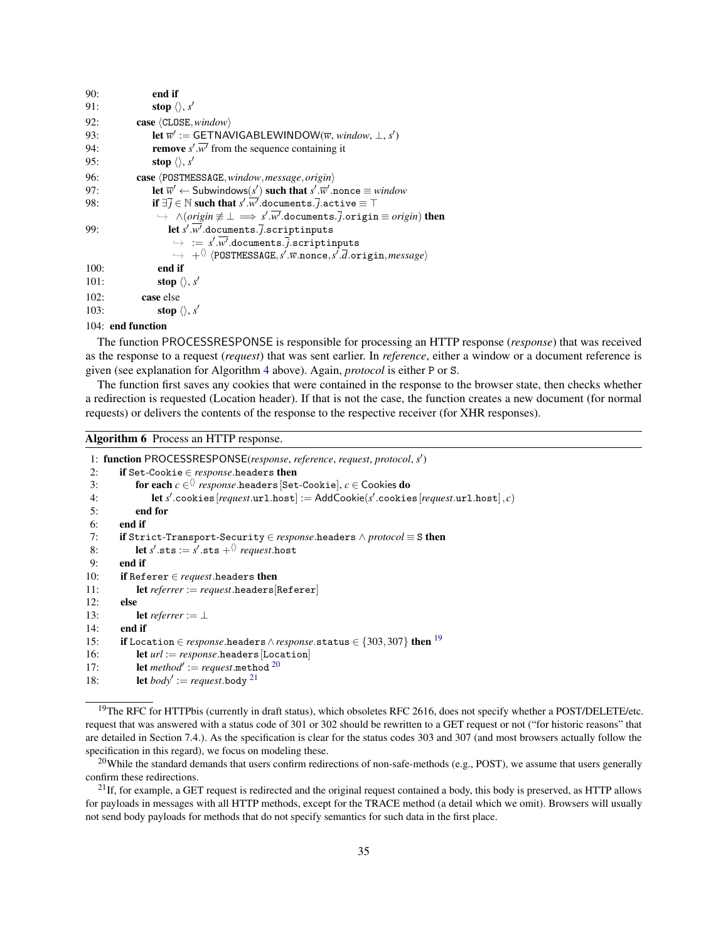| 90:  | end if                                                                                                                             |
|------|------------------------------------------------------------------------------------------------------------------------------------|
| 91:  | stop $\langle \rangle$ , s'                                                                                                        |
| 92:  | case (CLOSE, window)                                                                                                               |
| 93:  | <b>let</b> $\overline{w}' :=$ GETNAVIGABLEWINDOW( $\overline{w}$ , window, $\perp$ , s')                                           |
| 94:  | <b>remove</b> $s'.\overline{w'}$ from the sequence containing it                                                                   |
| 95:  | stop $\langle \rangle$ , s'                                                                                                        |
| 96:  | case (POSTMESSAGE, window, message, origin)                                                                                        |
| 97:  | <b>let</b> $\overline{w}' \leftarrow$ Subwindows(s') such that s' $\overline{w}'$ nonce $\equiv$ window                            |
| 98:  | if $\exists \overline{j} \in \mathbb{N}$ such that $s'.\overline{w'}$ documents. $\overline{j}$ active $\equiv \top$               |
|      | $\rightarrow \wedge (origin \neq \bot \implies s'.\overline{w'}.\text{ documents.} \overline{j}.\text{origin} \equiv origin)$ then |
| 99:  | let $s'.\overline{w'}.$ documents. $\overline{j}$ .scriptinputs                                                                    |
|      | $\Rightarrow$ := $s'.\overline{w'}.$ documents. j. scriptinputs                                                                    |
|      | $\rightarrow +\langle \rangle$ (POSTMESSAGE, s' $\overline{w}$ nonce, s' $\overline{d}$ origin, message)                           |
| 100: | end if                                                                                                                             |
| 101: | stop $\langle \rangle$ , s'                                                                                                        |
| 102: | case else                                                                                                                          |
| 103: | stop $\langle \rangle$ , s'                                                                                                        |
|      |                                                                                                                                    |

#### 104: end function

The function PROCESSRESPONSE is responsible for processing an HTTP response (*response*) that was received as the response to a request (*request*) that was sent earlier. In *reference*, either a window or a document reference is given (see explanation for Algorithm [4](#page-31-0) above). Again, *protocol* is either P or S.

The function first saves any cookies that were contained in the response to the browser state, then checks whether a redirection is requested (Location header). If that is not the case, the function creates a new document (for normal requests) or delivers the contents of the response to the respective receiver (for XHR responses).

### Algorithm 6 Process an HTTP response.

```
1: function PROCESSRESPONSE(response, reference, request, protocol, s
0
)
2: if Set-Cookie ∈ response.headers then
 3: \qquad \qquad {\bf for~ each}~c \in ^{\langle \rangle } \mathit{response}.headers [Set-Cookie], c \in Cookies {\bf do}4: let s'.cookies[request.url.host] := AddCookie(s'.cookies[request.url.host], c)
5: end for
6: end if
7: if Strict-Transport-Security ∈ response.headers ∧ protocol ≡ S then
 8: let s' sts := s' sts +\langle\rangle request.host
9: end if
10: if Referer ∈ request.headers then
11: let referrer := request.headers[Referer]
12: else
13: let referrer := ⊥
14: end if
15: if Location ∈ response.headers∧response.status ∈ {303,307} then 19
16: let url := response.headers [Location]
17: let 20}18: let body' := request21</sup>
```
<span id="page-34-1"></span><sup>&</sup>lt;sup>19</sup>The RFC for HTTPbis (currently in draft status), which obsoletes RFC 2616, does not specify whether a POST/DELETE/etc. request that was answered with a status code of 301 or 302 should be rewritten to a GET request or not ("for historic reasons" that are detailed in Section 7.4.). As the specification is clear for the status codes 303 and 307 (and most browsers actually follow the specification in this regard), we focus on modeling these.

<span id="page-34-2"></span><sup>&</sup>lt;sup>20</sup>While the standard demands that users confirm redirections of non-safe-methods (e.g., POST), we assume that users generally confirm these redirections.

<span id="page-34-3"></span><span id="page-34-0"></span> $^{21}$  If, for example, a GET request is redirected and the original request contained a body, this body is preserved, as HTTP allows for payloads in messages with all HTTP methods, except for the TRACE method (a detail which we omit). Browsers will usually not send body payloads for methods that do not specify semantics for such data in the first place.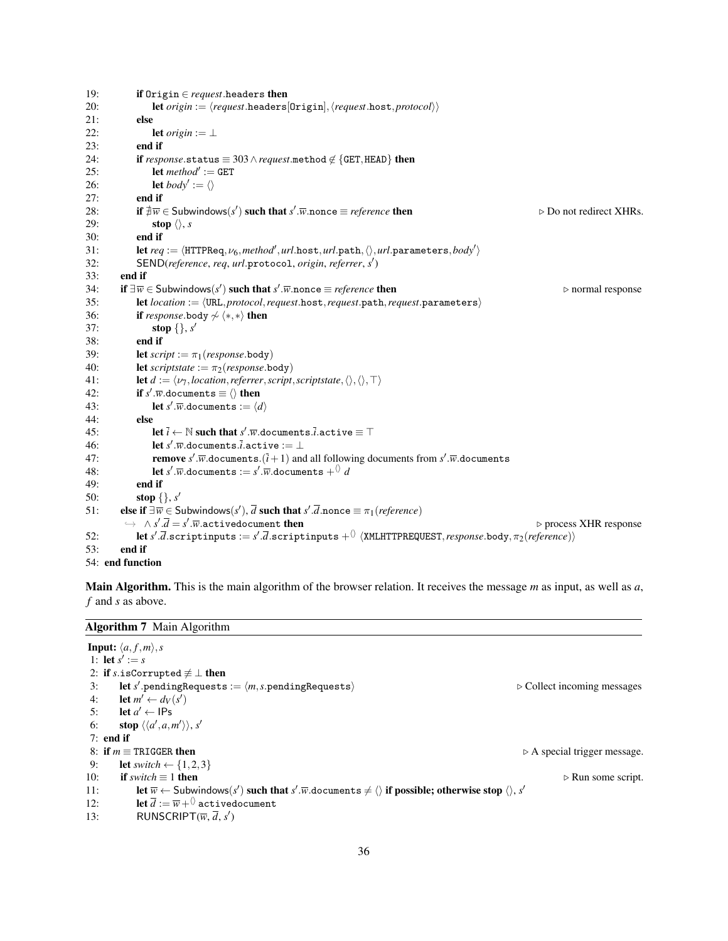```
19: if Origin ∈ request.headers then
20: let origin := \langle request \cdot \text{heads}[\text{Original}], \langle request \cdot \text{host}, \text{protocol} \rangle \rangle21: else
22: let origin := ⊥
23: end if
24: if response.\text{status} \equiv 303 \land request.\text{method} \notin \{\text{GET}, \text{HEAD}\}\) then
25: let method' := GET26: let body' := \langle \rangle27: end if
28: if \exists \overline{w} \in \text{Subwindows}(s') such that s' \cdot \overline{w} nonce \equiv \text{reference} then \Rightarrow Do not redirect XHRs.
29: \mathbf{stop} \langle \rangle, s30: end if
31: let req := \langle \text{HTTPReq}, \nu_6, \text{method}^\prime, \text{url}.\text{host}, \text{url}.\text{path}, \langle \rangle, \text{url}.\text{parameters}, body^\prime \rangle32: SEND(reference, req, url.protocol, origin, referrer, s
0
)
33: end if
34: if \exists \overline{w} \in \mathsf{Subwindows}(s') such that s'.\overline{w} nonce \equiv \text{reference} then \triangleright normal response
35: let location := \langle \text{URL}, protocol, request.\text{host}, request.\text{path}, request.\text{parameters} \rangle36: if response.body \sim \langle *, * \rangle then
37: stop \{ \}, s'
38: end if
39: let script := \pi_1(response.body)<br>40: let scriptstate := \pi_2(response.boty)
40: let scriptstate := \pi_2(respose.body)<br>41: let d := \langle \nu_1, location, reference, script \rangle41: let d := \langle \nu_7, \text{location}, \text{reference} \rangle, \text{script} \rangle, \langle \rangle, \langle \rangle, \top \rangle<br>42: if s'.\overline{w}, documents \equiv \langle \rangle then
42: if s'.\overline{w}.documents \equiv \langle \rangle then
43: let s'.\overline{w}.documents := \langle d \rangle44: else
45: let \bar{i} \leftarrow \mathbb{N} such that s'.\overline{w}. documents.\bar{i}. active \equiv \top46: let s'.\overline{w}.documents.\overline{i}.active := \bot47: remove s'.\overline{w}.documents.(\overline{i}+1) and all following documents from s'.\overline{w}.documents
48: let s'.\overline{w}.documents := s'.\overline{w}.documents +^{\langle\rangle}d49: end if
50: stop \{ \}, s'
51: else if \exists \overline{w} \in Subwindows(s'), \overline{d} such that s'.\overline{d}.nonce \equiv \pi_1(\text{reference})\rightarrow \alpha s'.\overline{d} = s'.\overline{w}.\text{activedocument then} b process XHR response
52: let s'.\overline{d}.scriptinputs := s'.\overline{d}.scriptinputs +^\Diamond \, (XMLHTTPREQUEST,response.body,\pi_2(\mathit{reference})\rangle53: end if
54: end function
```
Main Algorithm. This is the main algorithm of the browser relation. It receives the message *m* as input, as well as *a*, *f* and *s* as above.

### Algorithm 7 Main Algorithm

**Input:**  $\langle a, f, m \rangle$ , *s* 1: **let**  $s' := s$ 2: if *s*.isCorrupted  $\neq \bot$  then 3: let *s'* pendingRequests :=  $\langle m, s \rangle$  pendingRequests .  $\triangleright$   $\triangleright$  Collect incoming messages 4: **let**  $m' \leftarrow d_V(s')$ 5: **let**  $a' \leftarrow \text{IPs}$ 6: **stop**  $\langle \langle a', a, m' \rangle \rangle$ , s' 7: end if 8: if  $m \equiv \text{TRIGGER}$  then  $\triangleright$  A special trigger message. 9: **let** *switch*  $\leftarrow \{1,2,3\}$ 10: **if** *switch*  $\equiv 1$  **then**  $\triangleright$  **Run** some script. 11: **let**  $\overline{w} \leftarrow$  Subwindows(*s'*) such that  $s' \cdot \overline{w}$ .documents  $\neq \langle \rangle$  if possible; otherwise stop  $\langle \rangle$ ,  $s'$ 12: **let**  $\overline{d} := \overline{w} + \langle \rangle$  activedocument

<span id="page-35-0"></span>13: RUNSCRIPT( $\overline{w}$ ,  $\overline{d}$ ,  $s'$ )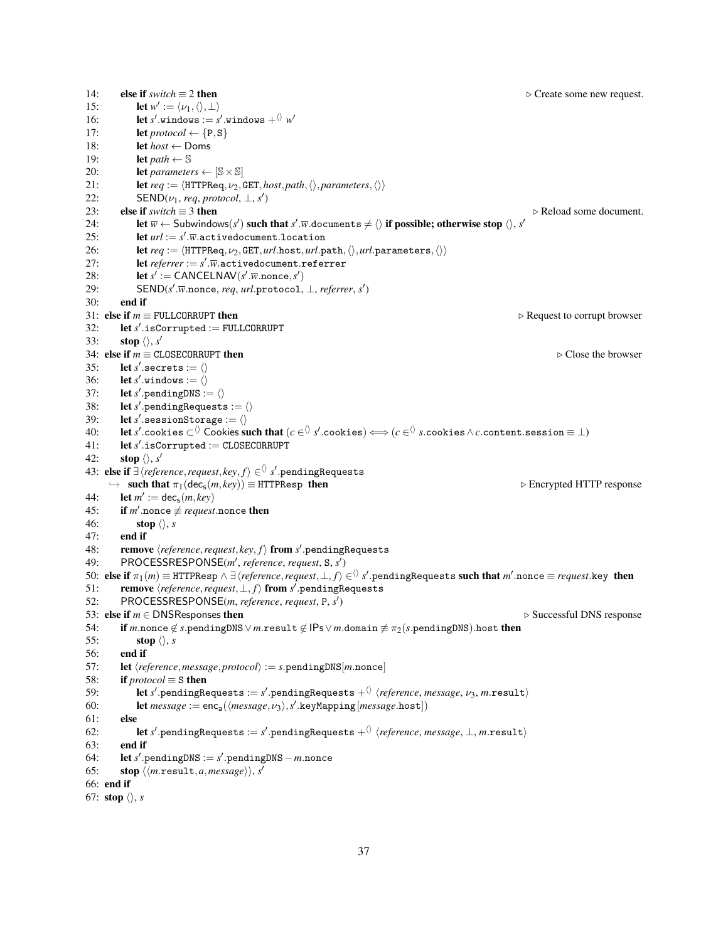14: **else if** *switch* ≡ 2 **then b** Create some new request. 15: **let**  $w' := \langle \nu_1, \langle \rangle, \bot \rangle$ 16: **let** *s*' windows := *s*' windows + $\langle \rangle$  *w*' 17: **let**  $\text{protocol} \leftarrow \{P, S\}$ 18: let *host* ← Doms 19: **let**  $path \leftarrow \mathbb{S}$ 20: **let** *parameters*  $\leftarrow$   $[\mathbb{S} \times \mathbb{S}]$ 21: **let**  $req := \langle \text{HTTPReg}, \nu_2, \text{GET}, \text{host}, \text{path}, \langle \rangle, \text{parameters}, \langle \rangle \rangle$ 22: **SEND**( $\nu_1$ , *req*, *protocol*,  $\bot$ , *s'*) 23: **else if**  $switch \equiv 3$  **then**  $\triangleright$  **Reload some document.** 24: **let**  $\overline{w} \leftarrow$  Subwindows $(s')$  such that  $s'.\overline{w}.$  documents  $\neq \langle \rangle$  if possible; otherwise stop  $\langle \rangle$ ,  $s'$ 25: **let**  $url := s' \cdot \overline{w}$  activedocument.location 26: **let**  $req := \langle \text{HTTPReq}, \nu_2, \text{GET}, \text{url}.\text{host}, \text{url}.\text{path}, \langle \rangle, \text{url}.\text{parameters}, \langle \rangle \rangle$ 27: **let** *referrer* :=  $s'$ . $\overline{w}$ .activedocument.referrer 28: **let**  $s' := \text{CANCELNAV}(s'.\overline{w}.\text{nonce}, s')$ 29: **SEND**( $s'$ . $\overline{w}$ .nonce, *req*, *url*.protocol,  $\perp$ , *referrer*,  $s'$ ) 30: end if 31: **else if**  $m \equiv \text{FULLCORRUPT}$  then **Request to corrupt browser**  $\triangleright$  Request to corrupt browser 32: **let** *s*'.isCorrupted := FULLCORRUPT 33: **stop**  $\langle \rangle$ , *s'* 34: else if  $m \equiv$  CLOSECORRUPT then . Close the browser 35: **let**  $s'$  secrets  $:= \langle \rangle$ 36: **let** *s'* windows :=  $\langle \rangle$ 37: **let** *s'* pendingDNS :=  $\langle \rangle$ 38: **let** *s*'.pendingRequests :=  $\langle \rangle$  $39:$  **let** *s*<sup> $\prime$ </sup>. sessionStorage  $:= \langle \rangle$ 40: let *s* 0 .cookies ⊂hi Cookies such that (*c* ∈ hi *s* 0 .cookies) ⇐⇒ (*c* ∈ hi *s*.cookies∧*c*.content.session ≡ ⊥) 41: **let** *s*'.isCorrupted := CLOSECORRUPT 42: **stop**  $\langle \rangle$ , *s'* 43: else if ∃ h*reference*,*request*, *key*, *f*i ∈hi *s* 0 .pendingRequests  $\rightarrow$  **such that**  $\pi_1$ (dec<sub>s</sub>(*m*, *key*)) ≡ HTTPResp then  $\triangleright$  Encrypted HTTP response 44: **let**  $m' := \text{dec}_s(m, \text{key})$  $45:$  **if**  $m'$  nonce  $\not\equiv$  *request* nonce **then** 46: **stop**  $\langle \rangle$ , *s* 47: end if 48: remove  $\langle reference, request, key, f \rangle$  from *s'*.pendingRequests 49: PROCESSRESPONSE(*m'*, *reference*, *request*, S, *s'*)  $50\colon$  else if  $\pi_1(m)$   $\equiv$  HTTPResp  $\land$   $\exists$   $\langle$  *reference, request,*  $\perp$ ,  $f\rangle$   $\in$   $\Diamond$   $s'$ .pendingRequests such that  $m'$ .nonce  $\equiv$  *request*.key then 51: remove *(reference,request,*⊥,*f)* from *s'* pendingRequests 52: PROCESSRESPONSE(*m*, *reference*, *request*, P, *s* 0 ) 53: else if  $m \in$  DNSResponses then . Successful DNS response 54: **if** *m*.nonce  $\notin$  *s*.pendingDNS  $\vee$  *m*.result  $\notin$  IPs  $\vee$  *m*.domain  $\notin \pi_2(s$ .pendingDNS).host then 55: stop  $\langle \rangle$ , *s* 56: end if 57: let  $\langle reference, message, protocol \rangle := s.\text{pendingDNS}[m.\text{none}]$ 58: **if** *protocol*  $\equiv$  **S** then 59: let  $s'$ .pendingRequests :=  $s'$ .pendingRequests  $+\langle\rangle$   $\langle$  *reference, message,*  $\nu_3$ *, m.*result $\rangle$ 60: **let**  $message := enc_a(\langle message, \nu_3 \rangle, s'.keyMapping[message.host])$ 61: else 62: let *s* 0 .pendingRequests := *s* 0 .pendingRequests +hi h*reference*, *message*, ⊥, *m*.resulti 63: end if 64: let *s* 0 .pendingDNS := *s* 0 .pendingDNS−*m*.nonce 65: stop  $\langle \langle m.\mathtt{result},a,message \rangle \rangle, s^{\prime}$ 66: end if 67: **stop**  $\langle \rangle$ , *s*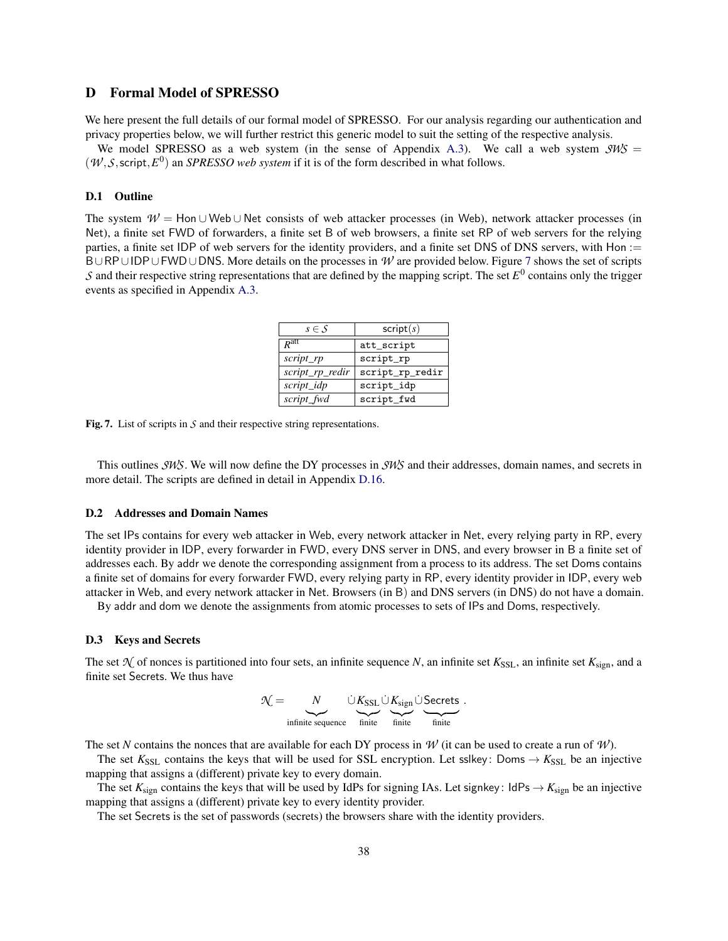## D Formal Model of SPRESSO

We here present the full details of our formal model of SPRESSO. For our analysis regarding our authentication and privacy properties below, we will further restrict this generic model to suit the setting of the respective analysis.

We model SPRESSO as a web system (in the sense of Appendix [A.3\)](#page-24-0). We call a web system  $SWS =$  $(W, S, script, E<sup>0</sup>)$  an *SPRESSO web system* if it is of the form described in what follows.

### <span id="page-37-1"></span>D.1 Outline

<span id="page-37-0"></span>The system *W* = Hon ∪ Web ∪ Net consists of web attacker processes (in Web), network attacker processes (in Net), a finite set FWD of forwarders, a finite set B of web browsers, a finite set RP of web servers for the relying parties, a finite set IDP of web servers for the identity providers, and a finite set DNS of DNS servers, with Hon := B∪RP∪IDP∪FWD∪DNS. More details on the processes in *W* are provided below. Figure [7](#page-37-0) shows the set of scripts  $S$  and their respective string representations that are defined by the mapping script. The set  $E^0$  contains only the trigger events as specified in Appendix [A.3.](#page-24-0)

| $s \in \mathcal{S}$ | script(s)       |
|---------------------|-----------------|
| $R$ <sup>att</sup>  | att_script      |
| script_rp           | script_rp       |
| script_rp_redir     | script_rp_redir |
| script_idp          | script_idp      |
| script_fwd          | script_fwd      |

Fig. 7. List of scripts in *S* and their respective string representations.

This outlines *SWS*. We will now define the DY processes in *SWS* and their addresses, domain names, and secrets in more detail. The scripts are defined in detail in Appendix [D.16.](#page-44-0)

### D.2 Addresses and Domain Names

The set IPs contains for every web attacker in Web, every network attacker in Net, every relying party in RP, every identity provider in IDP, every forwarder in FWD, every DNS server in DNS, and every browser in B a finite set of addresses each. By addr we denote the corresponding assignment from a process to its address. The set Doms contains a finite set of domains for every forwarder FWD, every relying party in RP, every identity provider in IDP, every web attacker in Web, and every network attacker in Net. Browsers (in B) and DNS servers (in DNS) do not have a domain.

By addr and dom we denote the assignments from atomic processes to sets of IPs and Doms, respectively.

#### D.3 Keys and Secrets

The set  $\mathcal{N}_0$  of nonces is partitioned into four sets, an infinite sequence *N*, an infinite set  $K_{\text{SSL}}$ , an infinite set  $K_{\text{sign}}$ , and a finite set Secrets. We thus have

$$
\mathcal{H} = \underbrace{N}_{\text{infinite sequence}} \underbrace{\cup K_{\text{SSL}}}_{\text{finite}} \underbrace{\cup K_{\text{sign}}}_{\text{finite}} \underbrace{\cup \text{Secrets}}_{\text{finite}}.
$$

The set *N* contains the nonces that are available for each DY process in  $W$  (it can be used to create a run of  $W$ ).

The set  $K_{\text{SSI}}$  contains the keys that will be used for SSL encryption. Let sslkey: Doms  $\rightarrow K_{\text{SSI}}$  be an injective mapping that assigns a (different) private key to every domain.

The set  $K_{sign}$  contains the keys that will be used by IdPs for signing IAs. Let signkey:  $IdPs \rightarrow K_{sign}$  be an injective mapping that assigns a (different) private key to every identity provider.

The set Secrets is the set of passwords (secrets) the browsers share with the identity providers.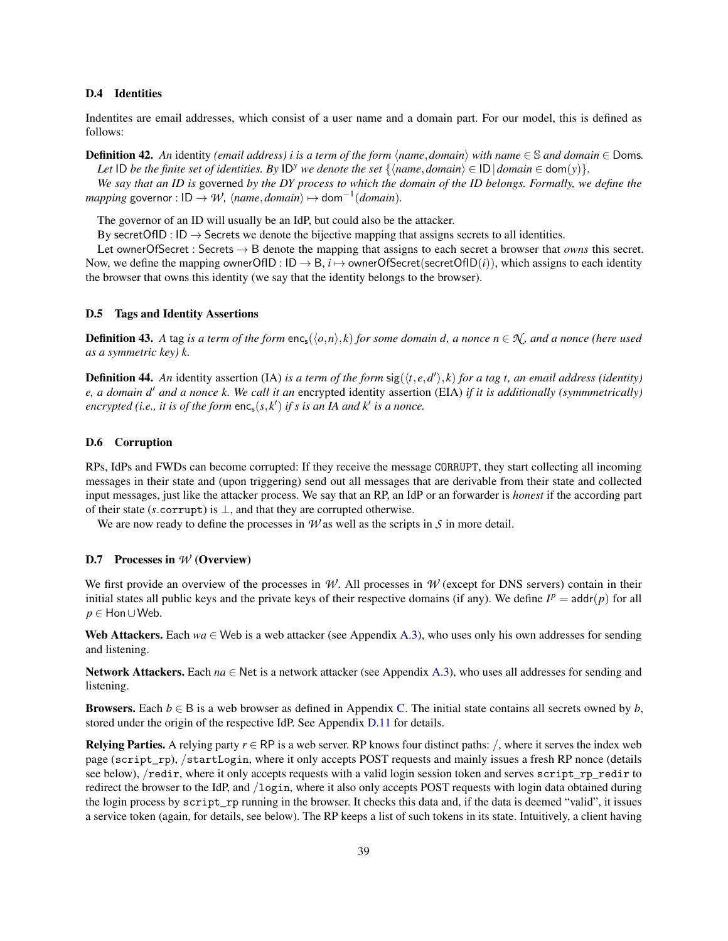### D.4 Identities

Indentites are email addresses, which consist of a user name and a domain part. For our model, this is defined as follows:

**Definition 42.** An identity *(email address) i is a term of the form*  $\langle$ *name, <i>domain* $\rangle$  *with*  $name \in S$  *and domain*  $\in$  Doms. *Let* ID *be the finite set of identities. By* ID<sup>*y*</sup> *we denote the set*  $\{\langle name, domain \rangle \in$  ID  $\{domain \in \text{dom}(y)\}$ *.* 

*We say that an ID is* governed *by the DY process to which the domain of the ID belongs. Formally, we define the*  $mapping$  governor : ID  $\rightarrow$   $\mathcal{W}$ *,*  $\langle name, domain \rangle \mapsto$  dom<sup>-1</sup> $(domain)$ *.* 

The governor of an ID will usually be an IdP, but could also be the attacker.

By secretOfID : ID  $\rightarrow$  Secrets we denote the bijective mapping that assigns secrets to all identities.

Let ownerOfSecret : Secrets → B denote the mapping that assigns to each secret a browser that *owns* this secret. Now, we define the mapping ownerOfID :  $ID \rightarrow B$ ,  $i \mapsto$  ownerOfSecret(secretOfID(*i*)), which assigns to each identity the browser that owns this identity (we say that the identity belongs to the browser).

### D.5 Tags and Identity Assertions

**Definition 43.** A tag *is a term of the form*  $enc_s(\langle o, n \rangle, k)$  *for some domain d, a nonce*  $n \in \mathcal{N}$ *, and a nonce (here used as a symmetric key) k.*

**Definition 44.** An identity assertion (IA) *is a term of the form*  $sig(\langle t, e, d' \rangle, k)$  *for a tag t, an email address (identity) e, a domain d* <sup>0</sup> *and a nonce k. We call it an* encrypted identity assertion (EIA) *if it is additionally (symmmetrically) encrypted (i.e., it is of the form*  $enc_s(s, k')$  *if s is an IA and k' is a nonce.* 

#### D.6 Corruption

RPs, IdPs and FWDs can become corrupted: If they receive the message CORRUPT, they start collecting all incoming messages in their state and (upon triggering) send out all messages that are derivable from their state and collected input messages, just like the attacker process. We say that an RP, an IdP or an forwarder is *honest* if the according part of their state ( $s$ .corrupt) is  $\perp$ , and that they are corrupted otherwise.

We are now ready to define the processes in  $W$  as well as the scripts in  $S$  in more detail.

### D.7 Processes in *W* (Overview)

We first provide an overview of the processes in  $W$ . All processes in  $W$  (except for DNS servers) contain in their initial states all public keys and the private keys of their respective domains (if any). We define  $I^p = \text{addr}(p)$  for all *p* ∈ Hon∪Web.

Web Attackers. Each  $wa \in \mathsf{Web}$  is a web attacker (see Appendix [A.3\)](#page-24-0), who uses only his own addresses for sending and listening.

Network Attackers. Each *na* ∈ Net is a network attacker (see Appendix [A.3\)](#page-24-0), who uses all addresses for sending and listening.

Browsers. Each  $b \in B$  is a web browser as defined in Appendix [C.](#page-27-0) The initial state contains all secrets owned by  $b$ , stored under the origin of the respective IdP. See Appendix [D.11](#page-39-0) for details.

**Relying Parties.** A relying party  $r \in RP$  is a web server. RP knows four distinct paths:  $/$ , where it serves the index web page (script\_rp), /startLogin, where it only accepts POST requests and mainly issues a fresh RP nonce (details see below), /redir, where it only accepts requests with a valid login session token and serves script rp\_redir to redirect the browser to the IdP, and /login, where it also only accepts POST requests with login data obtained during the login process by script\_rp running in the browser. It checks this data and, if the data is deemed "valid", it issues a service token (again, for details, see below). The RP keeps a list of such tokens in its state. Intuitively, a client having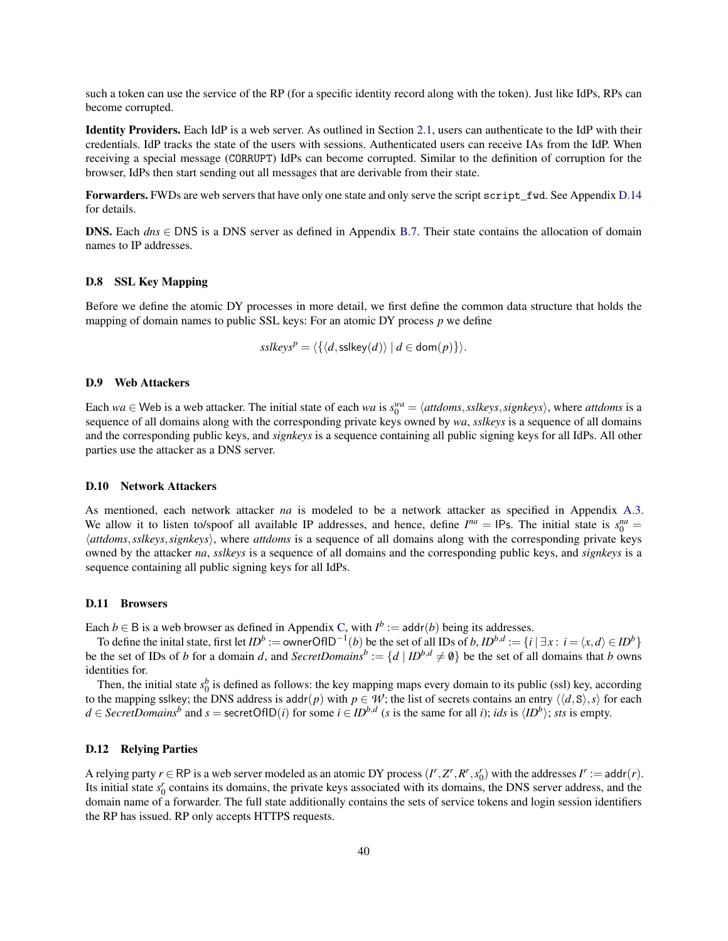such a token can use the service of the RP (for a specific identity record along with the token). Just like IdPs, RPs can become corrupted.

Identity Providers. Each IdP is a web server. As outlined in Section [2.1,](#page-4-0) users can authenticate to the IdP with their credentials. IdP tracks the state of the users with sessions. Authenticated users can receive IAs from the IdP. When receiving a special message (CORRUPT) IdPs can become corrupted. Similar to the definition of corruption for the browser, IdPs then start sending out all messages that are derivable from their state.

Forwarders. FWDs are web servers that have only one state and only serve the script script\_fwd. See Appendix [D.14](#page-43-0) for details.

DNS. Each *dns* ∈ DNS is a DNS server as defined in Appendix [B.7.](#page-27-1) Their state contains the allocation of domain names to IP addresses.

### D.8 SSL Key Mapping

Before we define the atomic DY processes in more detail, we first define the common data structure that holds the mapping of domain names to public SSL keys: For an atomic DY process *p* we define

$$
sslkeys^{p} = \langle \{ \langle d, \mathsf{sslkey}(d) \rangle \mid d \in \mathsf{dom}(p) \} \rangle.
$$

#### D.9 Web Attackers

Each  $wa \in$  Web is a web attacker. The initial state of each *wa* is  $s_0^{wa} = \langle$  *attdoms*, *sslkeys*, *signkeys* $\rangle$ , where *attdoms* is a sequence of all domains along with the corresponding private keys owned by *wa*, *sslkeys* is a sequence of all domains and the corresponding public keys, and *signkeys* is a sequence containing all public signing keys for all IdPs. All other parties use the attacker as a DNS server.

#### D.10 Network Attackers

As mentioned, each network attacker *na* is modeled to be a network attacker as specified in Appendix [A.3.](#page-24-0) We allow it to listen to/spoof all available IP addresses, and hence, define  $I^{na} = \text{IPs}$ . The initial state is  $s_0^{na} =$ h*attdoms*,*sslkeys*,*signkeys*i, where *attdoms* is a sequence of all domains along with the corresponding private keys owned by the attacker *na*, *sslkeys* is a sequence of all domains and the corresponding public keys, and *signkeys* is a sequence containing all public signing keys for all IdPs.

#### <span id="page-39-0"></span>D.11 Browsers

Each  $b \in B$  is a web browser as defined in Appendix [C,](#page-27-0) with  $I^b := \text{addr}(b)$  being its addresses.

To define the inital state, first let  $ID^b :=$  ownerOfID<sup>-1</sup>(*b*) be the set of all IDs of *b*,  $ID^{b,d} := \{i \mid \exists x : i = \langle x, d \rangle \in ID^b\}$ be the set of IDs of *b* for a domain *d*, and *SecretDomains*<sup>*b*</sup> := {*d* |  $ID^{b,d} \neq \emptyset$ } be the set of all domains that *b* owns identities for.

Then, the initial state  $s_0^b$  is defined as follows: the key mapping maps every domain to its public (ssl) key, according to the mapping sslkey; the DNS address is addr(*p*) with  $p \in W$ ; the list of secrets contains an entry  $\langle \langle d, S \rangle$ , s) for each *d* ∈ *SecretDomains*<sup>*b*</sup> and *s* = secretOfID(*i*) for some *i* ∈ *ID*<sup>*b*,*d*</sup> (*s* is the same for all *i*); *ids* is  $\langle$ *ID*<sup>*b*</sup>); *sts* is empty.

#### D.12 Relying Parties

A relying party  $r \in \mathsf{RP}$  is a web server modeled as an atomic DY process  $(I^r, Z^r, R^r, s_0^r)$  with the addresses  $I^r := \mathsf{addr}(r)$ . Its initial state  $s_0^r$  contains its domains, the private keys associated with its domains, the DNS server address, and the domain name of a forwarder. The full state additionally contains the sets of service tokens and login session identifiers the RP has issued. RP only accepts HTTPS requests.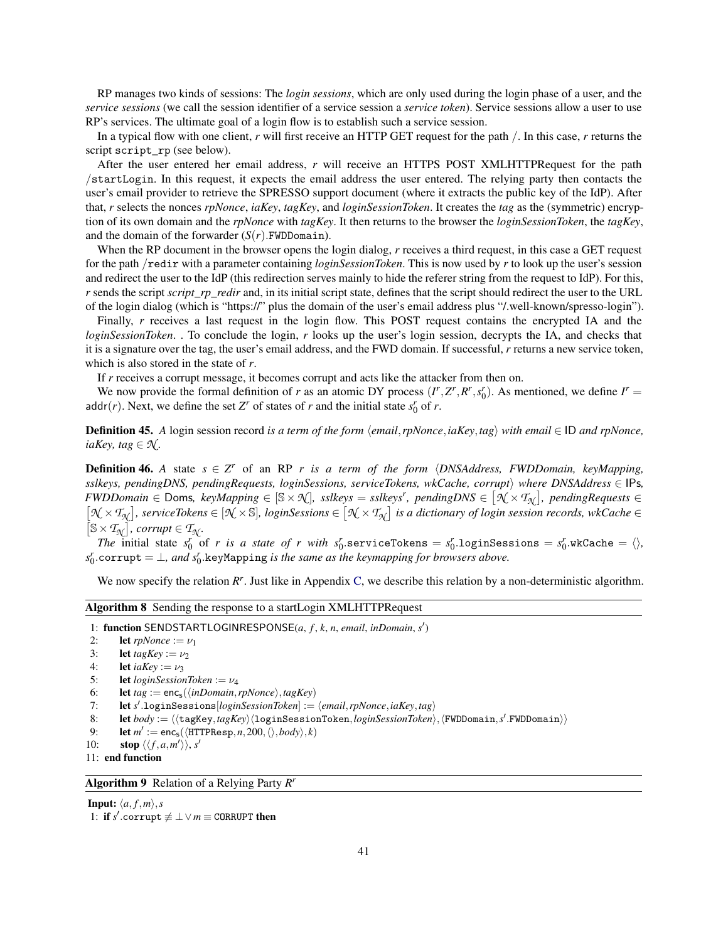RP manages two kinds of sessions: The *login sessions*, which are only used during the login phase of a user, and the *service sessions* (we call the session identifier of a service session a *service token*). Service sessions allow a user to use RP's services. The ultimate goal of a login flow is to establish such a service session.

In a typical flow with one client, *r* will first receive an HTTP GET request for the path /. In this case, *r* returns the script script rp (see below).

After the user entered her email address, *r* will receive an HTTPS POST XMLHTTPRequest for the path /startLogin. In this request, it expects the email address the user entered. The relying party then contacts the user's email provider to retrieve the SPRESSO support document (where it extracts the public key of the IdP). After that, *r* selects the nonces *rpNonce*, *iaKey*, *tagKey*, and *loginSessionToken*. It creates the *tag* as the (symmetric) encryption of its own domain and the *rpNonce* with *tagKey*. It then returns to the browser the *loginSessionToken*, the *tagKey*, and the domain of the forwarder  $(S(r)$ . FWDDomain).

When the RP document in the browser opens the login dialog, *r* receives a third request, in this case a GET request for the path /redir with a parameter containing *loginSessionToken*. This is now used by *r* to look up the user's session and redirect the user to the IdP (this redirection serves mainly to hide the referer string from the request to IdP). For this, *r* sends the script *script*\_*rp*\_*redir* and, in its initial script state, defines that the script should redirect the user to the URL of the login dialog (which is "https://" plus the domain of the user's email address plus "/.well-known/spresso-login").

Finally, *r* receives a last request in the login flow. This POST request contains the encrypted IA and the *loginSessionToken*. . To conclude the login, *r* looks up the user's login session, decrypts the IA, and checks that it is a signature over the tag, the user's email address, and the FWD domain. If successful, *r* returns a new service token, which is also stored in the state of *r*.

If *r* receives a corrupt message, it becomes corrupt and acts like the attacker from then on.

We now provide the formal definition of *r* as an atomic DY process  $(I^r, Z^r, R^r, s_0^r)$ . As mentioned, we define  $I^r =$ addr(*r*). Next, we define the set  $Z^r$  of states of *r* and the initial state  $s_0^r$  of *r*.

**Definition 45.** *A* login session record *is a term of the form*  $\langle \textit{email}, \textit{rpNone}, \textit{iaKey}, \textit{tag} \rangle$  *with*  $\textit{email} \in \text{ID}$  *and*  $\textit{rpNonee}$ *, iaKey, tag*  $\in \mathcal{N}$ *.* 

Definition 46. *A* state  $s \in Z^r$  of an RP *r is a term of the form*  $\langle DNSAddress, FWDDomain, keyMapping,$ *sslkeys, pendingDNS, pendingRequests, loginSessions, serviceTokens, wkCache, corrupt*i *where DNSAddress* ∈ IPs*,*  $FWDDomain \in$  Doms,  $keyMapping \in [\mathbb{S} \times \mathcal{N}]$ ,  $sslkeys = sslkeys'$ ,  $pendingDNS \in [\mathcal{N} \times \mathcal{T}_{\mathcal{N}}]$ ,  $pendingRequests \in [\mathcal{N} \times \mathcal{T}_{\mathcal{N}}]$  $\left[\mathcal{N} \times \mathcal{T}_{\mathcal{N}}\right]$ , serviceTokens  $\in [\mathcal{N} \times \mathbb{S}]$ , *loginSessions*  $\in [\mathcal{N} \times \mathcal{T}_{\mathcal{N}}]$  is a dictionary of login session records, wkCache  $\in$  $\left[\mathbb{S} \times T_{\mathcal{N}}\right]$ , corrupt  $\in T_{\mathcal{N}}$ .

*The* initial state *s*<sup>*r*</sup> of *r is a state of r with s*<sup>*r*</sup><sub>0</sub>.serviceTokens = *s*<sup>*r*</sup><sub>0</sub>.loginSessions = *s*<sup>*r*</sup><sub>0</sub>.wkCache =  $\langle \rangle$ ,<br>*r* corrunt = | and *s<sup><i>r*</sup> keyMenning is the same as the keymanning for  $s_0^r$  corrupt  $= \perp$ , and  $s_0^r$  keyMapping *is the same as the keymapping for browsers above.* 

We now specify the relation  $R^r$ . Just like in Appendix [C,](#page-27-0) we describe this relation by a non-deterministic algorithm.

|  | Algorithm 8 Sending the response to a startLogin XMLHTTPRequest |  |
|--|-----------------------------------------------------------------|--|
|  |                                                                 |  |

1: function SENDSTARTLOGINRESPONSE(*a*, *f* , *k*, *n*, *email*, *inDomain*, *s* 0 )

```
2: let rpNone := \nu_1<br>3: let tagKey := \nu_2
```
let  $tagKey := v_2$ 

```
4: let iakey := v_3
```
- 5: **let** *loginSessionToken* :=  $ν_4$
- 6: **let**  $tag := enc_s(\langle inDomain, rpNone \rangle, tagKey)$
- 7: **let** s'.loginSessions[*loginSessionToken*] :=  $\langle e m a i l, r p N once, i a Key, tag \rangle$
- $8: \qquad \textbf{let } body := \langle \langle \texttt{tagKey}, \textit{tagKey} \rangle \langle \texttt{loginsSessionToken}, \textit{loginSessionToken} \rangle, \langle \texttt{FWDDomain}, s'.\texttt{FWDDomain} \rangle \rangle$
- 9: **let**  $m' := \textsf{enc}_\mathbf{s}(\langle \texttt{HTTPResp}, n, 200, \langle \rangle, body \rangle, k)$
- 10: **stop**  $\langle \langle f, a, m' \rangle \rangle$ , s'
- 11: end function

Algorithm 9 Relation of a Relying Party *R r*

<span id="page-40-1"></span><span id="page-40-0"></span>**Input:**  $\langle a, f, m \rangle$ , *s* 1: if *s'* corrupt  $\not\equiv \bot \vee m \equiv \text{CORRUPT}$  then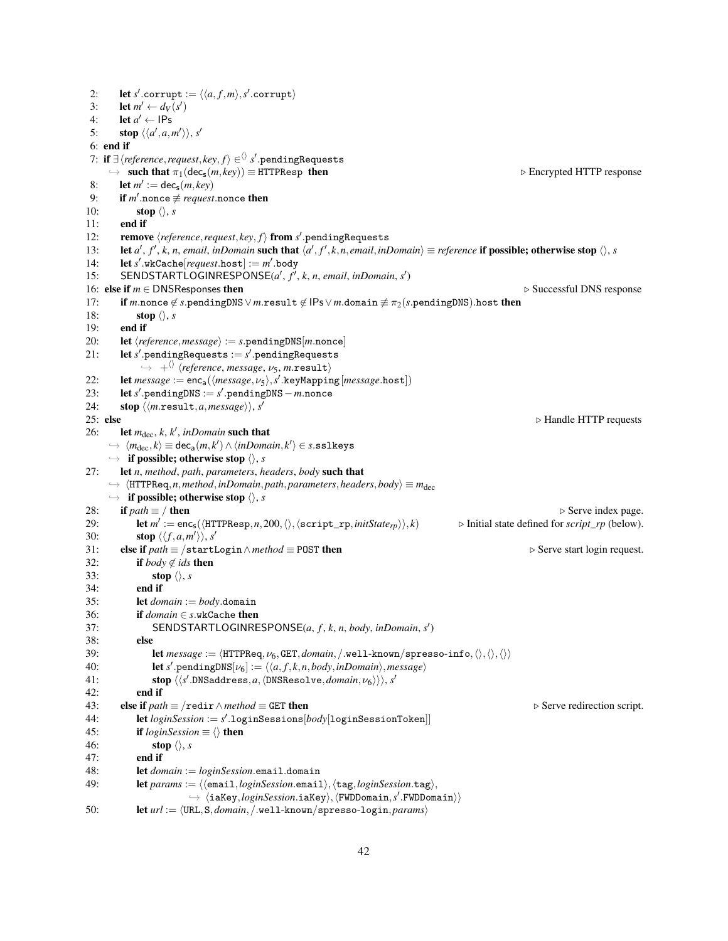2: **let** *s*'.corrupt :=  $\langle \langle a, f, m \rangle, s'$ .corrupt $\rangle$ 3: **let**  $m' \leftarrow d_V(s')$ 4: **let**  $a' \leftarrow \text{IPs}$ 5: **stop**  $\langle \langle a', a, m' \rangle \rangle$ , *s'* 6: end if 7: if ∃ h*reference*,*request*, *key*, *f*i ∈hi *s* 0 .pendingRequests  $\rightarrow$  **such that**  $\pi_1$ (dec<sub>s</sub>(*m*, *key*)) ≡ HTTPResp then  $\triangleright$  Encrypted HTTP response 8: **let**  $m' := \text{dec}_s(m, \text{key})$ 9: **if**  $m'$  nonce  $\not\equiv$  *request* nonce **then** 10: **stop**  $\langle \rangle$ , *s* 11: end if 12: remove  $\langle reference, request, key, f \rangle$  from *s'* pendingRequests 13: Let a', f', k, n, email, inDomain such that  $\langle a', f', k, n, e$  mail, inDomain $\rangle \equiv$  reference if possible; otherwise stop  $\langle \rangle$ , s 14: **let** s' wkCache [*request*.host] :=  $m'$ .body 15: SENDSTARTLOGINRESPONSE(a', f', k, n, email, inDomain, s') 16: **else if**  $m \in \text{DNSResponse}$  then the substitution of  $\triangleright$  Successful DNS responses then **.** Successful DNS responses then 17: **if** *m*.nonce ∉ *s*.pendingDNS  $\lor$  *m*.result ∉ IPs  $\lor$  *m*.domain  $\neq \pi_2(s$ .pendingDNS).host then 18: **stop**  $\langle \rangle$ , *s* 19: end if 20: **let**  $\langle reference, message \rangle := s.\text{pendingDNS}[m.\text{none}]$  $21:$  **let**  $s'$  pendingRequests :=  $s'$  pendingRequests  $\rightarrow$   $+^{\langle\rangle}$  *(reference, message, v<sub>5</sub>, m.*result) 22: **let**  $message := enc_a(\langle message, \nu_5 \rangle, s'.keyMapping[message.host])$ 23: **let** *s*<sup>'</sup>.pendingDNS := *s*<sup>'</sup>.pendingDNS − *m*.nonce 24: stop  $\langle \langle m.\mathtt{result},a,message \rangle \rangle, s^{\overline{\prime}}$ 25: else . Handle HTTP requests 26: **let**  $m_{\text{dec}}$ ,  $k$ ,  $k'$ , *inDomain* such that  $\langle m_{\text{dec}}, k \rangle \equiv \textsf{dec}_\textsf{a}(m, k') \land \langle \textit{inDomain}, k' \rangle \in \textit{s}.\texttt{sslkeys}$  $\rightarrow$  if possible; otherwise stop  $\langle \rangle$ , *s* 27: let *n*, *method*, *path*, *parameters*, *headers*, *body* such that  $\rightarrow$   $\langle$ HTTPReq,*n*,*method*,*inDomain*,*path*,*parameters*,*headers*,*body*)  $\equiv$  *m*<sub>dec</sub>  $\rightarrow$  if possible; otherwise stop  $\langle \rangle$ , *s* 28: **if**  $path \equiv /$  **then**  $\triangleright$  Serve index page. 29: **let**  $m' := \text{enc}_{s}(\langle \text{HTTPResp}, n, 200, \langle \rangle, \langle \text{script\_rp}, \text{initState}_{rp} \rangle \rangle, k)$   $\rightarrow$  Initial state defined for *script\_rp* (below). 30: **stop**  $\langle \langle f, a, m' \rangle \rangle$ , *s'* 31: **else if** *path* ≡ /startLogin ∧*method* ≡ POST then **b** Serve start login request. 32: **if** *body*  $\notin$  *ids* **then** 33: **stop**  $\langle \rangle$ , *s* 34: end if 35: let *domain* := *body*.domain 36: if *domain* ∈ *s*.wkCache then 37: SENDSTARTLOGINRESPONSE(*a*, *f* , *k*, *n*, *body*, *inDomain*, *s* 0 ) 38: else 39: **let**  $message := \langle \text{HTPRed}, \nu_6, \text{GET}, domain, \text{level-known/spresso-info}, \langle \rangle, \langle \rangle, \langle \rangle \rangle$ <br>40: **let** s' pending  $\text{DNS}[\nu_k] := \langle \langle a, f, k, n, body, inDomain \rangle, message \rangle$ 40: **let** *s'* pendingDNS[ $\nu$ <sub>6</sub>] :=  $\langle \langle a, f, k, n, body, inDomain \rangle$ *, message*  $41:$  stop  $\langle\langle s'.\texttt{DNSaddress},a,\langle\texttt{DNSResolve},domain,\nu_6\rangle\rangle\rangle, s'.$ 42: end if 43: **else if** *path* ≡ /redir∧*method* ≡ GET then . Serve redirection script. 44: **let** *loginSession* := *s*'.loginSessions[*body*[loginSessionToken]] 45: **if**  $loginSession \equiv \langle \rangle$  **then** 46: **stop**  $\langle \rangle$ , *s*<br>47: **end if** end if 48: let *domain* := *loginSession*.email.domain 49: **let** *params* :=  $\langle \langle \text{email}, \text{loginSession}.\text{email} \rangle, \langle \text{tag}, \text{loginSession.tag} \rangle,$  $\rightarrow \langle$ iaKey,*loginSession*.iaKey $\rangle$ , $\langle$ FWDDomain,*s'*.FWDDomain $\rangle$ 50: **let**  $url := \langle \text{URL}, \text{S}, \text{domain}, / \text{.well-known} / \text{spresso-login}, \text{params} \rangle$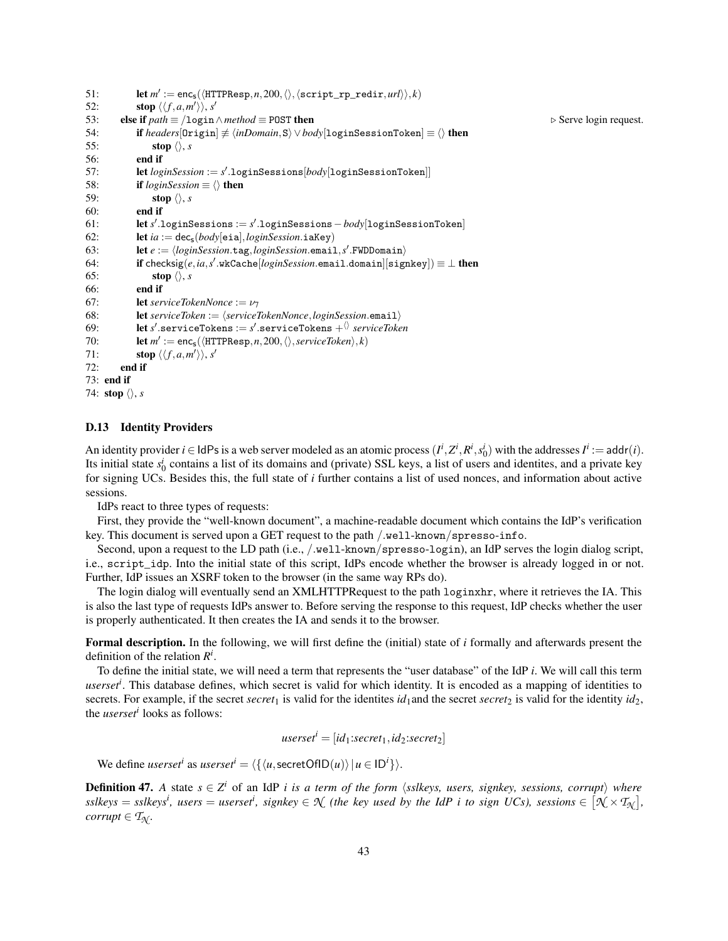$51:$  **let**  $m' := \textsf{enc}_\mathsf{s}(\langle \texttt{HTTPResp}, n, 200, \langle \rangle, \langle \texttt{script\_rp\_redir}, \textit{url} \rangle \rangle, k)$ 52: **stop**  $\langle \langle f, a, m' \rangle \rangle$ , *s'* 53: **else if** *path* ≡ /login ∧ *method* ≡ POST then . Serve login request. 54: **if** *headers*[Origin]  $\neq$   $\langle inDomain, S \rangle \vee body[loginSessionToken] \equiv \langle \rangle$  then 55:  $\mathbf{stop} \langle \rangle, s$ 56: end if 57: **let** *loginSession* := *s*'.loginSessions[*body*[loginSessionToken]] 58: **if**  $loginSession \equiv \langle \rangle$  **then** 59: **stop**  $\langle \rangle$ , *s* 60: end if 61: let *s* 0 .loginSessions := *s* 0 .loginSessions−*body*[loginSessionToken] 62: let *ia* := decs(*body*[eia],*loginSession*.iaKey) 63: **let**  $e := \langle \text{loginSession.tag}, \text{loginSession.email}, s'.\text{FWDDomain}\rangle$  $64:$  if  $\mathsf{checksig}(e,ia,s'.\mathtt{wkCache}[loginSession.\mathtt{email.domain}][\mathtt{signkey}]) \equiv \bot$  then 65: **stop**  $\langle \rangle$ , *s* 66: end if 67: let *serviceTokenNonce* := ν<sup>7</sup> 68: **let** *serviceToken* :=  $\langle \text{serviceTokenNone}, \text{loginSession}$ .email $\rangle$  $69: \textcolor{black}{\textbf{let}} \textcolor{black}{s}'.\textcolor{black}{\textbf{serviceTokens}} := s'.\textcolor{black}{\textbf{serviceTokens}} + \textcolor{black}{\langle} \textcolor{black}{\rangle} \textcolor{black}{\textcolor{black}{\textbf{serviceTokens}}}$ 70: **let**  $m' := \mathsf{enc}_{\mathsf{s}}(\langle \mathsf{HTTPResp}, n, 200, \langle \rangle, \mathsf{serviceToken} \rangle, k)$ 71: **stop**  $\langle \langle f, a, m' \rangle \rangle$ , *s'* 72: end if 73: end if 74:  $stop \langle \rangle, s$ 

### <span id="page-42-1"></span>D.13 Identity Providers

An identity provider  $i \in \text{IdPs}$  is a web server modeled as an atomic process  $(I^i, Z^i, R^i, s_0^i)$  with the addresses  $I^i := \text{addr}(i)$ . Its initial state  $s_0^i$  contains a list of its domains and (private) SSL keys, a list of users and identites, and a private key for signing UCs. Besides this, the full state of *i* further contains a list of used nonces, and information about active sessions.

IdPs react to three types of requests:

First, they provide the "well-known document", a machine-readable document which contains the IdP's verification key. This document is served upon a GET request to the path /.well-known/spresso-info.

Second, upon a request to the LD path (i.e., /well-known/spresso-login), an IdP serves the login dialog script, i.e., script\_idp. Into the initial state of this script, IdPs encode whether the browser is already logged in or not. Further, IdP issues an XSRF token to the browser (in the same way RPs do).

The login dialog will eventually send an XMLHTTPRequest to the path loginxhr, where it retrieves the IA. This is also the last type of requests IdPs answer to. Before serving the response to this request, IdP checks whether the user is properly authenticated. It then creates the IA and sends it to the browser.

Formal description. In the following, we will first define the (initial) state of *i* formally and afterwards present the definition of the relation *R i* .

To define the initial state, we will need a term that represents the "user database" of the IdP *i*. We will call this term *userset<sup>i</sup>* . This database defines, which secret is valid for which identity. It is encoded as a mapping of identities to secrets. For example, if the secret *secret*<sub>1</sub> is valid for the identites  $id_1$  and the secret *secret*<sub>2</sub> is valid for the identity  $id_2$ , the *userset<sup>i</sup>* looks as follows:

$$
userset^i = [id_1:secret_1, id_2:secret_2]
$$

We define *userset<sup>i</sup>* as *userset<sup>i</sup>* =  $\langle \{ \langle u, \text{secretOfID}(u) \rangle | u \in ID^i \} \rangle$ .

<span id="page-42-0"></span>**Definition 47.** A state  $s \in Z^i$  of an IdP *i* is a term of the form  $\langle$ sslkeys, users, signkey, sessions, corrupt $\rangle$  where sslkeys = sslkeys<sup>i</sup>, users = userset<sup>i</sup>, signkey  $\in$   $\mathcal N$  (the key used by the IdP i to sign UCs), sessions  $\in$   $[\mathcal N\times \mathcal T_{\mathcal N}]$ ,  $corrupt \in T_{\mathcal{N}}$ *.*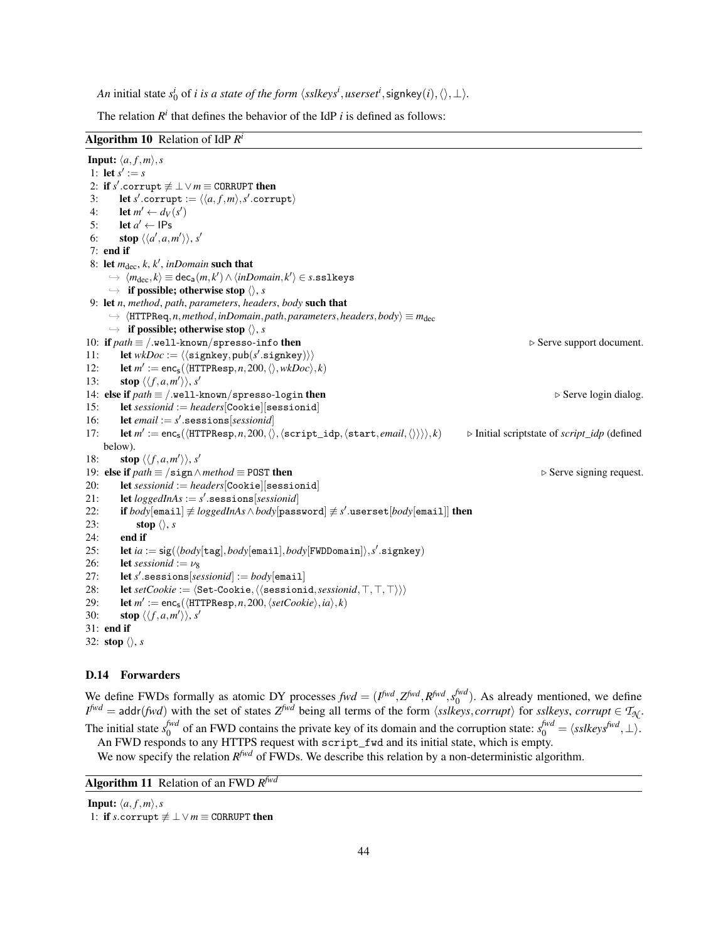An initial state  $s_0^i$  of *i* is a state of the form  $\langle$ sslkeys<sup>*i*</sup>, userset<sup>*i*</sup>, signkey(*i*),  $\langle \rangle$ ,  $\bot$ ).

The relation  $R^i$  that defines the behavior of the IdP  $i$  is defined as follows:

Algorithm 10 Relation of IdP *R i*

**Input:**  $\langle a, f, m \rangle$ , *s* 1: **let**  $s' := s$ 2: if *s'* corrupt  $\not\equiv \bot \vee m \equiv \text{CORRUPT}$  then 3: **let** *s*'.corrupt :=  $\langle\langle a, f, m \rangle, s'$ .corrupt $\rangle$ 4: **let**  $m' \leftarrow d_V(s')$ 5: **let**  $a' \leftarrow \text{IPs}$ 6: **stop**  $\langle \langle a', a, m' \rangle \rangle$ , s' 7: end if 8: let  $m_{\text{dec}}$ ,  $k$ ,  $k'$ , *inDomain* such that  $\langle m_{\text{dec}}, k \rangle \equiv \textsf{dec}_\textsf{a}(m, k') \land \langle \textit{inDomain}, k' \rangle \in \textit{s}.\texttt{sslkeys}$  $\rightarrow$  if possible; otherwise stop  $\langle \rangle$ , *s* 9: let *n*, *method*, *path*, *parameters*, *headers*, *body* such that  $\rightarrow$   $\langle$ HTTPReq,*n*,*method*,*inDomain*,*path*,*parameters*,*headers*,*body*)  $\equiv$   $m_{\text{dec}}$  $\rightarrow$  if possible; otherwise stop  $\langle \rangle$ , *s* 10: if *path*  $\equiv$  /.well-known/spresso-info then . Serve support document. 11: **let**  $wkDoc := \langle \langle \text{signkey}, \text{pub}(s'.\text{signkey}) \rangle \rangle$ 12: **let**  $m' := \text{enc}_s(\langle \text{HTTPResp}, n, 200, \langle \rangle, \text{wkDoc}\rangle, k)$ 13: **stop**  $\langle \langle f, a, m' \rangle \rangle$ , *s'* 14: **else if** *path* ≡ /.well-known/spresso-login then . Serve login dialog. 15: let *sessionid* := *headers*[Cookie][sessionid] 16: **let** *email* :=  $s'$  sessions[*sessionid*] 17: **let**  $m' := \text{enc}_{s}(\langle \text{HTTPResp}, n, 200, \langle \rangle, \langle \text{scriptpt\_idp}, \langle \text{start}, \text{email}, \langle \rangle \rangle \rangle, k)$  > Initial scriptstate of *script\_idp* (defined below). 18: **stop**  $\langle \langle f, a, m' \rangle \rangle$ , *s'* 19: **else if**  $path \equiv /sign \land method \equiv POST$  **then**  $\triangleright$  Serve signing request. 20: let *sessionid* := *headers*[Cookie][sessionid] 21: **let**  $loggedInAs := s'$ .sessions[*sessionid*]  $22:$  **if**  $body[$ email] $\not\equiv loggedInAs \wedge body[$ password] $\not\equiv s'.userset[body[$ email]] **then** 23: **stop**  $\langle \rangle$ , *s* 24: end if  $25:$  **let**  $ia := \text{sig}(\langle body[\text{tag}],body[\text{email}],body[\text{FWDDomain}]\rangle, s'.\text{signkey})$ 26: **let** *sessionid* :=  $\nu_8$ 27: **let** *s*<sup> $\prime$ </sup> sessions[*sessionid*] := *body*[email] 28: **let**  $setCookie := \langle Set-Cookie, \langle \langle sessionid, \text{res}_i, \text{res}_i, \text{res}_i, \text{res}_i, \text{res}_i, \text{res}_i, \text{res}_i, \text{res}_i, \text{res}_i, \text{res}_i, \text{res}_i, \text{res}_i, \text{res}_i, \text{res}_i, \text{res}_i, \text{res}_i, \text{res}_i, \text{res}_i, \text{res}_i, \text{res}_i, \text{res}_i, \text{res}_i, \text{res}_i, \text{res}_i, \text{res}_i, \text{res}_i, \text{res}_i, \text{res}_$ 29: **let**  $m' := \textsf{enc}_{\mathsf{s}}(\langle \texttt{HTTPResp}, n, 200, \langle \textit{setCookie} \rangle, ia \rangle, k)$ 30: **stop**  $\langle \langle f, a, m' \rangle \rangle$ , s' 31: end if 32: **stop**  $\langle \rangle$ , *s* 

## <span id="page-43-0"></span>D.14 Forwarders

We define FWDs formally as atomic DY processes  $fwd = (I^{fwd}, Z^{fwd}, R^{fwd}, s_0^{fwd})$  $\binom{wa}{0}$ . As already mentioned, we define  $I^{fwd}$  = addr(*fwd*) with the set of states  $Z^{fwd}$  being all terms of the form  $\langle sslkes, corrupt \rangle$  for *sslkeys*, *corrupt*  $\in T_{\mathcal{N}}$ . The initial state *s fwd*  $\int_0^{fwd}$  of an FWD contains the private key of its domain and the corruption state:  $s_0^{fwd} = \langle \textit{sslkeys}^{\textit{fwd}}, \perp \rangle$ . An FWD responds to any HTTPS request with script\_fwd and its initial state, which is empty.

We now specify the relation  $R^{fwd}$  of FWDs. We describe this relation by a non-deterministic algorithm.

Algorithm 11 Relation of an FWD *R fwd*

<span id="page-43-2"></span><span id="page-43-1"></span>**Input:**  $\langle a, f, m \rangle$ , *s* 1: if *s*.corrupt  $\neq \bot \vee m \equiv \text{CORRUPT}$  then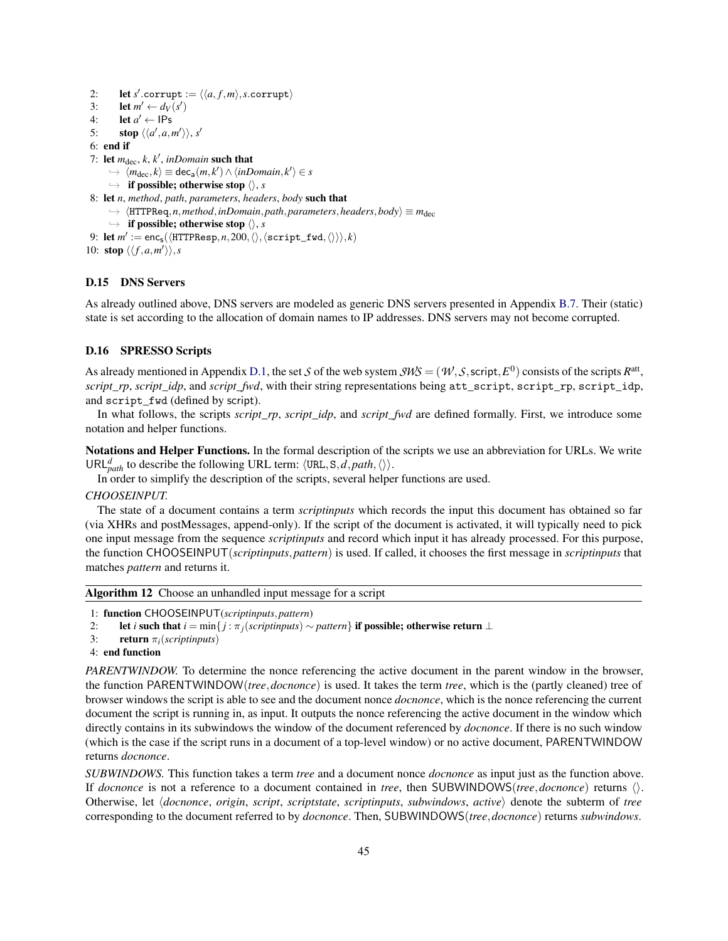```
2: let s'.corrupt := \langle \langle a, f, m \rangle, s.corrupt)
 3: let m' \leftarrow d_V(s')4: let a' \leftarrow \text{IPs}5: stop \langle \langle a', a, m' \rangle \rangle, s'
 6: end if
 7: let m_{\text{dec}}, k, k', inDomain such that
        \langle m_{\text{dec}}, k \rangle \equiv \text{dec}_{\textsf{a}}(m, k') \wedge \langle \text{inDomain}, k' \rangle \in \mathcal{S}\rightarrow if possible; otherwise stop \langle \rangle, s
 8: let n, method, path, parameters, headers, body such that
        \rightarrow \langleHTTPReq,n,method,inDomain,path,parameters,headers,body) \equivm<sub>dec</sub>
        \rightarrow if possible; otherwise stop \langle \rangle, s
 9\colon let m':= \mathsf{enc}_{\mathsf{s}}(\langle \textup{HTTPResp}, n,200,\langle \rangle, \langle \textup{script\_fwd}, \langle \rangle \rangle\rangle, k)10: stop \langle \langle f, a, m' \rangle \rangle, s
```
## D.15 DNS Servers

As already outlined above, DNS servers are modeled as generic DNS servers presented in Appendix [B.7.](#page-27-1) Their (static) state is set according to the allocation of domain names to IP addresses. DNS servers may not become corrupted.

### <span id="page-44-0"></span>D.16 SPRESSO Scripts

As already mentioned in Appendix [D.1,](#page-37-1) the set *S* of the web system  $\mathcal{SWS} = (\mathcal{W}, \mathcal{S}, \text{script}, E^0)$  consists of the scripts  $R^{\text{att}}$ , *script*\_*rp*, *script*\_*idp*, and *script*\_*fwd*, with their string representations being att\_script, script\_rp, script\_idp, and script fwd (defined by script).

In what follows, the scripts *script* rp, *script idp*, and *script* fwd are defined formally. First, we introduce some notation and helper functions.

Notations and Helper Functions. In the formal description of the scripts we use an abbreviation for URLs. We write  $\text{URL}_{path}^d$  to describe the following URL term:  $\langle \text{URL}, S, d, path, \langle \rangle$ .

In order to simplify the description of the scripts, several helper functions are used.

### *CHOOSEINPUT.*

The state of a document contains a term *scriptinputs* which records the input this document has obtained so far (via XHRs and postMessages, append-only). If the script of the document is activated, it will typically need to pick one input message from the sequence *scriptinputs* and record which input it has already processed. For this purpose, the function CHOOSEINPUT(*scriptinputs*,*pattern*) is used. If called, it chooses the first message in *scriptinputs* that matches *pattern* and returns it.

Algorithm 12 Choose an unhandled input message for a script

```
1: function CHOOSEINPUT(scriptinputs,pattern)
```

```
2: let i such that i = min{ j : πj(scriptinputs) ∼ pattern} if possible; otherwise return ⊥
```
3: return π*i*(*scriptinputs*)

```
4: end function
```
*PARENTWINDOW.* To determine the nonce referencing the active document in the parent window in the browser, the function PARENTWINDOW(*tree*,*docnonce*) is used. It takes the term *tree*, which is the (partly cleaned) tree of browser windows the script is able to see and the document nonce *docnonce*, which is the nonce referencing the current document the script is running in, as input. It outputs the nonce referencing the active document in the window which directly contains in its subwindows the window of the document referenced by *docnonce*. If there is no such window (which is the case if the script runs in a document of a top-level window) or no active document, PARENTWINDOW returns *docnonce*.

*SUBWINDOWS.* This function takes a term *tree* and a document nonce *docnonce* as input just as the function above. If *docnonce* is not a reference to a document contained in *tree*, then SUBWINDOWS(*tree*,*docnonce*) returns  $\langle \rangle$ . Otherwise, let h*docnonce*, *origin*, *script*, *scriptstate*, *scriptinputs*, *subwindows*, *active*i denote the subterm of *tree* corresponding to the document referred to by *docnonce*. Then, SUBWINDOWS(*tree*,*docnonce*) returns *subwindows*.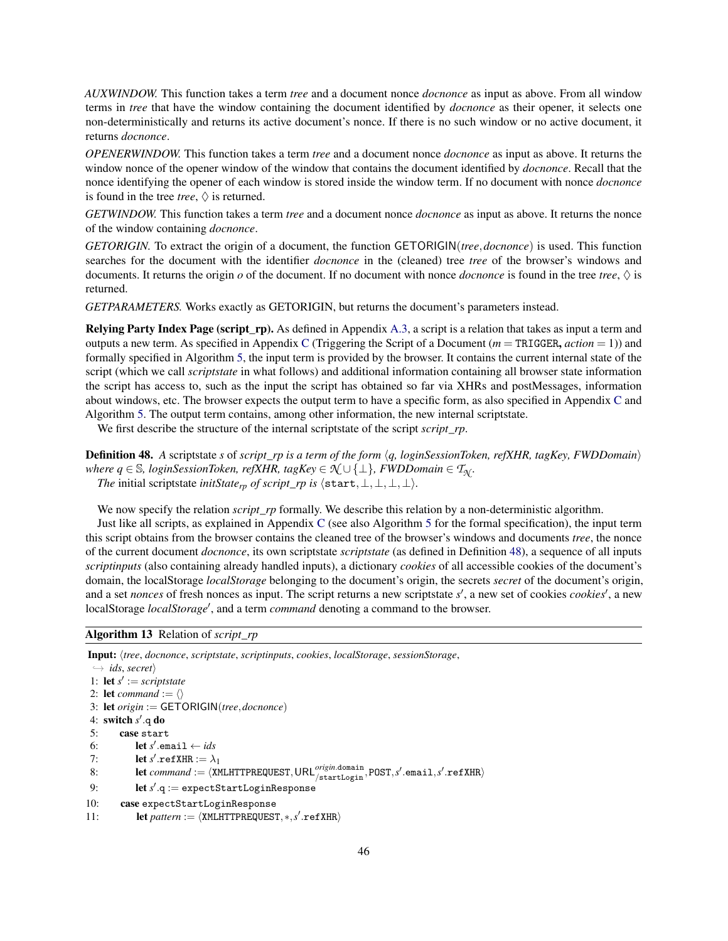*AUXWINDOW.* This function takes a term *tree* and a document nonce *docnonce* as input as above. From all window terms in *tree* that have the window containing the document identified by *docnonce* as their opener, it selects one non-deterministically and returns its active document's nonce. If there is no such window or no active document, it returns *docnonce*.

*OPENERWINDOW.* This function takes a term *tree* and a document nonce *docnonce* as input as above. It returns the window nonce of the opener window of the window that contains the document identified by *docnonce*. Recall that the nonce identifying the opener of each window is stored inside the window term. If no document with nonce *docnonce* is found in the tree *tree*,  $\Diamond$  is returned.

*GETWINDOW.* This function takes a term *tree* and a document nonce *docnonce* as input as above. It returns the nonce of the window containing *docnonce*.

*GETORIGIN.* To extract the origin of a document, the function GETORIGIN(*tree*,*docnonce*) is used. This function searches for the document with the identifier *docnonce* in the (cleaned) tree *tree* of the browser's windows and documents. It returns the origin  $o$  of the document. If no document with nonce *docnonce* is found in the tree *tree*,  $\Diamond$  is returned.

*GETPARAMETERS.* Works exactly as GETORIGIN, but returns the document's parameters instead.

Relying Party Index Page (script\_rp). As defined in Appendix [A.3,](#page-24-0) a script is a relation that takes as input a term and outputs a new term. As specified in Appendix [C](#page-27-0) (Triggering the Script of a Document  $(m = \text{TRIGGER}, action = 1)$ ) and formally specified in Algorithm [5,](#page-32-0) the input term is provided by the browser. It contains the current internal state of the script (which we call *scriptstate* in what follows) and additional information containing all browser state information the script has access to, such as the input the script has obtained so far via XHRs and postMessages, information about windows, etc. The browser expects the output term to have a specific form, as also specified in Appendix [C](#page-27-0) and Algorithm [5.](#page-32-0) The output term contains, among other information, the new internal scriptstate.

We first describe the structure of the internal scriptstate of the script *script*\_*rp*.

<span id="page-45-0"></span>**Definition 48.** A scriptstate *s* of *script\_rp* is a term of the form  $\langle q, loginSessionToken, refXHR, tagKey, FWDDomain \rangle$ *where*  $q \in \mathbb{S}$ *, loginSessionToken, refXHR, tagKey*  $\in \mathcal{R} \cup \{\perp\}$ *, FWDDomain* ∈  $\mathcal{T}_{\mathcal{N}}$ *. The* initial scriptstate *initState<sub>rp</sub> of script\_rp is*  $\langle \texttt{start}, \bot, \bot, \bot, \bot \rangle$ *.* 

We now specify the relation *script\_rp* formally. We describe this relation by a non-deterministic algorithm.

Just like all scripts, as explained in Appendix [C](#page-27-0) (see also Algorithm [5](#page-32-0) for the formal specification), the input term this script obtains from the browser contains the cleaned tree of the browser's windows and documents *tree*, the nonce of the current document *docnonce*, its own scriptstate *scriptstate* (as defined in Definition [48\)](#page-45-0), a sequence of all inputs *scriptinputs* (also containing already handled inputs), a dictionary *cookies* of all accessible cookies of the document's domain, the localStorage *localStorage* belonging to the document's origin, the secrets *secret* of the document's origin, and a set *nonces* of fresh nonces as input. The script returns a new scriptstate  $s'$ , a new set of cookies *cookies'*, a new localStorage *localStorage'*, and a term *command* denoting a command to the browser.

#### Algorithm 13 Relation of *script*\_*rp*

<span id="page-45-1"></span>

| Input: (tree, docnonce, scriptstate, scriptinputs, cookies, localStorage, sessionStorage,                                                                                                    |
|----------------------------------------------------------------------------------------------------------------------------------------------------------------------------------------------|
| $\rightarrow$ ids, secret)                                                                                                                                                                   |
| 1: <b>let</b> $s' :=$ scriptstate                                                                                                                                                            |
| 2: <b>let</b> command := $\langle \rangle$                                                                                                                                                   |
| 3: <b>let</b> origin := $GETORIGIN(tree, docnonce)$                                                                                                                                          |
| 4: switch $s'$ q do                                                                                                                                                                          |
| case start<br>5:                                                                                                                                                                             |
| <b>let</b> s' email $\leftarrow$ <i>ids</i><br>6:                                                                                                                                            |
| <b>let</b> s' refXHR := $\lambda_1$<br>7:                                                                                                                                                    |
| $\textbf{let } command := \langle \texttt{XMLHTTPREQUEST}, \texttt{URL}^{origin.\texttt{domain}}_{/\texttt{startLogin}}, \texttt{POST}, s'.\texttt{email}, s'.\texttt{refXHR} \rangle$<br>8: |
| let $s'.q :=$ expectStartLoginResponse<br>9:                                                                                                                                                 |
| 10:<br>case expectStartLoginResponse                                                                                                                                                         |
| let $pattern := \langle \texttt{XMLHTTPREQUEST}, *, s'.\texttt{refXHR} \rangle$<br>11:                                                                                                       |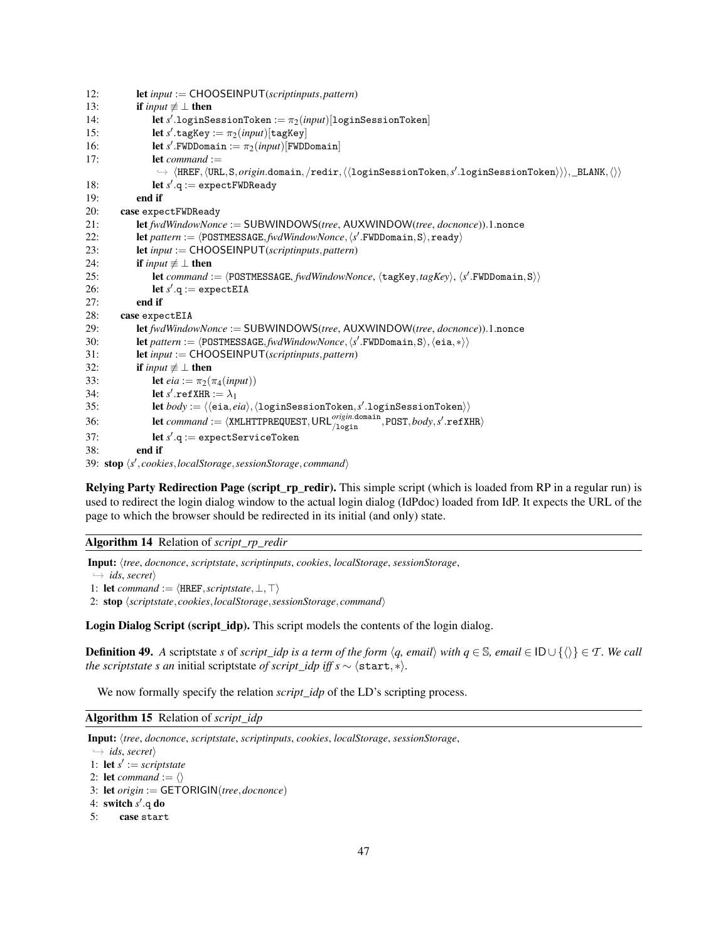| 12: | <b>let</b> $input :=$ $CHOOSEINPUT(script inputs, pattern)$                                                                                                                                              |
|-----|----------------------------------------------------------------------------------------------------------------------------------------------------------------------------------------------------------|
| 13: | if <i>input</i> $\neq \perp$ then                                                                                                                                                                        |
| 14: | <b>let</b> s'.loginSessionToken := $\pi_2$ (input)[loginSessionToken]                                                                                                                                    |
| 15: | let s' tagKey := $\pi_2$ (input) [tagKey]                                                                                                                                                                |
| 16: | <b>let</b> s'.FWDDomain := $\pi_2$ ( <i>input</i> )[FWDDomain]                                                                                                                                           |
| 17: | <b>let</b> command $:=$                                                                                                                                                                                  |
|     | $\rightarrow$ $\langle$ HREF, $\langle$ URL, S, <i>origin</i> .domain, $\langle$ redir, $\langle$ $\langle$ loginSessionToken, $s'$ .loginSessionToken $\rangle$ $\rangle$ , _BLANK, $\langle$ $\rangle$ |
| 18: | $let s'.q := expectFWDReadv$                                                                                                                                                                             |
| 19: | end if                                                                                                                                                                                                   |
| 20: | case expectFWDReady                                                                                                                                                                                      |
| 21: | let fwdWindowNonce := SUBWINDOWS(tree, AUXWINDOW(tree, docnonce)).1.nonce                                                                                                                                |
| 22: | <b>let</b> pattern := $\langle$ POSTMESSAGE, fwdWindowNonce, $\langle s'$ . FWDDomain, S $\rangle$ , ready $\rangle$                                                                                     |
| 23: | $let input := CHOOSEINPUT(script inputs, pattern)$                                                                                                                                                       |
| 24: | if <i>input</i> $\neq \perp$ then                                                                                                                                                                        |
| 25: | <b>let</b> command := $\langle$ POSTMESSAGE, fwdWindowNonce, $\langle$ tagKey, tagKey $\rangle$ , $\langle$ s'. FWDDomain, S $\rangle$                                                                   |
| 26: | $let s'.q := expectEIA$                                                                                                                                                                                  |
| 27: | end if                                                                                                                                                                                                   |
| 28: | case expectEIA                                                                                                                                                                                           |
| 29: | let fwdWindowNonce := SUBWINDOWS(tree, AUXWINDOW(tree, docnonce)).1.nonce                                                                                                                                |
| 30: | <b>let</b> pattern := $\langle$ POSTMESSAGE, fwdWindowNonce, $\langle s'.$ FWDDomain, S $\rangle$ , $\langle$ eia, * $\rangle$                                                                           |
| 31: | <b>let</b> $input :=$ $CHOOSEINPUT(script inputs, pattern)$                                                                                                                                              |
| 32: | if <i>input</i> $\not\equiv \bot$ then                                                                                                                                                                   |
| 33: | <b>let</b> eia := $\pi_2(\pi_4(\text{input}))$                                                                                                                                                           |
| 34: | <b>let</b> s' refXHR := $\lambda_1$                                                                                                                                                                      |
| 35: | let $body := \langle \langle \text{eia}, \text{eia} \rangle, \langle \text{loginsessionToken}, \text{s}'.\text{loginsessionToken} \rangle \rangle$                                                       |
| 36: | $\textbf{let}\textit{command} := \langle \texttt{XMLHTTPREGUEST}, \texttt{URL}^{\textit{origin.domain}}_{/\texttt{login}}, \texttt{POST}, \textit{body}, s'.\texttt{refXHR} \rangle$                     |
| 37: | let $s'.q :=$ expectServiceToken                                                                                                                                                                         |
| 38: | end if                                                                                                                                                                                                   |
|     | 39: stop $\langle s', \text{cookies}, \text{localStorage}, \text{sessionStorage}, \text{command} \rangle$                                                                                                |

Relying Party Redirection Page (script\_rp\_redir). This simple script (which is loaded from RP in a regular run) is used to redirect the login dialog window to the actual login dialog (IdPdoc) loaded from IdP. It expects the URL of the page to which the browser should be redirected in its initial (and only) state.

Algorithm 14 Relation of *script*\_*rp*\_*redir*

Input: h*tree*, *docnonce*, *scriptstate*, *scriptinputs*, *cookies*, *localStorage*, *sessionStorage*,

 $\rightarrow$  *ids*, *secret* $\rangle$ 

```
1: let command := \langle HREF, scriptstate, \bot, \top \rangle
```
2: stop  $\langle$ *scriptstate*, *cookies*,*localStorage*,*sessionStorage*, *command* 

Login Dialog Script (script\_idp). This script models the contents of the login dialog.

**Definition 49.** A scriptstate *s* of *script\_idp is a term of the form*  $\langle q$ *, email* $\rangle$  *with*  $q \in \mathbb{S}$ *, email* ∈ ID∪  $\{\langle\rangle\} \in T$ *. We call the scriptstate s an* initial scriptstate *of script\_idp iff s*  $\sim$   $\langle$  start, $*\rangle$ *.* 

We now formally specify the relation *script\_idp* of the LD's scripting process.

Algorithm 15 Relation of *script*\_*idp*

Input: h*tree*, *docnonce*, *scriptstate*, *scriptinputs*, *cookies*, *localStorage*, *sessionStorage*,

 $\rightarrow$  *ids*, *secret* $\rangle$ 

1: **let**  $s' :=$  *scriptstate* 

2: **let** *command* :=  $\langle \rangle$ 

3: let *origin* := GETORIGIN(*tree*,*docnonce*)

<sup>4:</sup> **switch** *s'*.q do

<span id="page-46-0"></span><sup>5:</sup> case start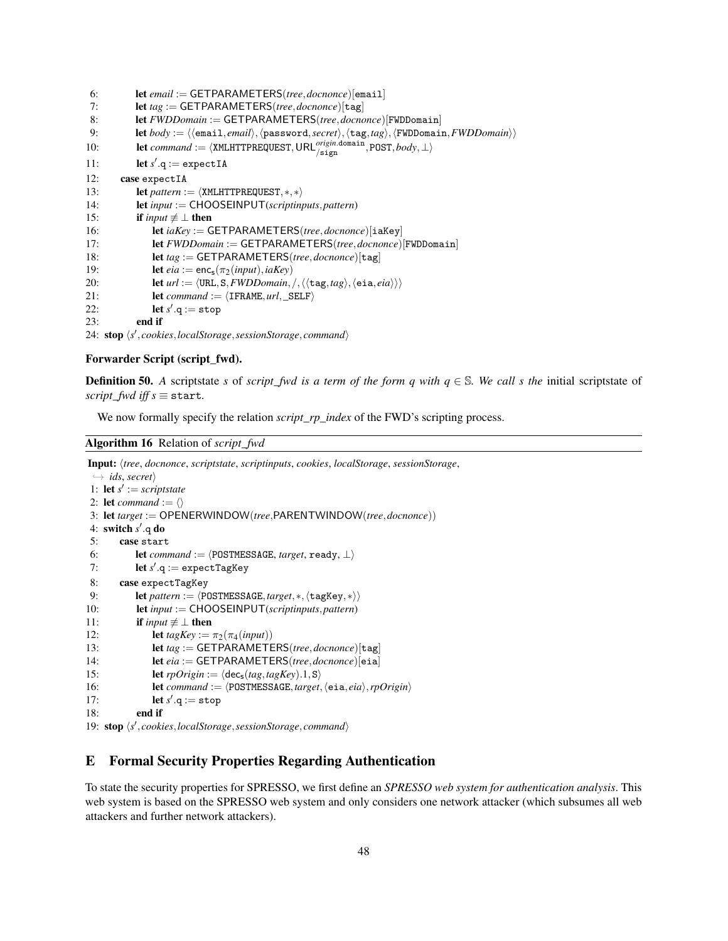6: let *email* := GETPARAMETERS(*tree*,*docnonce*)[email]

7: let *tag* := GETPARAMETERS(*tree*,*docnonce*)[tag]

8: let *FWDDomain* := GETPARAMETERS(*tree*,*docnonce*)[FWDDomain]

9: **let** *body* :=  $\langle \langle \texttt{email}, \textit{email} \rangle, \langle \texttt{password}, \textit{secret} \rangle, \langle \texttt{tag}, \textit{tag}\rangle, \langle \texttt{FWDDomain}, \textit{FWDDomain}\rangle$ 

```
10: let command := \langle XMLHTTPREQUEST, URL<sup>origin</sup>.domain<sub>,</sub> POST, body, ⊥\rangle
```

```
11: let s' \cdot q := \text{expect} \, \text{IA}
```

```
12: case expectIA
```

```
13: let pattern := \langleXMLHTTPREQUEST, ∗, ∗\rangle14: let input := CHOOSEINPUT(scriptinputs,pattern)
15: if input \neq \perp then
16: let iaKey := GETPARAMETERS(tree,docnonce)[iaKey]
17: let FWDDomain := GETPARAMETERS(tree,docnonce)[FWDDomain]
18: let tag := GETPARAMETERS(tree,docnonce)[tag]
19: let eia := enc_s(\pi_2(input), iakey)<br>20: let url := \langle \text{URLS}, \text{FWDDomain}\ranglelet url := \langle \text{URL}, S, FWDDomain, /,\langle \langle \text{tag}, tag \rangle, \langle \text{eia}, eia \rangle \rangle \rangle21: let command := \langle \text{IFRAME}, \text{url}, \text{\_SELF} \rangle22: let s' \cdot q := \text{stop}23: end if
```
24: **stop**  $\langle s', \text{cookies}, \text{localStorage}, \text{sessionStorage}, \text{command}\rangle$ 

## Forwarder Script (script\_fwd).

**Definition 50.** A scriptstate *s* of *script\_fwd* is a term of the form *q* with  $q \in \mathbb{S}$ . We call *s* the initial scriptstate of *script\_fwd iff s*  $\equiv$  start.

We now formally specify the relation *script\_rp\_index* of the FWD's scripting process.

## Algorithm 16 Relation of *script*\_*fwd*

```
Input: htree, docnonce, scriptstate, scriptinputs, cookies, localStorage, sessionStorage,
 \rightarrow ids, secret\rangle1: let s' := scriptstate
2: let command := \langle \rangle3: let target := OPENERWINDOW(tree,PARENTWINDOW(tree,docnonce))
 4: switch s'.q do
5: case start
6: let command := \langlePOSTMESSAGE, target, ready, \perp\rangle7: let s'.q := expectTagKey
8: case expectTagKey
9: let pattern := \langlePOSTMESSAGE, target, ∗, \langle tagKey, ∗\rangle}
10: let input := CHOOSEINPUT(scriptinputs,pattern)
11: if input \neq \perp then
12: let tagKey := \pi_2(\pi_4(\text{input}))13: let tag := GETPARAMETERS(tree,docnonce)[tag]
14: let eia := GETPARAMETERS(tree,docnonce)[eia]
15: let rpOrigin := \langle \text{dec}_s(\text{tag}, \text{tagKey}).1, S \rangle16: let command := \langle POSTMESSAGE, target, \langle eia, eia\rangle, rpOrigin\rangle17: let s' \cdot q := \text{stop}18: end if
```
19: stop  $\langle s'$ , *cookies*, *localStorage*, *sessionStorage*, *command* 

# E Formal Security Properties Regarding Authentication

To state the security properties for SPRESSO, we first define an *SPRESSO web system for authentication analysis*. This web system is based on the SPRESSO web system and only considers one network attacker (which subsumes all web attackers and further network attackers).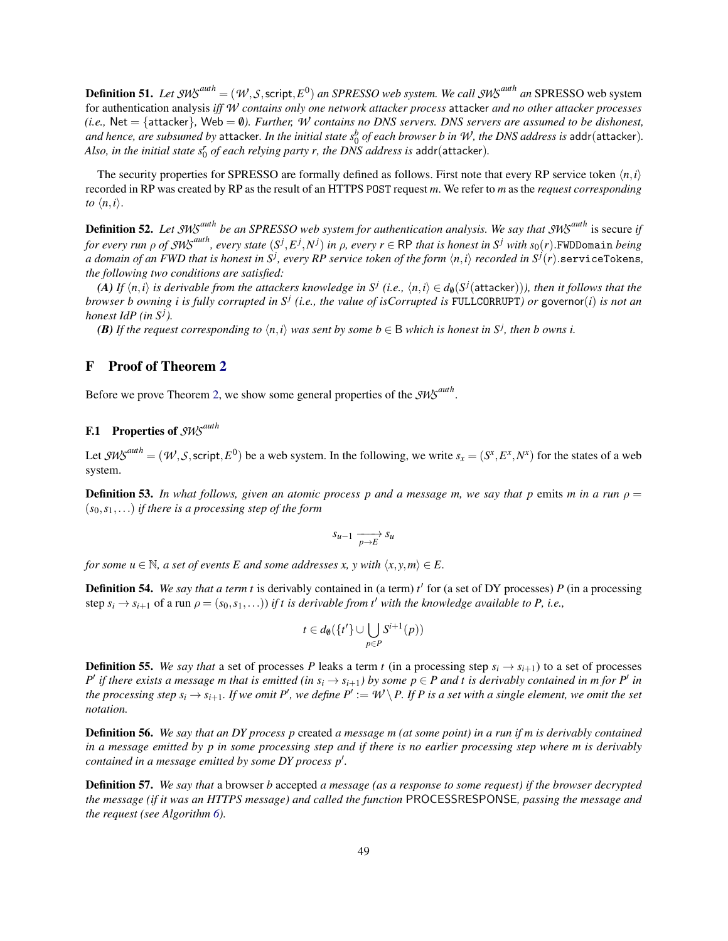**Definition 51.** Let  $SW\mathcal{S}^{auth} = (W, \mathcal{S}, \text{script})$  *an SPRESSO web system. We call*  $SW\mathcal{S}^{auth}$  *an SPRESSO web system* for authentication analysis *iff W contains only one network attacker process* attacker *and no other attacker processes (i.e.,* Net = {attacker}*,* Web = /0*). Further, W contains no DNS servers. DNS servers are assumed to be dishonest,* and hence, are subsumed by attacker. In the initial state  $s_0^b$  of each browser  $b$  in  $W$ , the DNS address is  $\rm{addr(attacker)}$ . Also, in the initial state  $s_0^r$  of each relying party r, the DNS address is  $\mathsf{addr}(\mathsf{attacker}).$ 

The security properties for SPRESSO are formally defined as follows. First note that every RP service token  $\langle n,i \rangle$ recorded in RP was created by RP as the result of an HTTPS POST request *m*. We refer to *m* as the *request corresponding to*  $\langle n, i \rangle$ .

**Definition 52.** Let *SWS*<sup>*auth*</sup> *be an SPRESSO web system for authentication analysis. We say that SWS*<sup>*auth*</sup> is secure *if* for every run  $\rho$  of SWS<sup>auth</sup>, every state  $(S^j, E^j, N^j)$  in  $\rho$ , every  $r \in \mathsf{RP}$  that is honest in  $S^j$  with  $s_0(r)$ . FWDDomain being *a domain of an FWD that is honest in*  $S^j$ *, every RP service token of the form*  $\langle n, i\rangle$  *recorded in*  $S^j(r)$ *.serviceTokens, the following two conditions are satisfied:*

*(A)* If  $\langle n,i\rangle$  is derivable from the attackers knowledge in S<sup>j</sup> (i.e.,  $\langle n,i\rangle\in d_\emptyset(S^j(\text{attacker}))),$  then it follows that the *browser b owning i is fully corrupted in S j (i.e., the value of isCorrupted is* FULLCORRUPT*) or* governor(*i*) *is not an honest IdP (in S<sup>j</sup> ).*

*(B)* If the request corresponding to  $\langle n,i \rangle$  was sent by some  $b \in B$  which is honest in  $S^j$ , then b owns i.

# F Proof of Theorem [2](#page-18-0)

Before we prove Theorem [2,](#page-18-0) we show some general properties of the *SWS auth* .

# F.1 Properties of *SWS auth*

Let  $SWS^{auth} = (W, S, script, E^0)$  be a web system. In the following, we write  $s_x = (S^x, E^x, N^x)$  for the states of a web system.

**Definition 53.** In what follows, given an atomic process p and a message m, we say that p emits m in a run  $\rho =$ (*s*0,*s*1,...) *if there is a processing step of the form*

$$
s_{u-1} \xrightarrow[p \to E]{} s_u
$$

*for some u*  $\in$  N, *a set of events E and some addresses x, y with*  $\langle x, y, m \rangle \in E$ .

Definition 54. We say that a term t is derivably contained in (a term) t' for (a set of DY processes) P (in a processing step  $s_i \rightarrow s_{i+1}$  of a run  $\rho = (s_0, s_1, \ldots)$  *if t is derivable from t' with the knowledge available to P, i.e.,* 

$$
t\in d_{\emptyset}(\{t'\}\cup \bigcup_{p\in P} S^{i+1}(p))
$$

**Definition 55.** We say that a set of processes P leaks a term t (in a processing step  $s_i \rightarrow s_{i+1}$ ) to a set of processes P' if there exists a message m that is emitted (in  $s_i \to s_{i+1}$ ) by some  $p \in P$  and t is derivably contained in m for P' in the processing step  $s_i \to s_{i+1}$ . If we omit P', we define  $P':=W\setminus P$ . If P is a set with a single element, we omit the set *notation.*

Definition 56. *We say that an DY process p* created *a message m (at some point) in a run if m is derivably contained in a message emitted by p in some processing step and if there is no earlier processing step where m is derivably contained in a message emitted by some DY process p'.* 

Definition 57. *We say that* a browser *b* accepted *a message (as a response to some request) if the browser decrypted the message (if it was an HTTPS message) and called the function* PROCESSRESPONSE*, passing the message and the request (see Algorithm [6\)](#page-34-0).*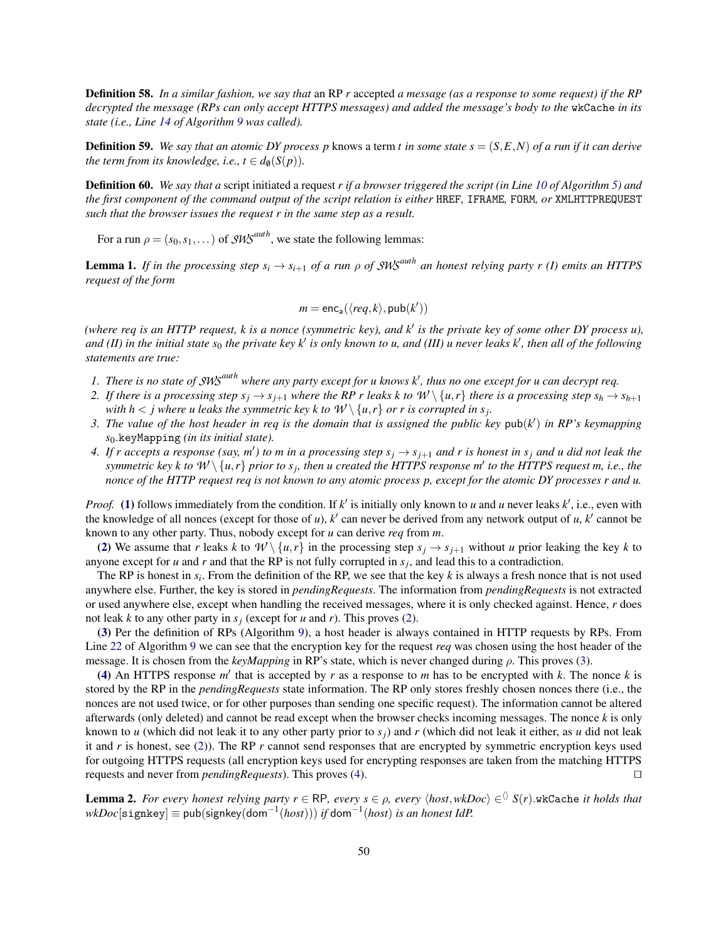Definition 58. *In a similar fashion, we say that* an RP *r* accepted *a message (as a response to some request) if the RP decrypted the message (RPs can only accept HTTPS messages) and added the message's body to the* wkCache *in its state (i.e., Line [14](#page-40-0) of Algorithm [9](#page-40-0) was called).*

**Definition 59.** We say that an atomic DY process p knows a term t in some state  $s = (S, E, N)$  of a run if it can derive *the term from its knowledge, i.e.,*  $t \in d_{\emptyset}(S(p))$ *.* 

Definition 60. *We say that a* script initiated a request *r if a browser triggered the script (in Line [10](#page-32-0) of Algorithm [5\)](#page-32-0) and the first component of the command output of the script relation is either* HREF*,* IFRAME*,* FORM*, or* XMLHTTPREQUEST *such that the browser issues the request r in the same step as a result.*

For a run  $\rho = (s_0, s_1, \dots)$  of  $\mathcal{SWS}^{auth}$ , we state the following lemmas:

<span id="page-49-4"></span>**Lemma 1.** *If in the processing step*  $s_i \to s_{i+1}$  *of a run*  $\rho$  *of SWS*<sup>*auth*</sup> *an honest relying party r* (*I) emits an HTTPS request of the form*

$$
m = \mathsf{enc}_a(\langle \mathit{req}, k \rangle, \mathsf{pub}(k'))
$$

*(where req is an HTTP request, k is a nonce (symmetric key), and k* 0 *is the private key of some other DY process u),* and (II) in the initial state  $s_0$  the private key  $k'$  is only known to u, and (III) u never leaks  $k'$ , then all of the following *statements are true:*

- <span id="page-49-0"></span>1. There is no state of SWS<sup>auth</sup> where any party except for u knows k', thus no one except for u can decrypt req.
- <span id="page-49-1"></span>2. If there is a processing step  $s_i \to s_{i+1}$  where the RP r leaks k to  $W \setminus \{u, r\}$  there is a processing step  $s_h \to s_{h+1}$ with  $h < j$  where  $u$  leaks the symmetric key  $k$  to  $\mathcal{W} \setminus \{u,r\}$  or  $r$  is corrupted in  $s_j$ .
- <span id="page-49-2"></span>*3. The value of the host header in req is the domain that is assigned the public key* pub(*k* 0 ) *in RP's keymapping s*0.keyMapping *(in its initial state).*
- <span id="page-49-3"></span>4. If r accepts a response (say, m') to m in a processing step  $s_j \to s_{j+1}$  and r is honest in  $s_j$  and u did not leak the  $s$ ymmetric key  $k$  to  $W\setminus\{u,r\}$  prior to  $s_j$ , then  $u$  created the HTTPS response  $m'$  to the HTTPS request  $m$ , i.e., the *nonce of the HTTP request req is not known to any atomic process p, except for the atomic DY processes r and u.*

*Proof.* [\(1\)](#page-49-0) follows immediately from the condition. If  $k'$  is initially only known to *u* and *u* never leaks  $k'$ , i.e., even with the knowledge of all nonces (except for those of *u*),  $k'$  can never be derived from any network output of *u*,  $k'$  cannot be known to any other party. Thus, nobody except for *u* can derive *req* from *m*.

[\(2\)](#page-49-1) We assume that *r* leaks *k* to  $W \setminus \{u, r\}$  in the processing step  $s_j \rightarrow s_{j+1}$  without *u* prior leaking the key *k* to anyone except for *u* and *r* and that the RP is not fully corrupted in *s<sup>j</sup>* , and lead this to a contradiction.

The RP is honest in *s<sup>i</sup>* . From the definition of the RP, we see that the key *k* is always a fresh nonce that is not used anywhere else. Further, the key is stored in *pendingRequests*. The information from *pendingRequests* is not extracted or used anywhere else, except when handling the received messages, where it is only checked against. Hence, *r* does not leak *k* to any other party in  $s_j$  (except for *u* and *r*). This proves [\(2\)](#page-49-1).

[\(3\)](#page-49-2) Per the definition of RPs (Algorithm [9\)](#page-40-0), a host header is always contained in HTTP requests by RPs. From Line [22](#page-40-0) of Algorithm [9](#page-40-0) we can see that the encryption key for the request *req* was chosen using the host header of the message. It is chosen from the *keyMapping* in RP's state, which is never changed during ρ. This proves [\(3\)](#page-49-2).

[\(4\)](#page-49-3) An HTTPS response  $m'$  that is accepted by  $r$  as a response to  $m$  has to be encrypted with  $k$ . The nonce  $k$  is stored by the RP in the *pendingRequests* state information. The RP only stores freshly chosen nonces there (i.e., the nonces are not used twice, or for other purposes than sending one specific request). The information cannot be altered afterwards (only deleted) and cannot be read except when the browser checks incoming messages. The nonce *k* is only known to *u* (which did not leak it to any other party prior to *sj*) and *r* (which did not leak it either, as *u* did not leak it and *r* is honest, see [\(2\)](#page-49-1)). The RP *r* cannot send responses that are encrypted by symmetric encryption keys used for outgoing HTTPS requests (all encryption keys used for encrypting responses are taken from the matching HTTPS requests and never from *pendingRequests*). This proves [\(4\)](#page-49-3).  $\Box$ 

<span id="page-49-5"></span>**Lemma 2.** For every honest relying party  $r \in \mathbb{RP}$ , every  $s \in \rho$ , every  $\langle host, wkDoc \rangle \in \langle s \rangle$   $S(r)$ .wkCache *it holds that wkDoc*[signkey] ≡ pub(signkey(dom−<sup>1</sup> (*host*))) *if* dom−<sup>1</sup> (*host*) *is an honest IdP.*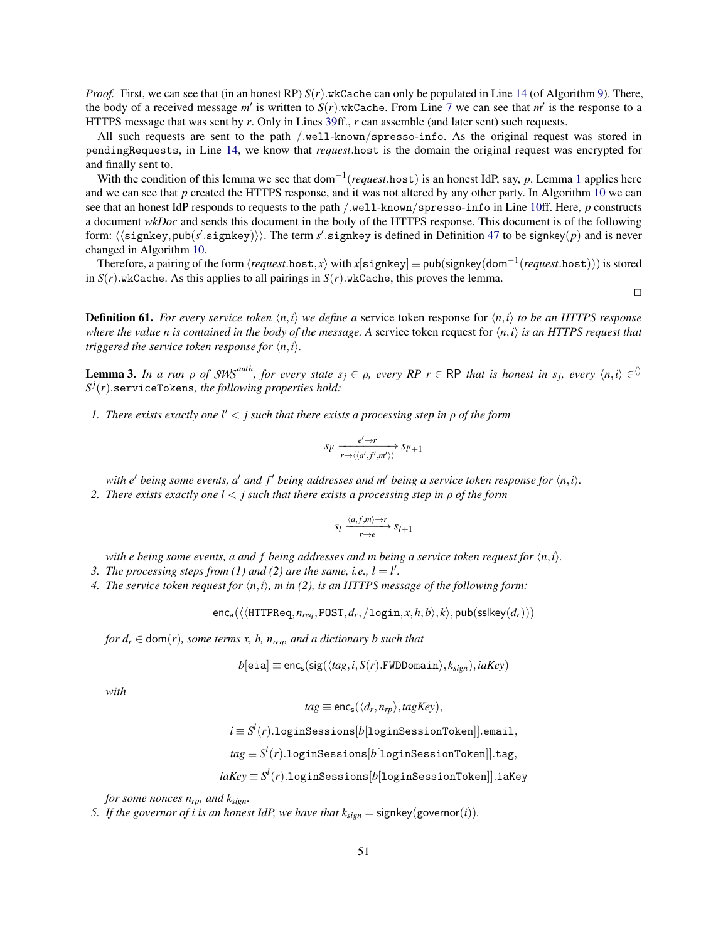*Proof.* First, we can see that (in an honest RP)  $S(r)$ .wkCache can only be populated in Line [14](#page-40-0) (of Algorithm [9\)](#page-40-0). There, the body of a received message  $m'$  is written to  $S(r)$ .wkCache. From Line [7](#page-40-0) we can see that  $m'$  is the response to a HTTPS message that was sent by *r*. Only in Lines [39f](#page-40-0)f., *r* can assemble (and later sent) such requests.

All such requests are sent to the path /.well-known/spresso-info. As the original request was stored in pendingRequests, in Line [14,](#page-40-0) we know that *request*.host is the domain the original request was encrypted for and finally sent to.

With the condition of this lemma we see that dom−<sup>1</sup> (*request*.host) is an honest IdP, say, *p*. Lemma [1](#page-49-4) applies here and we can see that  $p$  created the HTTPS response, and it was not altered by any other party. In Algorithm [10](#page-43-1) we can see that an honest IdP responds to requests to the path /.well-known/spresso-info in Line [10f](#page-43-1)f. Here, *p* constructs a document *wkDoc* and sends this document in the body of the HTTPS response. This document is of the following form:  $\langle\langle$ signkey,pub $(s'.\texttt{signkey})\rangle\rangle$ . The term  $s'.\texttt{signkey}$  is defined in Definition [47](#page-42-0) to be signkey $(p)$  and is never changed in Algorithm [10.](#page-43-1)

Therefore, a pairing of the form h*request*.host, *x*i with *x*[signkey] ≡ pub(signkey(dom−<sup>1</sup> (*request*.host))) is stored in  $S(r)$ .wkCache. As this applies to all pairings in  $S(r)$ .wkCache, this proves the lemma.

 $\Box$ 

**Definition 61.** For every service token  $\langle n,i \rangle$  we define a service token response for  $\langle n,i \rangle$  to be an HTTPS response *where the value n is contained in the body of the message.* A service token request for  $\langle n, i \rangle$  *is an HTTPS request that triggered the service token response for*  $\langle n, i \rangle$ *.* 

<span id="page-50-0"></span>**Lemma 3.** In a run  $\rho$  of  $SWS^{auth}$ , for every state  $s_j \in \rho$ , every RP  $r \in \mathsf{RP}$  that is honest in  $s_j$ , every  $\langle n,i \rangle \in \mathbb{N}$ *S j* (*r*).serviceTokens*, the following properties hold:*

*1. There exists exactly one l'*  $\lt$  *j such that there exists a processing step in ρ of the form* 

$$
s_{l'} \xrightarrow[r \to \langle\langle a', f', m'\rangle\rangle]{e' \to r} s_{l'+1}
$$

*with e' being some events, a' and f' being addresses and m' being a service token response for*  $\langle n,i \rangle$ *. 2. There exists exactly one l* < *j such that there exists a processing step in* ρ *of the form*

$$
S_l \xrightarrow[r \to e]{\langle a, f, m \rangle \to r} S_{l+1}
$$

*with e being some events, a and f being addresses and m being a service token request for*  $\langle n,i \rangle$ *.* 

- *3. The processing steps from (1) and (2) are the same, i.e.,*  $l = l'$ *.*
- 4. The service token request for  $\langle n,i \rangle$ , m in (2), is an HTTPS message of the following form:

 $\mathsf{enc}_\mathsf{a}(\langle\langle \mathsf{HTTPReq}, \mathit{n_{req}}, \mathsf{POST}, \mathit{d_r}, \mathit{/}\mathsf{login}, x, h, b \rangle, k \rangle, \mathsf{pub}(\mathsf{sslkey}(\mathit{d_r})))$ 

*for*  $d_r \in \text{dom}(r)$ *, some terms x, h, n<sub>req</sub>, and a dictionary b such that* 

 $b[eia] \equiv enc_s(sig(\langle tag, i, S(r).FWDDomain \rangle, k_{sign}), iaKey)$ 

*with*

$$
tag \equiv enc_s(\langle d_r, n_{rp} \rangle, tagKey),
$$

$$
i \equiv S^l(r). \texttt{logins} \texttt{essions}[b[\texttt{logins} \texttt{essionToken}]].\texttt{email},
$$

$$
tag \equiv S^{l}(r).logings \text{essions}[b[\text{loginsessionToken}]].tag,
$$

*iaKey* ≡ *S l* (*r*).loginSessions[*b*[loginSessionToken]].iaKey

*for some nonces nrp, and ksign.*

*5. If the governor of i is an honest IdP, we have that*  $k_{\text{sign}} = \text{signkey}(\text{governor}(i)).$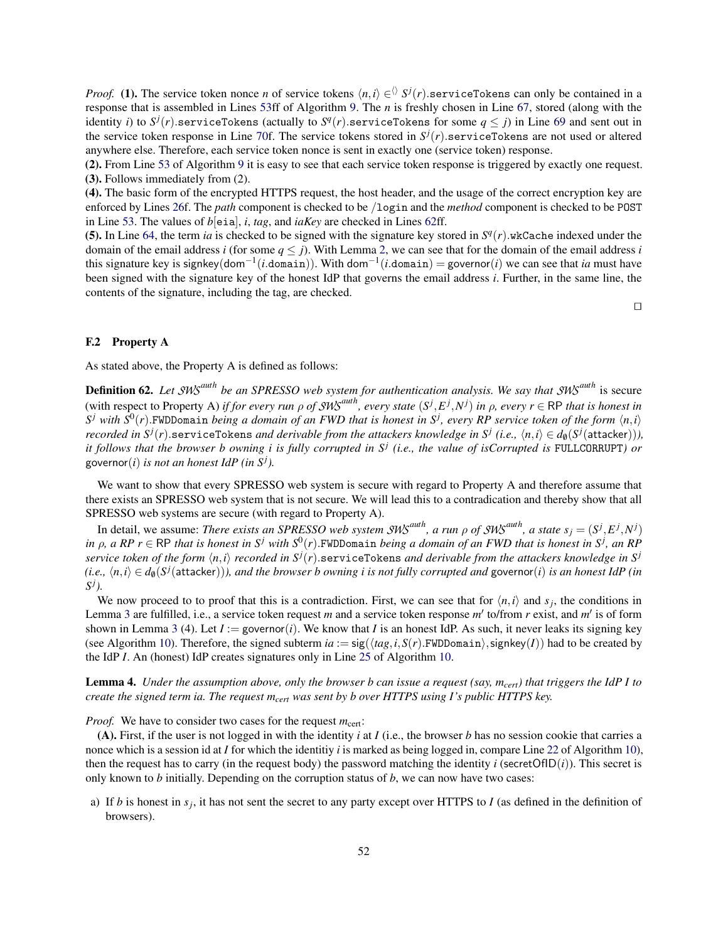*Proof.* (1). The service token nonce *n* of service tokens  $\langle n,i \rangle \in \mathcal{O}$   $S^j(r)$ .serviceTokens can only be contained in a response that is assembled in Lines [53f](#page-40-0)f of Algorithm [9.](#page-40-0) The *n* is freshly chosen in Line [67,](#page-40-0) stored (along with the identity *i*) to  $S^j(r)$ .serviceTokens (actually to  $S^q(r)$ .serviceTokens for some  $q\le j$ ) in Line [69](#page-40-0) and sent out in the service token response in Line [70f](#page-40-0). The service tokens stored in *S j* (*r*).serviceTokens are not used or altered anywhere else. Therefore, each service token nonce is sent in exactly one (service token) response.

(2). From Line [53](#page-40-0) of Algorithm [9](#page-40-0) it is easy to see that each service token response is triggered by exactly one request. (3). Follows immediately from (2).

(4). The basic form of the encrypted HTTPS request, the host header, and the usage of the correct encryption key are enforced by Lines [26f](#page-40-0). The *path* component is checked to be /login and the *method* component is checked to be POST in Line [53.](#page-40-0) The values of *b*[eia], *i*, *tag*, and *iaKey* are checked in Lines [62f](#page-40-0)f.

(5). In Line [64,](#page-40-0) the term *ia* is checked to be signed with the signature key stored in  $S<sup>q</sup>(r)$ .wkCache indexed under the domain of the email address *i* (for some  $q \leq j$ ). With Lemma [2,](#page-49-5) we can see that for the domain of the email address *i* this signature key is signkey(dom−<sup>1</sup> (*i*.domain)). With dom−<sup>1</sup> (*i*.domain) = governor(*i*) we can see that *ia* must have been signed with the signature key of the honest IdP that governs the email address *i*. Further, in the same line, the contents of the signature, including the tag, are checked.

 $\Box$ 

## F.2 Property A

As stated above, the Property A is defined as follows:

Definition 62. *Let SWS auth be an SPRESSO web system for authentication analysis. We say that SWS auth* is secure (with respect to Property A) if for every run  $\rho$  of  $SWS^{auth}$ , every state  $(S^j, E^j, N^j)$  in  $\rho$ , every  $r \in$  RP that is honest in  $S^j$  *with*  $S^0(r)$ .FWDDomain *being a domain of an FWD that is honest in*  $S^j$ , *every RP service token of the form*  $\langle n,i \rangle$  $f$ recorded in  $S^j(r)$ .se $r$ viceTokens *and derivable from the attackers knowledge in*  $S^j$  *(i.e.,*  $\langle n,i\rangle\in d_\emptyset(S^j(\text{attacker})),$ *it follows that the browser b owning i is fully corrupted in S j (i.e., the value of isCorrupted is* FULLCORRUPT*) or* governor(*i*) *is not an honest IdP (in S<sup>j</sup> ).*

We want to show that every SPRESSO web system is secure with regard to Property A and therefore assume that there exists an SPRESSO web system that is not secure. We will lead this to a contradication and thereby show that all SPRESSO web systems are secure (with regard to Property A).

In detail, we assume: *There exists an SPRESSO web system SWS*<sup>*auth</sup>, a run*  $\rho$  *of SWS*<sup>*auth</sup>, a state s<sub>j</sub> = (S<sup>j</sup>, E<sup>j</sup>, N<sup>j</sup>)</sup></sup> in*  $\rho$ , a RP  $r \in$  RP that is honest in  $S^j$  with  $S^0(r)$ .FWDDomain *being a domain of an FWD that is honest in*  $S^j$ , an RP  $s$ ervice token of the form  $\langle n,i\rangle$  recorded in  $S^j(r)$ .se $r$ viceTokens *and derivable from the attackers knowledge in*  $S^j$  $(i.e.,\langle n,i\rangle\in d_\emptyset(S^j(\text{attacker}))),$  and the browser  $b$  owning  $i$  is not fully corrupted and  $\texttt{governor}(i)$  is an honest IdP (in *S j ).*

We now proceed to to proof that this is a contradiction. First, we can see that for  $\langle n,i \rangle$  and  $s_j$ , the conditions in Lemma [3](#page-50-0) are fulfilled, i.e., a service token request m and a service token response m' to/from r exist, and m' is of form shown in Lemma [3](#page-50-0) (4). Let  $I :=$  governor(*i*). We know that *I* is an honest IdP. As such, it never leaks its signing key (see Algorithm [10\)](#page-43-1). Therefore, the signed subterm  $ia := \text{sig}(\langle tag, i, S(r), FWDDomain \rangle, \text{signkey}(I))$  had to be created by the IdP *I*. An (honest) IdP creates signatures only in Line [25](#page-43-1) of Algorithm [10.](#page-43-1)

Lemma 4. *Under the assumption above, only the browser b can issue a request (say, mcert) that triggers the IdP I to create the signed term ia. The request mcert was sent by b over HTTPS using I's public HTTPS key.*

*Proof.* We have to consider two cases for the request  $m_{\text{cert}}$ :

(A). First, if the user is not logged in with the identity *i* at *I* (i.e., the browser *b* has no session cookie that carries a nonce which is a session id at *I* for which the identitiy *i* is marked as being logged in, compare Line [22](#page-43-1) of Algorithm [10\)](#page-43-1), then the request has to carry (in the request body) the password matching the identity  $i$  (secretOfID $(i)$ ). This secret is only known to *b* initially. Depending on the corruption status of *b*, we can now have two cases:

a) If *b* is honest in *s<sup>j</sup>* , it has not sent the secret to any party except over HTTPS to *I* (as defined in the definition of browsers).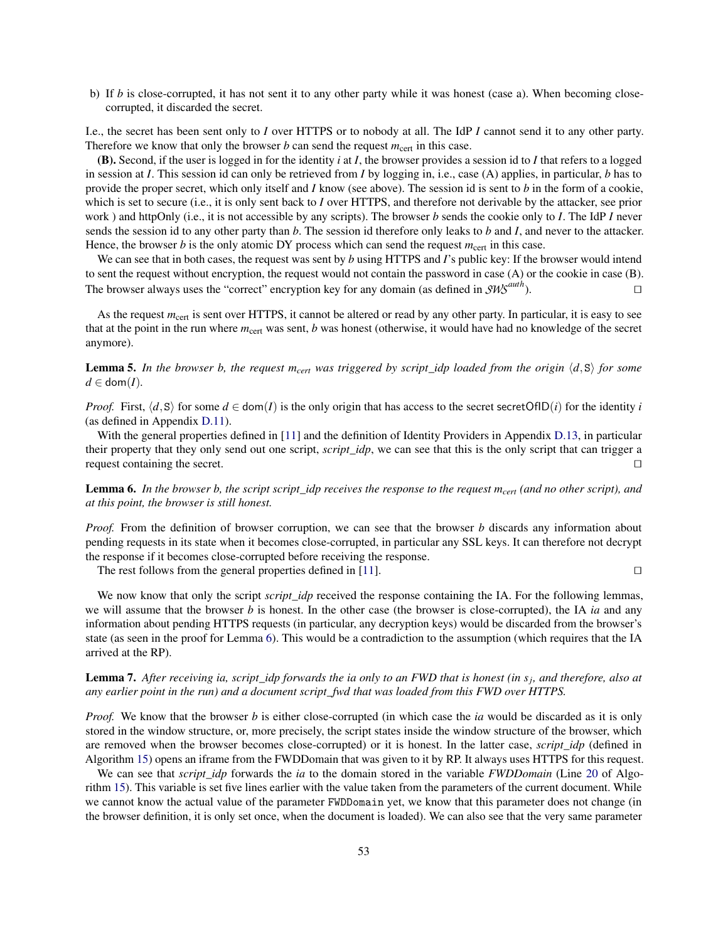b) If *b* is close-corrupted, it has not sent it to any other party while it was honest (case a). When becoming closecorrupted, it discarded the secret.

I.e., the secret has been sent only to *I* over HTTPS or to nobody at all. The IdP *I* cannot send it to any other party. Therefore we know that only the browser *b* can send the request  $m_{\text{cert}}$  in this case.

(B). Second, if the user is logged in for the identity *i* at *I*, the browser provides a session id to *I* that refers to a logged in session at *I*. This session id can only be retrieved from *I* by logging in, i.e., case (A) applies, in particular, *b* has to provide the proper secret, which only itself and *I* know (see above). The session id is sent to *b* in the form of a cookie, which is set to secure (i.e., it is only sent back to *I* over HTTPS, and therefore not derivable by the attacker, see prior work ) and httpOnly (i.e., it is not accessible by any scripts). The browser *b* sends the cookie only to *I*. The IdP *I* never sends the session id to any other party than *b*. The session id therefore only leaks to *b* and *I*, and never to the attacker. Hence, the browser *b* is the only atomic DY process which can send the request  $m_{\text{cert}}$  in this case.

We can see that in both cases, the request was sent by *b* using HTTPS and *I*'s public key: If the browser would intend to sent the request without encryption, the request would not contain the password in case (A) or the cookie in case (B). The browser always uses the "correct" encryption key for any domain (as defined in  $SWS^{auth}$ ).

As the request  $m_{\text{cert}}$  is sent over HTTPS, it cannot be altered or read by any other party. In particular, it is easy to see that at the point in the run where *m*cert was sent, *b* was honest (otherwise, it would have had no knowledge of the secret anymore).

**Lemma 5.** In the browser b, the request  $m_{cert}$  was triggered by script\_idp loaded from the origin  $\langle d, S \rangle$  for some  $d \in \text{dom}(I)$ .

*Proof.* First,  $\langle d, S \rangle$  for some  $d \in \text{dom}(I)$  is the only origin that has access to the secret secretOfID(*i*) for the identity *i* (as defined in Appendix [D.11\)](#page-39-0).

With the general properties defined in [\[11\]](#page-19-0) and the definition of Identity Providers in Appendix [D.13,](#page-42-1) in particular their property that they only send out one script, *script*\_*idp*, we can see that this is the only script that can trigger a request containing the secret.

<span id="page-52-0"></span>**Lemma 6.** In the browser *b*, the script script\_idp receives the response to the request  $m_{cert}$  (and no other script), and *at this point, the browser is still honest.*

*Proof.* From the definition of browser corruption, we can see that the browser *b* discards any information about pending requests in its state when it becomes close-corrupted, in particular any SSL keys. It can therefore not decrypt the response if it becomes close-corrupted before receiving the response.

The rest follows from the general properties defined in [\[11\]](#page-19-0).  $\square$ 

We now know that only the script *script\_idp* received the response containing the IA. For the following lemmas, we will assume that the browser *b* is honest. In the other case (the browser is close-corrupted), the IA *ia* and any information about pending HTTPS requests (in particular, any decryption keys) would be discarded from the browser's state (as seen in the proof for Lemma [6\)](#page-52-0). This would be a contradiction to the assumption (which requires that the IA arrived at the RP).

Lemma 7. *After receiving ia, script\_idp forwards the ia only to an FWD that is honest (in s<sup>j</sup> , and therefore, also at any earlier point in the run) and a document script\_fwd that was loaded from this FWD over HTTPS.*

*Proof.* We know that the browser *b* is either close-corrupted (in which case the *ia* would be discarded as it is only stored in the window structure, or, more precisely, the script states inside the window structure of the browser, which are removed when the browser becomes close-corrupted) or it is honest. In the latter case, *script*\_*idp* (defined in Algorithm [15\)](#page-46-0) opens an iframe from the FWDDomain that was given to it by RP. It always uses HTTPS for this request.

We can see that *script*\_*idp* forwards the *ia* to the domain stored in the variable *FWDDomain* (Line [20](#page-46-0) of Algorithm [15\)](#page-46-0). This variable is set five lines earlier with the value taken from the parameters of the current document. While we cannot know the actual value of the parameter FWDDomain yet, we know that this parameter does not change (in the browser definition, it is only set once, when the document is loaded). We can also see that the very same parameter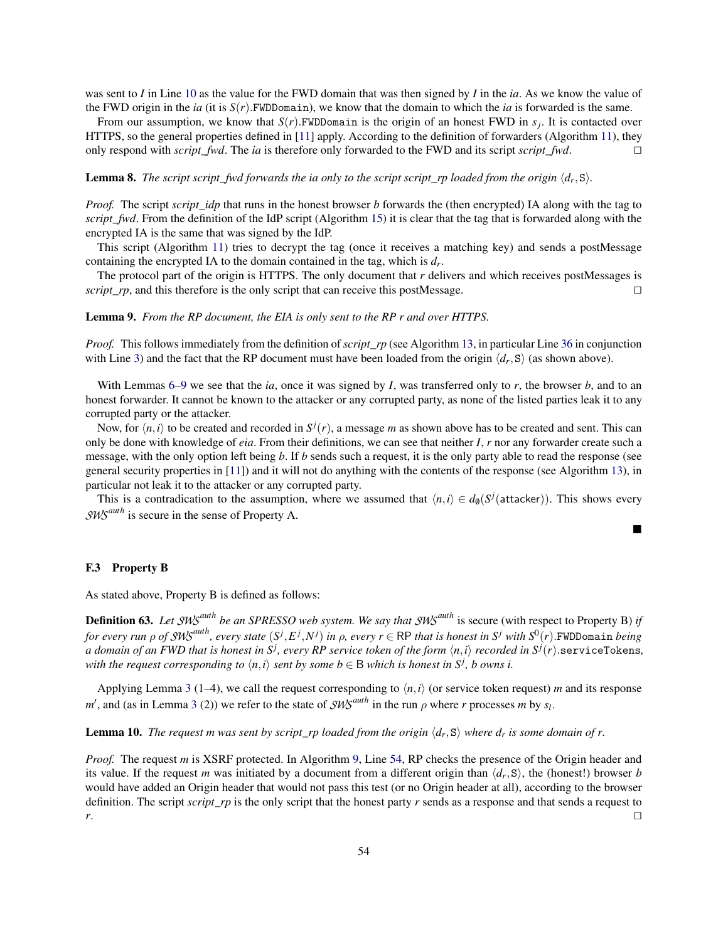was sent to *I* in Line [10](#page-46-0) as the value for the FWD domain that was then signed by *I* in the *ia*. As we know the value of the FWD origin in the *ia* (it is  $S(r)$ .FWDDomain), we know that the domain to which the *ia* is forwarded is the same.

From our assumption, we know that *S*(*r*).FWDDomain is the origin of an honest FWD in *s<sup>j</sup>* . It is contacted over HTTPS, so the general properties defined in [\[11\]](#page-19-0) apply. According to the definition of forwarders (Algorithm [11\)](#page-43-2), they only respond with *script\_fwd*. The *ia* is therefore only forwarded to the FWD and its script *script\_fwd*.  $\square$ 

**Lemma 8.** The script script\_fwd forwards the ia only to the script script\_rp loaded from the origin  $\langle d_r, S \rangle$ .

*Proof.* The script *script idp* that runs in the honest browser *b* forwards the (then encrypted) IA along with the tag to *script* fwd. From the definition of the IdP script (Algorithm [15\)](#page-46-0) it is clear that the tag that is forwarded along with the encrypted IA is the same that was signed by the IdP.

This script (Algorithm [11\)](#page-43-2) tries to decrypt the tag (once it receives a matching key) and sends a postMessage containing the encrypted IA to the domain contained in the tag, which is *d<sup>r</sup>* .

The protocol part of the origin is HTTPS. The only document that *r* delivers and which receives postMessages is *script\_rp*, and this therefore is the only script that can receive this postMessage.  $\square$ 

<span id="page-53-0"></span>Lemma 9. *From the RP document, the EIA is only sent to the RP r and over HTTPS.*

*Proof.* This follows immediately from the definition of *script\_rp* (see Algorithm [13,](#page-45-1) in particular Line [36](#page-45-1) in conjunction with Line [3\)](#page-45-1) and the fact that the RP document must have been loaded from the origin  $\langle d_r, S \rangle$  (as shown above).

With Lemmas [6](#page-52-0)[–9](#page-53-0) we see that the *ia*, once it was signed by *I*, was transferred only to *r*, the browser *b*, and to an honest forwarder. It cannot be known to the attacker or any corrupted party, as none of the listed parties leak it to any corrupted party or the attacker.

Now, for  $\langle n, i \rangle$  to be created and recorded in  $S^j(r)$ , a message *m* as shown above has to be created and sent. This can only be done with knowledge of *eia*. From their definitions, we can see that neither *I*, *r* nor any forwarder create such a message, with the only option left being *b*. If *b* sends such a request, it is the only party able to read the response (see general security properties in [\[11\]](#page-19-0)) and it will not do anything with the contents of the response (see Algorithm [13\)](#page-45-1), in particular not leak it to the attacker or any corrupted party.

This is a contradication to the assumption, where we assumed that  $\langle n,i \rangle \in d_{\emptyset}(S^j(\text{attacker}))$ . This shows every *SWS auth* is secure in the sense of Property A.

 $\blacksquare$ 

## F.3 Property B

As stated above, Property B is defined as follows:

**Definition 63.** Let  $SWS^{auth}$  be an SPRESSO web system. We say that  $SWS^{auth}$  is secure (with respect to Property B) if for every run  $\rho$  of SWS<sup>auth</sup>, every state  $(S^j,E^j,N^j)$  in  $\rho$ , every  $r\in$  RP that is honest in  $S^j$  with  $S^0(r).$ FWDDomain being *a domain of an FWD that is honest in*  $S^j$ *, every RP service token of the form*  $\langle n,i\rangle$  *recorded in*  $S^j(r)$ *.serviceTokens, with the request corresponding to*  $\langle n,i \rangle$  *sent by some b*  $\in$  B *which is honest in S<sup><i>j*</sup>, *b owns i.* 

Applying Lemma [3](#page-50-0) (1–4), we call the request corresponding to  $\langle n,i \rangle$  (or service token request) *m* and its response *m'*, and (as in Lemma [3](#page-50-0) (2)) we refer to the state of  $SWS^{auth}$  in the run  $\rho$  where *r* processes *m* by  $s_l$ .

<span id="page-53-1"></span>**Lemma 10.** The request m was sent by script\_rp loaded from the origin  $\langle d_r, S \rangle$  where  $d_r$  is some domain of r.

<span id="page-53-2"></span>*Proof.* The request *m* is XSRF protected. In Algorithm [9,](#page-40-0) Line [54,](#page-40-0) RP checks the presence of the Origin header and its value. If the request *m* was initiated by a document from a different origin than  $\langle d_r, S \rangle$ , the (honest!) browser *b* would have added an Origin header that would not pass this test (or no Origin header at all), according to the browser definition. The script *script*\_*rp* is the only script that the honest party *r* sends as a response and that sends a request to  $r$ .  $\Box$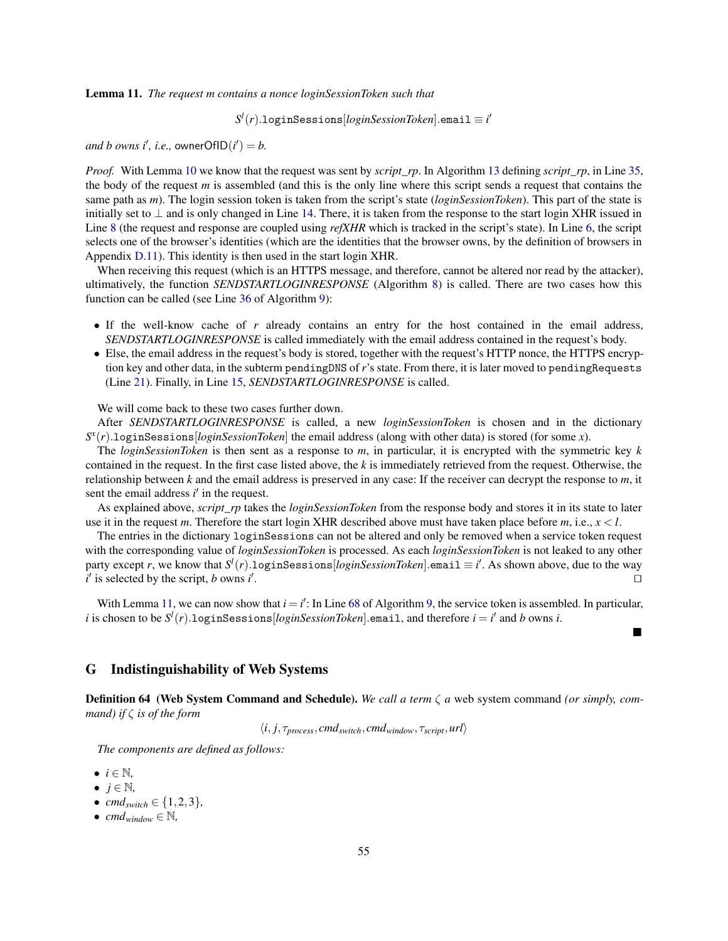Lemma 11. *The request m contains a nonce loginSessionToken such that*

 $S^l(r)$ .loginSessions $[loginSessionToken]$ .email $\equiv i'$ 

 $and b \text{ owns } i', i.e., \text{ ownerOfID}(i') = b.$ 

*Proof.* With Lemma [10](#page-53-1) we know that the request was sent by *script*\_*rp*. In Algorithm [13](#page-45-1) defining *script*\_*rp*, in Line [35,](#page-45-1) the body of the request *m* is assembled (and this is the only line where this script sends a request that contains the same path as *m*). The login session token is taken from the script's state (*loginSessionToken*). This part of the state is initially set to  $\perp$  and is only changed in Line [14.](#page-45-1) There, it is taken from the response to the start login XHR issued in Line [8](#page-45-1) (the request and response are coupled using *refXHR* which is tracked in the script's state). In Line [6,](#page-45-1) the script selects one of the browser's identities (which are the identities that the browser owns, by the definition of browsers in Appendix [D.11\)](#page-39-0). This identity is then used in the start login XHR.

When receiving this request (which is an HTTPS message, and therefore, cannot be altered nor read by the attacker), ultimatively, the function *SENDSTARTLOGINRESPONSE* (Algorithm [8\)](#page-40-1) is called. There are two cases how this function can be called (see Line [36](#page-40-0) of Algorithm [9\)](#page-40-0):

- If the well-know cache of *r* already contains an entry for the host contained in the email address, *SENDSTARTLOGINRESPONSE* is called immediately with the email address contained in the request's body.
- Else, the email address in the request's body is stored, together with the request's HTTP nonce, the HTTPS encryption key and other data, in the subterm pendingDNS of *r*'s state. From there, it is later moved to pendingRequests (Line [21\)](#page-40-0). Finally, in Line [15,](#page-40-0) *SENDSTARTLOGINRESPONSE* is called.

We will come back to these two cases further down.

After *SENDSTARTLOGINRESPONSE* is called, a new *loginSessionToken* is chosen and in the dictionary *S x* (*r*).loginSessions[*loginSessionToken*] the email address (along with other data) is stored (for some *x*).

The *loginSessionToken* is then sent as a response to *m*, in particular, it is encrypted with the symmetric key *k* contained in the request. In the first case listed above, the *k* is immediately retrieved from the request. Otherwise, the relationship between *k* and the email address is preserved in any case: If the receiver can decrypt the response to *m*, it sent the email address  $i'$  in the request.

As explained above, *script*\_*rp* takes the *loginSessionToken* from the response body and stores it in its state to later use it in the request *m*. Therefore the start login XHR described above must have taken place before *m*, i.e.,  $x < l$ .

The entries in the dictionary loginSessions can not be altered and only be removed when a service token request with the corresponding value of *loginSessionToken* is processed. As each *loginSessionToken* is not leaked to any other party except  $r$ , we know that  $S^l(r)$ .loginSessions[*loginSessionToken*].email  $\equiv i'$ . As shown above, due to the way  $i'$  is selected by the script, *b* owns  $i'$ . The contract of the contract of the contract of the contract of the contract of the contract of the contract of the contract of the contract of the contract of the contract of the contract of the contract of the contract

With Lemma [11,](#page-53-2) we can now show that  $i = i'$ : In Line [68](#page-40-0) of Algorithm [9,](#page-40-0) the service token is assembled. In particular,  $i$  is chosen to be  $S^l(r)$ .loginSessions $[loginSessionToken]$ .email, and therefore  $i = i'$  and  $b$  owns  $i$ .

 $\blacksquare$ 

# G Indistinguishability of Web Systems

Definition 64 (Web System Command and Schedule). *We call a term* ζ *a* web system command *(or simply, command) if* ζ *is of the form*

 $\langle i, j, \tau_{process}, cmd_{switch}, cmd_{window}, \tau_{script}, url \rangle$ 

*The components are defined as follows:*

- $\bullet i \in \mathbb{N},$
- $\bullet$   $j \in \mathbb{N}$ ,
- $cmd_{switch} \in \{1,2,3\}$ ,
- $cmd_{window} \in \mathbb{N}$ ,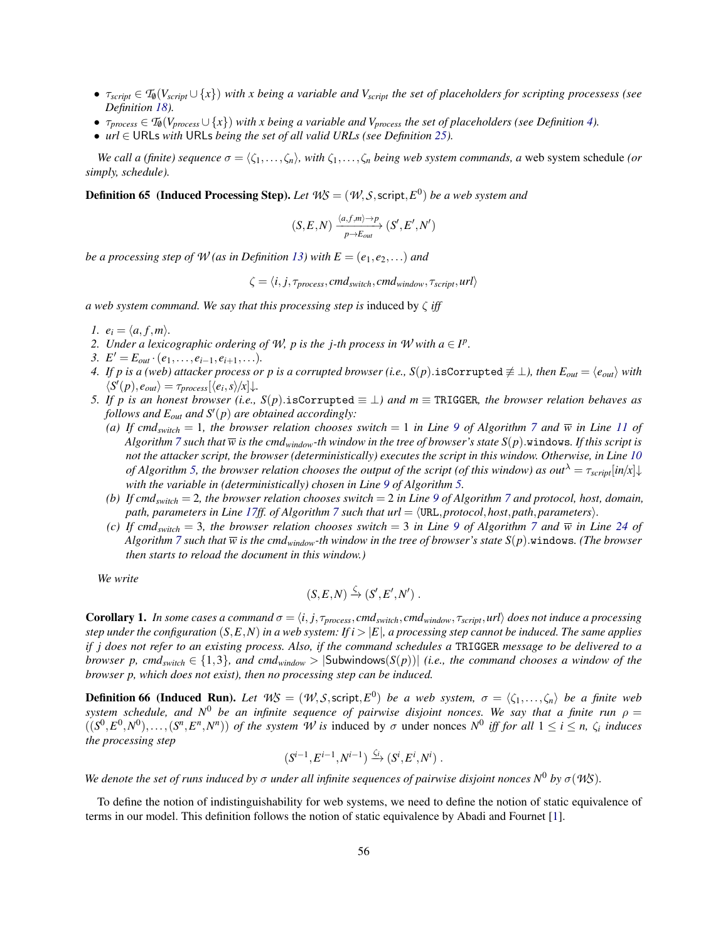- $\tau_{scrint} \in T_0(V_{scrint} \cup \{x\})$  *with x* being a variable and  $V_{scrint}$  the set of placeholders for scripting processess (see *Definition [18\)](#page-24-1).*
- $\tau_{process} \in T_0(V_{process} \cup \{x\})$  with x being a variable and  $V_{process}$  the set of placeholders (see Definition [4\)](#page-21-0).
- *url* ∈ URLs *with* URLs *being the set of all valid URLs (see Definition [25\)](#page-25-0).*

*We call a (finite) sequence*  $\sigma = \langle \zeta_1, \ldots, \zeta_n \rangle$ , with  $\zeta_1, \ldots, \zeta_n$  *being web system commands, a* web system schedule *(or simply, schedule).*

**Definition 65** (Induced Processing Step). Let  $\mathcal{W}S = (\mathcal{W}, \mathcal{S}, \text{script}, E^0)$  be a web system and

$$
(S, E, N) \xrightarrow[p \to E_{out}]{}^{(a, f, m) \to p} (S', E', N')
$$

*be a processing step of W* (*as in Definition 13*) with  $E = (e_1, e_2, \ldots)$  *and* 

 $\zeta = \langle i, j, \tau_{process}, cmd_{switch}, cmd_{window}, \tau_{script}, url \rangle$ 

*a web system command. We say that this processing step is* induced by ζ *iff*

- *1.*  $e_i = \langle a, f, m \rangle$ .
- *2. Under a lexicographic ordering of W*, *p* is the *j*-th process in *W* with  $a \in I^p$ .
- 3.  $E' = E_{out} \cdot (e_1, \ldots, e_{i-1}, e_{i+1}, \ldots).$
- *4. If p* is a (web) attacker process or *p* is a corrupted browser (i.e.,  $S(p)$ . isCorrupted  $\not\equiv \perp$ ), then  $E_{out} = \langle e_{out} \rangle$  with  $\langle S'(p), e_{out} \rangle = \tau_{process}[\langle e_i, s \rangle /x] \downarrow.$
- *5. If p is an honest browser (i.e.,*  $S(p)$ .isCorrupted  $\equiv \bot$ ) and  $m \equiv$  TRIGGER, the browser relation behaves as *follows and*  $E_{out}$  *and*  $S'(p)$  *are obtained accordingly:* 
	- (a) If cmd<sub>switch</sub> = 1, the browser relation chooses switch = 1 in Line [9](#page-35-0) of Algorithm [7](#page-35-0) and  $\overline{w}$  in Line [11](#page-35-0) of *Algorithm [7](#page-35-0) such that*  $\overline{w}$  *is the cmd*<sub>*window*</sub>*-th window in the tree of browser's state*  $S(p)$ *.windows. If this script is not the attacker script, the browser (deterministically) executes the script in this window. Otherwise, in Line [10](#page-32-0) of Algorithm [5,](#page-32-0) the browser relation chooses the output of the script (of this window) as*  $\omega u^{\lambda} = \tau_{scrit}$ *[<i>in*/*x*]  $\downarrow$ *with the variable in (deterministically) chosen in Line [9](#page-32-0) of Algorithm [5.](#page-32-0)*
	- *(b) If cmdswitch* = 2*, the browser relation chooses switch* = 2 *in Line [9](#page-35-0) of Algorithm [7](#page-35-0) and protocol, host, domain, path, parameters in Line [17f](#page-35-0)f. of Algorithm [7](#page-35-0) such that*  $url = \langle \text{URL}, \text{protocol}, \text{host}, \text{path}, \text{parameters} \rangle$ *.*
	- *(c)* If cmd<sub>switch</sub> = 3, the browser relation chooses switch = 3 in Line [9](#page-35-0) of Algorithm [7](#page-35-0) and  $\overline{w}$  in Line [24](#page-35-0) of *Algorithm [7](#page-35-0) such that*  $\overline{w}$  *is the cmd*<sub>*window*-*th window in the tree of browser's state*  $S(p)$ .windows. (The browser</sub> *then starts to reload the document in this window.)*

*We write*

$$
(S, E, N) \xrightarrow{\zeta} (S', E', N') .
$$

<span id="page-55-0"></span>**Corollary 1.** In some cases a command  $\sigma = \langle i, j, \tau_{process}$ ,  $cmd_{switch}$ ,  $cmd_{window}$ ,  $\tau_{script}$ ,  $url \rangle$  does not induce a processing *step under the configuration*  $(S, E, N)$  *in a web system:* If  $i > |E|$ *, a processing step cannot be induced. The same applies if j does not refer to an existing process. Also, if the command schedules a* TRIGGER *message to be delivered to a browser p, cmd<sub>switch</sub>*  $\in$  {1,3}*, and cmd<sub>window</sub>* > |Subwindows(*S*(*p*))| (*i.e., the command chooses a window of the browser p, which does not exist), then no processing step can be induced.*

**Definition 66 (Induced Run).** Let  $\mathcal{W}S = (\mathcal{W}, S, \text{script}, E^0)$  be a web system,  $\sigma = \langle \zeta_1, \ldots, \zeta_n \rangle$  be a finite web  $s$ ystem schedule, and  $N^0$  be an infinite sequence of pairwise disjoint nonces. We say that a finite run  $\rho =$  $((S^0, E^0, N^0), \ldots, (S^n, E^n, N^n))$  of the system W is induced by  $\sigma$  under nonces  $N^0$  iff for all  $1 \le i \le n$ ,  $\zeta_i$  induces *the processing step*

$$
(S^{i-1}, E^{i-1}, N^{i-1}) \xrightarrow{\zeta_i} (S^i, E^i, N^i) .
$$

*We denote the set of runs induced by*  $\sigma$  *under all infinite sequences of pairwise disjoint nonces N<sup>0</sup> <i>by*  $\sigma(WS)$ *.* 

To define the notion of indistinguishability for web systems, we need to define the notion of static equivalence of terms in our model. This definition follows the notion of static equivalence by Abadi and Fournet [\[1\]](#page-19-1).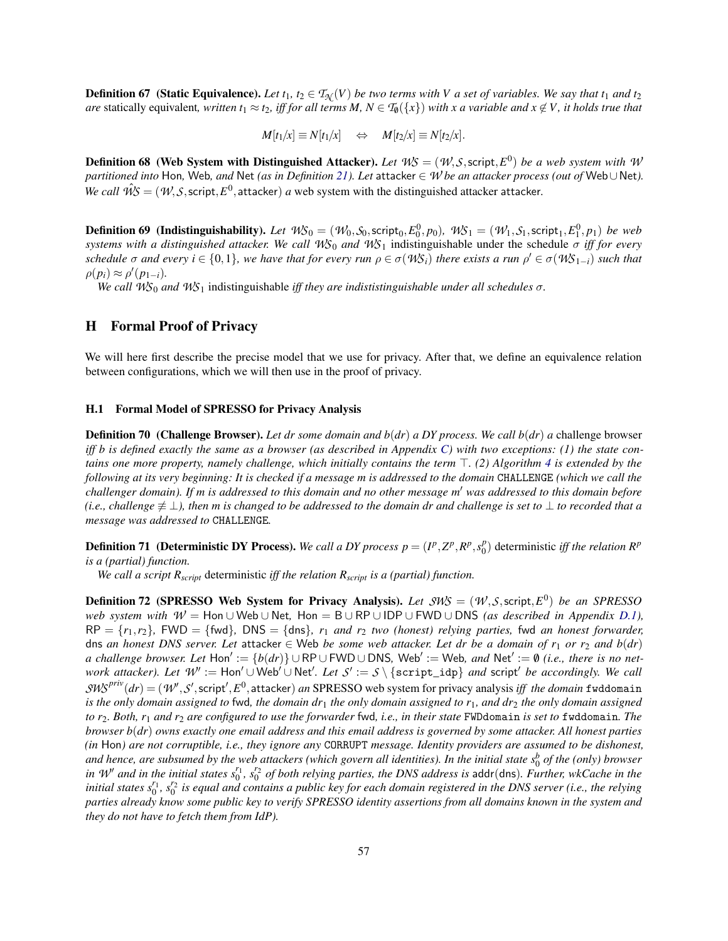**Definition 67** (Static Equivalence). Let  $t_1$ ,  $t_2 \in T_\mathcal{N}(V)$  be two terms with V a set of variables. We say that  $t_1$  and  $t_2$ *are* statically equivalent, written  $t_1 \approx t_2$ , iff for all terms M,  $N \in T_0({x \}$  with x a variable and  $x \notin V$ , it holds true that

$$
M[t_1/x] \equiv N[t_1/x] \quad \Leftrightarrow \quad M[t_2/x] \equiv N[t_2/x].
$$

**Definition 68** (Web System with Distinguished Attacker). Let  $W\!S = (W, S, \text{script}, E^0)$  be a web system with W *partitioned into* Hon, Web, and Net *(as in Definition [21\)](#page-24-2). Let* attacker ∈ *W be an attacker process (out of* Web∪Net). *We call*  $\hat{W}S = (W, S, \text{script}, E^0, \text{attacker})$  *<i>a* web system with the distinguished attacker attacker.

<span id="page-56-1"></span>**Definition 69** (Indistinguishability). Let  $\mathcal{WS}_0 = (\mathcal{W}_0, \mathcal{S}_0, \text{script}_0, E_0^0, p_0)$ ,  $\mathcal{WS}_1 = (\mathcal{W}_1, \mathcal{S}_1, \text{script}_1, E_1^0, p_1)$  be web *systems with a distinguished attacker. We call*  $W_0$  *and*  $W_1$  indistinguishable under the schedule  $\sigma$  *iff for every schedule*  $\sigma$  *and every*  $i \in \{0,1\}$ , we have that for every run  $\rho \in \sigma(WS_i)$  there exists a run  $\rho' \in \sigma(WS_{1-i})$  such that  $\rho(p_i) \approx \rho'(p_{1-i}).$ 

*We call*  $WS_0$  *and*  $WS_1$  indistinguishable *iff they are indististinguishable under all schedules* σ.

# H Formal Proof of Privacy

We will here first describe the precise model that we use for privacy. After that, we define an equivalence relation between configurations, which we will then use in the proof of privacy.

#### H.1 Formal Model of SPRESSO for Privacy Analysis

Definition 70 (Challenge Browser). *Let dr some domain and b*(*dr*) *a DY process. We call b*(*dr*) *a* challenge browser *iff b is defined exactly the same as a browser (as described in Appendix [C\)](#page-27-0) with two exceptions: (1) the state contains one more property, namely challenge, which initially contains the term*  $\top$ *. (2) Algorithm* [4](#page-31-0) *is extended by the following at its very beginning: It is checked if a message m is addressed to the domain* CHALLENGE *(which we call the challenger domain). If m is addressed to this domain and no other message m* <sup>0</sup> *was addressed to this domain before (i.e., challenge* 6≡ ⊥*), then m is changed to be addressed to the domain dr and challenge is set to* ⊥ *to recorded that a message was addressed to* CHALLENGE*.*

**Definition 71** (Deterministic DY Process). We call a DY process  $p = (I^p, Z^p, R^p, s_0^p)$  $\binom{p}{0}$  deterministic *iff the relation*  $R^p$ *is a (partial) function.*

*We call a script Rscript* deterministic *iff the relation Rscript is a (partial) function.*

<span id="page-56-0"></span>Definition 72 (SPRESSO Web System for Privacy Analysis). *Let SWS* = (*W* ,*S*,script,*E* 0 ) *be an SPRESSO web system with W* = Hon ∪ Web ∪ Net*,* Hon = B ∪ RP ∪ IDP ∪ FWD ∪ DNS *(as described in Appendix [D.1\)](#page-37-1),*  $RP = \{r_1, r_2\}$ , FWD =  $\{\text{fwd}\}$ , DNS =  $\{\text{dns}\}$ ,  $r_1$  *and*  $r_2$  *two (honest) relying parties,* fwd *an honest forwarder,* dns *an honest DNS server. Let* attacker  $\in$  Web *be some web attacker. Let dr be a domain of*  $r_1$  *or*  $r_2$  *and*  $b(dr)$ *a challenge browser. Let*  $\text{Hom}' := \{b(dr)\} \cup \text{RP} \cup \text{FWD} \cup \text{DNS}$ , Web' := Web, and Net' := 0 *(i.e., there is no net* $i$  *work attacker). Let*  $W' :=$  Hon $' \cup$  Web $' \cup$  Net $'$ *. Let*  $\mathcal{S}' := \mathcal{S} \setminus \{\texttt{script\_idp}\}$  *and <code>script</code> be accordingly. We call*  $\mathcal{SWS}^{priv}(dr)=(\mathcal{W}',\mathcal{S}',$ script $',E^0,$ attacker) *an* SPRESSO web system for privacy analysis *iff the domain* fwddomain *is the only domain assigned to* fwd*, the domain dr*<sup>1</sup> *the only domain assigned to r*1*, and dr*<sup>2</sup> *the only domain assigned to r*2*. Both, r*<sup>1</sup> *and r*<sup>2</sup> *are configured to use the forwarder* fwd*, i.e., in their state* FWDdomain *is set to* fwddomain*. The browser b*(*dr*) *owns exactly one email address and this email address is governed by some attacker. All honest parties (in* Hon*) are not corruptible, i.e., they ignore any* CORRUPT *message. Identity providers are assumed to be dishonest,* and hence, are subsumed by the web attackers (which govern all identities). In the initial state  $s_0^b$  of the (only) browser *in*  $W'$  and in the initial states  $s_0^{r_1}$ ,  $s_0^{r_2}$  of both relying parties, the DNS address is addr(dns). Further, wkCache in the *initial states*  $s_0^{r_1}$ ,  $s_0^{r_2}$  *is equal and contains a public key for each domain registered in the DNS server (i.e., the relying parties already know some public key to verify SPRESSO identity assertions from all domains known in the system and they do not have to fetch them from IdP).*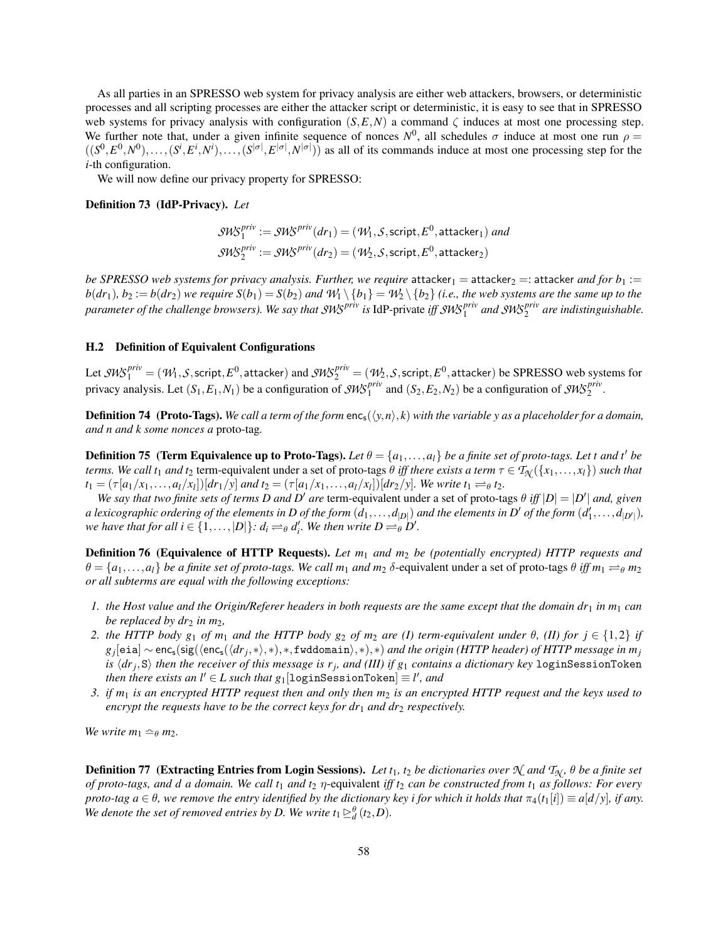As all parties in an SPRESSO web system for privacy analysis are either web attackers, browsers, or deterministic processes and all scripting processes are either the attacker script or deterministic, it is easy to see that in SPRESSO web systems for privacy analysis with configuration  $(S, E, N)$  a command  $\zeta$  induces at most one processing step. We further note that, under a given infinite sequence of nonces  $N^0$ , all schedules  $\sigma$  induce at most one run  $\rho =$  $((S^0, E^0, N^0), \ldots, (S^i, E^i, N^i), \ldots, (S^{|\sigma|}, E^{|\sigma|}, N^{|\sigma|}))$  as all of its commands induce at most one processing step for the *i*-th configuration.

We will now define our privacy property for SPRESSO:

#### <span id="page-57-0"></span>Definition 73 (IdP-Privacy). *Let*

$$
\mathcal{SWS}_1^{\text{priv}} := \mathcal{SWS}^{\text{priv}}(dr_1) = (\mathcal{W}_1, \mathcal{S}, \text{script}, E^0, \text{attacker}_1) \text{ and } \mathcal{SWS}_2^{\text{priv}} := \mathcal{SWS}^{\text{priv}}(dr_2) = (\mathcal{W}_2, \mathcal{S}, \text{script}, E^0, \text{attacker}_2)
$$

*be SPRESSO web systems for privacy analysis. Further, we require* attacker<sub>1</sub> = attacker<sub>2</sub> =: attacker *and for*  $b_1$  :=  $b(dr_1), b_2:=b(dr_2)$  we require  $S(b_1)=S(b_2)$  and  $W_1\setminus\{b_1\}=W_2\setminus\{b_2\}$  (i.e., the web systems are the same up to the *parameter of the challenge browsers). We say that SWS priv is* IdP-private *iff SWS priv* 1 *and SWS priv* 2 *are indistinguishable.*

#### H.2 Definition of Equivalent Configurations

Let  $\mathcal{SWS}_1^{priv}=(\mathcal{W}_1,\mathcal{S},$  script, $E^0,$  attacker) and  $\mathcal{SWS}_2^{priv}=(\mathcal{W}_2,\mathcal{S},$  script, $E^0,$  attacker) be SPRESSO web systems for privacy analysis. Let  $(S_1, E_1, N_1)$  be a configuration of  $SWS_1^{priv}$  and  $(S_2, E_2, N_2)$  be a configuration of  $SWS_2^{priv}$ .

**Definition 74** (Proto-Tags). We call a term of the form  $enc_s(\langle y, n \rangle, k)$  with the variable y as a placeholder for a domain, *and n and k some nonces a* proto-tag*.*

**Definition 75** (Term Equivalence up to Proto-Tags). Let  $\theta = \{a_1, \ldots, a_l\}$  be a finite set of proto-tags. Let t and t<sup>t</sup> be *terms. We call*  $t_1$  *and*  $t_2$  term-equivalent under a set of proto-tags  $\theta$  *iff there exists a term*  $\tau \in \mathcal{T}_{\mathcal{N}}(\{x_1,\ldots,x_l\})$  *such that*  $t_1 = (\tau[a_1/x_1, \ldots, a_l/x_l])[dr_1/y]$  and  $t_2 = (\tau[a_1/x_1, \ldots, a_l/x_l])[dr_2/y]$ . We write  $t_1 \rightleftharpoons_{\theta} t_2$ .

*We say that two finite sets of terms D and D' are term-equivalent under a set of proto-tags*  $\theta$  *<i>iff*  $|D| = |D'|$  *and, given a lexicographic ordering of the elements in*  $D$  *<i>of the form*  $(d_1, \ldots, d_{|D|})$  *and the elements in*  $D'$  *of the form*  $(d_1', \ldots, d_{|D'|})$ , *we have that for all*  $i \in \{1, ..., |D|\}$ *:*  $d_i \rightleftharpoons_{\theta} d'_i$ *. We then write*  $D \rightleftharpoons_{\theta} D'$ *.* 

Definition 76 (Equivalence of HTTP Requests). *Let m*<sup>1</sup> *and m*<sup>2</sup> *be (potentially encrypted) HTTP requests and*  $\theta = \{a_1, \ldots, a_l\}$  *be a finite set of proto-tags. We call*  $m_1$  *and*  $m_2$  *δ-equivalent under a set of proto-tags*  $\theta$  *<i>iff*  $m_1 \rightleftharpoons \theta$   $m_2$ *or all subterms are equal with the following exceptions:*

- 1. the Host value and the Origin/Referer headers in both requests are the same except that the domain  $dr_1$  in  $m_1$  can *be replaced by dr<sub>2</sub> in m<sub>2</sub>*,
- *2. the HTTP body*  $g_1$  *of*  $m_1$  *and the HTTP body*  $g_2$  *of*  $m_2$  *are (I) term-equivalent under*  $\theta$ *, (II) for*  $j \in \{1,2\}$  *if*  $g_j$ [eia]  $\sim$  enc<sub>s</sub>(sig( $\langle$ enc<sub>s</sub>( $\langle dr_j, * \rangle, *$ ), $*$ ,fwddomain $\rangle, *$ ), $*$ ) *and the origin (HTTP header) of HTTP message in m<sub><i>j*</sub>  $i$ s  $\langle dr_j, {\tt S}\rangle$  *then the receiver of this message is*  $r_j$ *, and (III) if*  $g_1$  *<i>contains a dictionary key* <code>loginSessionToken</code>  $\mathit{then~there~ exists~an~} l' \in L~such~that~{g_1}[\texttt{loginsessionToken}] \equiv l',~and$
- *3. if m*<sup>1</sup> *is an encrypted HTTP request then and only then m*<sup>2</sup> *is an encrypted HTTP request and the keys used to encrypt the requests have to be the correct keys for dr*<sup>1</sup> *and dr*<sup>2</sup> *respectively.*

*We write*  $m_1 \nightharpoonup_\theta m_2$ *.* 

**Definition 77** (Extracting Entries from Login Sessions). Let  $t_1$ ,  $t_2$  be dictionaries over  $\mathcal{N}$  and  $\mathcal{T}_{\mathcal{N}}$ ,  $\theta$  be a finite set *of proto-tags, and d a domain. We call t*<sup>1</sup> *and t*<sup>2</sup> η-equivalent *iff t*<sup>2</sup> *can be constructed from t*<sup>1</sup> *as follows: For every proto-tag*  $a \in \theta$ *, we remove the entry identified by the dictionary key <i>i* for which it holds that  $\pi_4(t_1[i]) \equiv a[d/y]$ *, if any.* We denote the set of removed entries by D. We write  $t_1 \trianglerighteq_d^{\theta} (t_2, D)$ .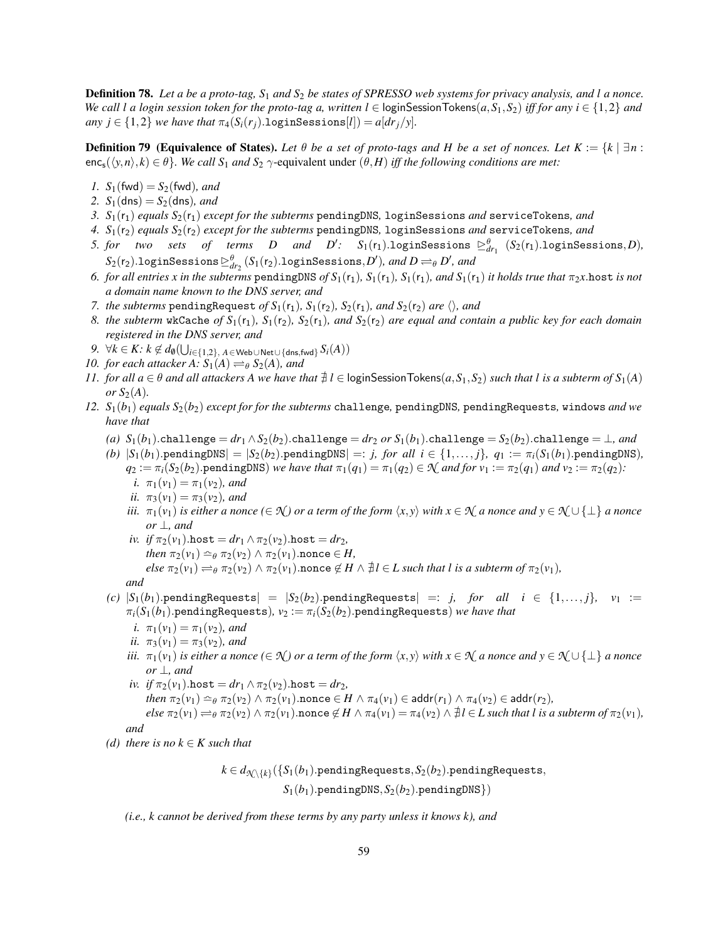Definition 78. *Let a be a proto-tag, S*<sup>1</sup> *and S*<sup>2</sup> *be states of SPRESSO web systems for privacy analysis, and l a nonce. We call l a login session token for the proto-tag <i>a, written*  $l$  ∈ loginSessionTokens(*a*, S<sub>1</sub>, S<sub>2</sub>) *iff for any*  $i$  ∈ {1,2} *and*  $any \, j \in \{1,2\}$  *we have that*  $\pi_4(S_i(r_i)$ .loginSessions[*l*]) =  $a[dr_i/y]$ .

<span id="page-58-1"></span>**Definition 79** (Equivalence of States). Let  $\theta$  be a set of proto-tags and H be a set of nonces. Let  $K := \{k \mid \exists n :$  $enc_s(\langle y, n \rangle, k) \in \theta$ *}. We call S*<sub>1</sub> *and S*<sub>2</sub>  $\gamma$ -equivalent under  $(\theta, H)$  *iff the following conditions are met:* 

- *1.*  $S_1$ (fwd) =  $S_2$ (fwd), and
- 2.  $S_1$ (dns) =  $S_2$ (dns)*, and*
- *3. S*1(r1) *equals S*2(r1) *except for the subterms* pendingDNS*,* loginSessions *and* serviceTokens*, and*
- *4. S*1(r2) *equals S*2(r2) *except for the subterms* pendingDNS*,* loginSessions *and* serviceTokens*, and*
- <span id="page-58-4"></span>*5. for two sets of terms D and D':*  $S_1(r_1)$ .loginSessions  $\geq_{dr_1}^{\theta}$  ( $S_2(r_1)$ .loginSessions,*D*)*,*  $S_2(r_2)$ .loginSessions  $\vartriangleright_{dr_2}^{\theta}(S_1(r_2)$ .loginSessions, $D'$ )*, and*  $D \rightleftharpoons_{\theta} D'$ *, and*
- <span id="page-58-2"></span>6. for all entries x in the subterms pending DNS of  $S_1(r_1)$ ,  $S_1(r_1)$ ,  $S_1(r_1)$ , and  $S_1(r_1)$  it holds true that  $\pi_2 x$  host is not *a domain name known to the DNS server, and*
- <span id="page-58-3"></span>*7. the subterms* pendingRequest *of*  $S_1(r_1)$ ,  $S_1(r_2)$ ,  $S_2(r_1)$ *, and*  $S_2(r_2)$  *are*  $\langle \rangle$ *, and*
- *8. the subterm* wkCache *of*  $S_1(r_1)$ ,  $S_1(r_2)$ ,  $S_2(r_1)$ , and  $S_2(r_2)$  are equal and contain a public key for each domain *registered in the DNS server, and*
- <span id="page-58-0"></span>*9.*  $\forall k \in K$ :  $k \notin d_{\emptyset}(\bigcup_{i \in \{1,2\}, A \in \mathsf{Web} \cup \mathsf{Net} \cup \{\mathsf{dns}, \mathsf{fwd}\}} S_i(A))$
- *10. for each attacker*  $\overline{A}: S_1(A) \rightleftharpoons S_2(A)$ *, and*
- *11. for all*  $a \in \theta$  *and all attackers A we have that*  $\neq l \in$  loginSessionTokens $(a, S_1, S_2)$  *such that l is a subterm of*  $S_1(A)$ *or*  $S_2(A)$ *.*
- <span id="page-58-5"></span>*12. S*1(*b*1) *equals S*2(*b*2) *except for for the subterms* challenge*,* pendingDNS*,* pendingRequests*,* windows *and we have that*
	- *(a) S*1(*b*1).challenge = *dr*<sup>1</sup> ∧*S*2(*b*2).challenge = *dr*<sup>2</sup> *or S*1(*b*1).challenge = *S*2(*b*2).challenge = ⊥*, and*
	- *(b)*  $|S_1(b_1)$ .pendingDNS $|S_2(b_2)$ .pendingDNS $|S_1|$  =: *j, for all*  $i \in \{1, ..., j\}$ ,  $q_1 := \pi_i(S_1(b_1)$ .pendingDNS)*,*  $q_2 := \pi_i(S_2(b_2)$ .pendingDNS) *we have that*  $\pi_1(q_1) = \pi_1(q_2) \in \mathcal{N}$  *and for*  $v_1 := \pi_2(q_1)$  *and*  $v_2 := \pi_2(q_2)$ *:* 
		- *i.*  $\pi_1(v_1) = \pi_1(v_2)$ *, and*
		- *ii.*  $\pi_3(v_1) = \pi_3(v_2)$ *, and*
		- *iii.*  $\pi_1(v_1)$  *is either a nonce* ( $\in \mathcal{N}$ ) *or a term of the form*  $\langle x, y \rangle$  *with*  $x \in \mathcal{N}$  *a nonce and*  $y \in \mathcal{N} \cup \{\perp\}$  *a nonce or* ⊥*, and*
		- *iv. if*  $\pi_2(v_1)$ .host =  $dr_1 \wedge \pi_2(v_2)$ .host =  $dr_2$ , *then*  $\pi_2(v_1) \cong_{\theta} \pi_2(v_2) \wedge \pi_2(v_1)$ .nonce  $\in H$ ,  $else \pi_2(v_1) \rightleftharpoons_{\theta} \pi_2(v_2) \land \pi_2(v_1)$ .nonce  $\notin H \land \nexists l \in L$  such that l is a subterm of  $\pi_2(v_1)$ ,

#### *and*

- <span id="page-58-6"></span>*(c)*  $|S_1(b_1)$ .pendingRequests =  $|S_2(b_2)$ .pendingRequests = *j, for all i* ∈ {1,...,*j*}*, v*<sub>1</sub> :=  $\pi_i(S_1(b_1)$ .pendingRequests),  $v_2 := \pi_i(S_2(b_2)$ .pendingRequests) *we have that* 
	- *i.*  $\pi_1(v_1) = \pi_1(v_2)$ *, and*
	- *ii.*  $\pi_3(v_1) = \pi_3(v_2)$ *, and*
	- *iii.*  $\pi_1(v_1)$  *is either a nonce* ( $\in \mathcal{N}$ ) *or a term of the form*  $\langle x, y \rangle$  *with*  $x \in \mathcal{N}$  *a nonce and*  $y \in \mathcal{N} \cup \{\perp\}$  *a nonce or* ⊥*, and*
	- *iv. if*  $\pi_2(v_1)$ .host =  $dr_1 \wedge \pi_2(v_2)$ .host =  $dr_2$ , *then*  $\pi_2(v_1) \simeq_\theta \pi_2(v_2) \wedge \pi_2(v_1)$ .nonce  $\in H \wedge \pi_4(v_1) \in \text{addr}(r_1) \wedge \pi_4(v_2) \in \text{addr}(r_2)$ *,*  $e$ *lse*  $\pi_2(v_1) \rightleftharpoons_{\theta} \pi_2(v_2) \land \pi_2(v_1)$ .nonce  $\notin H \land \pi_4(v_1) = \pi_4(v_2) \land \nexists l \in L$  such that *l* is a subterm of  $\pi_2(v_1)$ , *and*
- *(d) there is no*  $k \in K$  *such that*

 $k \in d_{\mathcal{K} \setminus \{k\}}(\{S_1(b_1). \texttt{pendingRequests}, S_2(b_2). \texttt{pendingRequests},$  $S_1(b_1)$ .pendingDNS, $S_2(b_2)$ .pendingDNS})

*(i.e., k cannot be derived from these terms by any party unless it knows k), and*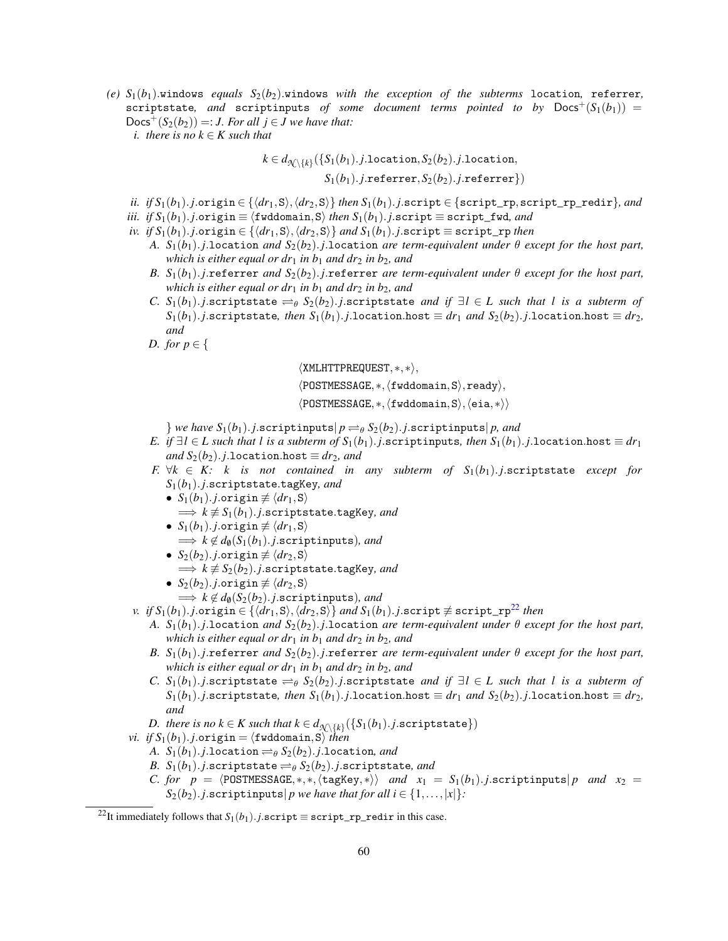<span id="page-59-1"></span>(e)  $S_1(b_1)$  windows *equals*  $S_2(b_2)$  windows *with the exception of the subterms* location, referrer, scriptstate, and scriptinputs of some document terms pointed to by  $Docs^{+}(S_1(b_1)) =$  $Docs^{+}(S_{2}(b_{2})) =: J.$  For all  $j \in J$  we have that: *i. there is no*  $k \in K$  *such that* 

$$
k \in d_{\mathcal{N}\setminus\{k\}}(\{S_1(b_1).j.\text{location}, S_2(b_2).j.\text{location},\\S_1(b_1).j.\text{reference}, S_2(b_2).j.\text{referrer}\})
$$

- *ii. if*  $S_1(b_1)$ . *j*.origin ∈ { $\langle dr_1, S \rangle$ ,  $\langle dr_2, S \rangle$ } *then*  $S_1(b_1)$ . *j*.script ∈ {script*\_rp*,script*\_rp\_redir*}*, and*
- *iii. if*  $S_1(b_1)$ . *j*.origin  $\equiv$   $\langle$ fwddomain,S $\rangle$  *then*  $S_1(b_1)$ . *j*.script  $\equiv$  script\_fwd*, and*
- <span id="page-59-2"></span>*iv. if*  $S_1(b_1)$ . *j*.origin ∈ { $\langle dr_1, S \rangle$ ,  $\langle dr_2, S \rangle$ } *and*  $S_1(b_1)$ . *j*.script ≡ script*\_rp then* 
	- *A.*  $S_1(b_1)$ . *j*.location *and*  $S_2(b_2)$ . *j*.location *are term-equivalent under*  $\theta$  *except for the host part, which is either equal or*  $dr_1$  *in*  $b_1$  *and*  $dr_2$  *in*  $b_2$ *, and*
	- *B.*  $S_1(b_1)$ . *j*.referrer *and*  $S_2(b_2)$ . *j*.referrer *are term-equivalent under*  $\theta$  *except for the host part, which is either equal or*  $dr_1$  *<i>in b*<sub>1</sub> *and dr*<sub>2</sub> *in b*<sub>2</sub>*, and*
	- *C.*  $S_1(b_1)$ . *j.*scriptstate  $\rightleftharpoons$   $\theta$   $S_2(b_2)$ . *j.*scriptstate *and* if ∃*l* ∈ *L such that l is a subterm of*  $S_1(b_1)$ . *j*.scriptstate*, then*  $S_1(b_1)$ . *j*.location.host  $\equiv dr_1$  *and*  $S_2(b_2)$ . *j*.location.host  $\equiv dr_2$ , *and*
	- *D. for*  $p \in \{$

 $XMLHTTPREQUEST, *, *$ ,

 $\langle$ POSTMESSAGE,\*, $\langle$ fwddomain,S $\rangle$ ,ready $\rangle$ ,

 $\langle$ POSTMESSAGE,\*, $\langle$ fwddomain,S $\rangle$ , $\langle$ eia,\* $\rangle$ }

 $\}$  *we have*  $S_1(b_1)$ . *j*.scriptinputs $|p \rightleftharpoons_{\theta} S_2(b_2)$ . *j*.scriptinputs $|p$ *, and* 

- *E. if* ∃*l* ∈ *L such that l is a subterm of*  $S_1(b_1)$ . *j*. scriptinputs, *then*  $S_1(b_1)$ . *j*. location.host ≡  $dr_1$ *and*  $S_2(b_2)$ . *j*.location.host  $\equiv dr_2$ *, and*
- *F.*  $∀k ∈ K: k$  *is not contained in any subterm of*  $S_1(b_1)$ *, j.scriptstate except for S*1(*b*1). *j*.scriptstate.tagKey*, and*
	- $S_1(b_1)$ . *j*.origin  $\neq \langle dr_1, S \rangle$ 
		- $\implies k \not\equiv S_1(b_1)$ . *j*.scriptstate.tagKey, and
	- $S_1(b_1)$ . *j*.origin  $\neq \langle dr_1, S \rangle$  $\implies k \notin d_{\emptyset}(S_1(b_1).$ *j.scriptinputs*)*, and*
	- *S*<sub>2</sub>(*b*<sub>2</sub>). *j*.origin  $\neq$   $\langle dr_2, S \rangle$ 
		- $\implies k \not\equiv S_2(b_2)$ . *j*.scriptstate.tagKey, and
	- $S_2(b_2)$ . *j*.origin  $\neq \langle dr_2, S \rangle$ 
		- $\implies k \notin d_{\emptyset}(S_2(b_2).$ *j.*scriptinputs)*, and*
- <span id="page-59-3"></span>*v. if*  $S_1(b_1)$ . *j*.origin ∈ { $\langle dr_1, S \rangle$ ,  $\langle dr_2, S \rangle$ } *and*  $S_1(b_1)$ . *j*.script  $\neq$  script\_rp<sup>[22](#page-59-0)</sup> *then* 
	- *A.*  $S_1(b_1)$ . *j*.location *and*  $S_2(b_2)$ . *j*.location *are term-equivalent under*  $\theta$  *except for the host part, which is either equal or*  $dr_1$  *<i>in b<sub>1</sub> and*  $dr_2$  *in b<sub>2</sub>, and*
	- *B.*  $S_1(b_1)$ . *j.* referrer *and*  $S_2(b_2)$ . *j.* referrer *are term-equivalent under*  $\theta$  *except for the host part, which is either equal or*  $dr_1$  *<i>in b<sub>1</sub> and*  $dr_2$  *in b<sub>2</sub>, and*
	- *C.*  $S_1(b_1)$ . *j.*scriptstate  $\rightleftharpoons$   $\theta$   $S_2(b_2)$ . *j.*scriptstate *and* if ∃*l* ∈ *L such that l is a subterm of*  $S_1(b_1)$ . *j*.scriptstate*, then*  $S_1(b_1)$ . *j*.location.host  $\equiv dr_1$  *and*  $S_2(b_2)$ . *j*.location.host  $\equiv dr_2$ , *and*
	- $D.$  *there is no k* ∈ *K such that k* ∈  $d_{\mathcal{N}\setminus\{k\}}(\{S_1(b_1).j.\mathtt{scriptstate}\})$
- <span id="page-59-4"></span>*vi. if*  $S_1(b_1)$ . *j*.origin =  $\langle$  fwddomain, S) *then* 
	- *A.*  $S_1(b_1)$ . *j*.location  $\rightleftharpoons$   $\theta$   $S_2(b_2)$ . *j*.location*, and*
	- *B.*  $S_1(b_1)$ . *j*.scriptstate  $\rightleftharpoons$   $_{\theta}$   $S_2(b_2)$ . *j*.scriptstate*, and*
	- *C. for*  $p = \langle$ POSTMESSAGE, \*,\*, $\langle$ tagKey,\*)\ *and*  $x_1 = S_1(b_1)$ . *j.*scriptinputs| *p and*  $x_2 =$ *S*<sub>2</sub>(*b*<sub>2</sub>). *j*.scriptinputs| *p we have that for all*  $i \in \{1, ..., |x|\}$ :

<span id="page-59-0"></span><sup>&</sup>lt;sup>22</sup>It immediately follows that  $S_1(b_1)$ . *j*.script  $\equiv$  script\_rp\_redir in this case.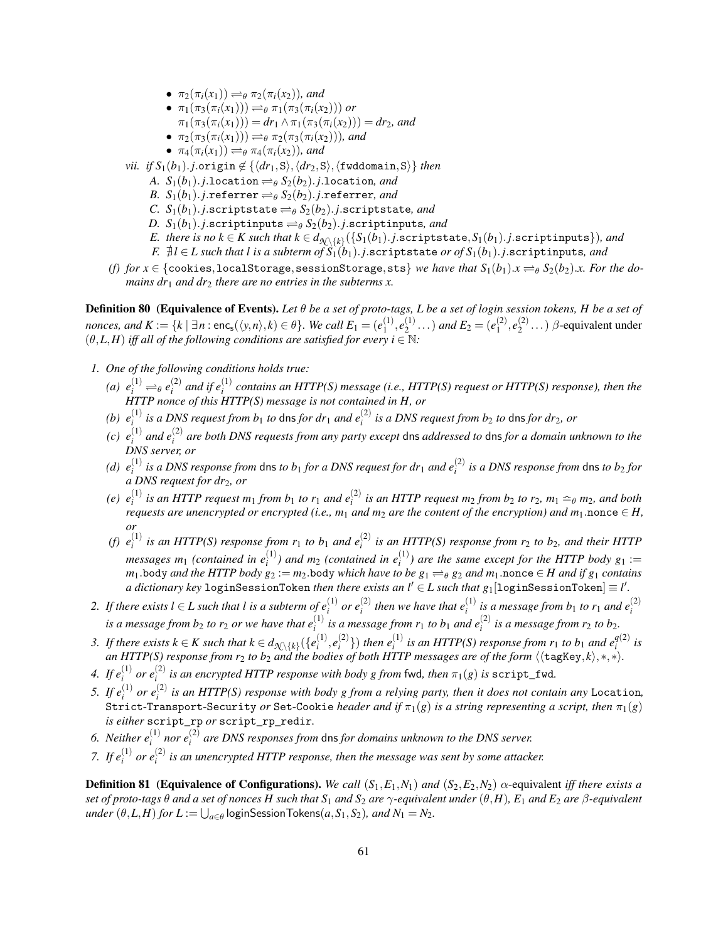- $\pi_2(\pi_i(x_1)) \rightleftharpoons_{\theta} \pi_2(\pi_i(x_2))$ *, and*
- $\bullet \pi_1(\pi_3(\pi_i(x_1))) \rightleftharpoons_{\theta} \pi_1(\pi_3(\pi_i(x_2)))$  or
	- $\pi_1(\pi_3(\pi_i(x_1))) = dr_1 \wedge \pi_1(\pi_3(\pi_i(x_2))) = dr_2$ , and
- $\pi_2(\pi_3(\pi_i(x_1))) \rightleftharpoons_{\theta} \pi_2(\pi_3(\pi_i(x_2))),$  and
- $\bullet$   $\pi_4(\pi_i(x_1)) \rightleftharpoons_{\theta} \pi_4(\pi_i(x_2))$ *, and*
- *vii. if*  $S_1(b_1)$ . *j*.origin  $\notin \{ \langle dr_1, S \rangle, \langle dr_2, S \rangle, \langle \text{fwddomain}, S \rangle \}$  *then* 
	- *A.*  $S_1(b_1)$ . *j*.location  $\rightleftharpoons$   $\theta$   $S_2(b_2)$ . *j*.location, and
	- *B.*  $S_1(b_1)$ .  $j$ .referrer  $\rightleftharpoons$   $_{\theta}$   $S_2(b_2)$ .  $j$ .referrer, and
	- $C.$   $S_1(b_1)$ . *j*.scriptstate  $\rightleftharpoons$   $_0$   $S_2(b_2)$ . *j*.scriptstate, and
	- $D$ *.*  $S_1(b_1)$ *. j.*scriptinputs  $\rightleftharpoons$   $\theta$   $S_2(b_2)$ *. j.*scriptinputs*, and*
	- *E. there is no k* ∈ *K such that k* ∈  $d_{\mathcal{N}\setminus\{k\}}(\{S_1(b_1).j.\textsf{scriptstate},S_1(b_1).j.\textsf{scriptinputs}\}),$  and
	- *F.* ∄*l* ∈ *L* such that *l* is a subterm of  $S_1(b_1)$ . *j*.scriptstate or of  $S_1(b_1)$ . *j*.scriptinputs, and
- *(f) for*  $x \in \{\text{cookies}, \text{localStorage}, \text{sessionStorage}, \text{sts}\}$  *we have that*  $S_1(b_1).x \rightleftharpoons_S S_2(b_2).x$ . For the do*mains dr*<sup>1</sup> *and dr*<sup>2</sup> *there are no entries in the subterms x.*

<span id="page-60-0"></span>Definition 80 (Equivalence of Events). *Let* θ *be a set of proto-tags, L be a set of login session tokens, H be a set of nonces, and*  $K := \{k \mid \exists n : \mathsf{enc}_{\mathsf{s}}(\langle y, n \rangle, k) \in \theta\}$ *. We call*  $E_1 = (e_1^{(1)}$  $\binom{(1)}{1},e_2^{(1)}$  $2^{(1)} \dots$ ) *and*  $E_2 = (e_1^{(2)}$  $\mathfrak{e}_1^{(2)}, \mathfrak{e}_2^{(2)}$  $2^{(2)} \dots$ )  $\beta$ -equivalent under  $(\theta, L, H)$  *iff all of the following conditions are satisfied for every i*  $\in \mathbb{N}$ :

- <span id="page-60-6"></span><span id="page-60-5"></span><span id="page-60-4"></span><span id="page-60-2"></span><span id="page-60-1"></span>*1. One of the following conditions holds true:*
	- *(a)*  $e_i^{(1)} \rightleftharpoons e_i^{(2)}$  $i^{(2)}$  *and if*  $e_i^{(1)}$ *i contains an HTTP(S) message (i.e., HTTP(S) request or HTTP(S) response), then the HTTP nonce of this HTTP(S) message is not contained in H, or*
	- *(b)*  $e_i^{(1)}$  $i_j^{(1)}$  *is a DNS request from*  $b_1$  *to dns for*  $dr_1$  *and*  $e_i^{(2)}$  *<i>is a DNS request from*  $b_2$  *to dns for dr*<sub>2</sub>*, or*
	- $(c) e^{(1)}_i$  $i^{(1)}$  *and*  $e_i^{(2)}$ *i are both DNS requests from any party except* dns *addressed to* dns *for a domain unknown to the DNS server, or*
	- *(d)*  $e_i^{(1)}$  $\mathcal{E}_i^{(1)}$  *is a DNS response from dns to b*<sub>1</sub> *for a DNS request for dr*<sub>1</sub> *and*  $e_i^{(2)}$  $\int_{i}^{(2)}$  *is a DNS response from* dns *to b*<sub>2</sub> *for a DNS request for dr*2*, or*
	- $(e) e^{(1)}_i$  $i_j^{(1)}$  is an HTTP request  $m_1$  from  $b_1$  to  $r_1$  and  $e_i^{(2)}$  $\binom{2}{i}$  *is an HTTP request*  $m_2$  *from*  $b_2$  *to*  $r_2$ *,*  $m_1 \approx_{\theta} m_2$ *, and both requests are unencrypted or encrypted (i.e.,*  $m_1$  *and*  $m_2$  *are the content of the encryption) and*  $m_1$  *nonce*  $\in$  *H*, *or*
	- *(f)*  $e_i^{(1)}$  $\mathcal{E}_i^{(1)}$  is an HTTP(S) response from  $r_1$  to  $b_1$  and  $e_i^{(2)}$ *i is an HTTP(S) response from r*<sup>2</sup> *to b*2*, and their HTTP messages*  $m_1$  (contained in  $e_i^{(1)}$  $\binom{1}{i}$  and  $m_2$  (contained in  $e_i^{(1)}$  $f_i^{(1)}$ ) are the same except for the HTTP body  $g_1 :=$  $m_1$ .body *and the HTTP body*  $g_2 := m_2$ .body *which have to be*  $g_1 \rightleftharpoons_\theta g_2$  *and*  $m_1$ .nonce  $\in$  *H and if*  $g_1$  *contains*  $a$  dictionary key  $\texttt{loginsessionToken}$  then there exists an  $l' \in L$  such that  $g_1[\texttt{loginsSessionToken}] \equiv l'.$
- <span id="page-60-10"></span><span id="page-60-8"></span><span id="page-60-3"></span>2. If there exists  $l \in L$  such that *l* is a subterm of  $e_i^{(1)}$  $i^{(1)}$  or  $e_i^{(2)}$  $\binom{2}{i}$  then we have that  $e_i^{(1)}$  $\binom{1}{i}$  *is a message from b*<sub>1</sub> *to r*<sub>1</sub> *and*  $e_i^{(2)}$ *i* is a message from  $b_2$  to  $r_2$  or we have that  $e_i^{(1)}$  is a message from  $r_1$  to  $b_1$  and  $e_i^{(2)}$  is a message from  $r_2$  to  $b_2$ .
- <span id="page-60-11"></span>*3. If there exists*  $k \in K$  *such that*  $k \in d_{\mathcal{K} \setminus \{k\}}(\{e_i^{(1)}\})$  $e_i^{(1)}, e_i^{(2)}$  $\binom{2}{i}$  *then*  $e_i^{(1)}$  $i$ <sup>(1)</sup> is an HTTP(S) response from  $r_1$  to  $b_1$  and  $e_i^{q(2)}$  $\int_{i}^{q(z)}$  *is*  $a$ n HTTP(S) response from  $r_2$  to  $b_2$  and the bodies of both HTTP messages are of the form  $\langle\langle$ t $\tt tagKey, k\rangle, *, * \rangle.$
- 4. If  $e_i^{(1)}$  or  $e_i^{(2)}$  $\binom{2}{i}$  *is an encrypted HTTP response with body g from* fwd, *then*  $\pi_1(g)$  *is* script\_fwd.
- <span id="page-60-9"></span>5. *If*  $e_i^{(1)}$  $i^{(1)}$  *or*  $e_i^{(2)}$  $I_i^{(2)}$  *is an HTTP(S) response with body g from a relying party, then it does not contain any* Location, Strict-Transport-Security *or* Set-Cookie *header and if*  $\pi_1(g)$  *is a string representing a script, then*  $\pi_1(g)$ *is either* script*\_*rp *or* script*\_*rp*\_*redir*.*
- <span id="page-60-7"></span>6. *Neither*  $e_i^{(1)}$  *nor*  $e_i^{(2)}$ *i are DNS responses from* dns *for domains unknown to the DNS server.*
- <span id="page-60-12"></span>*7. If*  $e_i^{(1)}$  *or*  $e_i^{(2)}$  $I_i^{(2)}$  is an unencrypted HTTP response, then the message was sent by some attacker.

**Definition 81** (Equivalence of Configurations). We call  $(S_1, E_1, N_1)$  and  $(S_2, E_2, N_2)$   $\alpha$ -equivalent *iff there exists a* set of proto-tags  $\theta$  and a set of nonces H such that  $S_1$  and  $S_2$  are  $\gamma$ -equivalent under  $(\theta, H)$ ,  $E_1$  and  $E_2$  are  $\beta$ -equivalent  $under(\theta, L, H)$  *for*  $L := \bigcup_{a \in \theta}$  loginSessionTokens $(a, S_1, S_2)$ *, and*  $N_1 = N_2$ *.*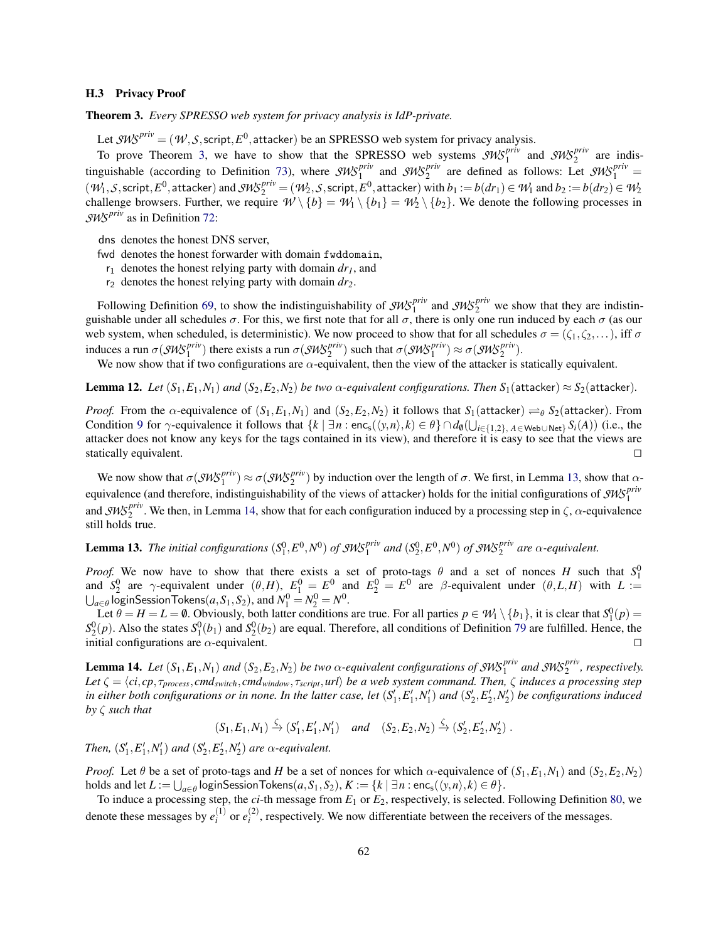#### H.3 Privacy Proof

<span id="page-61-0"></span>Theorem 3. *Every SPRESSO web system for privacy analysis is IdP-private.*

Let  $\mathcal{SWS}^{priv} = (\mathcal{W}, \mathcal{S}, \mathsf{script}, E^0, \mathsf{attacker})$  be an SPRESSO web system for privacy analysis.

To prove Theorem [3,](#page-61-0) we have to show that the SPRESSO web systems  $SWS_1^{priv}$  and  $SWS_2^{priv}$  are indis-tinguishable (according to Definition [73\)](#page-57-0), where  $SWS_1^{priv}$  and  $SWS_2^{priv}$  are defined as follows: Let  $SWS_1^{priv}$  =  $(\mathcal{W}_1, \mathcal{S}, \mathsf{script}, E^0, \mathsf{attacker})$  and  $\mathcal{SWS}_2^{priv} = (\mathcal{W}_2, \mathcal{S}, \mathsf{script}, E^0, \mathsf{attacker})$  with  $b_1 := b(dr_1) \in \mathcal{W}_1$  and  $b_2 := b(dr_2) \in \mathcal{W}_2$ challenge browsers. Further, we require  $W \setminus \{b\} = W_1 \setminus \{b_1\} = W_2 \setminus \{b_2\}$ . We denote the following processes in *SWS priv* as in Definition [72:](#page-56-0)

- dns denotes the honest DNS server,
- fwd denotes the honest forwarder with domain fwddomain,
- $r_1$  denotes the honest relying party with domain  $dr_1$ , and
- r<sup>2</sup> denotes the honest relying party with domain *dr2*.

Following Definition [69,](#page-56-1) to show the indistinguishability of  $SWS_1^{priv}$  and  $SWS_2^{priv}$  we show that they are indistinguishable under all schedules  $\sigma$ . For this, we first note that for all  $\sigma$ , there is only one run induced by each  $\sigma$  (as our web system, when scheduled, is deterministic). We now proceed to show that for all schedules  $\sigma = (\zeta_1, \zeta_2, \dots)$ , iff  $\sigma$ induces a run  $\sigma(SWS_1^{priv})$  there exists a run  $\sigma(SWS_2^{priv})$  such that  $\sigma(SWS_1^{priv}) \approx \sigma(SWS_2^{priv})$ .

We now show that if two configurations are  $\alpha$ -equivalent, then the view of the attacker is statically equivalent.

**Lemma 12.** Let  $(S_1, E_1, N_1)$  and  $(S_2, E_2, N_2)$  be two  $\alpha$ -equivalent configurations. Then  $S_1$ (attacker)  $\approx S_2$ (attacker).

*Proof.* From the  $\alpha$ -equivalence of  $(S_1, E_1, N_1)$  and  $(S_2, E_2, N_2)$  it follows that  $S_1$ (attacker)  $\Rightarrow_{\theta} S_2$ (attacker). From Condition [9](#page-58-0) for  $\gamma$ -equivalence it follows that  $\{k \mid \exists n : \text{enc}_s(\langle y, n \rangle, k) \in \theta\} \cap d_{\emptyset}(\bigcup_{i \in \{1,2\}, A \in \text{Web} \cup \text{Net}\}} S_i(A))$  (i.e., the attacker does not know any keys for the tags contained in its view), and therefore it is easy to see that the views are statically equivalent.  $\Box$ 

We now show that  $\sigma(SWS_1^{priv}) \approx \sigma(SWS_2^{priv})$  by induction over the length of  $\sigma$ . We first, in Lemma [13,](#page-61-1) show that  $\alpha$ equivalence (and therefore, indistinguishability of the views of attacker) holds for the initial configurations of  $\mathcal{SWS}_1^{priv}$ and  $SWS_2^{priv}$ . We then, in Lemma [14,](#page-61-2) show that for each configuration induced by a processing step in  $\zeta$ ,  $\alpha$ -equivalence still holds true.

<span id="page-61-1"></span>**Lemma 13.** The initial configurations  $(S_1^0, E^0, N^0)$  of  $SWS_1^{priv}$  and  $(S_2^0, E^0, N^0)$  of  $SWS_2^{priv}$  are  $\alpha$ -equivalent.

*Proof.* We now have to show that there exists a set of proto-tags  $\theta$  and a set of nonces H such that  $S_1^0$  and  $S_2^0$  are  $\gamma$ -equivalent under  $(\theta, H)$ ,  $E_1^0 = E^0$  and  $E_2^0 = E^0$  are  $\beta$ -equivalent under  $(\theta, L, H)$  $\bigcup_{a \in \theta}$  loginSessionTokens $(a, S_1, S_2)$ , and  $N_1^0 = N_2^0 = N^0$ .

Let  $\theta = H = L = \emptyset$ . Obviously, both latter conditions are true. For all parties  $p \in \mathcal{W}_1 \setminus \{b_1\}$ , it is clear that  $S_1^0(p) =$  $S_2^0(p)$ . Also the states  $S_1^0(b_1)$  and  $S_2^0(b_2)$  are equal. Therefore, all conditions of Definition [79](#page-58-1) are fulfilled. Hence, the initial configurations are  $\alpha$ -equivalent.

<span id="page-61-2"></span>**Lemma 14.** Let  $(S_1, E_1, N_1)$  and  $(S_2, E_2, N_2)$  be two  $\alpha$ -equivalent configurations of  $SWS_1^{priv}$  and  $SWS_2^{priv}$ , respectively. *Let*  $\zeta = \langle ci, cp, \tau_{process}$ , *cmd*<sub>switch</sub>, *cmd*<sub>window</sub>,  $\tau_{script}$ , *url* $\rangle$  *be a web system command. Then,*  $\zeta$  *induces a processing step* in either both configurations or in none. In the latter case, let  $(S'_1, E'_1, N'_1)$  and  $(S'_2, E'_2, N'_2)$  be configurations induced *by* ζ *such that*

$$
(S_1, E_1, N_1) \xrightarrow{\zeta} (S'_1, E'_1, N'_1)
$$
 and  $(S_2, E_2, N_2) \xrightarrow{\zeta} (S'_2, E'_2, N'_2)$ .

*Then,*  $(S_1', E_1', N_1')$  *and*  $(S_2', E_2', N_2')$  *are*  $\alpha$ *-equivalent.* 

*Proof.* Let  $\theta$  be a set of proto-tags and *H* be a set of nonces for which  $\alpha$ -equivalence of  $(S_1, E_1, N_1)$  and  $(S_2, E_2, N_2)$  $\text{holds and let } L := \bigcup_{a \in \theta} \text{login} \text{SessionSessionTokens}(a, S_1, S_2), K := \{k \mid \exists n : \text{enc}_{\mathsf{s}}(\langle y, n \rangle, k) \in \theta\}.$ 

To induce a processing step, the *ci*-th message from *E*<sup>1</sup> or *E*2, respectively, is selected. Following Definition [80,](#page-60-0) we denote these messages by  $e_i^{(1)}$  $i^{(1)}$  or  $e_i^{(2)}$  $i<sup>(2)</sup>$ , respectively. We now differentiate between the receivers of the messages.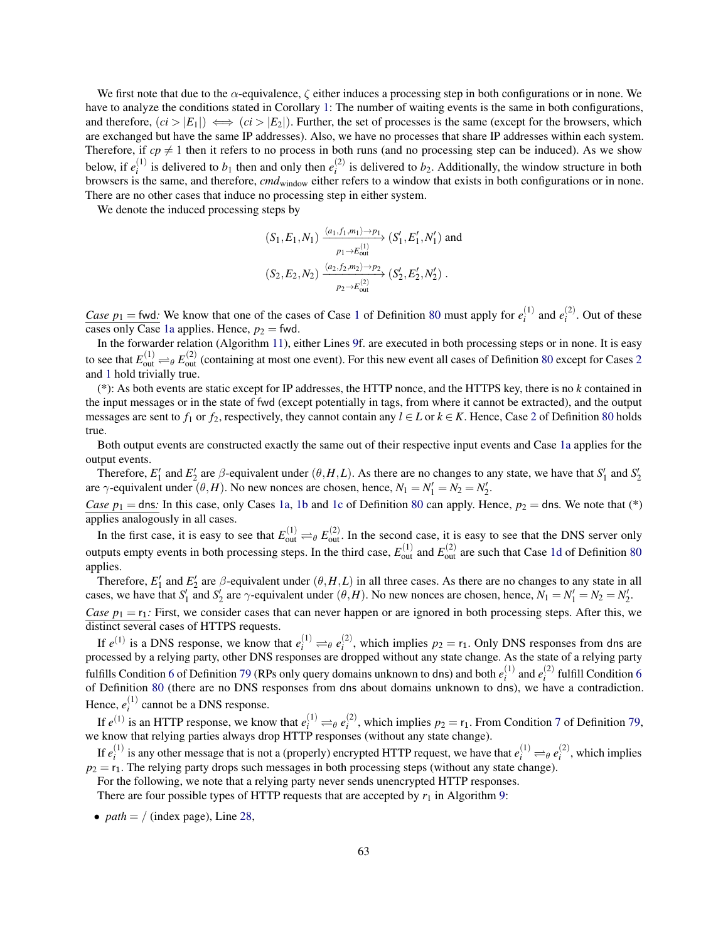We first note that due to the  $\alpha$ -equivalence,  $\zeta$  either induces a processing step in both configurations or in none. We have to analyze the conditions stated in Corollary [1:](#page-55-0) The number of waiting events is the same in both configurations, and therefore,  $(ci > |E_1|) \iff (ci > |E_2|)$ . Further, the set of processes is the same (except for the browsers, which are exchanged but have the same IP addresses). Also, we have no processes that share IP addresses within each system. Therefore, if  $cp \neq 1$  then it refers to no process in both runs (and no processing step can be induced). As we show below, if  $e_i^{(1)}$  $i$ <sup>(1)</sup> is delivered to *b*<sub>1</sub> then and only then  $e_i^{(2)}$  $i<sup>(2)</sup>$  is delivered to  $b<sub>2</sub>$ . Additionally, the window structure in both browsers is the same, and therefore, *cmd*<sub>window</sub> either refers to a window that exists in both configurations or in none. There are no other cases that induce no processing step in either system.

We denote the induced processing steps by

$$
(S_1, E_1, N_1) \xrightarrow[\rho_1 \to E_{\text{out}}^{(1)}]{} \xrightarrow[\rho_1 \to E_{\text{out}}^{(1)}]{} (S'_1, E'_1, N'_1) \text{ and}
$$
  

$$
(S_2, E_2, N_2) \xrightarrow[\rho_2 \to E_{\text{out}}^{(2)}]{} \xrightarrow[\rho_2 \to E_{\text{out}}^{(2)}]{} (S'_2, E'_2, N'_2) .
$$

*Case p*<sub>[1](#page-60-1)</sub> = fwd: We know that one of the cases of Case 1 of Definition [80](#page-60-0) must apply for  $e_i^{(1)}$  $i^{(1)}$  and  $e_i^{(2)}$  $i^2$ . Out of these cases only Case [1a](#page-60-2) applies. Hence,  $p_2$  = fwd.

In the forwarder relation (Algorithm [11\)](#page-43-2), either Lines [9f](#page-43-2). are executed in both processing steps or in none. It is easy to see that  $E_{\text{out}}^{(1)} \rightleftharpoons E_{\text{out}}^{(2)}$  $E_{\text{out}}^{(1)} \rightleftharpoons E_{\text{out}}^{(2)}$  $E_{\text{out}}^{(1)} \rightleftharpoons E_{\text{out}}^{(2)}$  (containing at most one event). For this new event all cases of Definition [80](#page-60-0) except for Cases 2 and [1](#page-60-1) hold trivially true.

(\*): As both events are static except for IP addresses, the HTTP nonce, and the HTTPS key, there is no *k* contained in the input messages or in the state of fwd (except potentially in tags, from where it cannot be extracted), and the output messages are sent to  $f_1$  or  $f_2$  $f_2$ , respectively, they cannot contain any  $l \in L$  or  $k \in K$ . Hence, Case 2 of Definition [80](#page-60-0) holds true.

Both output events are constructed exactly the same out of their respective input events and Case [1a](#page-60-2) applies for the output events.

Therefore,  $E'_1$  and  $E'_2$  are  $\beta$ -equivalent under  $(\theta, H, L)$ . As there are no changes to any state, we have that  $S'_1$  and  $S'_2$ are  $\gamma$ -equivalent under  $(\theta, H)$ . No new nonces are chosen, hence,  $N_1 = N_1' = N_2 = N_2'$ .

*Case p*<sub>1</sub> = dns: In this case, only Cases [1a,](#page-60-2) [1b](#page-60-4) and [1c](#page-60-5) of Definition [80](#page-60-0) can apply. Hence,  $p_2$  = dns. We note that (\*) applies analogously in all cases.

In the first case, it is easy to see that  $E_{out}^{(1)} \rightleftharpoons e E_{out}^{(2)}$ . In the second case, it is easy to see that the DNS server only outputs empty events in both processing steps. In the third case,  $E_{\text{out}}^{(1)}$  and  $E_{\text{out}}^{(2)}$  are such that Case [1d](#page-60-6) of Definition [80](#page-60-0) applies.

Therefore,  $E'_1$  and  $E'_2$  are  $\beta$ -equivalent under  $(\theta, H, L)$  in all three cases. As there are no changes to any state in all cases, we have that  $S'_1$  and  $S'_2$  are  $\gamma$ -equivalent under  $(\theta, H)$ . No new nonces are chosen, hence,  $N_1 = N'_1 = N_2 = N'_2$ .

*Case*  $p_1 = r_1$ *:* First, we consider cases that can never happen or are ignored in both processing steps. After this, we distinct several cases of HTTPS requests.

If  $e^{(1)}$  is a DNS response, we know that  $e^{(1)}_i \rightleftharpoons e^{(2)}_i$  $i^{(2)}$ , which implies  $p_2 = r_1$ . Only DNS responses from dns are processed by a relying party, other DNS responses are dropped without any state change. As the state of a relying party fulfills Condition [6](#page-58-2) of Definition [79](#page-58-1) (RPs only query domains unknown to dns) and both  $e_i^{(1)}$  $i^{(1)}$  and  $e_i^{(2)}$  $i^{(2)}$  fulfill Condition [6](#page-60-7) of Definition [80](#page-60-0) (there are no DNS responses from dns about domains unknown to dns), we have a contradiction. Hence,  $e_i^{(1)}$  $i_i^{(1)}$  cannot be a DNS response.

If  $e^{(1)}$  is an HTTP response, we know that  $e^{(1)}_i \rightleftharpoons e^{(2)}_i$  $i^{(2)}$ , which implies  $p_2 = r_1$ . From Condition [7](#page-58-3) of Definition [79,](#page-58-1) we know that relying parties always drop HTTP responses (without any state change).

If  $e_i^{(1)}$  $i$ <sup>(1)</sup> is any other message that is not a (properly) encrypted HTTP request, we have that  $e_i^{(1)} \rightleftharpoons e_i^{(2)}$  $i^2$ , which implies  $p_2 = r_1$ . The relying party drops such messages in both processing steps (without any state change).

For the following, we note that a relying party never sends unencrypted HTTP responses.

There are four possible types of HTTP requests that are accepted by  $r_1$  in Algorithm [9:](#page-40-0)

•  $path = /$  (index page), Line [28,](#page-40-0)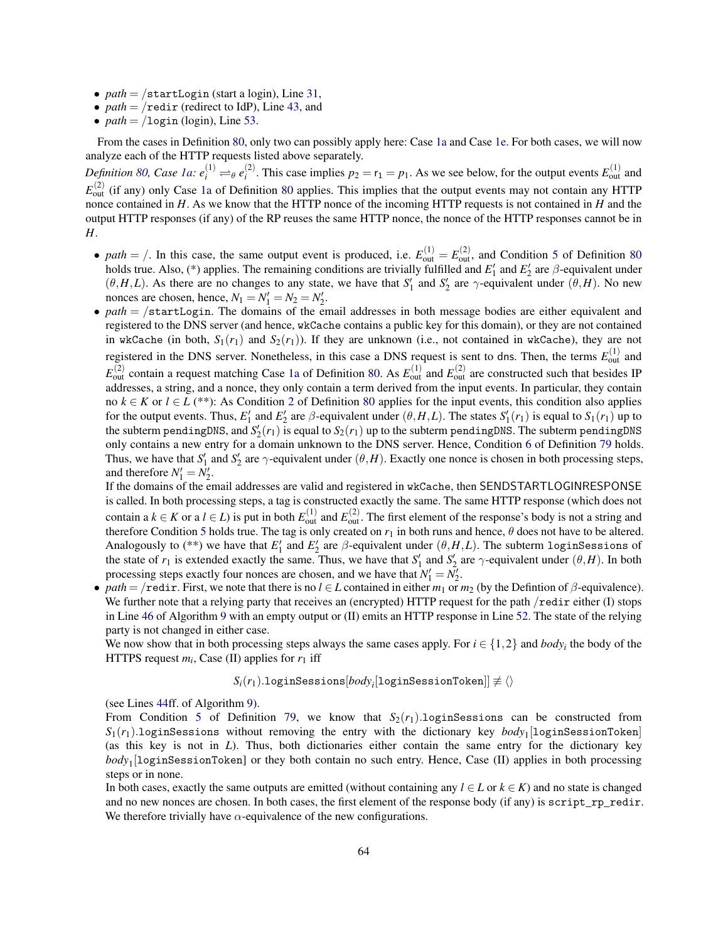- *path* = /startLogin (start a login), Line [31,](#page-40-0)
- $path = \text{/redir}$  (redirect to IdP), Line [43,](#page-40-0) and
- $path = \triangle$ 10gin (login), Line [53.](#page-40-0)

From the cases in Definition [80,](#page-60-0) only two can possibly apply here: Case [1a](#page-60-2) and Case [1e.](#page-60-8) For both cases, we will now analyze each of the HTTP requests listed above separately.

*Definition [80,](#page-60-0) Case [1a:](#page-60-2)*  $e_i^{(1)} \rightleftharpoons e_i^{(2)}$ <sup>(2)</sup>. This case implies  $p_2 = r_1 = p_1$ . As we see below, for the output events  $E_{\text{out}}^{(1)}$  and  $E_{\text{out}}^{(2)}$  (if any) only Case [1a](#page-60-2) of Definition [80](#page-60-0) applies. This implies that the output events may not contain any HTTP nonce contained in *H*. As we know that the HTTP nonce of the incoming HTTP requests is not contained in *H* and the output HTTP responses (if any) of the RP reuses the same HTTP nonce, the nonce of the HTTP responses cannot be in *H*.

- *path* = /. In this case, the same output event is produced, i.e.  $E_{\text{out}}^{(1)} = E_{\text{out}}^{(2)}$ , and Condition [5](#page-60-9) of Definition [80](#page-60-0) holds true. Also, (\*) applies. The remaining conditions are trivially fulfilled and  $E'_1$  and  $E'_2$  are  $\beta$ -equivalent under  $(\theta, H, L)$ . As there are no changes to any state, we have that *S*<sup>1</sup><sub>1</sub> and *S*<sup>2</sup><sub>2</sub> are  $\gamma$ -equivalent under  $(\theta, H)$ . No new nonces are chosen, hence,  $N_1 = N'_1 = N_2 = N'_2$ .
- *path* = /startLogin. The domains of the email addresses in both message bodies are either equivalent and registered to the DNS server (and hence, wkCache contains a public key for this domain), or they are not contained in wkCache (in both,  $S_1(r_1)$  and  $S_2(r_1)$ ). If they are unknown (i.e., not contained in wkCache), they are not registered in the DNS server. Nonetheless, in this case a DNS request is sent to dns. Then, the terms  $E_{\text{out}}^{(1)}$  and  $E_{\text{out}}^{(2)}$  contain a request matching Case [1a](#page-60-2) of Definition [80.](#page-60-0) As  $E_{\text{out}}^{(1)}$  and  $E_{\text{out}}^{(2)}$  are constructed such that besides IP addresses, a string, and a nonce, they only contain a term derived from the input events. In particular, they contain no  $k \in K$  or  $l \in L$  (\*\*): As Condition [2](#page-60-3) of Definition [80](#page-60-0) applies for the input events, this condition also applies for the output events. Thus,  $E'_1$  and  $E'_2$  are  $\beta$ -equivalent under  $(\theta, H, L)$ . The states  $S'_1(r_1)$  is equal to  $S_1(r_1)$  up to the subterm pendingDNS, and  $S_2'(r_1)$  is equal to  $S_2(r_1)$  up to the subterm pendingDNS. The subterm pendingDNS only contains a new entry for a domain unknown to the DNS server. Hence, Condition [6](#page-58-2) of Definition [79](#page-58-1) holds. Thus, we have that  $S'_1$  and  $S'_2$  are  $\gamma$ -equivalent under  $(\theta, H)$ . Exactly one nonce is chosen in both processing steps, and therefore  $N'_1 = N'_2$ .

If the domains of the email addresses are valid and registered in wkCache, then SENDSTARTLOGINRESPONSE is called. In both processing steps, a tag is constructed exactly the same. The same HTTP response (which does not contain a  $k \in K$  or a  $l \in L$ ) is put in both  $E_{out}^{(1)}$  and  $E_{out}^{(2)}$ . The first element of the response's body is not a string and therefore Condition [5](#page-60-9) holds true. The tag is only created on  $r_1$  in both runs and hence,  $\theta$  does not have to be altered. Analogously to (\*\*) we have that  $E'_1$  and  $E'_2$  are  $\beta$ -equivalent under  $(\theta, H, L)$ . The subterm loginSessions of the state of  $r_1$  is extended exactly the same. Thus, we have that  $S'_1$  and  $S'_2$  are  $\gamma$ -equivalent under  $(\theta, H)$ . In both processing steps exactly four nonces are chosen, and we have that  $N'_1 = N'_2$ .

 $path = / \text{redir}$ . First, we note that there is no  $l \in L$  contained in either  $m_1$  or  $m_2$  (by the Defintion of  $\beta$ -equivalence). We further note that a relying party that receives an (encrypted) HTTP request for the path /redir either (I) stops in Line [46](#page-40-0) of Algorithm [9](#page-40-0) with an empty output or (II) emits an HTTP response in Line [52.](#page-40-0) The state of the relying party is not changed in either case.

We now show that in both processing steps always the same cases apply. For  $i \in \{1,2\}$  and  $body_i$  the body of the HTTPS request  $m_i$ , Case (II) applies for  $r_1$  iff

$$
S_i(r_1).\texttt{logins}(\texttt{lossions}[\texttt{body}_i[\texttt{logins}(\texttt{essionToken}]] \neq \langle \rangle
$$

(see Lines [44f](#page-40-0)f. of Algorithm [9\)](#page-40-0).

From Condition [5](#page-58-4) of Definition [79,](#page-58-1) we know that  $S_2(r_1)$ . LoginSessions can be constructed from  $S_1(r_1)$ .loginSessions without removing the entry with the dictionary key  $\mathit{body}_1[\texttt{loginSessionToken}]$ (as this key is not in *L*). Thus, both dictionaries either contain the same entry for the dictionary key *body*<sup>1</sup> [loginSessionToken] or they both contain no such entry. Hence, Case (II) applies in both processing steps or in none.

In both cases, exactly the same outputs are emitted (without containing any  $l \in L$  or  $k \in K$ ) and no state is changed and no new nonces are chosen. In both cases, the first element of the response body (if any) is script\_rp\_redir. We therefore trivially have  $\alpha$ -equivalence of the new configurations.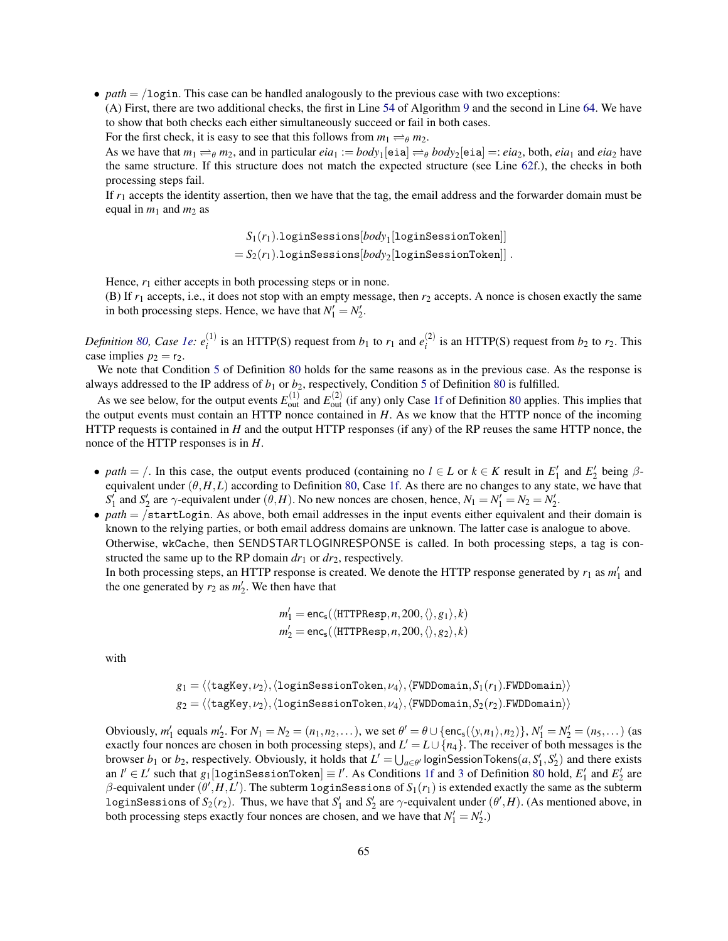• *path*  $=$  /login. This case can be handled analogously to the previous case with two exceptions: (A) First, there are two additional checks, the first in Line [54](#page-40-0) of Algorithm [9](#page-40-0) and the second in Line [64.](#page-40-0) We have

to show that both checks each either simultaneously succeed or fail in both cases.

For the first check, it is easy to see that this follows from  $m_1 \rightleftharpoons_\theta m_2$ .

As we have that  $m_1 \rightleftharpoons_\theta m_2$ , and in particular  $eia_1 := body_1[\text{eia}] \rightleftharpoons_\theta body_2[\text{eia}] =: eia_2$ , both,  $eia_1$  and  $eia_2$  have the same structure. If this structure does not match the expected structure (see Line [62f](#page-40-0).), the checks in both processing steps fail.

If  $r_1$  accepts the identity assertion, then we have that the tag, the email address and the forwarder domain must be equal in  $m_1$  and  $m_2$  as

> $S_1(r_1).$ loginSessions $[body_1[\texttt{logins}$ essionToken $]]$  $= S_2(r_1).$ loginSessions $[body_2[\texttt{logins}$ essionToken $]]$ .

Hence,  $r_1$  either accepts in both processing steps or in none.

(B) If *r*<sup>1</sup> accepts, i.e., it does not stop with an empty message, then *r*<sup>2</sup> accepts. A nonce is chosen exactly the same in both processing steps. Hence, we have that  $N'_1 = N'_2$ .

*Definition* [80,](#page-60-0) Case [1e:](#page-60-8)  $e_i^{(1)}$  $i_j^{(1)}$  is an HTTP(S) request from  $b_1$  to  $r_1$  and  $e_i^{(2)}$  $i_i^{(2)}$  is an HTTP(S) request from  $b_2$  to  $r_2$ . This case implies  $p_2 = r_2$ .

We note that Condition [5](#page-60-9) of Definition [80](#page-60-0) holds for the same reasons as in the previous case. As the response is always addressed to the IP address of  $b_1$  or  $b_2$ , respectively, Condition [5](#page-60-9) of Definition [80](#page-60-0) is fulfilled.

As we see below, for the output events  $E_{\text{out}}^{(1)}$  and  $E_{\text{out}}^{(2)}$  (if any) only Case [1f](#page-60-10) of Definition [80](#page-60-0) applies. This implies that the output events must contain an HTTP nonce contained in *H*. As we know that the HTTP nonce of the incoming HTTP requests is contained in *H* and the output HTTP responses (if any) of the RP reuses the same HTTP nonce, the nonce of the HTTP responses is in *H*.

- *path* = /. In this case, the output events produced (containing no  $l \in L$  or  $k \in K$  result in  $E'_1$  and  $E'_2$  being  $\beta$ equivalent under  $(\theta, H, L)$  according to Definition [80,](#page-60-0) Case [1f.](#page-60-10) As there are no changes to any state, we have that *S*<sup> $\prime$ </sup><sub>1</sub> and *S*<sup> $\prime$ </sup><sub>2</sub> are  $\gamma$ -equivalent under ( $\theta$ ,*H*). No new nonces are chosen, hence,  $N_1 = N_1' = N_2 = N_2'$ .
- *path* = /startLogin. As above, both email addresses in the input events either equivalent and their domain is known to the relying parties, or both email address domains are unknown. The latter case is analogue to above. Otherwise, wkCache, then SENDSTARTLOGINRESPONSE is called. In both processing steps, a tag is constructed the same up to the RP domain  $dr_1$  or  $dr_2$ , respectively.

In both processing steps, an HTTP response is created. We denote the HTTP response generated by  $r_1$  as  $m'_1$  and the one generated by  $r_2$  as  $m'_2$ . We then have that

$$
\begin{aligned} m_1' = \mathsf{enc_s}(\langle \text{HTTPResp}, n, 200, \langle \rangle, g_1 \rangle, k) \\ m_2' = \mathsf{enc_s}(\langle \text{HTTPResp}, n, 200, \langle \rangle, g_2 \rangle, k) \end{aligned}
$$

with

$$
g_1 = \langle \langle \texttt{tagKey}, \nu_2 \rangle, \langle \texttt{loginsessionToken}, \nu_4 \rangle, \langle \texttt{FWDDomain}, S_1(r_1).\texttt{FWDDomain} \rangle \rangle\\ g_2 = \langle \langle \texttt{tagKey}, \nu_2 \rangle, \langle \texttt{loginsessionToken}, \nu_4 \rangle, \langle \texttt{FWDDomain}, S_2(r_2).\texttt{FWDDomain} \rangle \rangle
$$

Obviously,  $m'_1$  equals  $m'_2$ . For  $N_1 = N_2 = (n_1, n_2, \dots)$ , we set  $\theta' = \theta \cup \{\text{enc}_s(\langle y, n_1 \rangle, n_2)\}, N'_1 = N'_2 = (n_5, \dots)$  (as exactly four nonces are chosen in both processing steps), and  $L' = L \cup \{n_4\}$ . The receiver of both messages is the browser  $b_1$  or  $b_2$ , respectively. Obviously, it holds that  $L' = \bigcup_{a \in \theta'}$  loginSessionTokens $(a, S'_1, S'_2)$  and there exists an  $l' \in L'$  such that  $g_1$ [loginSessionToken]  $\equiv l'$ . As Conditions [1f](#page-60-10) and [3](#page-60-11) of Definition [80](#page-60-0) hold,  $E'_1$  and  $E'_2$  are  $\beta$ -equivalent under  $(\theta', H, L')$ . The subterm loginSessions of  $S_1(r_1)$  is extended exactly the same as the subterm loginSessions of  $S_2(r_2)$ . Thus, we have that  $S'_1$  and  $S'_2$  are  $\gamma$ -equivalent under  $(\theta', H)$ . (As mentioned above, in both processing steps exactly four nonces are chosen, and we have that  $N'_1 = N'_2$ .)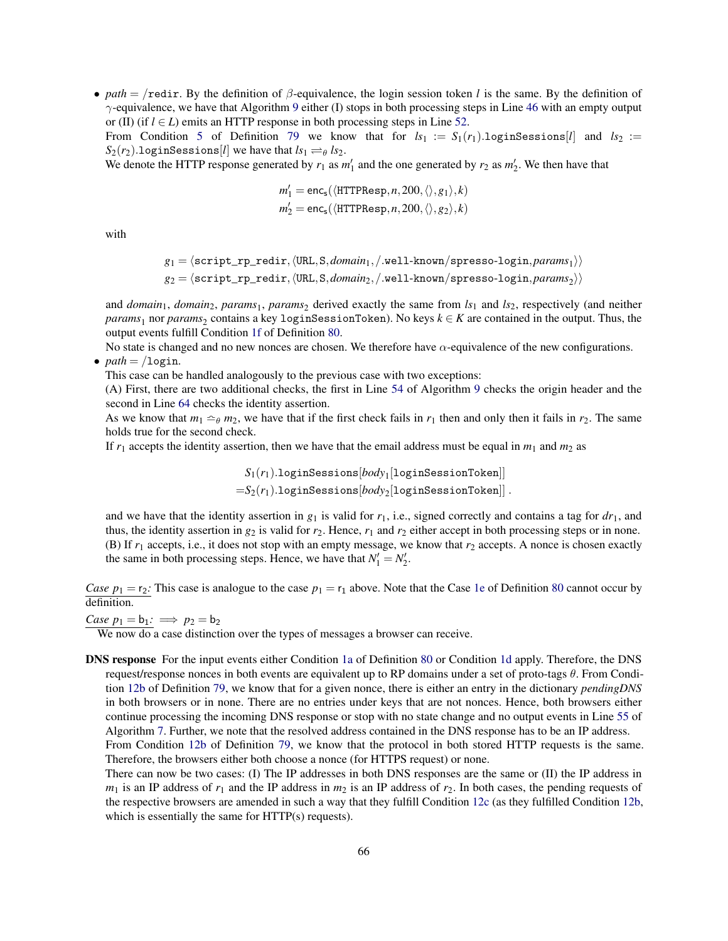• *path* = /redir. By the definition of  $\beta$ -equivalence, the login session token *l* is the same. By the definition of  $\gamma$ -equivalence, we have that Algorithm [9](#page-40-0) either (I) stops in both processing steps in Line [46](#page-40-0) with an empty output or (II) (if  $l \in L$ ) emits an HTTP response in both processing steps in Line [52.](#page-40-0)

From Condition [5](#page-58-4) of Definition [79](#page-58-1) we know that for  $ls_1 := S_1(r_1)$ . LoginSessions [*l*] and  $ls_2 :=$  $S_2(r_2)$ .loginSessions[*l*] we have that  $ls_1 \rightleftharpoons \theta$   $ls_2$ .

We denote the HTTP response generated by  $r_1$  as  $m'_1$  and the one generated by  $r_2$  as  $m'_2$ . We then have that

$$
\begin{aligned} m_1' = \mathsf{enc_s}(\langle \texttt{HTTPResp}, n, 200, \langle \rangle, g_1 \rangle, k) \\ m_2' = \mathsf{enc_s}(\langle \texttt{HTTPResp}, n, 200, \langle \rangle, g_2 \rangle, k) \end{aligned}
$$

with

$$
g_1 = \langle \texttt{script\_rp\_redir}, \langle \texttt{URL}, \texttt{S}, \textit{domain}_1, / \texttt{well-known/spresso-login}, \textit{params}_1 \rangle \rangle
$$
  

$$
g_2 = \langle \texttt{script\_rp\_redir}, \langle \texttt{URL}, \texttt{S}, \textit{domain}_2, / \texttt{well-known/spresso-login}, \textit{params}_2 \rangle \rangle
$$

and *domain*<sub>1</sub>, *domain*<sub>2</sub>, *params*<sub>1</sub>, *params*<sub>2</sub> derived exactly the same from *ls*<sub>1</sub> and *ls*<sub>2</sub>, respectively (and neither  $params_1$  nor  $params_2$  contains a key loginSessionToken). No keys  $k \in K$  are contained in the output. Thus, the output events fulfill Condition [1f](#page-60-10) of Definition [80.](#page-60-0)

No state is changed and no new nonces are chosen. We therefore have  $\alpha$ -equivalence of the new configurations.

•  $path = /login.$ 

This case can be handled analogously to the previous case with two exceptions:

(A) First, there are two additional checks, the first in Line [54](#page-40-0) of Algorithm [9](#page-40-0) checks the origin header and the second in Line [64](#page-40-0) checks the identity assertion.

As we know that  $m_1 \simeq_{\theta} m_2$ , we have that if the first check fails in  $r_1$  then and only then it fails in  $r_2$ . The same holds true for the second check.

If  $r_1$  accepts the identity assertion, then we have that the email address must be equal in  $m_1$  and  $m_2$  as

 $S_1(r_1).$ loginSessions $[body_1[\texttt{logins}$ essionToken $]]$  $=$   $S_{2}(r_{1}).$ loginSessions $[body_{2}[login\text{SessionToken}]]$  .

and we have that the identity assertion in  $g_1$  is valid for  $r_1$ , i.e., signed correctly and contains a tag for  $dr_1$ , and thus, the identity assertion in  $g_2$  is valid for  $r_2$ . Hence,  $r_1$  and  $r_2$  either accept in both processing steps or in none. (B) If  $r_1$  accepts, i.e., it does not stop with an empty message, we know that  $r_2$  accepts. A nonce is chosen exactly the same in both processing steps. Hence, we have that  $N_1' = N_2'$ .

*Case*  $p_1 = r_2$ *:* This case is analogue to the case  $p_1 = r_1$  above. Note that the Case [1e](#page-60-8) of Definition [80](#page-60-0) cannot occur by definition.

*Case*  $p_1 = b_1$ :  $\implies p_2 = b_2$ 

We now do a case distinction over the types of messages a browser can receive.

DNS response For the input events either Condition [1a](#page-60-2) of Definition [80](#page-60-0) or Condition [1d](#page-60-6) apply. Therefore, the DNS request/response nonces in both events are equivalent up to RP domains under a set of proto-tags θ. From Condition [12b](#page-58-5) of Definition [79,](#page-58-1) we know that for a given nonce, there is either an entry in the dictionary *pendingDNS* in both browsers or in none. There are no entries under keys that are not nonces. Hence, both browsers either continue processing the incoming DNS response or stop with no state change and no output events in Line [55](#page-35-0) of Algorithm [7.](#page-35-0) Further, we note that the resolved address contained in the DNS response has to be an IP address.

From Condition [12b](#page-58-5) of Definition [79,](#page-58-1) we know that the protocol in both stored HTTP requests is the same. Therefore, the browsers either both choose a nonce (for HTTPS request) or none.

There can now be two cases: (I) The IP addresses in both DNS responses are the same or (II) the IP address in  $m_1$  is an IP address of  $r_1$  and the IP address in  $m_2$  is an IP address of  $r_2$ . In both cases, the pending requests of the respective browsers are amended in such a way that they fulfill Condition [12c](#page-58-6) (as they fulfilled Condition [12b,](#page-58-5) which is essentially the same for HTTP(s) requests).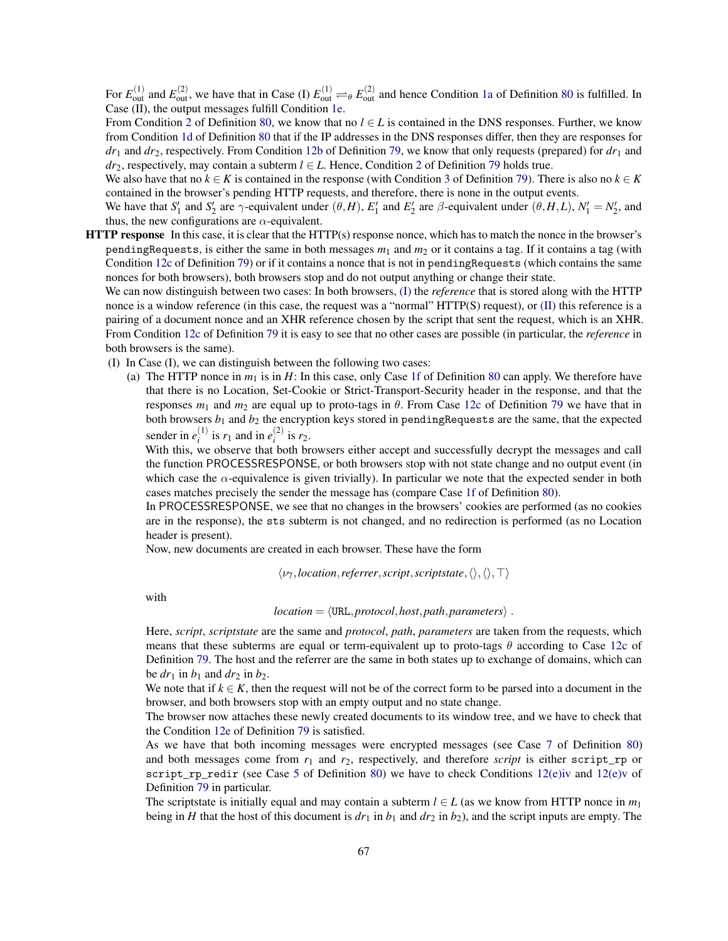For  $E_{\text{out}}^{(1)}$  and  $E_{\text{out}}^{(2)}$ , we have that in Case (I)  $E_{\text{out}}^{(1)} \rightleftharpoons e E_{\text{out}}^{(2)}$  and hence Condition [1a](#page-60-2) of Definition [80](#page-60-0) is fulfilled. In Case (II), the output messages fulfill Condition [1e.](#page-60-8)

From Condition [2](#page-60-3) of Definition [80,](#page-60-0) we know that no  $l \in L$  is contained in the DNS responses. Further, we know from Condition [1d](#page-60-6) of Definition [80](#page-60-0) that if the IP addresses in the DNS responses differ, then they are responses for *dr*<sub>1</sub> and *dr*<sub>2</sub>, respectively. From Condition [12b](#page-58-5) of Definition [79,](#page-58-1) we know that only requests (prepared) for *dr*<sub>1</sub> and *dr*<sub>[2](#page-60-3)</sub>, respectively, may contain a subterm *l* ∈ *L*. Hence, Condition 2 of Definition [79](#page-58-1) holds true.

We also have that no  $k \in K$  is contained in the response (with Condition [3](#page-60-11) of Definition [79\)](#page-58-1). There is also no  $k \in K$ contained in the browser's pending HTTP requests, and therefore, there is none in the output events.

We have that  $S'_1$  and  $S'_2$  are  $\gamma$ -equivalent under  $(\theta, H)$ ,  $E'_1$  and  $E'_2$  are  $\beta$ -equivalent under  $(\theta, H, L)$ ,  $N'_1 = N'_2$ , and thus, the new configurations are  $\alpha$ -equivalent.

HTTP response In this case, it is clear that the HTTP(s) response nonce, which has to match the nonce in the browser's pendingRequests, is either the same in both messages *m*<sup>1</sup> and *m*<sup>2</sup> or it contains a tag. If it contains a tag (with Condition [12c](#page-58-6) of Definition [79\)](#page-58-1) or if it contains a nonce that is not in pendingRequests (which contains the same nonces for both browsers), both browsers stop and do not output anything or change their state.

We can now distinguish between two cases: In both browsers, [\(I\)](#page-66-0) the *reference* that is stored along with the HTTP nonce is a window reference (in this case, the request was a "normal" HTTP(S) request), or [\(II\)](#page-67-0) this reference is a pairing of a document nonce and an XHR reference chosen by the script that sent the request, which is an XHR. From Condition [12c](#page-58-6) of Definition [79](#page-58-1) it is easy to see that no other cases are possible (in particular, the *reference* in both browsers is the same).

- <span id="page-66-0"></span>(I) In Case (I), we can distinguish between the following two cases:
	- (a) The HTTP nonce in  $m_1$  is in  $H$ : In this case, only Case [1f](#page-60-10) of Definition [80](#page-60-0) can apply. We therefore have that there is no Location, Set-Cookie or Strict-Transport-Security header in the response, and that the responses  $m_1$  and  $m_2$  are equal up to proto-tags in  $\theta$ . From Case [12c](#page-58-6) of Definition [79](#page-58-1) we have that in both browsers  $b_1$  and  $b_2$  the encryption keys stored in pendingRequests are the same, that the expected sender in  $e_i^{(1)}$  $i_i^{(1)}$  is  $r_1$  and in  $e_i^{(2)}$  $i^{(2)}$  is  $r_2$ .

With this, we observe that both browsers either accept and successfully decrypt the messages and call the function PROCESSRESPONSE, or both browsers stop with not state change and no output event (in which case the  $\alpha$ -equivalence is given trivially). In particular we note that the expected sender in both cases matches precisely the sender the message has (compare Case [1f](#page-60-10) of Definition [80\)](#page-60-0).

In PROCESSRESPONSE, we see that no changes in the browsers' cookies are performed (as no cookies are in the response), the sts subterm is not changed, and no redirection is performed (as no Location header is present).

Now, new documents are created in each browser. These have the form

 $\langle \nu_7, location, reference, script, script state, \langle \rangle, \langle \rangle, \top \rangle$ 

with

$$
location = \langle \text{URL}, protocol, host, path, parameters \rangle .
$$

Here, *script*, *scriptstate* are the same and *protocol*, *path*, *parameters* are taken from the requests, which means that these subterms are equal or term-equivalent up to proto-tags  $\theta$  according to Case [12c](#page-58-6) of Definition [79.](#page-58-1) The host and the referrer are the same in both states up to exchange of domains, which can be  $dr_1$  in  $b_1$  and  $dr_2$  in  $b_2$ .

We note that if  $k \in K$ , then the request will not be of the correct form to be parsed into a document in the browser, and both browsers stop with an empty output and no state change.

The browser now attaches these newly created documents to its window tree, and we have to check that the Condition [12e](#page-59-1) of Definition [79](#page-58-1) is satisfied.

As we have that both incoming messages were encrypted messages (see Case [7](#page-60-12) of Definition [80\)](#page-60-0) and both messages come from  $r_1$  and  $r_2$ , respectively, and therefore *script* is either script\_rp or script\_rp\_redir (see Case [5](#page-60-9) of Definition [80\)](#page-60-0) we have to check Conditions  $12(e)$ iv and  $12(e)$ v of Definition [79](#page-58-1) in particular.

The scriptstate is initially equal and may contain a subterm  $l \in L$  (as we know from HTTP nonce in  $m_1$ ) being in *H* that the host of this document is  $dr_1$  in  $b_1$  and  $dr_2$  in  $b_2$ ), and the script inputs are empty. The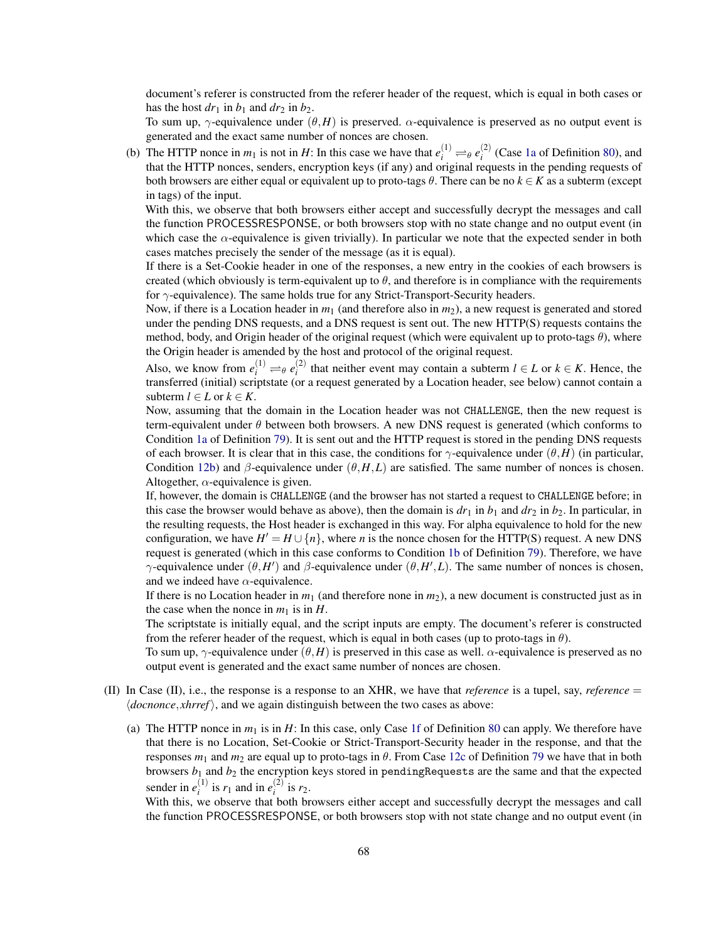document's referer is constructed from the referer header of the request, which is equal in both cases or has the host  $dr_1$  in  $b_1$  and  $dr_2$  in  $b_2$ .

To sum up,  $\gamma$ -equivalence under  $(\theta, H)$  is preserved.  $\alpha$ -equivalence is preserved as no output event is generated and the exact same number of nonces are chosen.

(b) The HTTP nonce in  $m_1$  is not in *H*: In this case we have that  $e_i^{(1)} \rightleftharpoons e_i^{(2)}$  $i<sup>(2)</sup>$  (Case [1a](#page-60-2) of Definition [80\)](#page-60-0), and that the HTTP nonces, senders, encryption keys (if any) and original requests in the pending requests of both browsers are either equal or equivalent up to proto-tags  $\theta$ . There can be no  $k \in K$  as a subterm (except in tags) of the input.

With this, we observe that both browsers either accept and successfully decrypt the messages and call the function PROCESSRESPONSE, or both browsers stop with no state change and no output event (in which case the  $\alpha$ -equivalence is given trivially). In particular we note that the expected sender in both cases matches precisely the sender of the message (as it is equal).

If there is a Set-Cookie header in one of the responses, a new entry in the cookies of each browsers is created (which obviously is term-equivalent up to  $\theta$ , and therefore is in compliance with the requirements for  $\gamma$ -equivalence). The same holds true for any Strict-Transport-Security headers.

Now, if there is a Location header in  $m_1$  (and therefore also in  $m_2$ ), a new request is generated and stored under the pending DNS requests, and a DNS request is sent out. The new HTTP(S) requests contains the method, body, and Origin header of the original request (which were equivalent up to proto-tags  $\theta$ ), where the Origin header is amended by the host and protocol of the original request.

Also, we know from  $e_i^{(1)} \rightleftharpoons e_i^{(2)}$  $\sum_{i=1}^{L}$  that neither event may contain a subterm  $l \in L$  or  $k \in K$ . Hence, the transferred (initial) scriptstate (or a request generated by a Location header, see below) cannot contain a subterm  $l \in L$  or  $k \in K$ .

Now, assuming that the domain in the Location header was not CHALLENGE, then the new request is term-equivalent under  $\theta$  between both browsers. A new DNS request is generated (which conforms to Condition [1a](#page-60-2) of Definition [79\)](#page-58-1). It is sent out and the HTTP request is stored in the pending DNS requests of each browser. It is clear that in this case, the conditions for  $\gamma$ -equivalence under  $(\theta, H)$  (in particular, Condition [12b\)](#page-58-5) and  $\beta$ -equivalence under  $(\theta, H, L)$  are satisfied. The same number of nonces is chosen. Altogether,  $\alpha$ -equivalence is given.

If, however, the domain is CHALLENGE (and the browser has not started a request to CHALLENGE before; in this case the browser would behave as above), then the domain is  $dr_1$  in  $b_1$  and  $dr_2$  in  $b_2$ . In particular, in the resulting requests, the Host header is exchanged in this way. For alpha equivalence to hold for the new configuration, we have  $H' = H \cup \{n\}$ , where *n* is the nonce chosen for the HTTP(S) request. A new DNS request is generated (which in this case conforms to Condition [1b](#page-60-4) of Definition [79\)](#page-58-1). Therefore, we have  $\gamma$ -equivalence under  $(\theta, H')$  and  $\beta$ -equivalence under  $(\theta, H', L)$ . The same number of nonces is chosen, and we indeed have  $\alpha$ -equivalence.

If there is no Location header in  $m_1$  (and therefore none in  $m_2$ ), a new document is constructed just as in the case when the nonce in  $m_1$  is in  $H$ .

The scriptstate is initially equal, and the script inputs are empty. The document's referer is constructed from the referer header of the request, which is equal in both cases (up to proto-tags in  $\theta$ ).

To sum up,  $\gamma$ -equivalence under  $(\theta, H)$  is preserved in this case as well.  $\alpha$ -equivalence is preserved as no output event is generated and the exact same number of nonces are chosen.

- <span id="page-67-0"></span>(II) In Case (II), i.e., the response is a response to an XHR, we have that *reference* is a tupel, say, *reference*  $=$  $\langle \text{doconone}, \text{xhrref} \rangle$ , and we again distinguish between the two cases as above:
	- (a) The HTTP nonce in  $m_1$  is in  $H$ : In this case, only Case [1f](#page-60-10) of Definition [80](#page-60-0) can apply. We therefore have that there is no Location, Set-Cookie or Strict-Transport-Security header in the response, and that the responses  $m_1$  and  $m_2$  are equal up to proto-tags in  $\theta$ . From Case [12c](#page-58-6) of Definition [79](#page-58-1) we have that in both browsers *b*<sup>1</sup> and *b*<sup>2</sup> the encryption keys stored in pendingRequests are the same and that the expected sender in  $e_i^{(1)}$  $i^{(1)}$  is  $r_1$  and in  $e_i^{(2)}$  $i^{(2)}$  is  $r_2$ .

With this, we observe that both browsers either accept and successfully decrypt the messages and call the function PROCESSRESPONSE, or both browsers stop with not state change and no output event (in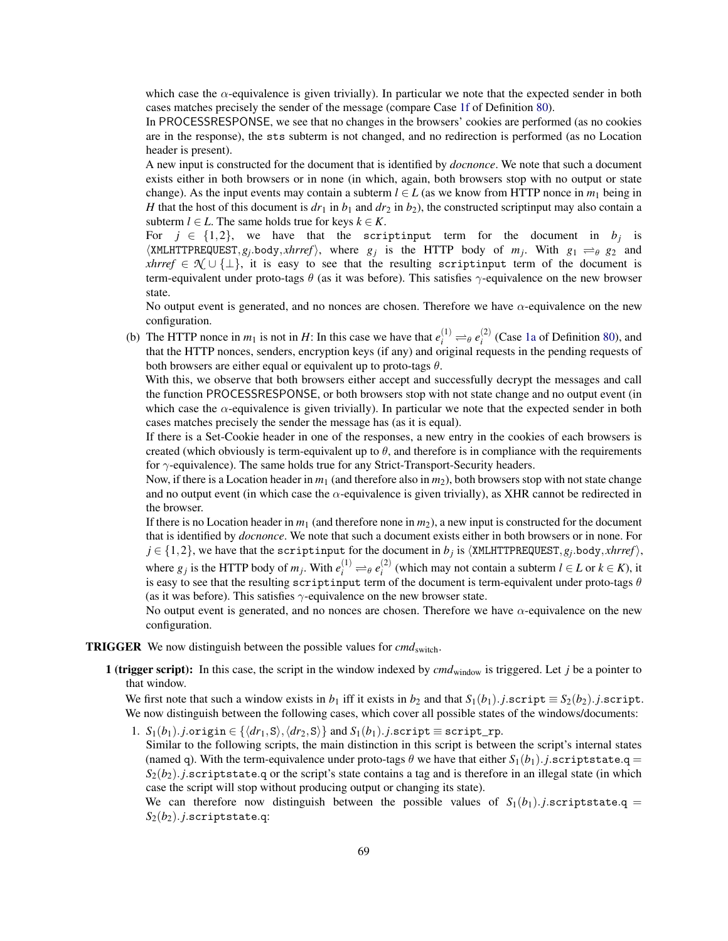which case the  $\alpha$ -equivalence is given trivially). In particular we note that the expected sender in both cases matches precisely the sender of the message (compare Case [1f](#page-60-10) of Definition [80\)](#page-60-0).

In PROCESSRESPONSE, we see that no changes in the browsers' cookies are performed (as no cookies are in the response), the sts subterm is not changed, and no redirection is performed (as no Location header is present).

A new input is constructed for the document that is identified by *docnonce*. We note that such a document exists either in both browsers or in none (in which, again, both browsers stop with no output or state change). As the input events may contain a subterm  $l \in L$  (as we know from HTTP nonce in  $m_1$  being in *H* that the host of this document is  $dr_1$  in  $b_1$  and  $dr_2$  in  $b_2$ ), the constructed scriptinput may also contain a subterm *l*  $\in$  *L*. The same holds true for keys *k*  $\in$  *K*.

For  $j \in \{1,2\}$ , we have that the scriptinput term for the document in  $b_j$  is  $\langle$ XMLHTTPREQUEST, *g*<sub>*j*</sub> body, *xhrref* $\rangle$ , where *g<sub>j</sub>* is the HTTP body of *m<sub>j</sub>*. With  $g_1 \rightleftharpoons g_2$  and *xhrref*  $\in \mathcal{N} \cup \{\perp\}$ , it is easy to see that the resulting scriptinput term of the document is term-equivalent under proto-tags  $\theta$  (as it was before). This satisfies  $\gamma$ -equivalence on the new browser state.

No output event is generated, and no nonces are chosen. Therefore we have  $\alpha$ -equivalence on the new configuration.

(b) The HTTP nonce in  $m_1$  is not in *H*: In this case we have that  $e_i^{(1)} \rightleftharpoons e_i^{(2)}$  $i<sup>(2)</sup>$  (Case [1a](#page-60-2) of Definition [80\)](#page-60-0), and that the HTTP nonces, senders, encryption keys (if any) and original requests in the pending requests of both browsers are either equal or equivalent up to proto-tags  $\theta$ .

With this, we observe that both browsers either accept and successfully decrypt the messages and call the function PROCESSRESPONSE, or both browsers stop with not state change and no output event (in which case the  $\alpha$ -equivalence is given trivially). In particular we note that the expected sender in both cases matches precisely the sender the message has (as it is equal).

If there is a Set-Cookie header in one of the responses, a new entry in the cookies of each browsers is created (which obviously is term-equivalent up to  $\theta$ , and therefore is in compliance with the requirements for  $\gamma$ -equivalence). The same holds true for any Strict-Transport-Security headers.

Now, if there is a Location header in  $m_1$  (and therefore also in  $m_2$ ), both browsers stop with not state change and no output event (in which case the  $\alpha$ -equivalence is given trivially), as XHR cannot be redirected in the browser.

If there is no Location header in  $m_1$  (and therefore none in  $m_2$ ), a new input is constructed for the document that is identified by *docnonce*. We note that such a document exists either in both browsers or in none. For  $j \in \{1, 2\}$ , we have that the scriptinput for the document in  $b_j$  is  $\langle \texttt{XMLHTTPREQUEST}, g_j \texttt{.body}, \textit{xhrref} \rangle$ , where  $g_j$  is the HTTP body of  $m_j$ . With  $e_i^{(1)} \rightleftharpoons e_i^{(2)}$  $i^{(2)}$  (which may not contain a subterm  $l \in L$  or  $k \in K$ ), it is easy to see that the resulting scriptinput term of the document is term-equivalent under proto-tags  $\theta$ (as it was before). This satisfies  $\gamma$ -equivalence on the new browser state.

No output event is generated, and no nonces are chosen. Therefore we have  $\alpha$ -equivalence on the new configuration.

- **TRIGGER** We now distinguish between the possible values for *cmd*<sub>switch</sub>.
	- 1 (trigger script): In this case, the script in the window indexed by *cmd*window is triggered. Let *j* be a pointer to that window.

We first note that such a window exists in  $b_1$  iff it exists in  $b_2$  and that  $S_1(b_1)$ . *j*.script  $\equiv S_2(b_2)$ . *j*.script. We now distinguish between the following cases, which cover all possible states of the windows/documents:

1. *S*<sub>1</sub>(*b*<sub>1</sub>). *j*.origin ∈ { $\langle dr_1, S \rangle$ ,  $\langle dr_2, S \rangle$ } and *S*<sub>1</sub>(*b*<sub>1</sub>). *j*.script ≡ script\_rp. Similar to the following scripts, the main distinction in this script is between the script's internal states (named q). With the term-equivalence under proto-tags  $\theta$  we have that either  $S_1(b_1)$ . *j*.scriptstate.q =  $S_2(b_2)$ . *j*.scriptstate.q or the script's state contains a tag and is therefore in an illegal state (in which case the script will stop without producing output or changing its state).

We can therefore now distinguish between the possible values of  $S_1(b_1)$ . *j.* scriptstate.q = *S*2(*b*2). *j*.scriptstate.q: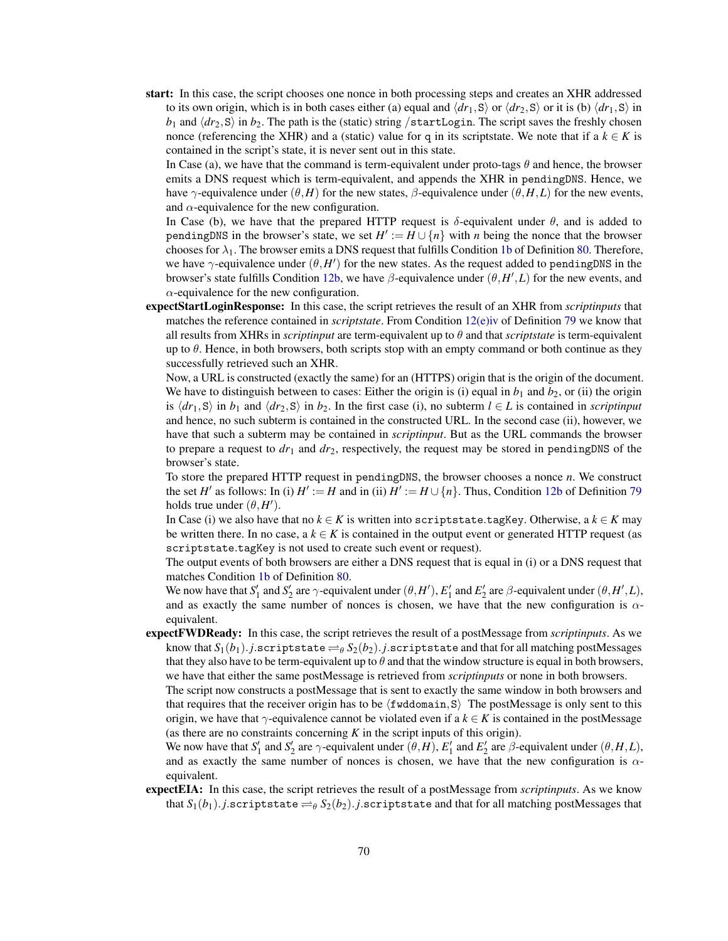start: In this case, the script chooses one nonce in both processing steps and creates an XHR addressed to its own origin, which is in both cases either (a) equal and  $\langle dr_1, S \rangle$  or  $\langle dr_2, S \rangle$  or it is (b)  $\langle dr_1, S \rangle$  in  $b_1$  and  $\langle dr_2, S \rangle$  in  $b_2$ . The path is the (static) string /startLogin. The script saves the freshly chosen nonce (referencing the XHR) and a (static) value for q in its scriptstate. We note that if a  $k \in K$  is contained in the script's state, it is never sent out in this state.

In Case (a), we have that the command is term-equivalent under proto-tags  $\theta$  and hence, the browser emits a DNS request which is term-equivalent, and appends the XHR in pendingDNS. Hence, we have  $\gamma$ -equivalence under ( $\theta$ ,*H*) for the new states,  $\beta$ -equivalence under ( $\theta$ ,*H*,*L*) for the new events, and  $\alpha$ -equivalence for the new configuration.

In Case (b), we have that the prepared HTTP request is  $\delta$ -equivalent under  $\theta$ , and is added to pendingDNS in the browser's state, we set  $H' := H \cup \{n\}$  with *n* being the nonce that the browser chooses for  $\lambda_1$ . The browser emits a DNS request that fulfills Condition [1b](#page-60-4) of Definition [80.](#page-60-0) Therefore, we have  $\gamma$ -equivalence under  $(\theta, H')$  for the new states. As the request added to pendingDNS in the browser's state fulfills Condition [12b,](#page-58-5) we have β-equivalence under  $(θ, H', L)$  for the new events, and  $\alpha$ -equivalence for the new configuration.

expectStartLoginResponse: In this case, the script retrieves the result of an XHR from *scriptinputs* that matches the reference contained in *scriptstate*. From Condition [12\(e\)iv](#page-59-2) of Definition [79](#page-58-1) we know that all results from XHRs in *scriptinput* are term-equivalent up to θ and that *scriptstate* is term-equivalent up to  $\theta$ . Hence, in both browsers, both scripts stop with an empty command or both continue as they successfully retrieved such an XHR.

Now, a URL is constructed (exactly the same) for an (HTTPS) origin that is the origin of the document. We have to distinguish between to cases: Either the origin is (i) equal in  $b_1$  and  $b_2$ , or (ii) the origin is  $\langle dr_1, S \rangle$  in *b*<sub>1</sub> and  $\langle dr_2, S \rangle$  in *b*<sub>2</sub>. In the first case (i), no subterm  $l \in L$  is contained in *scriptinput* and hence, no such subterm is contained in the constructed URL. In the second case (ii), however, we have that such a subterm may be contained in *scriptinput*. But as the URL commands the browser to prepare a request to  $dr_1$  and  $dr_2$ , respectively, the request may be stored in pendingDNS of the browser's state.

To store the prepared HTTP request in pendingDNS, the browser chooses a nonce *n*. We construct the set *H'* as follows: In (i)  $H' := H$  and in (ii)  $H' := H \cup \{n\}$ . Thus, Condition [12b](#page-58-5) of Definition [79](#page-58-1) holds true under  $(\theta, H')$ .

In Case (i) we also have that no  $k \in K$  is written into script state.tagKey. Otherwise, a  $k \in K$  may be written there. In no case, a  $k \in K$  is contained in the output event or generated HTTP request (as scriptstate.tagKey is not used to create such event or request).

The output events of both browsers are either a DNS request that is equal in (i) or a DNS request that matches Condition [1b](#page-60-4) of Definition [80.](#page-60-0)

We now have that  $S'_1$  and  $S'_2$  are  $\gamma$ -equivalent under  $(\theta, H')$ ,  $E'_1$  and  $E'_2$  are  $\beta$ -equivalent under  $(\theta, H', L)$ , and as exactly the same number of nonces is chosen, we have that the new configuration is  $\alpha$ equivalent.

expectFWDReady: In this case, the script retrieves the result of a postMessage from *scriptinputs*. As we know that  $S_1(b_1).j.$ scriptstate  $\rightleftharpoons_\theta S_2(b_2).j.$ scriptstate and that for all matching postMessages that they also have to be term-equivalent up to  $\theta$  and that the window structure is equal in both browsers, we have that either the same postMessage is retrieved from *scriptinputs* or none in both browsers.

The script now constructs a postMessage that is sent to exactly the same window in both browsers and that requires that the receiver origin has to be  $\langle fwddomain, S \rangle$  The postMessage is only sent to this origin, we have that  $\gamma$ -equivalence cannot be violated even if a  $k \in K$  is contained in the postMessage (as there are no constraints concerning *K* in the script inputs of this origin).

We now have that  $S'_1$  and  $S'_2$  are  $\gamma$ -equivalent under  $(\theta, H)$ ,  $E'_1$  and  $E'_2$  are  $\beta$ -equivalent under  $(\theta, H, L)$ , and as exactly the same number of nonces is chosen, we have that the new configuration is  $\alpha$ equivalent.

expectEIA: In this case, the script retrieves the result of a postMessage from *scriptinputs*. As we know that  $S_1(b_1)$ . *j*.scriptstate  $\rightleftharpoons$   $_\theta$   $S_2(b_2)$ . *j*.scriptstate and that for all matching postMessages that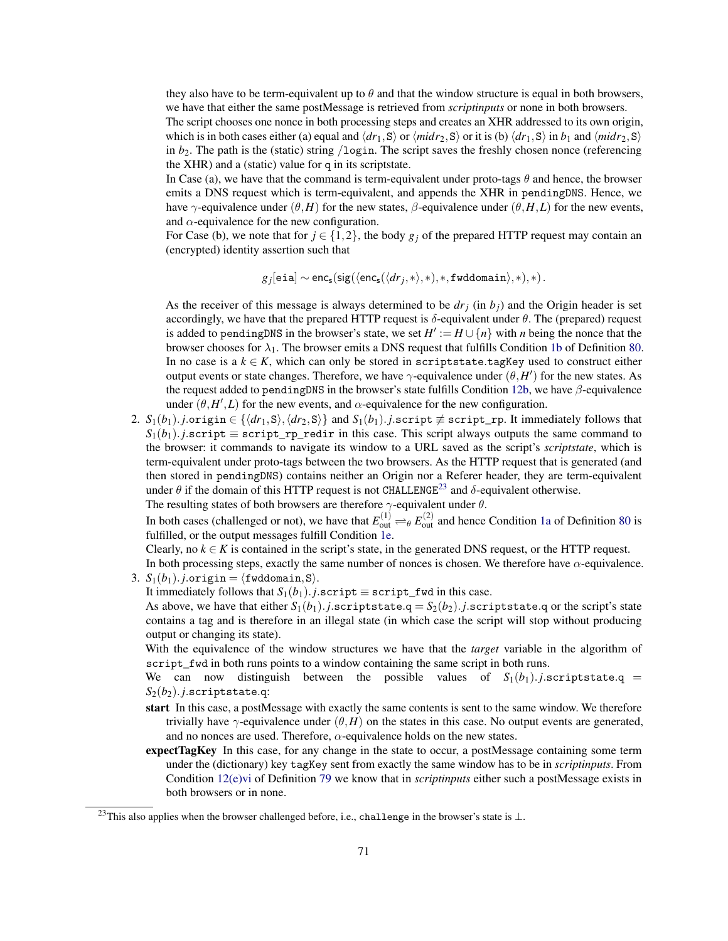they also have to be term-equivalent up to  $\theta$  and that the window structure is equal in both browsers, we have that either the same postMessage is retrieved from *scriptinputs* or none in both browsers.

The script chooses one nonce in both processing steps and creates an XHR addressed to its own origin, which is in both cases either (a) equal and  $\langle dr_1, S \rangle$  or  $\langle midr_2, S \rangle$  or it is (b)  $\langle dr_1, S \rangle$  in  $b_1$  and  $\langle midr_2, S \rangle$ in  $b_2$ . The path is the (static) string  $\log_{10}$ . The script saves the freshly chosen nonce (referencing the XHR) and a (static) value for q in its scriptstate.

In Case (a), we have that the command is term-equivalent under proto-tags  $\theta$  and hence, the browser emits a DNS request which is term-equivalent, and appends the XHR in pendingDNS. Hence, we have  $\gamma$ -equivalence under ( $\theta$ ,*H*) for the new states,  $\beta$ -equivalence under ( $\theta$ ,*H*,*L*) for the new events, and  $\alpha$ -equivalence for the new configuration.

For Case (b), we note that for  $j \in \{1,2\}$ , the body  $g_j$  of the prepared HTTP request may contain an (encrypted) identity assertion such that

$$
g_j[\texttt{eia}] \sim \texttt{enc}_\texttt{s}(\texttt{sig}(\langle \texttt{enc}_\texttt{s}(\langle dr_j, \ast \rangle, \ast), \ast, \texttt{fwddomain}\rangle, \ast), \ast).
$$

As the receiver of this message is always determined to be  $dr_j$  (in  $b_j$ ) and the Origin header is set accordingly, we have that the prepared HTTP request is  $\delta$ -equivalent under  $\theta$ . The (prepared) request is added to pendingDNS in the browser's state, we set  $H' := H \cup \{n\}$  with *n* being the nonce that the browser chooses for  $\lambda_1$ . The browser emits a DNS request that fulfills Condition [1b](#page-60-4) of Definition [80.](#page-60-0) In no case is a  $k \in K$ , which can only be stored in scriptstate.tagKey used to construct either output events or state changes. Therefore, we have  $\gamma$ -equivalence under  $(\theta, H')$  for the new states. As the request added to pendingDNS in the browser's state fulfills Condition [12b,](#page-58-5) we have  $\beta$ -equivalence under  $(\theta, H', L)$  for the new events, and  $\alpha$ -equivalence for the new configuration.

2.  $S_1(b_1)$ . *j*.origin  $\in \{ \langle dr_1, S \rangle, \langle dr_2, S \rangle \}$  and  $S_1(b_1)$ . *j.* script  $\not\equiv$  script rp. It immediately follows that  $S_1(b_1)$ . *j*.script  $\equiv$  script\_rp\_redir in this case. This script always outputs the same command to the browser: it commands to navigate its window to a URL saved as the script's *scriptstate*, which is term-equivalent under proto-tags between the two browsers. As the HTTP request that is generated (and then stored in pendingDNS) contains neither an Origin nor a Referer header, they are term-equivalent under  $\theta$  if the domain of this HTTP request is not CHALLENGE<sup>[23](#page-70-0)</sup> and  $\delta$ -equivalent otherwise. The resulting states of both browsers are therefore  $\gamma$ -equivalent under  $\theta$ .

In both cases (challenged or not), we have that  $E_{\text{out}}^{(1)} \rightleftharpoons E_{\text{out}}^{(2)}$  and hence Condition [1a](#page-60-2) of Definition [80](#page-60-0) is fulfilled, or the output messages fulfill Condition [1e.](#page-60-8)

Clearly, no  $k \in K$  is contained in the script's state, in the generated DNS request, or the HTTP request. In both processing steps, exactly the same number of nonces is chosen. We therefore have  $\alpha$ -equivalence.

3.  $S_1(b_1)$ . *j*.origin =  $\langle$ fwddomain,S $\rangle$ .

It immediately follows that  $S_1(b_1)$ . *j*.script  $\equiv$  script\_fwd in this case.

As above, we have that either  $S_1(b_1)$ . *j*.scriptstate.q =  $S_2(b_2)$ . *j*.scriptstate.q or the script's state contains a tag and is therefore in an illegal state (in which case the script will stop without producing output or changing its state).

With the equivalence of the window structures we have that the *target* variable in the algorithm of script\_fwd in both runs points to a window containing the same script in both runs.

We can now distinguish between the possible values of  $S_1(b_1)$ . *j*.scriptstate.q =  $S_2(b_2)$ . *j*.scriptstate.q:

- start In this case, a postMessage with exactly the same contents is sent to the same window. We therefore trivially have  $\gamma$ -equivalence under  $(\theta, H)$  on the states in this case. No output events are generated, and no nonces are used. Therefore,  $\alpha$ -equivalence holds on the new states.
- expectTagKey In this case, for any change in the state to occur, a postMessage containing some term under the (dictionary) key tagKey sent from exactly the same window has to be in *scriptinputs*. From Condition [12\(e\)vi](#page-59-4) of Definition [79](#page-58-1) we know that in *scriptinputs* either such a postMessage exists in both browsers or in none.

<span id="page-70-0"></span><sup>&</sup>lt;sup>23</sup>This also applies when the browser challenged before, i.e., challenge in the browser's state is ⊥.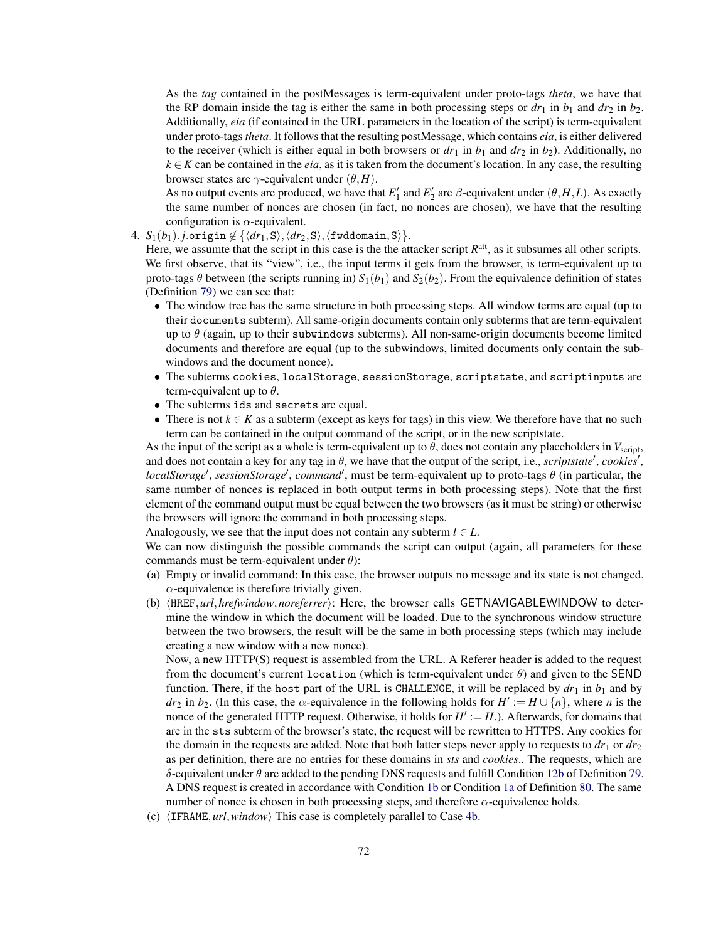As the *tag* contained in the postMessages is term-equivalent under proto-tags *theta*, we have that the RP domain inside the tag is either the same in both processing steps or  $dr_1$  in  $b_1$  and  $dr_2$  in  $b_2$ . Additionally, *eia* (if contained in the URL parameters in the location of the script) is term-equivalent under proto-tags *theta*. It follows that the resulting postMessage, which contains *eia*, is either delivered to the receiver (which is either equal in both browsers or  $dr_1$  in  $b_1$  and  $dr_2$  in  $b_2$ ). Additionally, no  $k \in K$  can be contained in the *eia*, as it is taken from the document's location. In any case, the resulting browser states are  $\gamma$ -equivalent under  $(\theta, H)$ .

As no output events are produced, we have that  $E'_1$  and  $E'_2$  are  $\beta$ -equivalent under  $(\theta, H, L)$ . As exactly the same number of nonces are chosen (in fact, no nonces are chosen), we have that the resulting configuration is  $\alpha$ -equivalent.

4. 
$$
S_1(b_1)
$$
.*j*.origin  $\notin \{ \langle dr_1, S \rangle, \langle dr_2, S \rangle, \langle \text{fwddomain}, S \rangle \}.$ 

Here, we assumte that the script in this case is the the attacker script  $R<sup>att</sup>$ , as it subsumes all other scripts. We first observe, that its "view", i.e., the input terms it gets from the browser, is term-equivalent up to proto-tags  $\theta$  between (the scripts running in)  $S_1(b_1)$  and  $S_2(b_2)$ . From the equivalence definition of states (Definition [79\)](#page-58-1) we can see that:

- The window tree has the same structure in both processing steps. All window terms are equal (up to their documents subterm). All same-origin documents contain only subterms that are term-equivalent up to  $\theta$  (again, up to their subwindows subterms). All non-same-origin documents become limited documents and therefore are equal (up to the subwindows, limited documents only contain the subwindows and the document nonce).
- The subterms cookies, localStorage, sessionStorage, scriptstate, and scriptinputs are term-equivalent up to  $\theta$ .
- The subterms ids and secrets are equal.
- There is not  $k \in K$  as a subterm (except as keys for tags) in this view. We therefore have that no such term can be contained in the output command of the script, or in the new scriptstate.

As the input of the script as a whole is term-equivalent up to  $\theta$ , does not contain any placeholders in  $V_{\text{script}}$ , and does not contain a key for any tag in  $\theta$ , we have that the output of the script, i.e., *scriptstate'*, *cookies'*,  $localStorage'$ ,  $sessionStorage'$ ,  $common'$ ,  $m$ ust be term-equivalent up to proto-tags  $\theta$  (in particular, the same number of nonces is replaced in both output terms in both processing steps). Note that the first element of the command output must be equal between the two browsers (as it must be string) or otherwise the browsers will ignore the command in both processing steps.

Analogously, we see that the input does not contain any subterm  $l \in L$ .

We can now distinguish the possible commands the script can output (again, all parameters for these commands must be term-equivalent under  $\theta$ ):

- (a) Empty or invalid command: In this case, the browser outputs no message and its state is not changed.  $\alpha$ -equivalence is therefore trivially given.
- <span id="page-71-0"></span>(b)  $\langle$ HREF,*url*,*hrefwindow,noreferrer*): Here, the browser calls GETNAVIGABLEWINDOW to determine the window in which the document will be loaded. Due to the synchronous window structure between the two browsers, the result will be the same in both processing steps (which may include creating a new window with a new nonce).

Now, a new HTTP(S) request is assembled from the URL. A Referer header is added to the request from the document's current location (which is term-equivalent under  $\theta$ ) and given to the SEND function. There, if the host part of the URL is CHALLENGE, it will be replaced by  $dr_1$  in  $b_1$  and by *dr*<sub>2</sub> in *b*<sub>2</sub>. (In this case, the  $\alpha$ -equivalence in the following holds for  $H' := H \cup \{n\}$ , where *n* is the nonce of the generated HTTP request. Otherwise, it holds for  $H' := H$ .). Afterwards, for domains that are in the sts subterm of the browser's state, the request will be rewritten to HTTPS. Any cookies for the domain in the requests are added. Note that both latter steps never apply to requests to  $dr_1$  or  $dr_2$ as per definition, there are no entries for these domains in *sts* and *cookies*.. The requests, which are δ-equivalent under θ are added to the pending DNS requests and fulfill Condition [12b](#page-58-5) of Definition [79.](#page-58-1) A DNS request is created in accordance with Condition [1b](#page-60-4) or Condition [1a](#page-60-2) of Definition [80.](#page-60-0) The same number of nonce is chosen in both processing steps, and therefore  $\alpha$ -equivalence holds.

(c)  $\langle$  IFRAME, *url*, *window* $\rangle$  This case is completely parallel to Case [4b.](#page-71-0)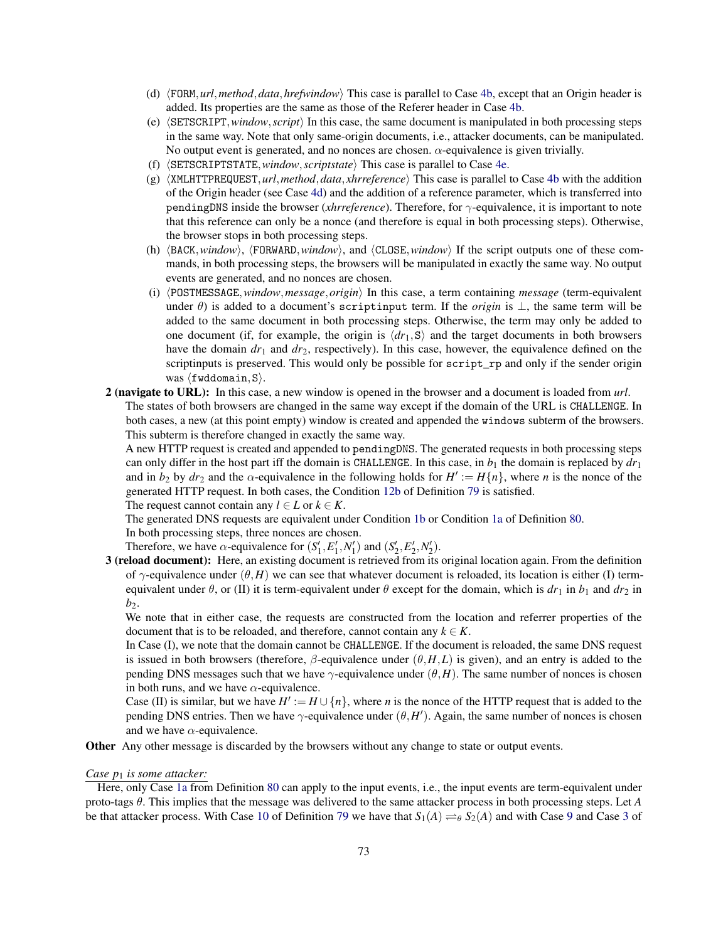- <span id="page-72-1"></span>(d) hFORM,*url*,*method*,*data*,*hrefwindow*i This case is parallel to Case [4b,](#page-71-0) except that an Origin header is added. Its properties are the same as those of the Referer header in Case [4b.](#page-71-0)
- <span id="page-72-0"></span>(e)  $\langle$  SETSCRIPT, *window*, *script* $\rangle$  In this case, the same document is manipulated in both processing steps in the same way. Note that only same-origin documents, i.e., attacker documents, can be manipulated. No output event is generated, and no nonces are chosen.  $\alpha$ -equivalence is given trivially.
- (f)  $\langle$  SETSCRIPTSTATE, *window*, *scriptstate* $\rangle$  This case is parallel to Case [4e.](#page-72-0)
- (g)  $\langle$ XMLHTTPREQUEST, *url, method, data, xhrreference* $\rangle$  This case is parallel to Case [4b](#page-71-0) with the addition of the Origin header (see Case [4d\)](#page-72-1) and the addition of a reference parameter, which is transferred into pendingDNS inside the browser (*xhrreference*). Therefore, for γ-equivalence, it is important to note that this reference can only be a nonce (and therefore is equal in both processing steps). Otherwise, the browser stops in both processing steps.
- (h)  $\langle BACK, window \rangle$ ,  $\langle FORMARD, window \rangle$ , and  $\langle CLOSE, window \rangle$  If the script outputs one of these commands, in both processing steps, the browsers will be manipulated in exactly the same way. No output events are generated, and no nonces are chosen.
- (i)  $\langle$  POSTMESSAGE, *window*, *message*, *origin* $\rangle$  In this case, a term containing *message* (term-equivalent under  $\theta$ ) is added to a document's scriptinput term. If the *origin* is  $\perp$ , the same term will be added to the same document in both processing steps. Otherwise, the term may only be added to one document (if, for example, the origin is  $\langle dr_1, S \rangle$  and the target documents in both browsers have the domain  $dr_1$  and  $dr_2$ , respectively). In this case, however, the equivalence defined on the scriptinputs is preserved. This would only be possible for script rp and only if the sender origin was  $\langle$  fwddomain, S $\rangle$ .
- 2 (navigate to URL): In this case, a new window is opened in the browser and a document is loaded from *url*. The states of both browsers are changed in the same way except if the domain of the URL is CHALLENGE. In both cases, a new (at this point empty) window is created and appended the windows subterm of the browsers. This subterm is therefore changed in exactly the same way.

A new HTTP request is created and appended to pendingDNS. The generated requests in both processing steps can only differ in the host part iff the domain is CHALLENGE. In this case, in  $b_1$  the domain is replaced by  $dr_1$ and in  $b_2$  by  $dr_2$  and the  $\alpha$ -equivalence in the following holds for  $H' := H\{n\}$ , where *n* is the nonce of the generated HTTP request. In both cases, the Condition [12b](#page-58-0) of Definition [79](#page-58-1) is satisfied.

The request cannot contain any  $l \in L$  or  $k \in K$ .

The generated DNS requests are equivalent under Condition [1b](#page-60-0) or Condition [1a](#page-60-1) of Definition [80.](#page-60-2)

In both processing steps, three nonces are chosen.

Therefore, we have  $\alpha$ -equivalence for  $(S'_1, E'_1, N'_1)$  and  $(S'_2, E'_2, N'_2)$ .

3 (reload document): Here, an existing document is retrieved from its original location again. From the definition of  $\gamma$ -equivalence under ( $\theta$ , *H*) we can see that whatever document is reloaded, its location is either (I) termequivalent under  $\theta$ , or (II) it is term-equivalent under  $\theta$  except for the domain, which is  $dr_1$  in  $b_1$  and  $dr_2$  in  $b_2$ .

We note that in either case, the requests are constructed from the location and referrer properties of the document that is to be reloaded, and therefore, cannot contain any  $k \in K$ .

In Case (I), we note that the domain cannot be CHALLENGE. If the document is reloaded, the same DNS request is issued in both browsers (therefore,  $\beta$ -equivalence under  $(\theta, H, L)$  is given), and an entry is added to the pending DNS messages such that we have  $\gamma$ -equivalence under  $(\theta, H)$ . The same number of nonces is chosen in both runs, and we have  $\alpha$ -equivalence.

Case (II) is similar, but we have  $H' := H \cup \{n\}$ , where *n* is the nonce of the HTTP request that is added to the pending DNS entries. Then we have  $\gamma$ -equivalence under  $(\theta, H')$ . Again, the same number of nonces is chosen and we have  $\alpha$ -equivalence.

Other Any other message is discarded by the browsers without any change to state or output events.

## *Case p*<sup>1</sup> *is some attacker:*

Here, only Case [1a](#page-60-1) from Definition [80](#page-60-2) can apply to the input events, i.e., the input events are term-equivalent under proto-tags θ. This implies that the message was delivered to the same attacker process in both processing steps. Let *A* be that attacker process. With Case [10](#page-58-2) of Definition [79](#page-58-1) we have that  $S_1(A) \rightleftharpoons_{\theta} S_2(A)$  and with Case [9](#page-58-3) and Case [3](#page-60-3) of